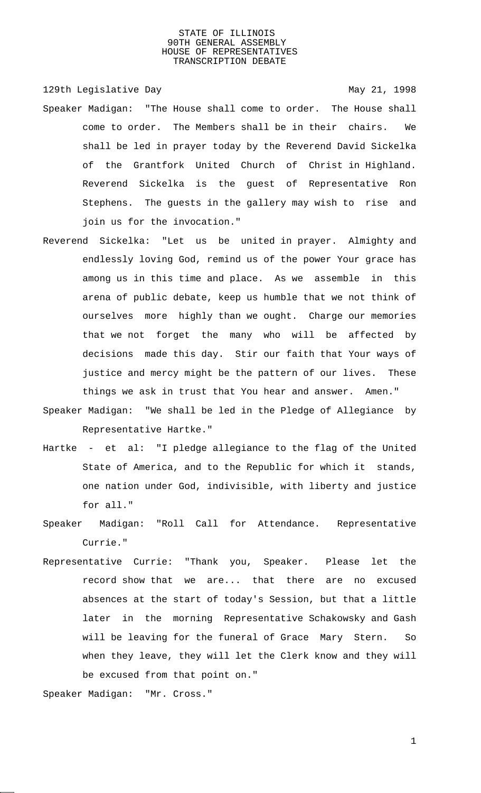129th Legislative Day 129th May 21, 1998

- Speaker Madigan: "The House shall come to order. The House shall come to order. The Members shall be in their chairs. We shall be led in prayer today by the Reverend David Sickelka of the Grantfork United Church of Christ in Highland. Reverend Sickelka is the guest of Representative Ron Stephens. The guests in the gallery may wish to rise and join us for the invocation."
- Reverend Sickelka: "Let us be united in prayer. Almighty and endlessly loving God, remind us of the power Your grace has among us in this time and place. As we assemble in this arena of public debate, keep us humble that we not think of ourselves more highly than we ought. Charge our memories that we not forget the many who will be affected by decisions made this day. Stir our faith that Your ways of justice and mercy might be the pattern of our lives. These things we ask in trust that You hear and answer. Amen."
- Speaker Madigan: "We shall be led in the Pledge of Allegiance by Representative Hartke."
- Hartke et al: "I pledge allegiance to the flag of the United State of America, and to the Republic for which it stands, one nation under God, indivisible, with liberty and justice for all."
- Speaker Madigan: "Roll Call for Attendance. Representative Currie."
- Representative Currie: "Thank you, Speaker. Please let the record show that we are... that there are no excused absences at the start of today's Session, but that a little later in the morning Representative Schakowsky and Gash will be leaving for the funeral of Grace Mary Stern. So when they leave, they will let the Clerk know and they will be excused from that point on."

Speaker Madigan: "Mr. Cross."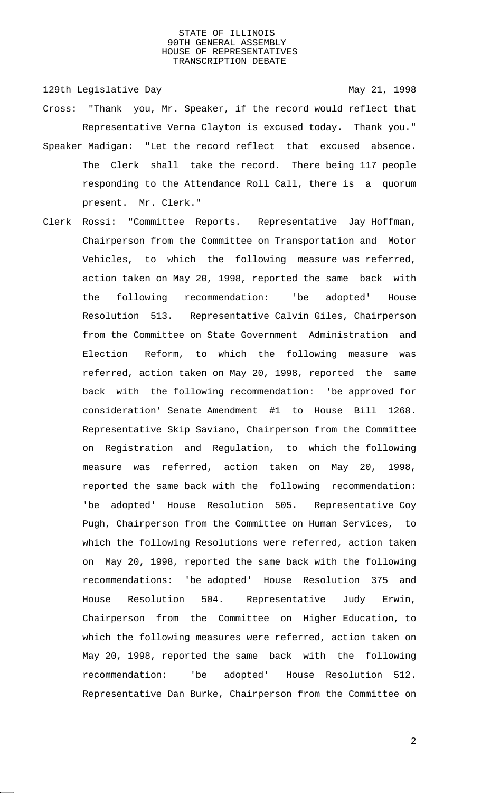129th Legislative Day 129th May 21, 1998

- Cross: "Thank you, Mr. Speaker, if the record would reflect that Representative Verna Clayton is excused today. Thank you."
- Speaker Madigan: "Let the record reflect that excused absence. The Clerk shall take the record. There being 117 people responding to the Attendance Roll Call, there is a quorum present. Mr. Clerk."
- Clerk Rossi: "Committee Reports. Representative Jay Hoffman, Chairperson from the Committee on Transportation and Motor Vehicles, to which the following measure was referred, action taken on May 20, 1998, reported the same back with the following recommendation: 'be adopted' House Resolution 513. Representative Calvin Giles, Chairperson from the Committee on State Government Administration and Election Reform, to which the following measure was referred, action taken on May 20, 1998, reported the same back with the following recommendation: 'be approved for consideration' Senate Amendment #1 to House Bill 1268. Representative Skip Saviano, Chairperson from the Committee on Registration and Regulation, to which the following measure was referred, action taken on May 20, 1998, reported the same back with the following recommendation: 'be adopted' House Resolution 505. Representative Coy Pugh, Chairperson from the Committee on Human Services, to which the following Resolutions were referred, action taken on May 20, 1998, reported the same back with the following recommendations: 'be adopted' House Resolution 375 and House Resolution 504. Representative Judy Erwin, Chairperson from the Committee on Higher Education, to which the following measures were referred, action taken on May 20, 1998, reported the same back with the following recommendation: 'be adopted' House Resolution 512. Representative Dan Burke, Chairperson from the Committee on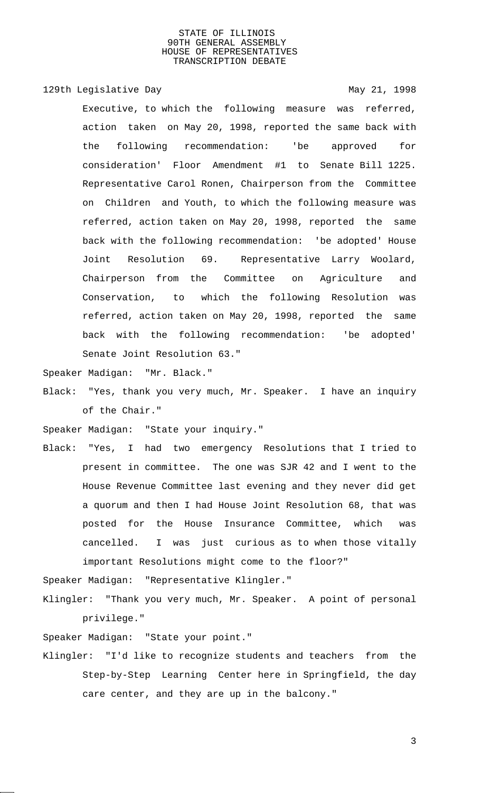129th Legislative Day 129th May 21, 1998 Executive, to which the following measure was referred, action taken on May 20, 1998, reported the same back with the following recommendation: 'be approved for consideration' Floor Amendment #1 to Senate Bill 1225. Representative Carol Ronen, Chairperson from the Committee on Children and Youth, to which the following measure was referred, action taken on May 20, 1998, reported the same back with the following recommendation: 'be adopted' House Joint Resolution 69. Representative Larry Woolard, Chairperson from the Committee on Agriculture and Conservation, to which the following Resolution was referred, action taken on May 20, 1998, reported the same back with the following recommendation: 'be adopted' Senate Joint Resolution 63."

Speaker Madigan: "Mr. Black."

Black: "Yes, thank you very much, Mr. Speaker. I have an inquiry of the Chair."

Speaker Madigan: "State your inquiry."

Black: "Yes, I had two emergency Resolutions that I tried to present in committee. The one was SJR 42 and I went to the House Revenue Committee last evening and they never did get a quorum and then I had House Joint Resolution 68, that was posted for the House Insurance Committee, which was cancelled. I was just curious as to when those vitally important Resolutions might come to the floor?"

Speaker Madigan: "Representative Klingler."

Klingler: "Thank you very much, Mr. Speaker. A point of personal privilege."

Speaker Madigan: "State your point."

Klingler: "I'd like to recognize students and teachers from the Step-by-Step Learning Center here in Springfield, the day care center, and they are up in the balcony."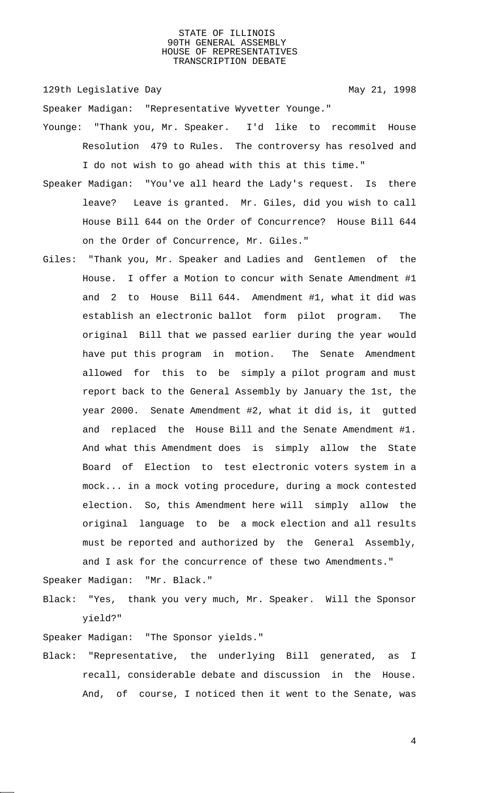129th Legislative Day 129th May 21, 1998

Speaker Madigan: "Representative Wyvetter Younge."

- Younge: "Thank you, Mr. Speaker. I'd like to recommit House Resolution 479 to Rules. The controversy has resolved and I do not wish to go ahead with this at this time."
- Speaker Madigan: "You've all heard the Lady's request. Is there leave? Leave is granted. Mr. Giles, did you wish to call House Bill 644 on the Order of Concurrence? House Bill 644 on the Order of Concurrence, Mr. Giles."
- Giles: "Thank you, Mr. Speaker and Ladies and Gentlemen of the House. I offer a Motion to concur with Senate Amendment #1 and 2 to House Bill 644. Amendment #1, what it did was establish an electronic ballot form pilot program. The original Bill that we passed earlier during the year would have put this program in motion. The Senate Amendment allowed for this to be simply a pilot program and must report back to the General Assembly by January the 1st, the year 2000. Senate Amendment #2, what it did is, it gutted and replaced the House Bill and the Senate Amendment #1. And what this Amendment does is simply allow the State Board of Election to test electronic voters system in a mock... in a mock voting procedure, during a mock contested election. So, this Amendment here will simply allow the original language to be a mock election and all results must be reported and authorized by the General Assembly, and I ask for the concurrence of these two Amendments."

Speaker Madigan: "Mr. Black."

Black: "Yes, thank you very much, Mr. Speaker. Will the Sponsor yield?"

Speaker Madigan: "The Sponsor yields."

Black: "Representative, the underlying Bill generated, as I recall, considerable debate and discussion in the House. And, of course, I noticed then it went to the Senate, was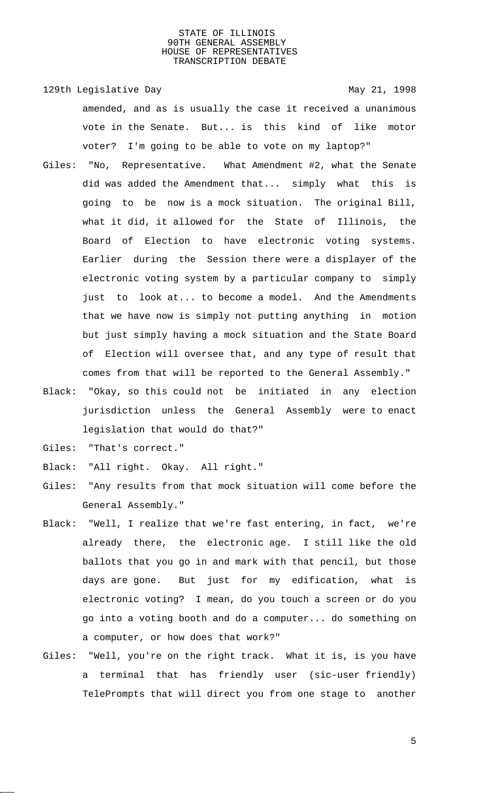129th Legislative Day 129th May 21, 1998 amended, and as is usually the case it received a unanimous vote in the Senate. But... is this kind of like motor voter? I'm going to be able to vote on my laptop?"

- Giles: "No, Representative. What Amendment #2, what the Senate did was added the Amendment that... simply what this is going to be now is a mock situation. The original Bill, what it did, it allowed for the State of Illinois, the Board of Election to have electronic voting systems. Earlier during the Session there were a displayer of the electronic voting system by a particular company to simply just to look at... to become a model. And the Amendments that we have now is simply not putting anything in motion but just simply having a mock situation and the State Board of Election will oversee that, and any type of result that comes from that will be reported to the General Assembly."
- Black: "Okay, so this could not be initiated in any election jurisdiction unless the General Assembly were to enact legislation that would do that?"
- Giles: "That's correct."
- Black: "All right. Okay. All right."
- Giles: "Any results from that mock situation will come before the General Assembly."
- Black: "Well, I realize that we're fast entering, in fact, we're already there, the electronic age. I still like the old ballots that you go in and mark with that pencil, but those days are gone. But just for my edification, what is electronic voting? I mean, do you touch a screen or do you go into a voting booth and do a computer... do something on a computer, or how does that work?"
- Giles: "Well, you're on the right track. What it is, is you have a terminal that has friendly user (sic-user friendly) TelePrompts that will direct you from one stage to another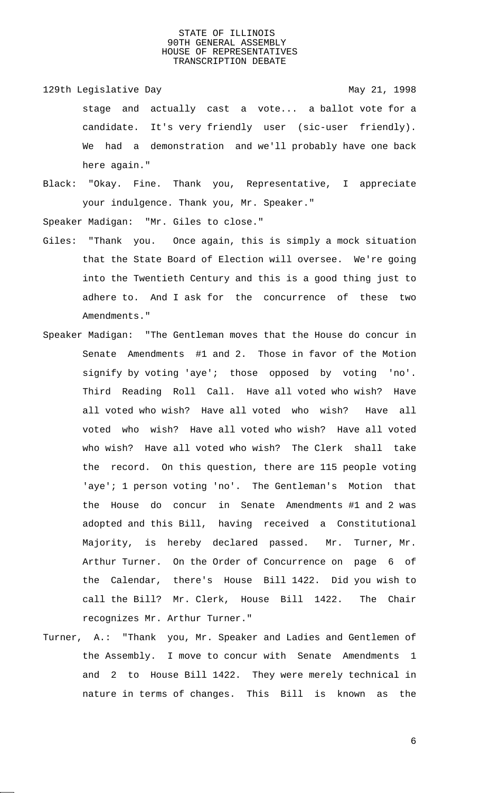- 129th Legislative Day 129th May 21, 1998 stage and actually cast a vote... a ballot vote for a candidate. It's very friendly user (sic-user friendly). We had a demonstration and we'll probably have one back here again."
- Black: "Okay. Fine. Thank you, Representative, I appreciate your indulgence. Thank you, Mr. Speaker."

Speaker Madigan: "Mr. Giles to close."

- Giles: "Thank you. Once again, this is simply a mock situation that the State Board of Election will oversee. We're going into the Twentieth Century and this is a good thing just to adhere to. And I ask for the concurrence of these two Amendments."
- Speaker Madigan: "The Gentleman moves that the House do concur in Senate Amendments #1 and 2. Those in favor of the Motion signify by voting 'aye'; those opposed by voting 'no'. Third Reading Roll Call. Have all voted who wish? Have all voted who wish? Have all voted who wish? Have all voted who wish? Have all voted who wish? Have all voted who wish? Have all voted who wish? The Clerk shall take the record. On this question, there are 115 people voting 'aye'; 1 person voting 'no'. The Gentleman's Motion that the House do concur in Senate Amendments #1 and 2 was adopted and this Bill, having received a Constitutional Majority, is hereby declared passed. Mr. Turner, Mr. Arthur Turner. On the Order of Concurrence on page 6 of the Calendar, there's House Bill 1422. Did you wish to call the Bill? Mr. Clerk, House Bill 1422. The Chair recognizes Mr. Arthur Turner."
- Turner, A.: "Thank you, Mr. Speaker and Ladies and Gentlemen of the Assembly. I move to concur with Senate Amendments 1 and 2 to House Bill 1422. They were merely technical in nature in terms of changes. This Bill is known as the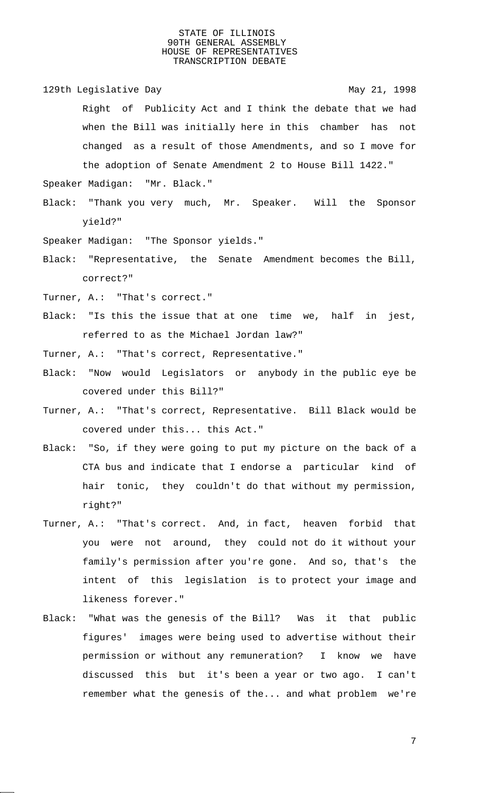129th Legislative Day 129th May 21, 1998 Right of Publicity Act and I think the debate that we had when the Bill was initially here in this chamber has not changed as a result of those Amendments, and so I move for the adoption of Senate Amendment 2 to House Bill 1422."

Speaker Madigan: "Mr. Black."

- Black: "Thank you very much, Mr. Speaker. Will the Sponsor yield?"
- Speaker Madigan: "The Sponsor yields."
- Black: "Representative, the Senate Amendment becomes the Bill, correct?"
- Turner, A.: "That's correct."
- Black: "Is this the issue that at one time we, half in jest, referred to as the Michael Jordan law?"
- Turner, A.: "That's correct, Representative."
- Black: "Now would Legislators or anybody in the public eye be covered under this Bill?"
- Turner, A.: "That's correct, Representative. Bill Black would be covered under this... this Act."
- Black: "So, if they were going to put my picture on the back of a CTA bus and indicate that I endorse a particular kind of hair tonic, they couldn't do that without my permission, right?"
- Turner, A.: "That's correct. And, in fact, heaven forbid that you were not around, they could not do it without your family's permission after you're gone. And so, that's the intent of this legislation is to protect your image and likeness forever."
- Black: "What was the genesis of the Bill? Was it that public figures' images were being used to advertise without their permission or without any remuneration? I know we have discussed this but it's been a year or two ago. I can't remember what the genesis of the... and what problem we're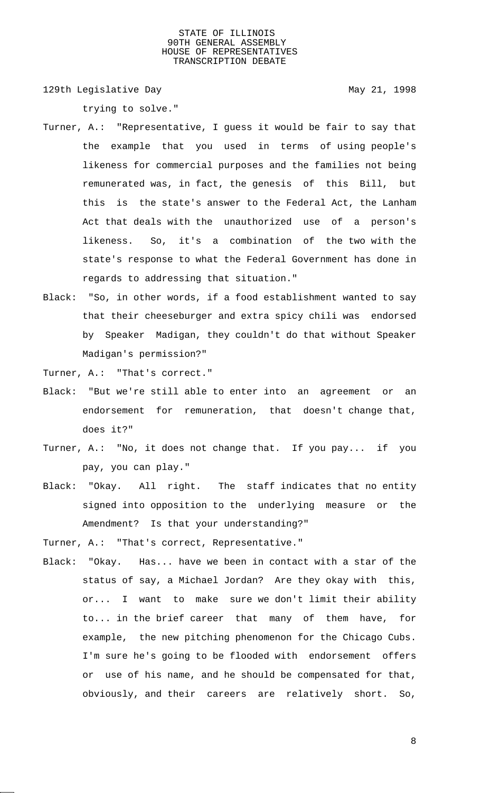129th Legislative Day 129th May 21, 1998

trying to solve."

- Turner, A.: "Representative, I guess it would be fair to say that the example that you used in terms of using people's likeness for commercial purposes and the families not being remunerated was, in fact, the genesis of this Bill, but this is the state's answer to the Federal Act, the Lanham Act that deals with the unauthorized use of a person's likeness. So, it's a combination of the two with the state's response to what the Federal Government has done in regards to addressing that situation."
- Black: "So, in other words, if a food establishment wanted to say that their cheeseburger and extra spicy chili was endorsed by Speaker Madigan, they couldn't do that without Speaker Madigan's permission?"
- Turner, A.: "That's correct."
- Black: "But we're still able to enter into an agreement or an endorsement for remuneration, that doesn't change that, does it?"
- Turner, A.: "No, it does not change that. If you pay... if you pay, you can play."
- Black: "Okay. All right. The staff indicates that no entity signed into opposition to the underlying measure or the Amendment? Is that your understanding?"
- Turner, A.: "That's correct, Representative."
- Black: "Okay. Has... have we been in contact with a star of the status of say, a Michael Jordan? Are they okay with this, or... I want to make sure we don't limit their ability to... in the brief career that many of them have, for example, the new pitching phenomenon for the Chicago Cubs. I'm sure he's going to be flooded with endorsement offers or use of his name, and he should be compensated for that, obviously, and their careers are relatively short. So,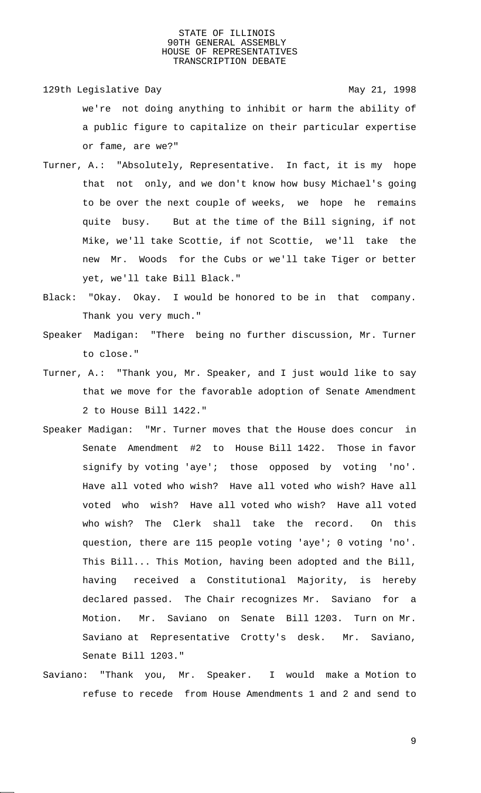129th Legislative Day 129th May 21, 1998

- we're not doing anything to inhibit or harm the ability of a public figure to capitalize on their particular expertise or fame, are we?"
- Turner, A.: "Absolutely, Representative. In fact, it is my hope that not only, and we don't know how busy Michael's going to be over the next couple of weeks, we hope he remains quite busy. But at the time of the Bill signing, if not Mike, we'll take Scottie, if not Scottie, we'll take the new Mr. Woods for the Cubs or we'll take Tiger or better yet, we'll take Bill Black."
- Black: "Okay. Okay. I would be honored to be in that company. Thank you very much."
- Speaker Madigan: "There being no further discussion, Mr. Turner to close."
- Turner, A.: "Thank you, Mr. Speaker, and I just would like to say that we move for the favorable adoption of Senate Amendment 2 to House Bill 1422."
- Speaker Madigan: "Mr. Turner moves that the House does concur in Senate Amendment #2 to House Bill 1422. Those in favor signify by voting 'aye'; those opposed by voting 'no'. Have all voted who wish? Have all voted who wish? Have all voted who wish? Have all voted who wish? Have all voted who wish? The Clerk shall take the record. On this question, there are 115 people voting 'aye'; 0 voting 'no'. This Bill... This Motion, having been adopted and the Bill, having received a Constitutional Majority, is hereby declared passed. The Chair recognizes Mr. Saviano for a Motion. Mr. Saviano on Senate Bill 1203. Turn on Mr. Saviano at Representative Crotty's desk. Mr. Saviano, Senate Bill 1203."
- Saviano: "Thank you, Mr. Speaker. I would make a Motion to refuse to recede from House Amendments 1 and 2 and send to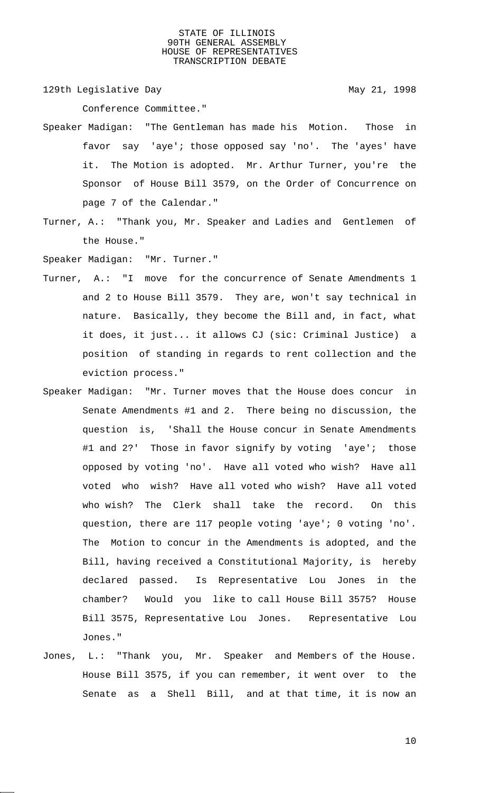129th Legislative Day 129th May 21, 1998

Conference Committee."

- Speaker Madigan: "The Gentleman has made his Motion. Those in favor say 'aye'; those opposed say 'no'. The 'ayes' have it. The Motion is adopted. Mr. Arthur Turner, you're the Sponsor of House Bill 3579, on the Order of Concurrence on page 7 of the Calendar."
- Turner, A.: "Thank you, Mr. Speaker and Ladies and Gentlemen of the House."

Speaker Madigan: "Mr. Turner."

- Turner, A.: "I move for the concurrence of Senate Amendments 1 and 2 to House Bill 3579. They are, won't say technical in nature. Basically, they become the Bill and, in fact, what it does, it just... it allows CJ (sic: Criminal Justice) a position of standing in regards to rent collection and the eviction process."
- Speaker Madigan: "Mr. Turner moves that the House does concur in Senate Amendments #1 and 2. There being no discussion, the question is, 'Shall the House concur in Senate Amendments #1 and 2?' Those in favor signify by voting 'aye'; those opposed by voting 'no'. Have all voted who wish? Have all voted who wish? Have all voted who wish? Have all voted who wish? The Clerk shall take the record. On this question, there are 117 people voting 'aye'; 0 voting 'no'. The Motion to concur in the Amendments is adopted, and the Bill, having received a Constitutional Majority, is hereby declared passed. Is Representative Lou Jones in the chamber? Would you like to call House Bill 3575? House Bill 3575, Representative Lou Jones. Representative Lou Jones."
- Jones, L.: "Thank you, Mr. Speaker and Members of the House. House Bill 3575, if you can remember, it went over to the Senate as a Shell Bill, and at that time, it is now an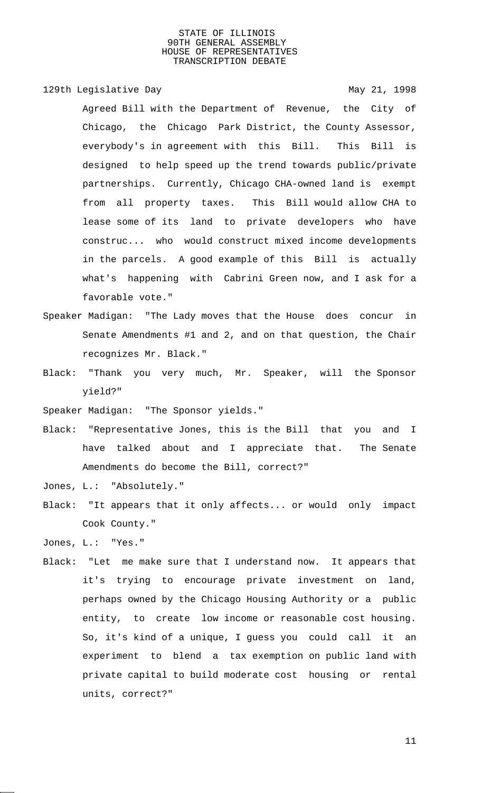129th Legislative Day 129th May 21, 1998

Agreed Bill with the Department of Revenue, the City of Chicago, the Chicago Park District, the County Assessor, everybody's in agreement with this Bill. This Bill is designed to help speed up the trend towards public/private partnerships. Currently, Chicago CHA-owned land is exempt from all property taxes. This Bill would allow CHA to lease some of its land to private developers who have construc... who would construct mixed income developments in the parcels. A good example of this Bill is actually what's happening with Cabrini Green now, and I ask for a favorable vote."

- Speaker Madigan: "The Lady moves that the House does concur in Senate Amendments #1 and 2, and on that question, the Chair recognizes Mr. Black."
- Black: "Thank you very much, Mr. Speaker, will the Sponsor yield?"

Speaker Madigan: "The Sponsor yields."

Black: "Representative Jones, this is the Bill that you and I have talked about and I appreciate that. The Senate Amendments do become the Bill, correct?"

Jones, L.: "Absolutely."

Black: "It appears that it only affects... or would only impact Cook County."

Jones, L.: "Yes."

Black: "Let me make sure that I understand now. It appears that it's trying to encourage private investment on land, perhaps owned by the Chicago Housing Authority or a public entity, to create low income or reasonable cost housing. So, it's kind of a unique, I guess you could call it an experiment to blend a tax exemption on public land with private capital to build moderate cost housing or rental units, correct?"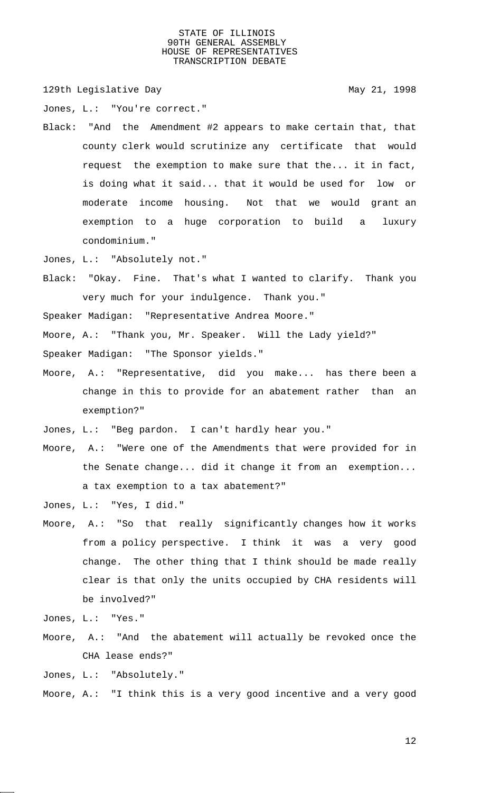129th Legislative Day 129th May 21, 1998

Jones, L.: "You're correct."

Black: "And the Amendment #2 appears to make certain that, that county clerk would scrutinize any certificate that would request the exemption to make sure that the... it in fact, is doing what it said... that it would be used for low or moderate income housing. Not that we would grant an exemption to a huge corporation to build a luxury condominium."

Jones, L.: "Absolutely not."

Black: "Okay. Fine. That's what I wanted to clarify. Thank you very much for your indulgence. Thank you."

Speaker Madigan: "Representative Andrea Moore."

Moore, A.: "Thank you, Mr. Speaker. Will the Lady yield?"

Speaker Madigan: "The Sponsor yields."

Moore, A.: "Representative, did you make... has there been a change in this to provide for an abatement rather than an exemption?"

Jones, L.: "Beg pardon. I can't hardly hear you."

Moore, A.: "Were one of the Amendments that were provided for in the Senate change... did it change it from an exemption... a tax exemption to a tax abatement?"

Jones, L.: "Yes, I did."

Moore, A.: "So that really significantly changes how it works from a policy perspective. I think it was a very good change. The other thing that I think should be made really clear is that only the units occupied by CHA residents will be involved?"

Jones, L.: "Yes."

Moore, A.: "And the abatement will actually be revoked once the CHA lease ends?"

Jones, L.: "Absolutely."

Moore, A.: "I think this is a very good incentive and a very good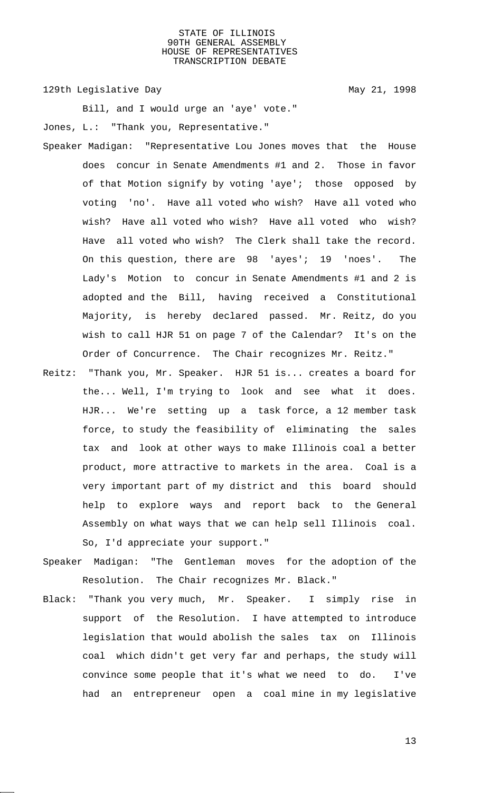129th Legislative Day 129th May 21, 1998

Bill, and I would urge an 'aye' vote." Jones, L.: "Thank you, Representative."

- Speaker Madigan: "Representative Lou Jones moves that the House does concur in Senate Amendments #1 and 2. Those in favor of that Motion signify by voting 'aye'; those opposed by voting 'no'. Have all voted who wish? Have all voted who wish? Have all voted who wish? Have all voted who wish? Have all voted who wish? The Clerk shall take the record. On this question, there are 98 'ayes'; 19 'noes'. The Lady's Motion to concur in Senate Amendments #1 and 2 is adopted and the Bill, having received a Constitutional Majority, is hereby declared passed. Mr. Reitz, do you wish to call HJR 51 on page 7 of the Calendar? It's on the Order of Concurrence. The Chair recognizes Mr. Reitz."
- Reitz: "Thank you, Mr. Speaker. HJR 51 is... creates a board for the... Well, I'm trying to look and see what it does. HJR... We're setting up a task force, a 12 member task force, to study the feasibility of eliminating the sales tax and look at other ways to make Illinois coal a better product, more attractive to markets in the area. Coal is a very important part of my district and this board should help to explore ways and report back to the General Assembly on what ways that we can help sell Illinois coal. So, I'd appreciate your support."
- Speaker Madigan: "The Gentleman moves for the adoption of the Resolution. The Chair recognizes Mr. Black."
- Black: "Thank you very much, Mr. Speaker. I simply rise in support of the Resolution. I have attempted to introduce legislation that would abolish the sales tax on Illinois coal which didn't get very far and perhaps, the study will convince some people that it's what we need to do. I've had an entrepreneur open a coal mine in my legislative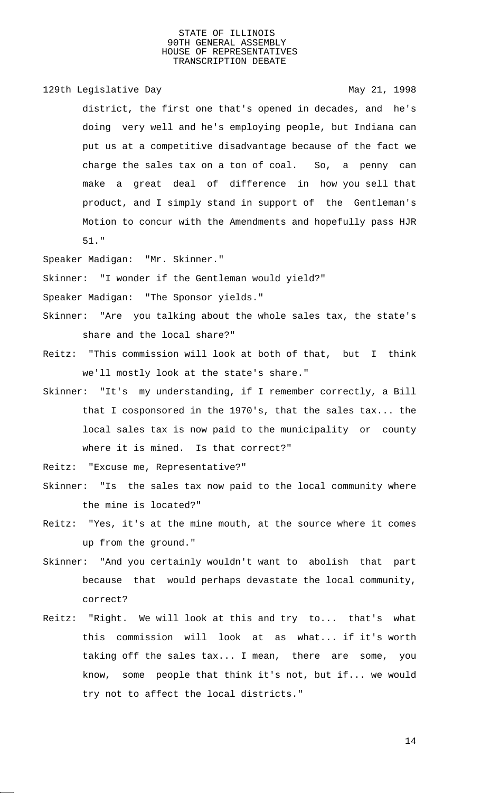129th Legislative Day 129th May 21, 1998

district, the first one that's opened in decades, and he's doing very well and he's employing people, but Indiana can put us at a competitive disadvantage because of the fact we charge the sales tax on a ton of coal. So, a penny can make a great deal of difference in how you sell that product, and I simply stand in support of the Gentleman's Motion to concur with the Amendments and hopefully pass HJR 51."

Speaker Madigan: "Mr. Skinner."

Skinner: "I wonder if the Gentleman would yield?"

Speaker Madigan: "The Sponsor yields."

- Skinner: "Are you talking about the whole sales tax, the state's share and the local share?"
- Reitz: "This commission will look at both of that, but I think we'll mostly look at the state's share."
- Skinner: "It's my understanding, if I remember correctly, a Bill that I cosponsored in the 1970's, that the sales tax... the local sales tax is now paid to the municipality or county where it is mined. Is that correct?"
- Reitz: "Excuse me, Representative?"
- Skinner: "Is the sales tax now paid to the local community where the mine is located?"
- Reitz: "Yes, it's at the mine mouth, at the source where it comes up from the ground."
- Skinner: "And you certainly wouldn't want to abolish that part because that would perhaps devastate the local community, correct?
- Reitz: "Right. We will look at this and try to... that's what this commission will look at as what... if it's worth taking off the sales tax... I mean, there are some, you know, some people that think it's not, but if... we would try not to affect the local districts."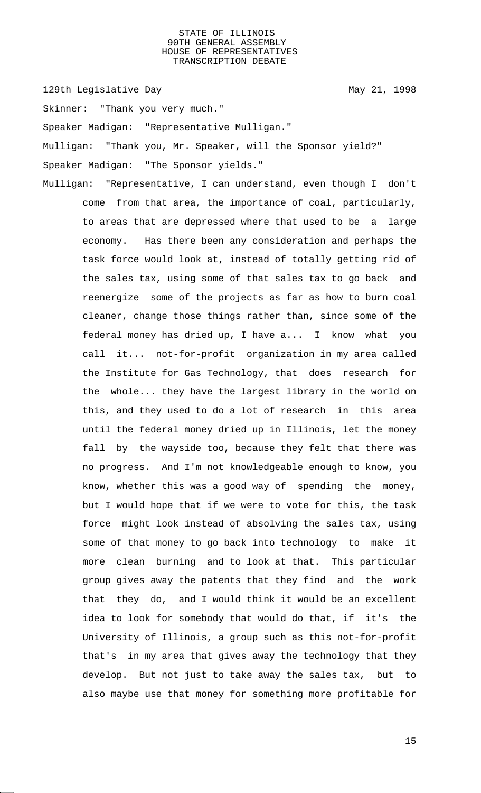129th Legislative Day 129th May 21, 1998

Skinner: "Thank you very much."

Speaker Madigan: "Representative Mulligan."

Mulligan: "Thank you, Mr. Speaker, will the Sponsor yield?"

Speaker Madigan: "The Sponsor yields."

Mulligan: "Representative, I can understand, even though I don't come from that area, the importance of coal, particularly, to areas that are depressed where that used to be a large economy. Has there been any consideration and perhaps the task force would look at, instead of totally getting rid of the sales tax, using some of that sales tax to go back and reenergize some of the projects as far as how to burn coal cleaner, change those things rather than, since some of the federal money has dried up, I have a... I know what you call it... not-for-profit organization in my area called the Institute for Gas Technology, that does research for the whole... they have the largest library in the world on this, and they used to do a lot of research in this area until the federal money dried up in Illinois, let the money fall by the wayside too, because they felt that there was no progress. And I'm not knowledgeable enough to know, you know, whether this was a good way of spending the money, but I would hope that if we were to vote for this, the task force might look instead of absolving the sales tax, using some of that money to go back into technology to make it more clean burning and to look at that. This particular group gives away the patents that they find and the work that they do, and I would think it would be an excellent idea to look for somebody that would do that, if it's the University of Illinois, a group such as this not-for-profit that's in my area that gives away the technology that they develop. But not just to take away the sales tax, but to also maybe use that money for something more profitable for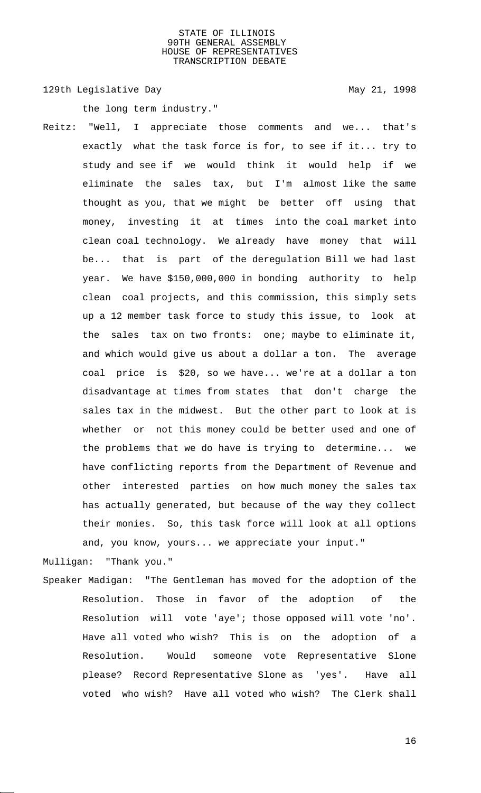129th Legislative Day 129th May 21, 1998

the long term industry."

Reitz: "Well, I appreciate those comments and we... that's exactly what the task force is for, to see if it... try to study and see if we would think it would help if we eliminate the sales tax, but I'm almost like the same thought as you, that we might be better off using that money, investing it at times into the coal market into clean coal technology. We already have money that will be... that is part of the deregulation Bill we had last year. We have \$150,000,000 in bonding authority to help clean coal projects, and this commission, this simply sets up a 12 member task force to study this issue, to look at the sales tax on two fronts: one; maybe to eliminate it, and which would give us about a dollar a ton. The average coal price is \$20, so we have... we're at a dollar a ton disadvantage at times from states that don't charge the sales tax in the midwest. But the other part to look at is whether or not this money could be better used and one of the problems that we do have is trying to determine... we have conflicting reports from the Department of Revenue and other interested parties on how much money the sales tax has actually generated, but because of the way they collect their monies. So, this task force will look at all options and, you know, yours... we appreciate your input."

Mulligan: "Thank you."

Speaker Madigan: "The Gentleman has moved for the adoption of the Resolution. Those in favor of the adoption of the Resolution will vote 'aye'; those opposed will vote 'no'. Have all voted who wish? This is on the adoption of a Resolution. Would someone vote Representative Slone please? Record Representative Slone as 'yes'. Have all voted who wish? Have all voted who wish? The Clerk shall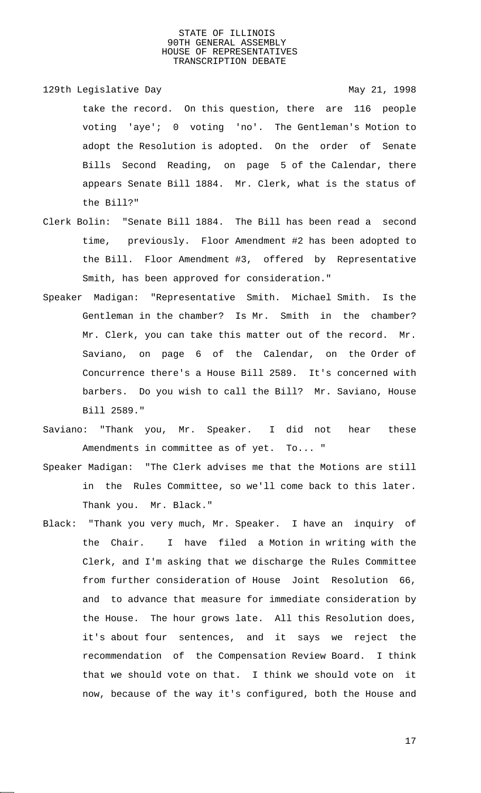129th Legislative Day 129th May 21, 1998 take the record. On this question, there are 116 people voting 'aye'; 0 voting 'no'. The Gentleman's Motion to adopt the Resolution is adopted. On the order of Senate Bills Second Reading, on page 5 of the Calendar, there appears Senate Bill 1884. Mr. Clerk, what is the status of the Bill?"

- Clerk Bolin: "Senate Bill 1884. The Bill has been read a second time, previously. Floor Amendment #2 has been adopted to the Bill. Floor Amendment #3, offered by Representative Smith, has been approved for consideration."
- Speaker Madigan: "Representative Smith. Michael Smith. Is the Gentleman in the chamber? Is Mr. Smith in the chamber? Mr. Clerk, you can take this matter out of the record. Mr. Saviano, on page 6 of the Calendar, on the Order of Concurrence there's a House Bill 2589. It's concerned with barbers. Do you wish to call the Bill? Mr. Saviano, House Bill 2589."
- Saviano: "Thank you, Mr. Speaker. I did not hear these Amendments in committee as of yet. To... "
- Speaker Madigan: "The Clerk advises me that the Motions are still in the Rules Committee, so we'll come back to this later. Thank you. Mr. Black."
- Black: "Thank you very much, Mr. Speaker. I have an inquiry of the Chair. I have filed a Motion in writing with the Clerk, and I'm asking that we discharge the Rules Committee from further consideration of House Joint Resolution 66, and to advance that measure for immediate consideration by the House. The hour grows late. All this Resolution does, it's about four sentences, and it says we reject the recommendation of the Compensation Review Board. I think that we should vote on that. I think we should vote on it now, because of the way it's configured, both the House and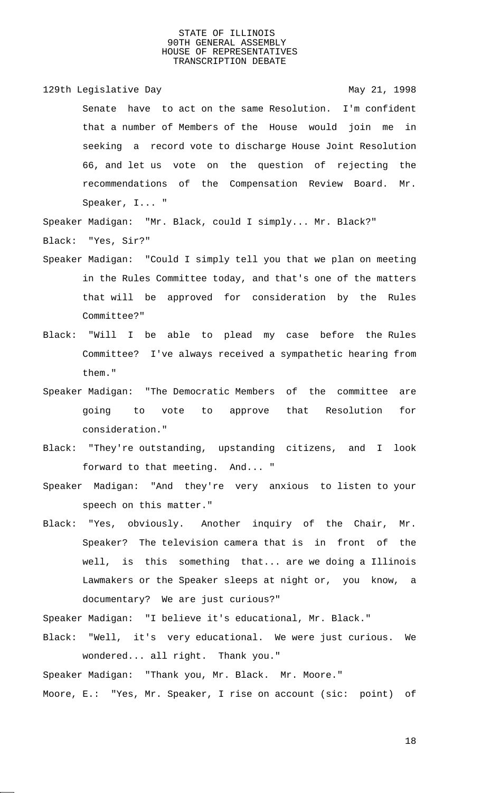129th Legislative Day 129th May 21, 1998 Senate have to act on the same Resolution. I'm confident that a number of Members of the House would join me in seeking a record vote to discharge House Joint Resolution 66, and let us vote on the question of rejecting the recommendations of the Compensation Review Board. Mr. Speaker, I... "

Speaker Madigan: "Mr. Black, could I simply... Mr. Black?" Black: "Yes, Sir?"

- Speaker Madigan: "Could I simply tell you that we plan on meeting in the Rules Committee today, and that's one of the matters that will be approved for consideration by the Rules Committee?"
- Black: "Will I be able to plead my case before the Rules Committee? I've always received a sympathetic hearing from them."
- Speaker Madigan: "The Democratic Members of the committee are going to vote to approve that Resolution for consideration."
- Black: "They're outstanding, upstanding citizens, and I look forward to that meeting. And... "
- Speaker Madigan: "And they're very anxious to listen to your speech on this matter."
- Black: "Yes, obviously. Another inquiry of the Chair, Mr. Speaker? The television camera that is in front of the well, is this something that... are we doing a Illinois Lawmakers or the Speaker sleeps at night or, you know, a documentary? We are just curious?"

Speaker Madigan: "I believe it's educational, Mr. Black."

Black: "Well, it's very educational. We were just curious. We wondered... all right. Thank you."

Speaker Madigan: "Thank you, Mr. Black. Mr. Moore."

Moore, E.: "Yes, Mr. Speaker, I rise on account (sic: point) of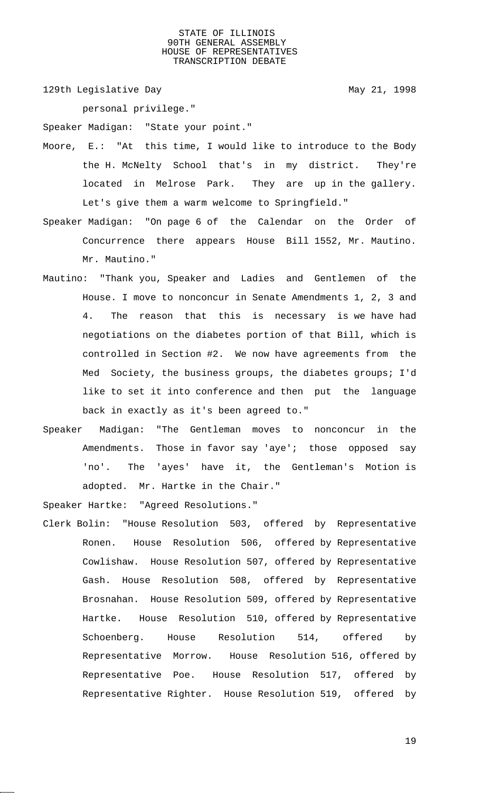129th Legislative Day 129th May 21, 1998

personal privilege."

Speaker Madigan: "State your point."

- Moore, E.: "At this time, I would like to introduce to the Body the H. McNelty School that's in my district. They're located in Melrose Park. They are up in the gallery. Let's give them a warm welcome to Springfield."
- Speaker Madigan: "On page 6 of the Calendar on the Order of Concurrence there appears House Bill 1552, Mr. Mautino. Mr. Mautino."
- Mautino: "Thank you, Speaker and Ladies and Gentlemen of the House. I move to nonconcur in Senate Amendments 1, 2, 3 and 4. The reason that this is necessary is we have had negotiations on the diabetes portion of that Bill, which is controlled in Section #2. We now have agreements from the Med Society, the business groups, the diabetes groups; I'd like to set it into conference and then put the language back in exactly as it's been agreed to."
- Speaker Madigan: "The Gentleman moves to nonconcur in the Amendments. Those in favor say 'aye'; those opposed say 'no'. The 'ayes' have it, the Gentleman's Motion is adopted. Mr. Hartke in the Chair."

Speaker Hartke: "Agreed Resolutions."

Clerk Bolin: "House Resolution 503, offered by Representative Ronen. House Resolution 506, offered by Representative Cowlishaw. House Resolution 507, offered by Representative Gash. House Resolution 508, offered by Representative Brosnahan. House Resolution 509, offered by Representative Hartke. House Resolution 510, offered by Representative Schoenberg. House Resolution 514, offered by Representative Morrow. House Resolution 516, offered by Representative Poe. House Resolution 517, offered by Representative Righter. House Resolution 519, offered by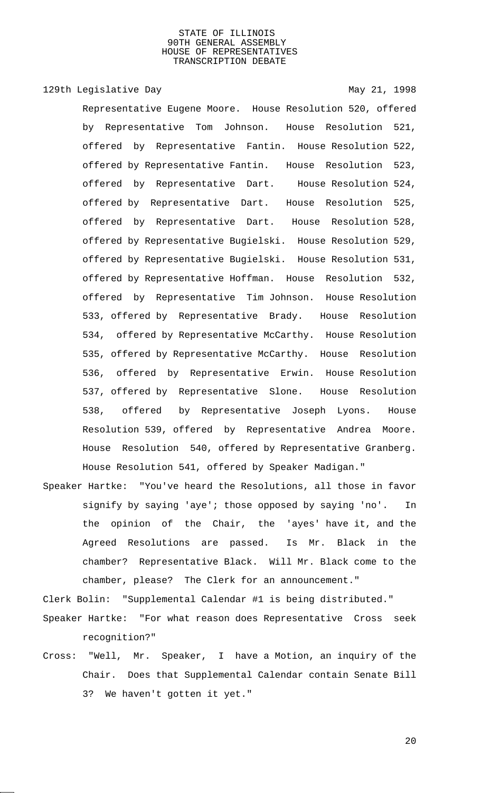129th Legislative Day 129th May 21, 1998

Representative Eugene Moore. House Resolution 520, offered by Representative Tom Johnson. House Resolution 521, offered by Representative Fantin. House Resolution 522, offered by Representative Fantin. House Resolution 523, offered by Representative Dart. House Resolution 524, offered by Representative Dart. House Resolution 525, offered by Representative Dart. House Resolution 528, offered by Representative Bugielski. House Resolution 529, offered by Representative Bugielski. House Resolution 531, offered by Representative Hoffman. House Resolution 532, offered by Representative Tim Johnson. House Resolution 533, offered by Representative Brady. House Resolution 534, offered by Representative McCarthy. House Resolution 535, offered by Representative McCarthy. House Resolution 536, offered by Representative Erwin. House Resolution 537, offered by Representative Slone. House Resolution 538, offered by Representative Joseph Lyons. House Resolution 539, offered by Representative Andrea Moore. House Resolution 540, offered by Representative Granberg. House Resolution 541, offered by Speaker Madigan."

Speaker Hartke: "You've heard the Resolutions, all those in favor signify by saying 'aye'; those opposed by saying 'no'. In the opinion of the Chair, the 'ayes' have it, and the Agreed Resolutions are passed. Is Mr. Black in the chamber? Representative Black. Will Mr. Black come to the chamber, please? The Clerk for an announcement."

Clerk Bolin: "Supplemental Calendar #1 is being distributed."

- Speaker Hartke: "For what reason does Representative Cross seek recognition?"
- Cross: "Well, Mr. Speaker, I have a Motion, an inquiry of the Chair. Does that Supplemental Calendar contain Senate Bill 3? We haven't gotten it yet."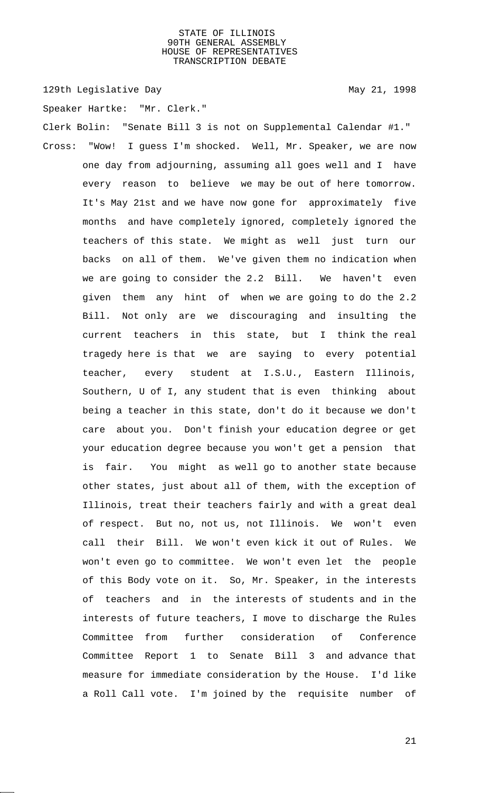129th Legislative Day 129th May 21, 1998

Speaker Hartke: "Mr. Clerk."

Clerk Bolin: "Senate Bill 3 is not on Supplemental Calendar #1." Cross: "Wow! I guess I'm shocked. Well, Mr. Speaker, we are now one day from adjourning, assuming all goes well and I have every reason to believe we may be out of here tomorrow. It's May 21st and we have now gone for approximately five months and have completely ignored, completely ignored the teachers of this state. We might as well just turn our backs on all of them. We've given them no indication when we are going to consider the 2.2 Bill. We haven't even given them any hint of when we are going to do the 2.2 Bill. Not only are we discouraging and insulting the current teachers in this state, but I think the real tragedy here is that we are saying to every potential teacher, every student at I.S.U., Eastern Illinois, Southern, U of I, any student that is even thinking about being a teacher in this state, don't do it because we don't care about you. Don't finish your education degree or get your education degree because you won't get a pension that is fair. You might as well go to another state because other states, just about all of them, with the exception of Illinois, treat their teachers fairly and with a great deal of respect. But no, not us, not Illinois. We won't even call their Bill. We won't even kick it out of Rules. We won't even go to committee. We won't even let the people of this Body vote on it. So, Mr. Speaker, in the interests of teachers and in the interests of students and in the interests of future teachers, I move to discharge the Rules Committee from further consideration of Conference Committee Report 1 to Senate Bill 3 and advance that measure for immediate consideration by the House. I'd like a Roll Call vote. I'm joined by the requisite number of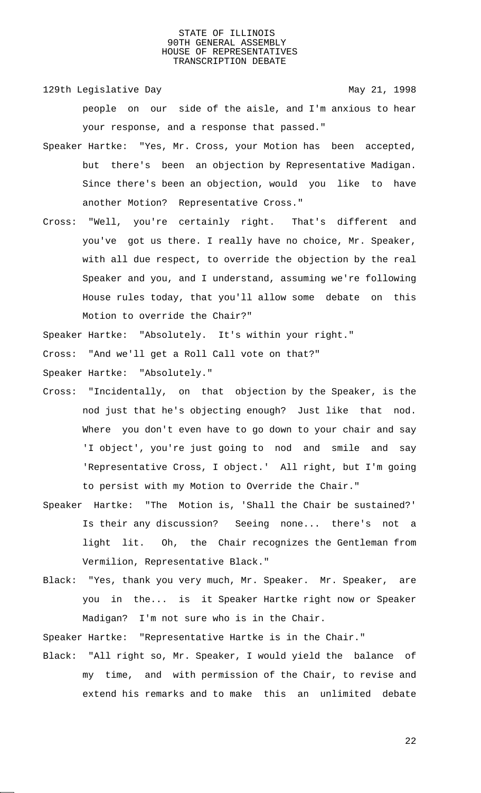129th Legislative Day 129th May 21, 1998

people on our side of the aisle, and I'm anxious to hear your response, and a response that passed."

- Speaker Hartke: "Yes, Mr. Cross, your Motion has been accepted, but there's been an objection by Representative Madigan. Since there's been an objection, would you like to have another Motion? Representative Cross."
- Cross: "Well, you're certainly right. That's different and you've got us there. I really have no choice, Mr. Speaker, with all due respect, to override the objection by the real Speaker and you, and I understand, assuming we're following House rules today, that you'll allow some debate on this Motion to override the Chair?"

Speaker Hartke: "Absolutely. It's within your right."

Cross: "And we'll get a Roll Call vote on that?"

Speaker Hartke: "Absolutely."

- Cross: "Incidentally, on that objection by the Speaker, is the nod just that he's objecting enough? Just like that nod. Where you don't even have to go down to your chair and say 'I object', you're just going to nod and smile and say 'Representative Cross, I object.' All right, but I'm going to persist with my Motion to Override the Chair."
- Speaker Hartke: "The Motion is, 'Shall the Chair be sustained?' Is their any discussion? Seeing none... there's not a light lit. Oh, the Chair recognizes the Gentleman from Vermilion, Representative Black."
- Black: "Yes, thank you very much, Mr. Speaker. Mr. Speaker, are you in the... is it Speaker Hartke right now or Speaker Madigan? I'm not sure who is in the Chair.

Speaker Hartke: "Representative Hartke is in the Chair."

Black: "All right so, Mr. Speaker, I would yield the balance of my time, and with permission of the Chair, to revise and extend his remarks and to make this an unlimited debate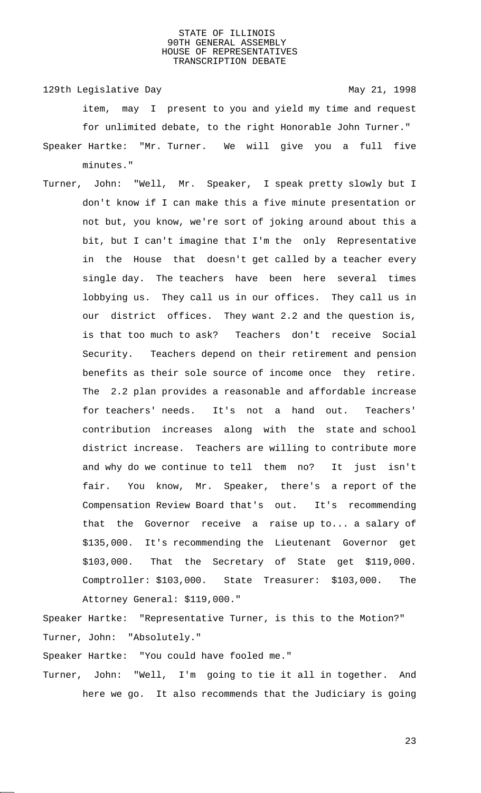129th Legislative Day 129th May 21, 1998 item, may I present to you and yield my time and request for unlimited debate, to the right Honorable John Turner."

- Speaker Hartke: "Mr. Turner. We will give you a full five minutes."
- Turner, John: "Well, Mr. Speaker, I speak pretty slowly but I don't know if I can make this a five minute presentation or not but, you know, we're sort of joking around about this a bit, but I can't imagine that I'm the only Representative in the House that doesn't get called by a teacher every single day. The teachers have been here several times lobbying us. They call us in our offices. They call us in our district offices. They want 2.2 and the question is, is that too much to ask? Teachers don't receive Social Security. Teachers depend on their retirement and pension benefits as their sole source of income once they retire. The 2.2 plan provides a reasonable and affordable increase for teachers' needs. It's not a hand out. Teachers' contribution increases along with the state and school district increase. Teachers are willing to contribute more and why do we continue to tell them no? It just isn't fair. You know, Mr. Speaker, there's a report of the Compensation Review Board that's out. It's recommending that the Governor receive a raise up to... a salary of \$135,000. It's recommending the Lieutenant Governor get \$103,000. That the Secretary of State get \$119,000. Comptroller: \$103,000. State Treasurer: \$103,000. The Attorney General: \$119,000."

Speaker Hartke: "Representative Turner, is this to the Motion?" Turner, John: "Absolutely."

Speaker Hartke: "You could have fooled me."

Turner, John: "Well, I'm going to tie it all in together. And here we go. It also recommends that the Judiciary is going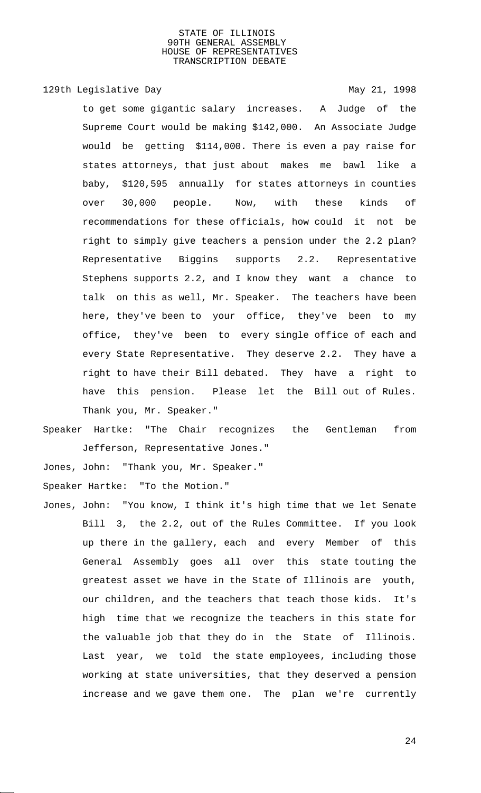## 129th Legislative Day 129th May 21, 1998

to get some gigantic salary increases. A Judge of the Supreme Court would be making \$142,000. An Associate Judge would be getting \$114,000. There is even a pay raise for states attorneys, that just about makes me bawl like a baby, \$120,595 annually for states attorneys in counties over 30,000 people. Now, with these kinds of recommendations for these officials, how could it not be right to simply give teachers a pension under the 2.2 plan? Representative Biggins supports 2.2. Representative Stephens supports 2.2, and I know they want a chance to talk on this as well, Mr. Speaker. The teachers have been here, they've been to your office, they've been to my office, they've been to every single office of each and every State Representative. They deserve 2.2. They have a right to have their Bill debated. They have a right to have this pension. Please let the Bill out of Rules. Thank you, Mr. Speaker."

Speaker Hartke: "The Chair recognizes the Gentleman from Jefferson, Representative Jones."

Jones, John: "Thank you, Mr. Speaker."

Speaker Hartke: "To the Motion."

Jones, John: "You know, I think it's high time that we let Senate Bill 3, the 2.2, out of the Rules Committee. If you look up there in the gallery, each and every Member of this General Assembly goes all over this state touting the greatest asset we have in the State of Illinois are youth, our children, and the teachers that teach those kids. It's high time that we recognize the teachers in this state for the valuable job that they do in the State of Illinois. Last year, we told the state employees, including those working at state universities, that they deserved a pension increase and we gave them one. The plan we're currently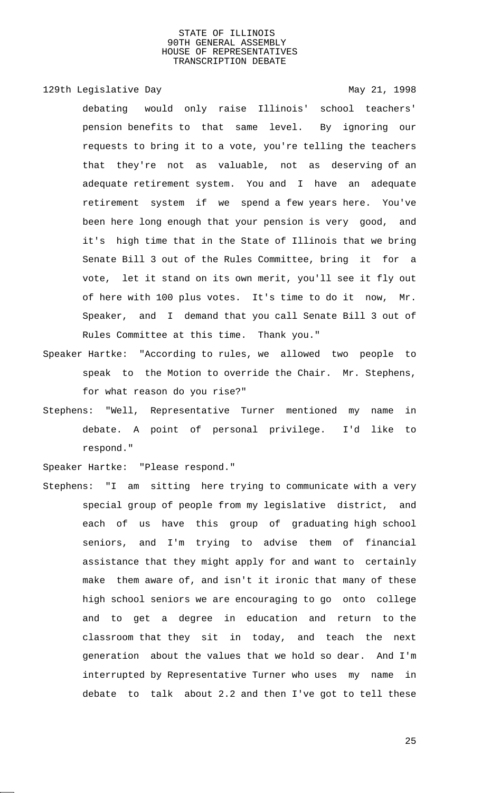## 129th Legislative Day 129th May 21, 1998

debating would only raise Illinois' school teachers' pension benefits to that same level. By ignoring our requests to bring it to a vote, you're telling the teachers that they're not as valuable, not as deserving of an adequate retirement system. You and I have an adequate retirement system if we spend a few years here. You've been here long enough that your pension is very good, and it's high time that in the State of Illinois that we bring Senate Bill 3 out of the Rules Committee, bring it for a vote, let it stand on its own merit, you'll see it fly out of here with 100 plus votes. It's time to do it now, Mr. Speaker, and I demand that you call Senate Bill 3 out of Rules Committee at this time. Thank you."

- Speaker Hartke: "According to rules, we allowed two people to speak to the Motion to override the Chair. Mr. Stephens, for what reason do you rise?"
- Stephens: "Well, Representative Turner mentioned my name in debate. A point of personal privilege. I'd like to respond."

Speaker Hartke: "Please respond."

Stephens: "I am sitting here trying to communicate with a very special group of people from my legislative district, and each of us have this group of graduating high school seniors, and I'm trying to advise them of financial assistance that they might apply for and want to certainly make them aware of, and isn't it ironic that many of these high school seniors we are encouraging to go onto college and to get a degree in education and return to the classroom that they sit in today, and teach the next generation about the values that we hold so dear. And I'm interrupted by Representative Turner who uses my name in debate to talk about 2.2 and then I've got to tell these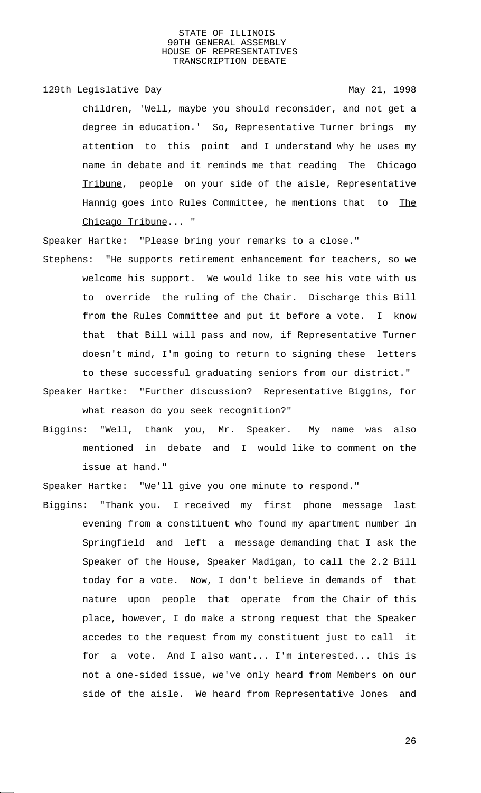129th Legislative Day 129th May 21, 1998

children, 'Well, maybe you should reconsider, and not get a degree in education.' So, Representative Turner brings my attention to this point and I understand why he uses my name in debate and it reminds me that reading The Chicago Tribune, people on your side of the aisle, Representative Hannig goes into Rules Committee, he mentions that to The Chicago Tribune... "

Speaker Hartke: "Please bring your remarks to a close."

- Stephens: "He supports retirement enhancement for teachers, so we welcome his support. We would like to see his vote with us to override the ruling of the Chair. Discharge this Bill from the Rules Committee and put it before a vote. I know that that Bill will pass and now, if Representative Turner doesn't mind, I'm going to return to signing these letters to these successful graduating seniors from our district."
- Speaker Hartke: "Further discussion? Representative Biggins, for what reason do you seek recognition?"
- Biggins: "Well, thank you, Mr. Speaker. My name was also mentioned in debate and I would like to comment on the issue at hand."

Speaker Hartke: "We'll give you one minute to respond."

Biggins: "Thank you. I received my first phone message last evening from a constituent who found my apartment number in Springfield and left a message demanding that I ask the Speaker of the House, Speaker Madigan, to call the 2.2 Bill today for a vote. Now, I don't believe in demands of that nature upon people that operate from the Chair of this place, however, I do make a strong request that the Speaker accedes to the request from my constituent just to call it for a vote. And I also want... I'm interested... this is not a one-sided issue, we've only heard from Members on our side of the aisle. We heard from Representative Jones and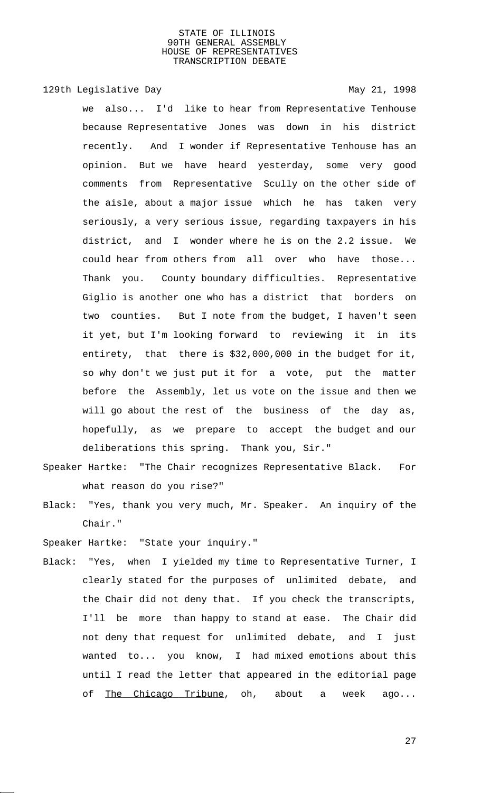## 129th Legislative Day 129th May 21, 1998

we also... I'd like to hear from Representative Tenhouse because Representative Jones was down in his district recently. And I wonder if Representative Tenhouse has an opinion. But we have heard yesterday, some very good comments from Representative Scully on the other side of the aisle, about a major issue which he has taken very seriously, a very serious issue, regarding taxpayers in his district, and I wonder where he is on the 2.2 issue. We could hear from others from all over who have those... Thank you. County boundary difficulties. Representative Giglio is another one who has a district that borders on two counties. But I note from the budget, I haven't seen it yet, but I'm looking forward to reviewing it in its entirety, that there is \$32,000,000 in the budget for it, so why don't we just put it for a vote, put the matter before the Assembly, let us vote on the issue and then we will go about the rest of the business of the day as, hopefully, as we prepare to accept the budget and our deliberations this spring. Thank you, Sir."

- Speaker Hartke: "The Chair recognizes Representative Black. For what reason do you rise?"
- Black: "Yes, thank you very much, Mr. Speaker. An inquiry of the Chair."

Speaker Hartke: "State your inquiry."

Black: "Yes, when I yielded my time to Representative Turner, I clearly stated for the purposes of unlimited debate, and the Chair did not deny that. If you check the transcripts, I'll be more than happy to stand at ease. The Chair did not deny that request for unlimited debate, and I just wanted to... you know, I had mixed emotions about this until I read the letter that appeared in the editorial page of The Chicago Tribune, oh, about a week ago...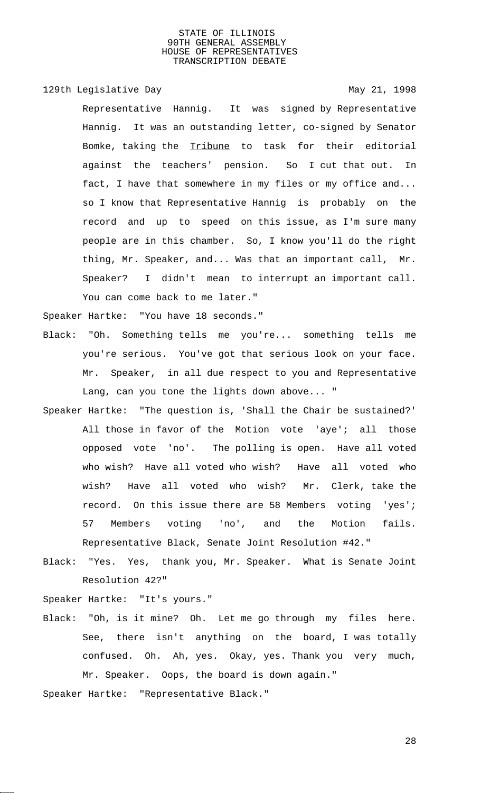## 129th Legislative Day 129th May 21, 1998

Representative Hannig. It was signed by Representative Hannig. It was an outstanding letter, co-signed by Senator Bomke, taking the Tribune to task for their editorial against the teachers' pension. So I cut that out. In fact, I have that somewhere in my files or my office and... so I know that Representative Hannig is probably on the record and up to speed on this issue, as I'm sure many people are in this chamber. So, I know you'll do the right thing, Mr. Speaker, and... Was that an important call, Mr. Speaker? I didn't mean to interrupt an important call. You can come back to me later."

Speaker Hartke: "You have 18 seconds."

- Black: "Oh. Something tells me you're... something tells me you're serious. You've got that serious look on your face. Mr. Speaker, in all due respect to you and Representative Lang, can you tone the lights down above... "
- Speaker Hartke: "The question is, 'Shall the Chair be sustained?' All those in favor of the Motion vote 'aye'; all those opposed vote 'no'. The polling is open. Have all voted who wish? Have all voted who wish? Have all voted who wish? Have all voted who wish? Mr. Clerk, take the record. On this issue there are 58 Members voting 'yes'; 57 Members voting 'no', and the Motion fails. Representative Black, Senate Joint Resolution #42."
- Black: "Yes. Yes, thank you, Mr. Speaker. What is Senate Joint Resolution 42?"

Speaker Hartke: "It's yours."

Black: "Oh, is it mine? Oh. Let me go through my files here. See, there isn't anything on the board, I was totally confused. Oh. Ah, yes. Okay, yes. Thank you very much, Mr. Speaker. Oops, the board is down again."

Speaker Hartke: "Representative Black."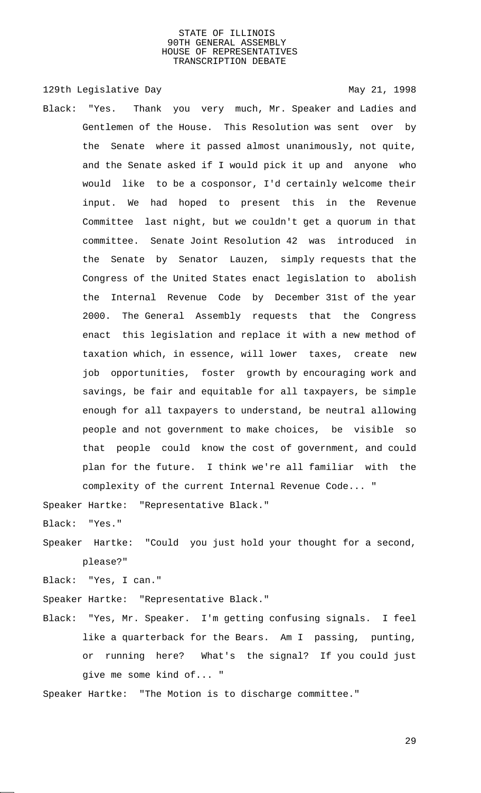129th Legislative Day 129th May 21, 1998

Black: "Yes. Thank you very much, Mr. Speaker and Ladies and Gentlemen of the House. This Resolution was sent over by the Senate where it passed almost unanimously, not quite, and the Senate asked if I would pick it up and anyone who would like to be a cosponsor, I'd certainly welcome their input. We had hoped to present this in the Revenue Committee last night, but we couldn't get a quorum in that committee. Senate Joint Resolution 42 was introduced in the Senate by Senator Lauzen, simply requests that the Congress of the United States enact legislation to abolish the Internal Revenue Code by December 31st of the year 2000. The General Assembly requests that the Congress enact this legislation and replace it with a new method of taxation which, in essence, will lower taxes, create new job opportunities, foster growth by encouraging work and savings, be fair and equitable for all taxpayers, be simple enough for all taxpayers to understand, be neutral allowing people and not government to make choices, be visible so that people could know the cost of government, and could plan for the future. I think we're all familiar with the complexity of the current Internal Revenue Code... "

Speaker Hartke: "Representative Black."

Black: "Yes."

Speaker Hartke: "Could you just hold your thought for a second, please?"

Black: "Yes, I can."

Speaker Hartke: "Representative Black."

Black: "Yes, Mr. Speaker. I'm getting confusing signals. I feel like a quarterback for the Bears. Am I passing, punting, or running here? What's the signal? If you could just give me some kind of... "

Speaker Hartke: "The Motion is to discharge committee."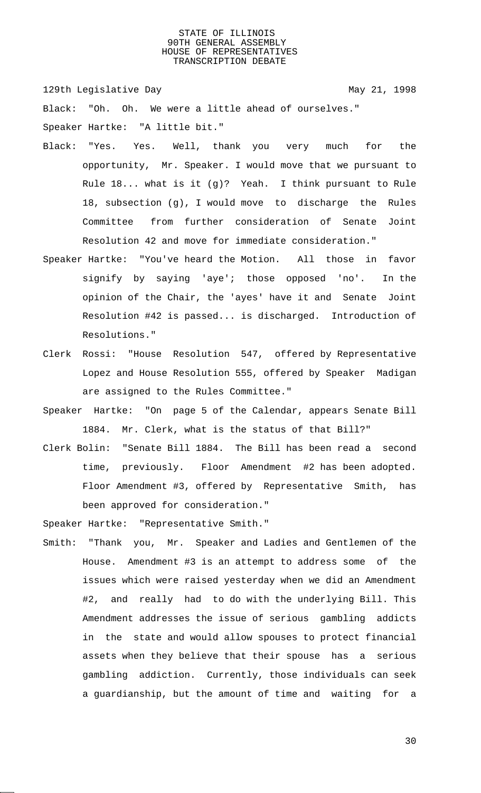129th Legislative Day 129th May 21, 1998

Black: "Oh. Oh. We were a little ahead of ourselves." Speaker Hartke: "A little bit."

- Black: "Yes. Yes. Well, thank you very much for the opportunity, Mr. Speaker. I would move that we pursuant to Rule 18... what is it (g)? Yeah. I think pursuant to Rule 18, subsection (g), I would move to discharge the Rules Committee from further consideration of Senate Joint Resolution 42 and move for immediate consideration."
- Speaker Hartke: "You've heard the Motion. All those in favor signify by saying 'aye'; those opposed 'no'. In the opinion of the Chair, the 'ayes' have it and Senate Joint Resolution #42 is passed... is discharged. Introduction of Resolutions."
- Clerk Rossi: "House Resolution 547, offered by Representative Lopez and House Resolution 555, offered by Speaker Madigan are assigned to the Rules Committee."
- Speaker Hartke: "On page 5 of the Calendar, appears Senate Bill 1884. Mr. Clerk, what is the status of that Bill?"
- Clerk Bolin: "Senate Bill 1884. The Bill has been read a second time, previously. Floor Amendment #2 has been adopted. Floor Amendment #3, offered by Representative Smith, has been approved for consideration."

Speaker Hartke: "Representative Smith."

Smith: "Thank you, Mr. Speaker and Ladies and Gentlemen of the House. Amendment #3 is an attempt to address some of the issues which were raised yesterday when we did an Amendment #2, and really had to do with the underlying Bill. This Amendment addresses the issue of serious gambling addicts in the state and would allow spouses to protect financial assets when they believe that their spouse has a serious gambling addiction. Currently, those individuals can seek a guardianship, but the amount of time and waiting for a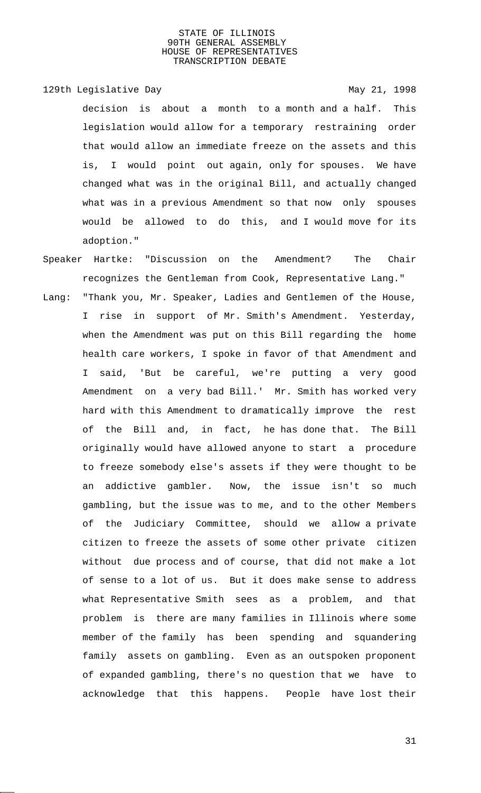129th Legislative Day 129th May 21, 1998

- decision is about a month to a month and a half. This legislation would allow for a temporary restraining order that would allow an immediate freeze on the assets and this is, I would point out again, only for spouses. We have changed what was in the original Bill, and actually changed what was in a previous Amendment so that now only spouses would be allowed to do this, and I would move for its adoption."
- Speaker Hartke: "Discussion on the Amendment? The Chair recognizes the Gentleman from Cook, Representative Lang." Lang: "Thank you, Mr. Speaker, Ladies and Gentlemen of the House, I rise in support of Mr. Smith's Amendment. Yesterday, when the Amendment was put on this Bill regarding the home health care workers, I spoke in favor of that Amendment and I said, 'But be careful, we're putting a very good Amendment on a very bad Bill.' Mr. Smith has worked very hard with this Amendment to dramatically improve the rest of the Bill and, in fact, he has done that. The Bill originally would have allowed anyone to start a procedure to freeze somebody else's assets if they were thought to be an addictive gambler. Now, the issue isn't so much gambling, but the issue was to me, and to the other Members of the Judiciary Committee, should we allow a private citizen to freeze the assets of some other private citizen without due process and of course, that did not make a lot of sense to a lot of us. But it does make sense to address what Representative Smith sees as a problem, and that problem is there are many families in Illinois where some member of the family has been spending and squandering family assets on gambling. Even as an outspoken proponent of expanded gambling, there's no question that we have to acknowledge that this happens. People have lost their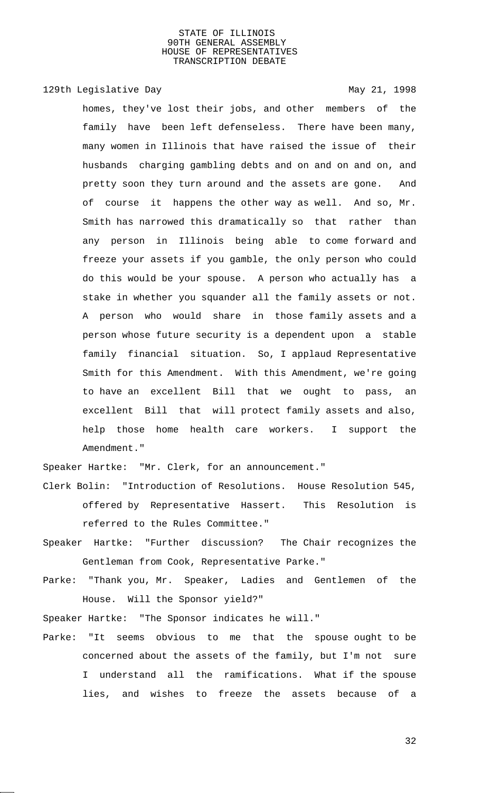129th Legislative Day 129th May 21, 1998

homes, they've lost their jobs, and other members of the family have been left defenseless. There have been many, many women in Illinois that have raised the issue of their husbands charging gambling debts and on and on and on, and pretty soon they turn around and the assets are gone. And of course it happens the other way as well. And so, Mr. Smith has narrowed this dramatically so that rather than any person in Illinois being able to come forward and freeze your assets if you gamble, the only person who could do this would be your spouse. A person who actually has a stake in whether you squander all the family assets or not. A person who would share in those family assets and a person whose future security is a dependent upon a stable family financial situation. So, I applaud Representative Smith for this Amendment. With this Amendment, we're going to have an excellent Bill that we ought to pass, an excellent Bill that will protect family assets and also, help those home health care workers. I support the Amendment."

Speaker Hartke: "Mr. Clerk, for an announcement."

- Clerk Bolin: "Introduction of Resolutions. House Resolution 545, offered by Representative Hassert. This Resolution is referred to the Rules Committee."
- Speaker Hartke: "Further discussion? The Chair recognizes the Gentleman from Cook, Representative Parke."
- Parke: "Thank you, Mr. Speaker, Ladies and Gentlemen of the House. Will the Sponsor yield?"

Speaker Hartke: "The Sponsor indicates he will."

Parke: "It seems obvious to me that the spouse ought to be concerned about the assets of the family, but I'm not sure I understand all the ramifications. What if the spouse lies, and wishes to freeze the assets because of a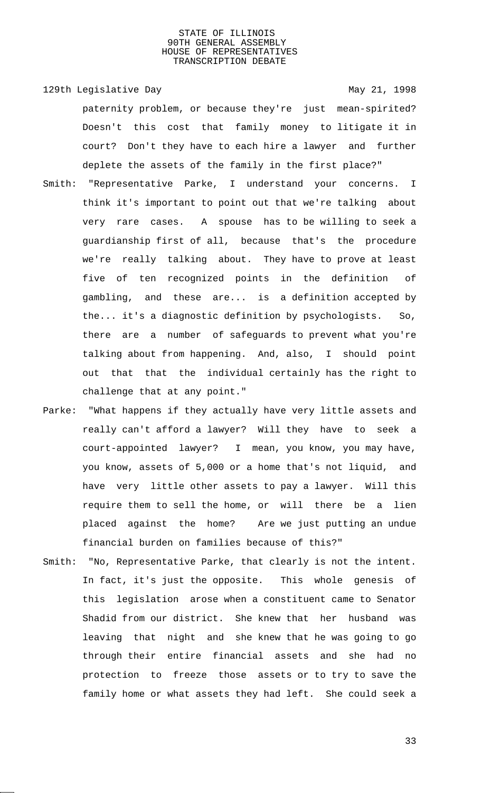# 129th Legislative Day 129th May 21, 1998 paternity problem, or because they're just mean-spirited? Doesn't this cost that family money to litigate it in court? Don't they have to each hire a lawyer and further deplete the assets of the family in the first place?"

- Smith: "Representative Parke, I understand your concerns. I think it's important to point out that we're talking about very rare cases. A spouse has to be willing to seek a guardianship first of all, because that's the procedure we're really talking about. They have to prove at least five of ten recognized points in the definition of gambling, and these are... is a definition accepted by the... it's a diagnostic definition by psychologists. So, there are a number of safeguards to prevent what you're talking about from happening. And, also, I should point out that that the individual certainly has the right to challenge that at any point."
- Parke: "What happens if they actually have very little assets and really can't afford a lawyer? Will they have to seek a court-appointed lawyer? I mean, you know, you may have, you know, assets of 5,000 or a home that's not liquid, and have very little other assets to pay a lawyer. Will this require them to sell the home, or will there be a lien placed against the home? Are we just putting an undue financial burden on families because of this?"
- Smith: "No, Representative Parke, that clearly is not the intent. In fact, it's just the opposite. This whole genesis of this legislation arose when a constituent came to Senator Shadid from our district. She knew that her husband was leaving that night and she knew that he was going to go through their entire financial assets and she had no protection to freeze those assets or to try to save the family home or what assets they had left. She could seek a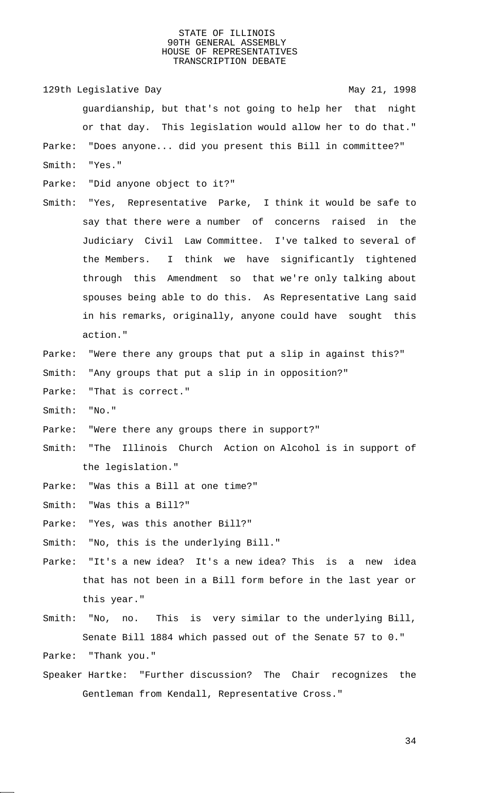129th Legislative Day 129th May 21, 1998 guardianship, but that's not going to help her that night or that day. This legislation would allow her to do that." Parke: "Does anyone... did you present this Bill in committee?" Smith: "Yes."

- Parke: "Did anyone object to it?"
- Smith: "Yes, Representative Parke, I think it would be safe to say that there were a number of concerns raised in the Judiciary Civil Law Committee. I've talked to several of the Members. I think we have significantly tightened through this Amendment so that we're only talking about spouses being able to do this. As Representative Lang said in his remarks, originally, anyone could have sought this action."
- Parke: "Were there any groups that put a slip in against this?" Smith: "Any groups that put a slip in in opposition?"
- Parke: "That is correct."
- Smith: "No."
- Parke: "Were there any groups there in support?"
- Smith: "The Illinois Church Action on Alcohol is in support of the legislation."
- Parke: "Was this a Bill at one time?"
- Smith: "Was this a Bill?"
- Parke: "Yes, was this another Bill?"
- Smith: "No, this is the underlying Bill."
- Parke: "It's a new idea? It's a new idea? This is a new idea that has not been in a Bill form before in the last year or this year."
- Smith: "No, no. This is very similar to the underlying Bill, Senate Bill 1884 which passed out of the Senate 57 to 0."

Parke: "Thank you."

Speaker Hartke: "Further discussion? The Chair recognizes the Gentleman from Kendall, Representative Cross."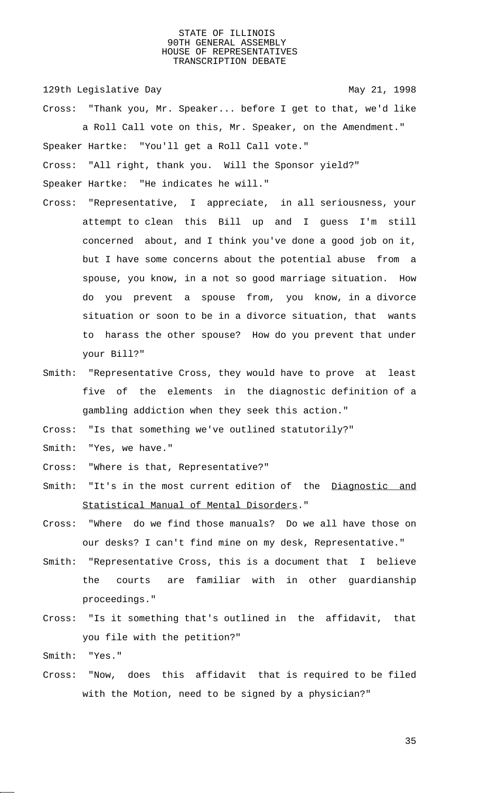129th Legislative Day 129th May 21, 1998

Cross: "Thank you, Mr. Speaker... before I get to that, we'd like a Roll Call vote on this, Mr. Speaker, on the Amendment." Speaker Hartke: "You'll get a Roll Call vote."

Cross: "All right, thank you. Will the Sponsor yield?"

Speaker Hartke: "He indicates he will."

- Cross: "Representative, I appreciate, in all seriousness, your attempt to clean this Bill up and I guess I'm still concerned about, and I think you've done a good job on it, but I have some concerns about the potential abuse from a spouse, you know, in a not so good marriage situation. How do you prevent a spouse from, you know, in a divorce situation or soon to be in a divorce situation, that wants to harass the other spouse? How do you prevent that under your Bill?"
- Smith: "Representative Cross, they would have to prove at least five of the elements in the diagnostic definition of a gambling addiction when they seek this action."

Cross: "Is that something we've outlined statutorily?"

Smith: "Yes, we have."

Cross: "Where is that, Representative?"

- Smith: "It's in the most current edition of the Diagnostic and Statistical Manual of Mental Disorders."
- Cross: "Where do we find those manuals? Do we all have those on our desks? I can't find mine on my desk, Representative."
- Smith: "Representative Cross, this is a document that I believe the courts are familiar with in other guardianship proceedings."
- Cross: "Is it something that's outlined in the affidavit, that you file with the petition?"

Smith: "Yes."

Cross: "Now, does this affidavit that is required to be filed with the Motion, need to be signed by a physician?"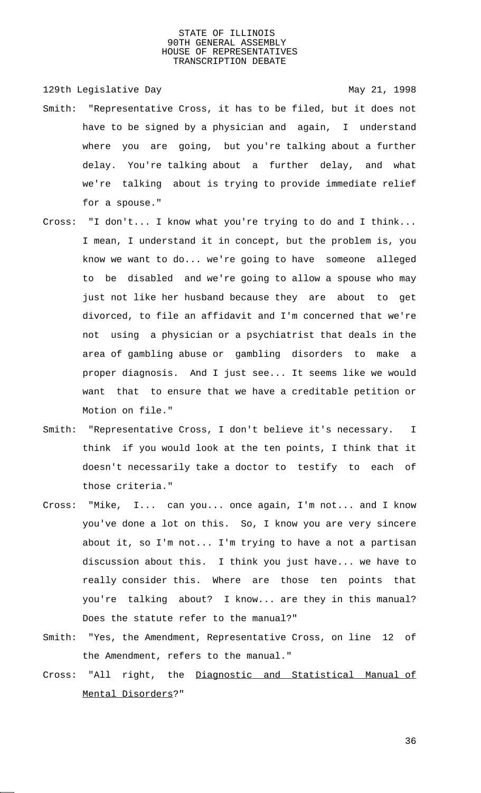129th Legislative Day 129th May 21, 1998

- Smith: "Representative Cross, it has to be filed, but it does not have to be signed by a physician and again, I understand where you are going, but you're talking about a further delay. You're talking about a further delay, and what we're talking about is trying to provide immediate relief for a spouse."
- Cross: "I don't... I know what you're trying to do and I think... I mean, I understand it in concept, but the problem is, you know we want to do... we're going to have someone alleged to be disabled and we're going to allow a spouse who may just not like her husband because they are about to get divorced, to file an affidavit and I'm concerned that we're not using a physician or a psychiatrist that deals in the area of gambling abuse or gambling disorders to make a proper diagnosis. And I just see... It seems like we would want that to ensure that we have a creditable petition or Motion on file."
- Smith: "Representative Cross, I don't believe it's necessary. I think if you would look at the ten points, I think that it doesn't necessarily take a doctor to testify to each of those criteria."
- Cross: "Mike, I... can you... once again, I'm not... and I know you've done a lot on this. So, I know you are very sincere about it, so I'm not... I'm trying to have a not a partisan discussion about this. I think you just have... we have to really consider this. Where are those ten points that you're talking about? I know... are they in this manual? Does the statute refer to the manual?"
- Smith: "Yes, the Amendment, Representative Cross, on line 12 of the Amendment, refers to the manual."
- Cross: "All right, the Diagnostic and Statistical Manual of Mental Disorders?"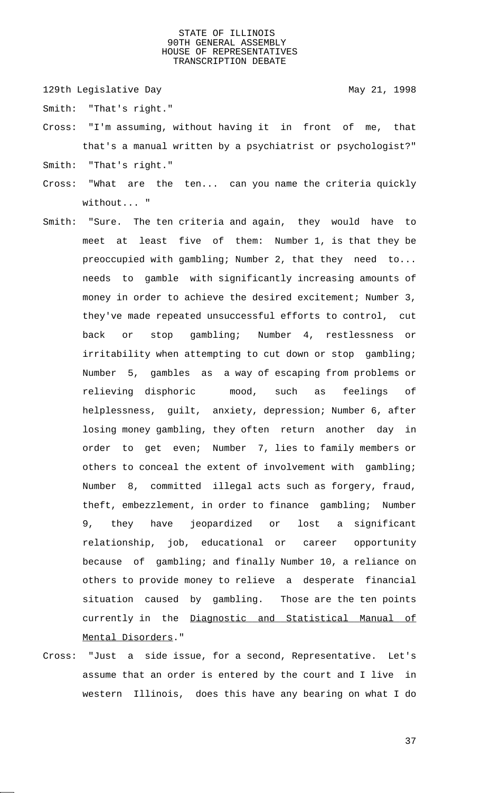129th Legislative Day 129th May 21, 1998

- Smith: "That's right."
- Cross: "I'm assuming, without having it in front of me, that that's a manual written by a psychiatrist or psychologist?"
- Smith: "That's right."
- Cross: "What are the ten... can you name the criteria quickly without... "
- Smith: "Sure. The ten criteria and again, they would have to meet at least five of them: Number 1, is that they be preoccupied with gambling; Number 2, that they need to... needs to gamble with significantly increasing amounts of money in order to achieve the desired excitement; Number 3, they've made repeated unsuccessful efforts to control, cut back or stop gambling; Number 4, restlessness or irritability when attempting to cut down or stop gambling; Number 5, gambles as a way of escaping from problems or relieving disphoric mood, such as feelings of helplessness, guilt, anxiety, depression; Number 6, after losing money gambling, they often return another day in order to get even; Number 7, lies to family members or others to conceal the extent of involvement with gambling; Number 8, committed illegal acts such as forgery, fraud, theft, embezzlement, in order to finance gambling; Number 9, they have jeopardized or lost a significant relationship, job, educational or career opportunity because of gambling; and finally Number 10, a reliance on others to provide money to relieve a desperate financial situation caused by gambling. Those are the ten points currently in the Diagnostic and Statistical Manual of Mental Disorders."
- Cross: "Just a side issue, for a second, Representative. Let's assume that an order is entered by the court and I live in western Illinois, does this have any bearing on what I do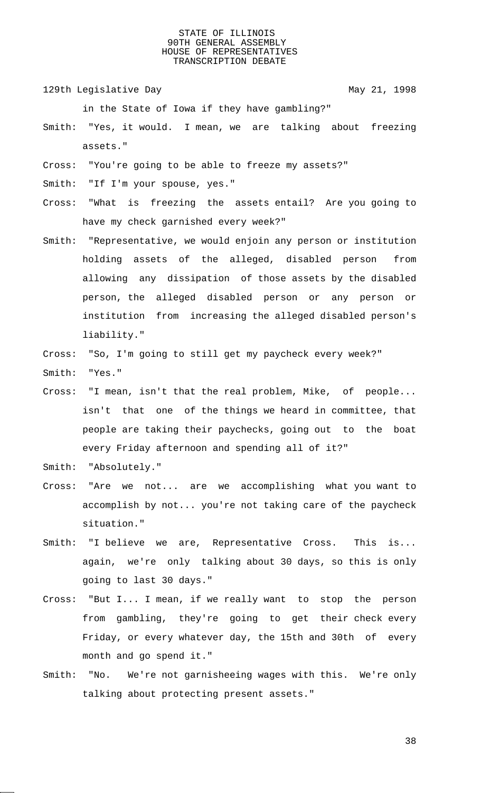129th Legislative Day 129th May 21, 1998

in the State of Iowa if they have gambling?"

- Smith: "Yes, it would. I mean, we are talking about freezing assets."
- Cross: "You're going to be able to freeze my assets?"
- Smith: "If I'm your spouse, yes."
- Cross: "What is freezing the assets entail? Are you going to have my check garnished every week?"
- Smith: "Representative, we would enjoin any person or institution holding assets of the alleged, disabled person from allowing any dissipation of those assets by the disabled person, the alleged disabled person or any person or institution from increasing the alleged disabled person's liability."
- Cross: "So, I'm going to still get my paycheck every week?" Smith: "Yes."
- Cross: "I mean, isn't that the real problem, Mike, of people... isn't that one of the things we heard in committee, that people are taking their paychecks, going out to the boat every Friday afternoon and spending all of it?"
- Smith: "Absolutely."
- Cross: "Are we not... are we accomplishing what you want to accomplish by not... you're not taking care of the paycheck situation."
- Smith: "I believe we are, Representative Cross. This is... again, we're only talking about 30 days, so this is only going to last 30 days."
- Cross: "But I... I mean, if we really want to stop the person from gambling, they're going to get their check every Friday, or every whatever day, the 15th and 30th of every month and go spend it."
- Smith: "No. We're not garnisheeing wages with this. We're only talking about protecting present assets."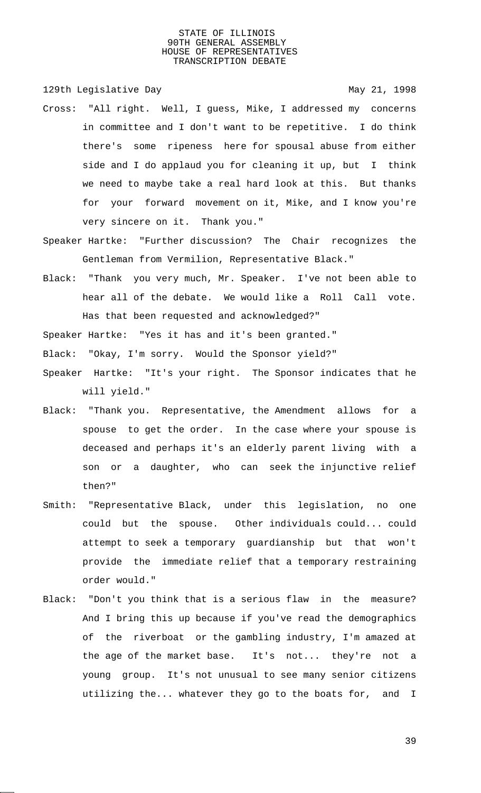129th Legislative Day 129th May 21, 1998

- Cross: "All right. Well, I guess, Mike, I addressed my concerns in committee and I don't want to be repetitive. I do think there's some ripeness here for spousal abuse from either side and I do applaud you for cleaning it up, but I think we need to maybe take a real hard look at this. But thanks for your forward movement on it, Mike, and I know you're very sincere on it. Thank you."
- Speaker Hartke: "Further discussion? The Chair recognizes the Gentleman from Vermilion, Representative Black."
- Black: "Thank you very much, Mr. Speaker. I've not been able to hear all of the debate. We would like a Roll Call vote. Has that been requested and acknowledged?"

Speaker Hartke: "Yes it has and it's been granted."

Black: "Okay, I'm sorry. Would the Sponsor yield?"

- Speaker Hartke: "It's your right. The Sponsor indicates that he will yield."
- Black: "Thank you. Representative, the Amendment allows for a spouse to get the order. In the case where your spouse is deceased and perhaps it's an elderly parent living with a son or a daughter, who can seek the injunctive relief then?"
- Smith: "Representative Black, under this legislation, no one could but the spouse. Other individuals could... could attempt to seek a temporary guardianship but that won't provide the immediate relief that a temporary restraining order would."
- Black: "Don't you think that is a serious flaw in the measure? And I bring this up because if you've read the demographics of the riverboat or the gambling industry, I'm amazed at the age of the market base. It's not... they're not a young group. It's not unusual to see many senior citizens utilizing the... whatever they go to the boats for, and I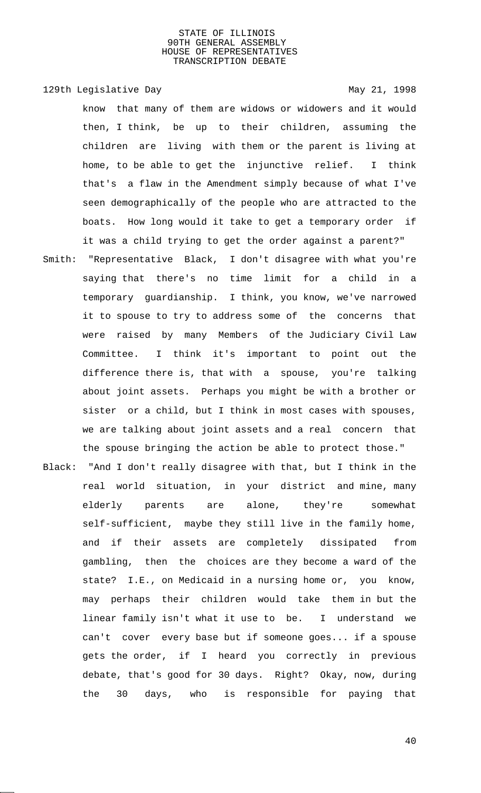129th Legislative Day 129th May 21, 1998

know that many of them are widows or widowers and it would then, I think, be up to their children, assuming the children are living with them or the parent is living at home, to be able to get the injunctive relief. I think that's a flaw in the Amendment simply because of what I've seen demographically of the people who are attracted to the boats. How long would it take to get a temporary order if it was a child trying to get the order against a parent?"

- Smith: "Representative Black, I don't disagree with what you're saying that there's no time limit for a child in a temporary guardianship. I think, you know, we've narrowed it to spouse to try to address some of the concerns that were raised by many Members of the Judiciary Civil Law Committee. I think it's important to point out the difference there is, that with a spouse, you're talking about joint assets. Perhaps you might be with a brother or sister or a child, but I think in most cases with spouses, we are talking about joint assets and a real concern that the spouse bringing the action be able to protect those."
- Black: "And I don't really disagree with that, but I think in the real world situation, in your district and mine, many elderly parents are alone, they're somewhat self-sufficient, maybe they still live in the family home, and if their assets are completely dissipated from gambling, then the choices are they become a ward of the state? I.E., on Medicaid in a nursing home or, you know, may perhaps their children would take them in but the linear family isn't what it use to be. I understand we can't cover every base but if someone goes... if a spouse gets the order, if I heard you correctly in previous debate, that's good for 30 days. Right? Okay, now, during the 30 days, who is responsible for paying that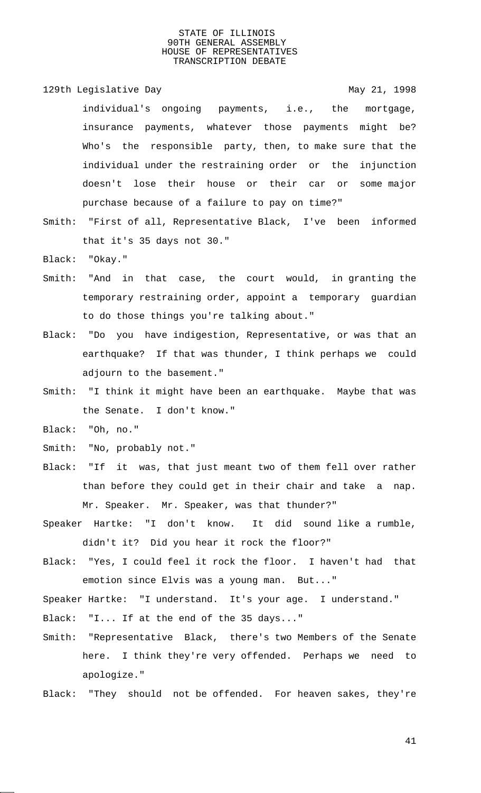- 129th Legislative Day 129th May 21, 1998 individual's ongoing payments, i.e., the mortgage, insurance payments, whatever those payments might be? Who's the responsible party, then, to make sure that the individual under the restraining order or the injunction doesn't lose their house or their car or some major purchase because of a failure to pay on time?"
- Smith: "First of all, Representative Black, I've been informed that it's 35 days not 30."

Black: "Okay."

- Smith: "And in that case, the court would, in granting the temporary restraining order, appoint a temporary guardian to do those things you're talking about."
- Black: "Do you have indigestion, Representative, or was that an earthquake? If that was thunder, I think perhaps we could adjourn to the basement."
- Smith: "I think it might have been an earthquake. Maybe that was the Senate. I don't know."
- Black: "Oh, no."
- Smith: "No, probably not."
- Black: "If it was, that just meant two of them fell over rather than before they could get in their chair and take a nap. Mr. Speaker. Mr. Speaker, was that thunder?"
- Speaker Hartke: "I don't know. It did sound like a rumble, didn't it? Did you hear it rock the floor?"
- Black: "Yes, I could feel it rock the floor. I haven't had that emotion since Elvis was a young man. But..."

Speaker Hartke: "I understand. It's your age. I understand."

- Black: "I... If at the end of the 35 days..."
- Smith: "Representative Black, there's two Members of the Senate here. I think they're very offended. Perhaps we need to apologize."
- Black: "They should not be offended. For heaven sakes, they're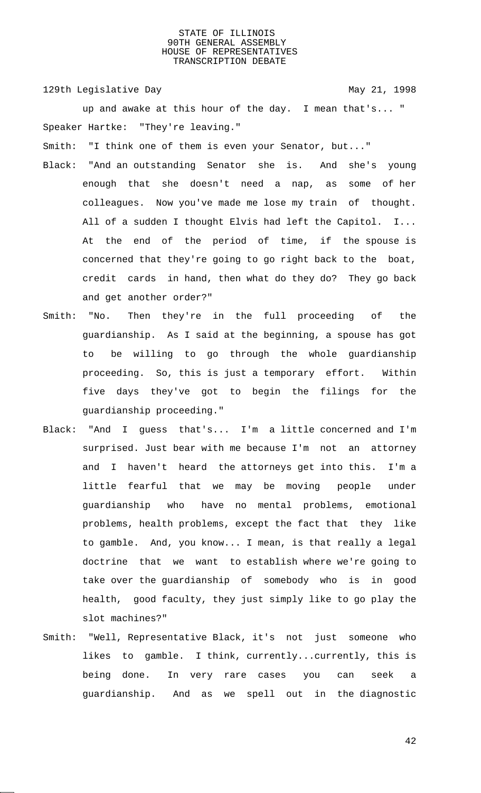129th Legislative Day 129th May 21, 1998

up and awake at this hour of the day. I mean that's... " Speaker Hartke: "They're leaving."

Smith: "I think one of them is even your Senator, but..."

- Black: "And an outstanding Senator she is. And she's young enough that she doesn't need a nap, as some of her colleagues. Now you've made me lose my train of thought. All of a sudden I thought Elvis had left the Capitol. I... At the end of the period of time, if the spouse is concerned that they're going to go right back to the boat, credit cards in hand, then what do they do? They go back and get another order?"
- Smith: "No. Then they're in the full proceeding of the guardianship. As I said at the beginning, a spouse has got to be willing to go through the whole guardianship proceeding. So, this is just a temporary effort. Within five days they've got to begin the filings for the guardianship proceeding."
- Black: "And I guess that's... I'm a little concerned and I'm surprised. Just bear with me because I'm not an attorney and I haven't heard the attorneys get into this. I'm a little fearful that we may be moving people under guardianship who have no mental problems, emotional problems, health problems, except the fact that they like to gamble. And, you know... I mean, is that really a legal doctrine that we want to establish where we're going to take over the guardianship of somebody who is in good health, good faculty, they just simply like to go play the slot machines?"
- Smith: "Well, Representative Black, it's not just someone who likes to gamble. I think, currently...currently, this is being done. In very rare cases you can seek a guardianship. And as we spell out in the diagnostic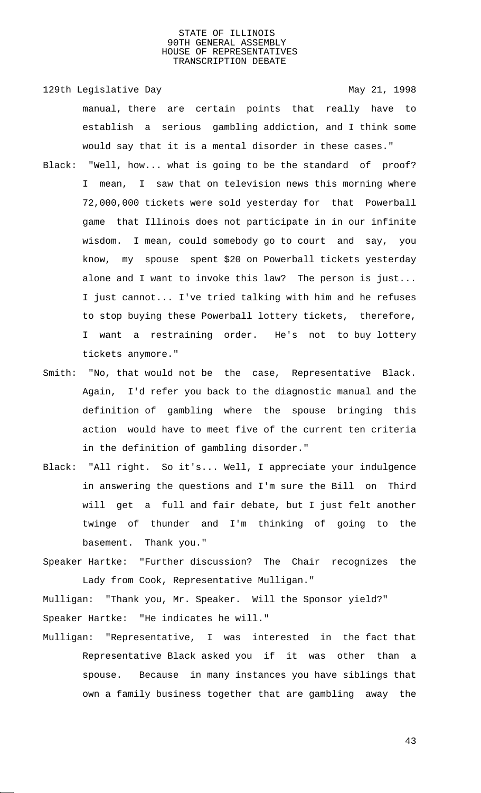129th Legislative Day 129th May 21, 1998 manual, there are certain points that really have to establish a serious gambling addiction, and I think some would say that it is a mental disorder in these cases."

- Black: "Well, how... what is going to be the standard of proof? I mean, I saw that on television news this morning where 72,000,000 tickets were sold yesterday for that Powerball game that Illinois does not participate in in our infinite wisdom. I mean, could somebody go to court and say, you know, my spouse spent \$20 on Powerball tickets yesterday alone and I want to invoke this law? The person is just... I just cannot... I've tried talking with him and he refuses to stop buying these Powerball lottery tickets, therefore, I want a restraining order. He's not to buy lottery tickets anymore."
- Smith: "No, that would not be the case, Representative Black. Again, I'd refer you back to the diagnostic manual and the definition of gambling where the spouse bringing this action would have to meet five of the current ten criteria in the definition of gambling disorder."
- Black: "All right. So it's... Well, I appreciate your indulgence in answering the questions and I'm sure the Bill on Third will get a full and fair debate, but I just felt another twinge of thunder and I'm thinking of going to the basement. Thank you."
- Speaker Hartke: "Further discussion? The Chair recognizes the Lady from Cook, Representative Mulligan."

Mulligan: "Thank you, Mr. Speaker. Will the Sponsor yield?" Speaker Hartke: "He indicates he will."

Mulligan: "Representative, I was interested in the fact that Representative Black asked you if it was other than a spouse. Because in many instances you have siblings that own a family business together that are gambling away the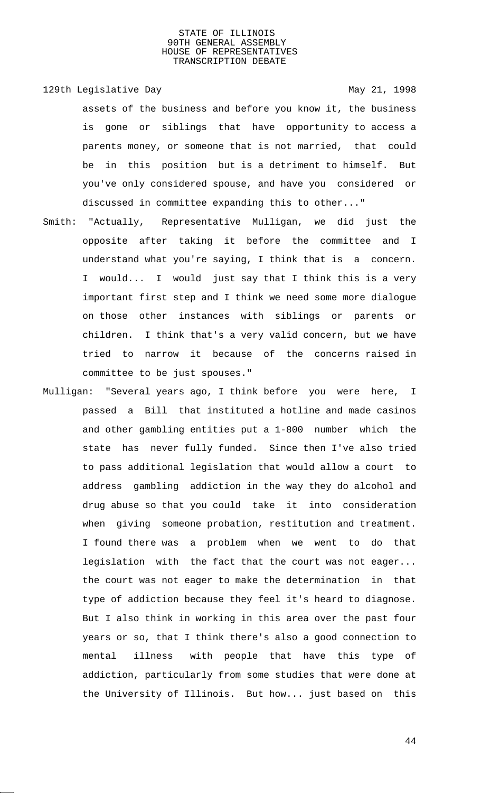- 129th Legislative Day 129th May 21, 1998 assets of the business and before you know it, the business is gone or siblings that have opportunity to access a parents money, or someone that is not married, that could be in this position but is a detriment to himself. But you've only considered spouse, and have you considered or discussed in committee expanding this to other..."
- Smith: "Actually, Representative Mulligan, we did just the opposite after taking it before the committee and I understand what you're saying, I think that is a concern. I would... I would just say that I think this is a very important first step and I think we need some more dialogue on those other instances with siblings or parents or children. I think that's a very valid concern, but we have tried to narrow it because of the concerns raised in committee to be just spouses."
- Mulligan: "Several years ago, I think before you were here, I passed a Bill that instituted a hotline and made casinos and other gambling entities put a 1-800 number which the state has never fully funded. Since then I've also tried to pass additional legislation that would allow a court to address gambling addiction in the way they do alcohol and drug abuse so that you could take it into consideration when giving someone probation, restitution and treatment. I found there was a problem when we went to do that legislation with the fact that the court was not eager... the court was not eager to make the determination in that type of addiction because they feel it's heard to diagnose. But I also think in working in this area over the past four years or so, that I think there's also a good connection to mental illness with people that have this type of addiction, particularly from some studies that were done at the University of Illinois. But how... just based on this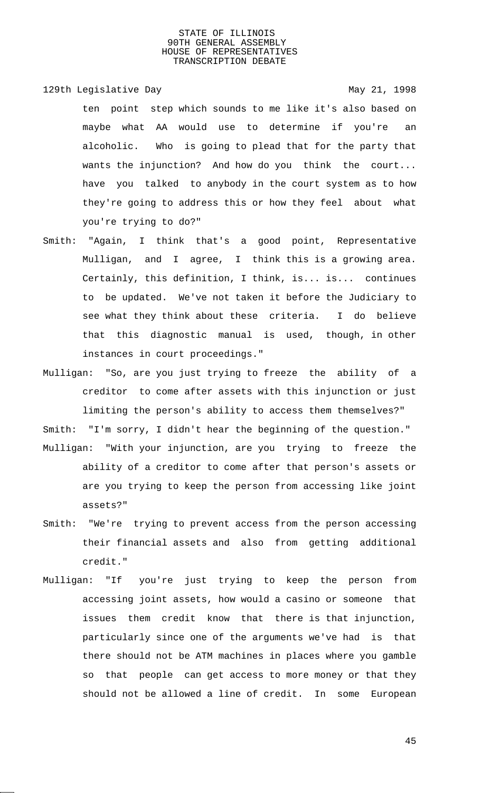129th Legislative Day 129th May 21, 1998

- ten point step which sounds to me like it's also based on maybe what AA would use to determine if you're an alcoholic. Who is going to plead that for the party that wants the injunction? And how do you think the court... have you talked to anybody in the court system as to how they're going to address this or how they feel about what you're trying to do?"
- Smith: "Again, I think that's a good point, Representative Mulligan, and I agree, I think this is a growing area. Certainly, this definition, I think, is... is... continues to be updated. We've not taken it before the Judiciary to see what they think about these criteria. I do believe that this diagnostic manual is used, though, in other instances in court proceedings."
- Mulligan: "So, are you just trying to freeze the ability of a creditor to come after assets with this injunction or just limiting the person's ability to access them themselves?"

Smith: "I'm sorry, I didn't hear the beginning of the question." Mulligan: "With your injunction, are you trying to freeze the ability of a creditor to come after that person's assets or

- are you trying to keep the person from accessing like joint assets?"
- Smith: "We're trying to prevent access from the person accessing their financial assets and also from getting additional credit."
- Mulligan: "If you're just trying to keep the person from accessing joint assets, how would a casino or someone that issues them credit know that there is that injunction, particularly since one of the arguments we've had is that there should not be ATM machines in places where you gamble so that people can get access to more money or that they should not be allowed a line of credit. In some European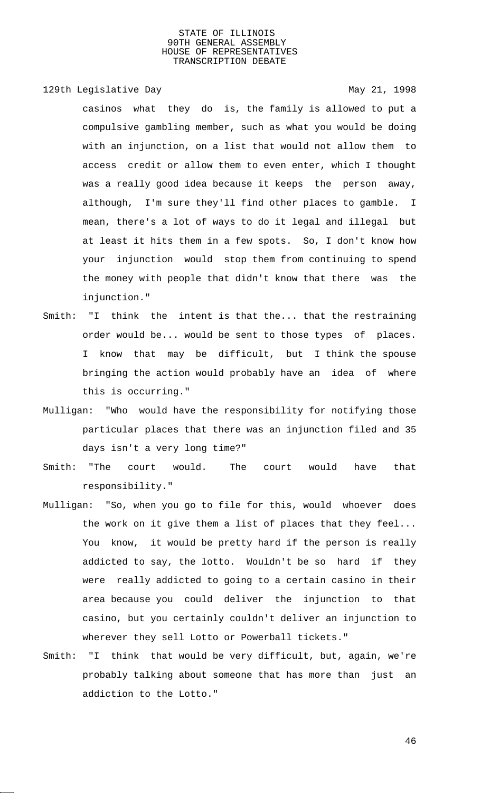129th Legislative Day 129th May 21, 1998

casinos what they do is, the family is allowed to put a compulsive gambling member, such as what you would be doing with an injunction, on a list that would not allow them to access credit or allow them to even enter, which I thought was a really good idea because it keeps the person away, although, I'm sure they'll find other places to gamble. I mean, there's a lot of ways to do it legal and illegal but at least it hits them in a few spots. So, I don't know how your injunction would stop them from continuing to spend the money with people that didn't know that there was the injunction."

- Smith: "I think the intent is that the... that the restraining order would be... would be sent to those types of places. I know that may be difficult, but I think the spouse bringing the action would probably have an idea of where this is occurring."
- Mulligan: "Who would have the responsibility for notifying those particular places that there was an injunction filed and 35 days isn't a very long time?"
- Smith: "The court would. The court would have that responsibility."
- Mulligan: "So, when you go to file for this, would whoever does the work on it give them a list of places that they feel... You know, it would be pretty hard if the person is really addicted to say, the lotto. Wouldn't be so hard if they were really addicted to going to a certain casino in their area because you could deliver the injunction to that casino, but you certainly couldn't deliver an injunction to wherever they sell Lotto or Powerball tickets."
- Smith: "I think that would be very difficult, but, again, we're probably talking about someone that has more than just an addiction to the Lotto."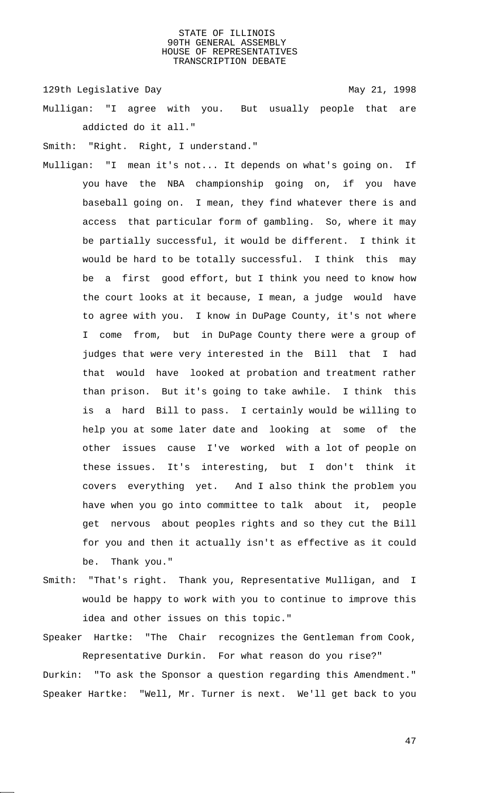129th Legislative Day 129th May 21, 1998

Mulligan: "I agree with you. But usually people that are addicted do it all."

Smith: "Right. Right, I understand."

- Mulligan: "I mean it's not... It depends on what's going on. If you have the NBA championship going on, if you have baseball going on. I mean, they find whatever there is and access that particular form of gambling. So, where it may be partially successful, it would be different. I think it would be hard to be totally successful. I think this may be a first good effort, but I think you need to know how the court looks at it because, I mean, a judge would have to agree with you. I know in DuPage County, it's not where I come from, but in DuPage County there were a group of judges that were very interested in the Bill that I had that would have looked at probation and treatment rather than prison. But it's going to take awhile. I think this is a hard Bill to pass. I certainly would be willing to help you at some later date and looking at some of the other issues cause I've worked with a lot of people on these issues. It's interesting, but I don't think it covers everything yet. And I also think the problem you have when you go into committee to talk about it, people get nervous about peoples rights and so they cut the Bill for you and then it actually isn't as effective as it could be. Thank you."
- Smith: "That's right. Thank you, Representative Mulligan, and I would be happy to work with you to continue to improve this idea and other issues on this topic."

Speaker Hartke: "The Chair recognizes the Gentleman from Cook, Representative Durkin. For what reason do you rise?"

Durkin: "To ask the Sponsor a question regarding this Amendment." Speaker Hartke: "Well, Mr. Turner is next. We'll get back to you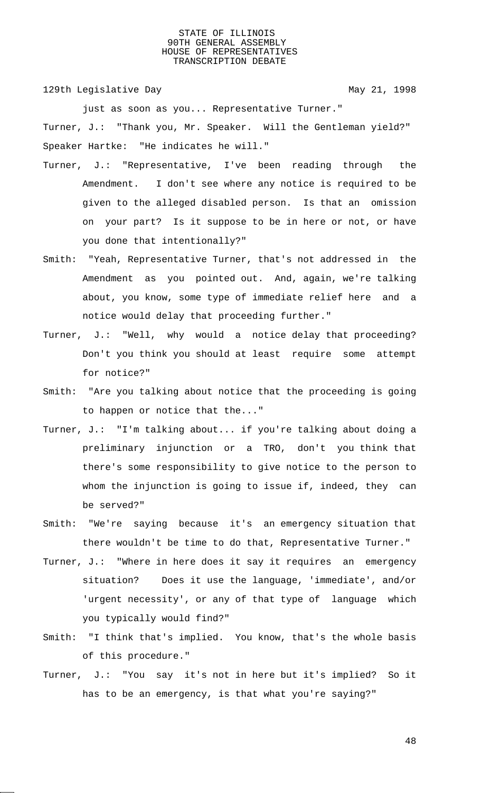129th Legislative Day 129th May 21, 1998

just as soon as you... Representative Turner."

Turner, J.: "Thank you, Mr. Speaker. Will the Gentleman yield?" Speaker Hartke: "He indicates he will."

- Turner, J.: "Representative, I've been reading through the Amendment. I don't see where any notice is required to be given to the alleged disabled person. Is that an omission on your part? Is it suppose to be in here or not, or have you done that intentionally?"
- Smith: "Yeah, Representative Turner, that's not addressed in the Amendment as you pointed out. And, again, we're talking about, you know, some type of immediate relief here and a notice would delay that proceeding further."
- Turner, J.: "Well, why would a notice delay that proceeding? Don't you think you should at least require some attempt for notice?"
- Smith: "Are you talking about notice that the proceeding is going to happen or notice that the..."
- Turner, J.: "I'm talking about... if you're talking about doing a preliminary injunction or a TRO, don't you think that there's some responsibility to give notice to the person to whom the injunction is going to issue if, indeed, they can be served?"
- Smith: "We're saying because it's an emergency situation that there wouldn't be time to do that, Representative Turner."
- Turner, J.: "Where in here does it say it requires an emergency situation? Does it use the language, 'immediate', and/or 'urgent necessity', or any of that type of language which you typically would find?"
- Smith: "I think that's implied. You know, that's the whole basis of this procedure."
- Turner, J.: "You say it's not in here but it's implied? So it has to be an emergency, is that what you're saying?"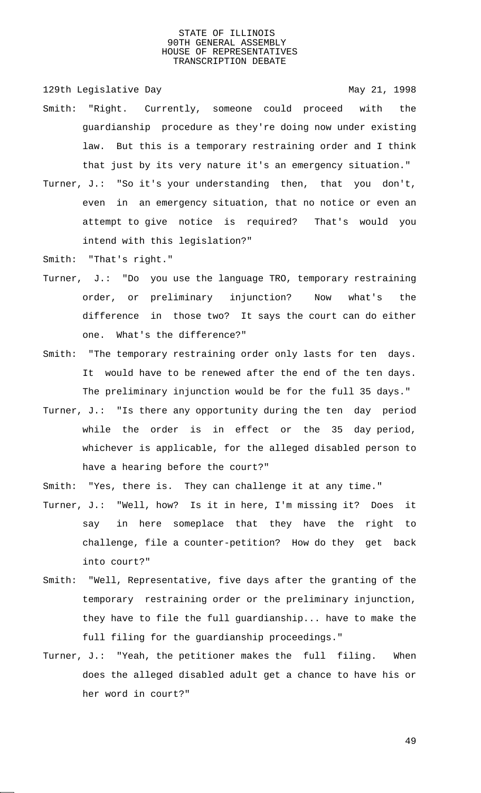129th Legislative Day 129th May 21, 1998

- Smith: "Right. Currently, someone could proceed with the guardianship procedure as they're doing now under existing law. But this is a temporary restraining order and I think that just by its very nature it's an emergency situation."
- Turner, J.: "So it's your understanding then, that you don't, even in an emergency situation, that no notice or even an attempt to give notice is required? That's would you intend with this legislation?"
- Smith: "That's right."
- Turner, J.: "Do you use the language TRO, temporary restraining order, or preliminary injunction? Now what's the difference in those two? It says the court can do either one. What's the difference?"
- Smith: "The temporary restraining order only lasts for ten days. It would have to be renewed after the end of the ten days. The preliminary injunction would be for the full 35 days."
- Turner, J.: "Is there any opportunity during the ten day period while the order is in effect or the 35 day period, whichever is applicable, for the alleged disabled person to have a hearing before the court?"
- Smith: "Yes, there is. They can challenge it at any time."
- Turner, J.: "Well, how? Is it in here, I'm missing it? Does it say in here someplace that they have the right to challenge, file a counter-petition? How do they get back into court?"
- Smith: "Well, Representative, five days after the granting of the temporary restraining order or the preliminary injunction, they have to file the full guardianship... have to make the full filing for the guardianship proceedings."
- Turner, J.: "Yeah, the petitioner makes the full filing. When does the alleged disabled adult get a chance to have his or her word in court?"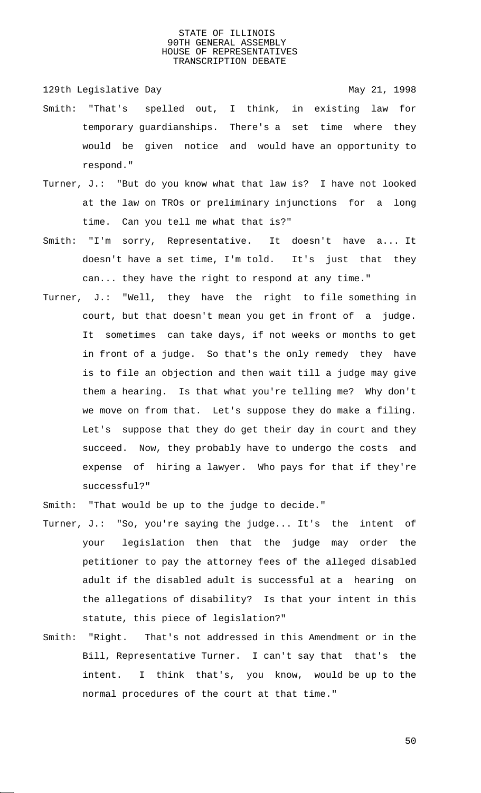129th Legislative Day 129th May 21, 1998

- Smith: "That's spelled out, I think, in existing law for temporary guardianships. There's a set time where they would be given notice and would have an opportunity to respond."
- Turner, J.: "But do you know what that law is? I have not looked at the law on TROs or preliminary injunctions for a long time. Can you tell me what that is?"
- Smith: "I'm sorry, Representative. It doesn't have a... It doesn't have a set time, I'm told. It's just that they can... they have the right to respond at any time."
- Turner, J.: "Well, they have the right to file something in court, but that doesn't mean you get in front of a judge. It sometimes can take days, if not weeks or months to get in front of a judge. So that's the only remedy they have is to file an objection and then wait till a judge may give them a hearing. Is that what you're telling me? Why don't we move on from that. Let's suppose they do make a filing. Let's suppose that they do get their day in court and they succeed. Now, they probably have to undergo the costs and expense of hiring a lawyer. Who pays for that if they're successful?"

Smith: "That would be up to the judge to decide."

- Turner, J.: "So, you're saying the judge... It's the intent of your legislation then that the judge may order the petitioner to pay the attorney fees of the alleged disabled adult if the disabled adult is successful at a hearing on the allegations of disability? Is that your intent in this statute, this piece of legislation?"
- Smith: "Right. That's not addressed in this Amendment or in the Bill, Representative Turner. I can't say that that's the intent. I think that's, you know, would be up to the normal procedures of the court at that time."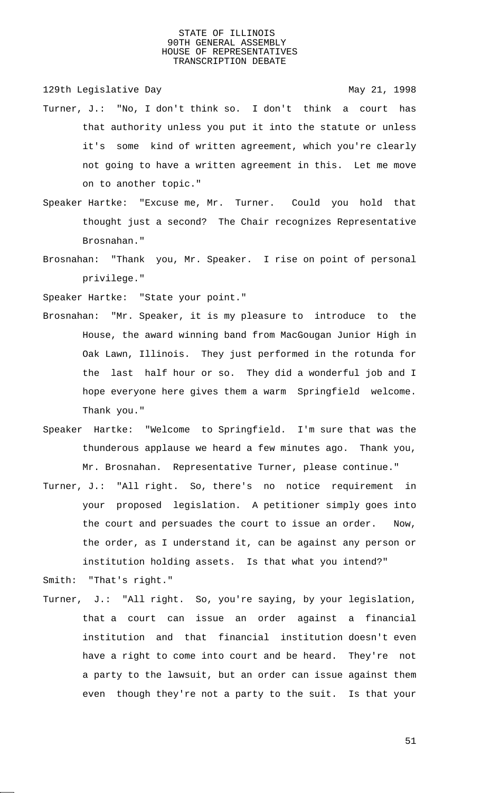129th Legislative Day 129th May 21, 1998

- Turner, J.: "No, I don't think so. I don't think a court has that authority unless you put it into the statute or unless it's some kind of written agreement, which you're clearly not going to have a written agreement in this. Let me move on to another topic."
- Speaker Hartke: "Excuse me, Mr. Turner. Could you hold that thought just a second? The Chair recognizes Representative Brosnahan."
- Brosnahan: "Thank you, Mr. Speaker. I rise on point of personal privilege."

Speaker Hartke: "State your point."

- Brosnahan: "Mr. Speaker, it is my pleasure to introduce to the House, the award winning band from MacGougan Junior High in Oak Lawn, Illinois. They just performed in the rotunda for the last half hour or so. They did a wonderful job and I hope everyone here gives them a warm Springfield welcome. Thank you."
- Speaker Hartke: "Welcome to Springfield. I'm sure that was the thunderous applause we heard a few minutes ago. Thank you, Mr. Brosnahan. Representative Turner, please continue."
- Turner, J.: "All right. So, there's no notice requirement in your proposed legislation. A petitioner simply goes into the court and persuades the court to issue an order. Now, the order, as I understand it, can be against any person or institution holding assets. Is that what you intend?"

Smith: "That's right."

Turner, J.: "All right. So, you're saying, by your legislation, that a court can issue an order against a financial institution and that financial institution doesn't even have a right to come into court and be heard. They're not a party to the lawsuit, but an order can issue against them even though they're not a party to the suit. Is that your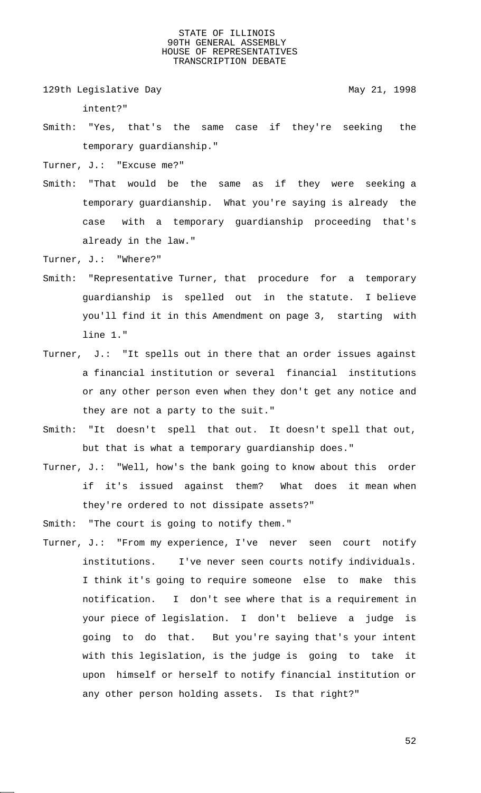129th Legislative Day 129th May 21, 1998

intent?"

- Smith: "Yes, that's the same case if they're seeking the temporary guardianship."
- Turner, J.: "Excuse me?"
- Smith: "That would be the same as if they were seeking a temporary guardianship. What you're saying is already the case with a temporary guardianship proceeding that's already in the law."
- Turner, J.: "Where?"
- Smith: "Representative Turner, that procedure for a temporary guardianship is spelled out in the statute. I believe you'll find it in this Amendment on page 3, starting with line 1."
- Turner, J.: "It spells out in there that an order issues against a financial institution or several financial institutions or any other person even when they don't get any notice and they are not a party to the suit."
- Smith: "It doesn't spell that out. It doesn't spell that out, but that is what a temporary guardianship does."
- Turner, J.: "Well, how's the bank going to know about this order if it's issued against them? What does it mean when they're ordered to not dissipate assets?"

Smith: "The court is going to notify them."

Turner, J.: "From my experience, I've never seen court notify institutions. I've never seen courts notify individuals. I think it's going to require someone else to make this notification. I don't see where that is a requirement in your piece of legislation. I don't believe a judge is going to do that. But you're saying that's your intent with this legislation, is the judge is going to take it upon himself or herself to notify financial institution or any other person holding assets. Is that right?"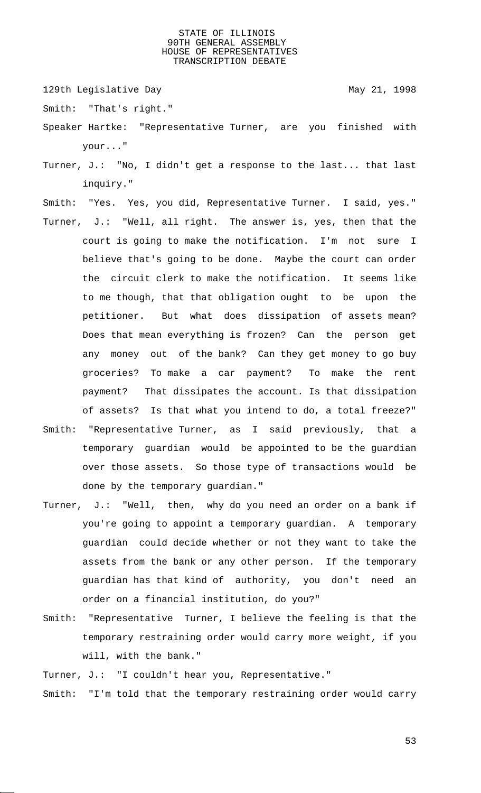129th Legislative Day 129th May 21, 1998

Smith: "That's right."

- Speaker Hartke: "Representative Turner, are you finished with your..."
- Turner, J.: "No, I didn't get a response to the last... that last inquiry."
- Smith: "Yes. Yes, you did, Representative Turner. I said, yes."
- Turner, J.: "Well, all right. The answer is, yes, then that the court is going to make the notification. I'm not sure I believe that's going to be done. Maybe the court can order the circuit clerk to make the notification. It seems like to me though, that that obligation ought to be upon the petitioner. But what does dissipation of assets mean? Does that mean everything is frozen? Can the person get any money out of the bank? Can they get money to go buy groceries? To make a car payment? To make the rent payment? That dissipates the account. Is that dissipation of assets? Is that what you intend to do, a total freeze?"
- Smith: "Representative Turner, as I said previously, that a temporary guardian would be appointed to be the guardian over those assets. So those type of transactions would be done by the temporary guardian."
- Turner, J.: "Well, then, why do you need an order on a bank if you're going to appoint a temporary guardian. A temporary guardian could decide whether or not they want to take the assets from the bank or any other person. If the temporary guardian has that kind of authority, you don't need an order on a financial institution, do you?"
- Smith: "Representative Turner, I believe the feeling is that the temporary restraining order would carry more weight, if you will, with the bank."
- Turner, J.: "I couldn't hear you, Representative."
- Smith: "I'm told that the temporary restraining order would carry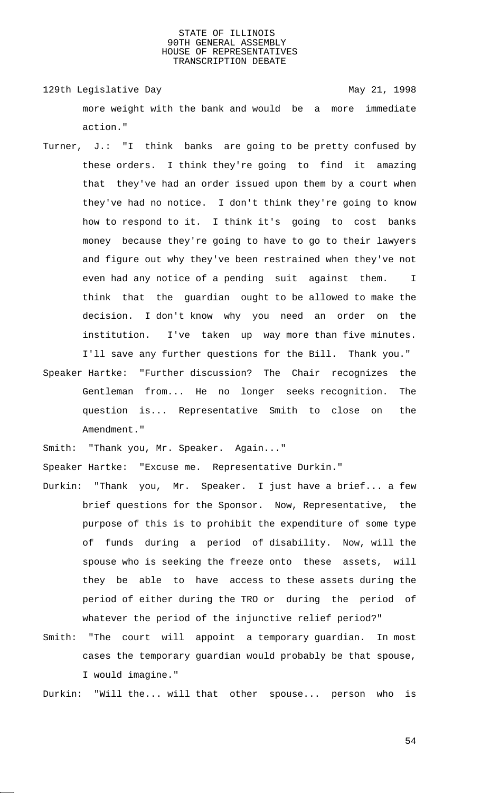129th Legislative Day 129th May 21, 1998 more weight with the bank and would be a more immediate action."

- Turner, J.: "I think banks are going to be pretty confused by these orders. I think they're going to find it amazing that they've had an order issued upon them by a court when they've had no notice. I don't think they're going to know how to respond to it. I think it's going to cost banks money because they're going to have to go to their lawyers and figure out why they've been restrained when they've not even had any notice of a pending suit against them. I think that the guardian ought to be allowed to make the decision. I don't know why you need an order on the institution. I've taken up way more than five minutes. I'll save any further questions for the Bill. Thank you."
- Speaker Hartke: "Further discussion? The Chair recognizes the Gentleman from... He no longer seeks recognition. The question is... Representative Smith to close on the Amendment."

Smith: "Thank you, Mr. Speaker. Again..."

Speaker Hartke: "Excuse me. Representative Durkin."

- Durkin: "Thank you, Mr. Speaker. I just have a brief... a few brief questions for the Sponsor. Now, Representative, the purpose of this is to prohibit the expenditure of some type of funds during a period of disability. Now, will the spouse who is seeking the freeze onto these assets, will they be able to have access to these assets during the period of either during the TRO or during the period of whatever the period of the injunctive relief period?"
- Smith: "The court will appoint a temporary guardian. In most cases the temporary guardian would probably be that spouse, I would imagine."

Durkin: "Will the... will that other spouse... person who is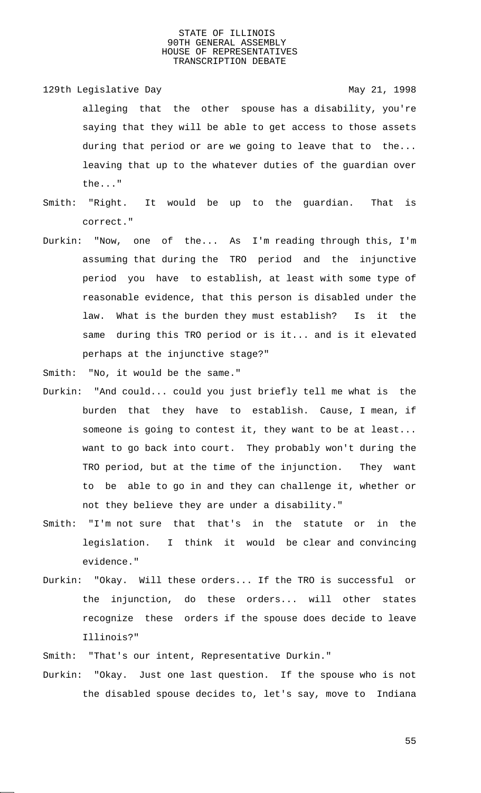129th Legislative Day 129th May 21, 1998 alleging that the other spouse has a disability, you're saying that they will be able to get access to those assets during that period or are we going to leave that to the... leaving that up to the whatever duties of the guardian over the..."

- Smith: "Right. It would be up to the guardian. That is correct."
- Durkin: "Now, one of the... As I'm reading through this, I'm assuming that during the TRO period and the injunctive period you have to establish, at least with some type of reasonable evidence, that this person is disabled under the law. What is the burden they must establish? Is it the same during this TRO period or is it... and is it elevated perhaps at the injunctive stage?"
- Smith: "No, it would be the same."
- Durkin: "And could... could you just briefly tell me what is the burden that they have to establish. Cause, I mean, if someone is going to contest it, they want to be at least... want to go back into court. They probably won't during the TRO period, but at the time of the injunction. They want to be able to go in and they can challenge it, whether or not they believe they are under a disability."
- Smith: "I'm not sure that that's in the statute or in the legislation. I think it would be clear and convincing evidence."
- Durkin: "Okay. Will these orders... If the TRO is successful or the injunction, do these orders... will other states recognize these orders if the spouse does decide to leave Illinois?"

Smith: "That's our intent, Representative Durkin."

Durkin: "Okay. Just one last question. If the spouse who is not the disabled spouse decides to, let's say, move to Indiana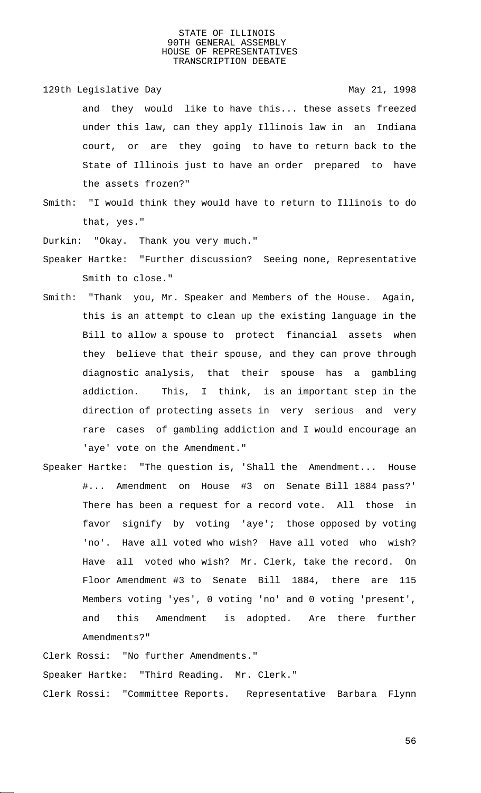129th Legislative Day 129th May 21, 1998

and they would like to have this... these assets freezed under this law, can they apply Illinois law in an Indiana court, or are they going to have to return back to the State of Illinois just to have an order prepared to have the assets frozen?"

Smith: "I would think they would have to return to Illinois to do that, yes."

Durkin: "Okay. Thank you very much."

- Speaker Hartke: "Further discussion? Seeing none, Representative Smith to close."
- Smith: "Thank you, Mr. Speaker and Members of the House. Again, this is an attempt to clean up the existing language in the Bill to allow a spouse to protect financial assets when they believe that their spouse, and they can prove through diagnostic analysis, that their spouse has a gambling addiction. This, I think, is an important step in the direction of protecting assets in very serious and very rare cases of gambling addiction and I would encourage an 'aye' vote on the Amendment."
- Speaker Hartke: "The question is, 'Shall the Amendment... House #... Amendment on House #3 on Senate Bill 1884 pass?' There has been a request for a record vote. All those in favor signify by voting 'aye'; those opposed by voting 'no'. Have all voted who wish? Have all voted who wish? Have all voted who wish? Mr. Clerk, take the record. On Floor Amendment #3 to Senate Bill 1884, there are 115 Members voting 'yes', 0 voting 'no' and 0 voting 'present', and this Amendment is adopted. Are there further Amendments?"

Clerk Rossi: "No further Amendments."

Speaker Hartke: "Third Reading. Mr. Clerk." Clerk Rossi: "Committee Reports. Representative Barbara Flynn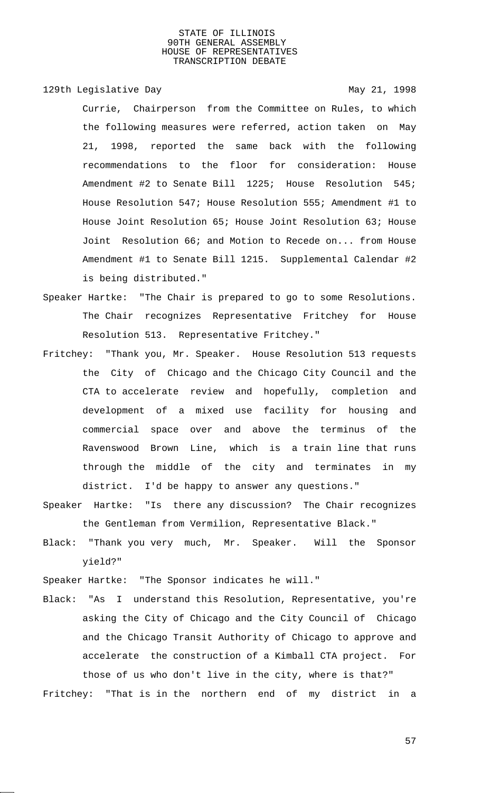## 129th Legislative Day 129th May 21, 1998

Currie, Chairperson from the Committee on Rules, to which the following measures were referred, action taken on May 21, 1998, reported the same back with the following recommendations to the floor for consideration: House Amendment #2 to Senate Bill 1225; House Resolution 545; House Resolution 547; House Resolution 555; Amendment #1 to House Joint Resolution 65; House Joint Resolution 63; House Joint Resolution 66; and Motion to Recede on... from House Amendment #1 to Senate Bill 1215. Supplemental Calendar #2 is being distributed."

- Speaker Hartke: "The Chair is prepared to go to some Resolutions. The Chair recognizes Representative Fritchey for House Resolution 513. Representative Fritchey."
- Fritchey: "Thank you, Mr. Speaker. House Resolution 513 requests the City of Chicago and the Chicago City Council and the CTA to accelerate review and hopefully, completion and development of a mixed use facility for housing and commercial space over and above the terminus of the Ravenswood Brown Line, which is a train line that runs through the middle of the city and terminates in my district. I'd be happy to answer any questions."
- Speaker Hartke: "Is there any discussion? The Chair recognizes the Gentleman from Vermilion, Representative Black."
- Black: "Thank you very much, Mr. Speaker. Will the Sponsor yield?"

Speaker Hartke: "The Sponsor indicates he will."

Black: "As I understand this Resolution, Representative, you're asking the City of Chicago and the City Council of Chicago and the Chicago Transit Authority of Chicago to approve and accelerate the construction of a Kimball CTA project. For those of us who don't live in the city, where is that?"

Fritchey: "That is in the northern end of my district in a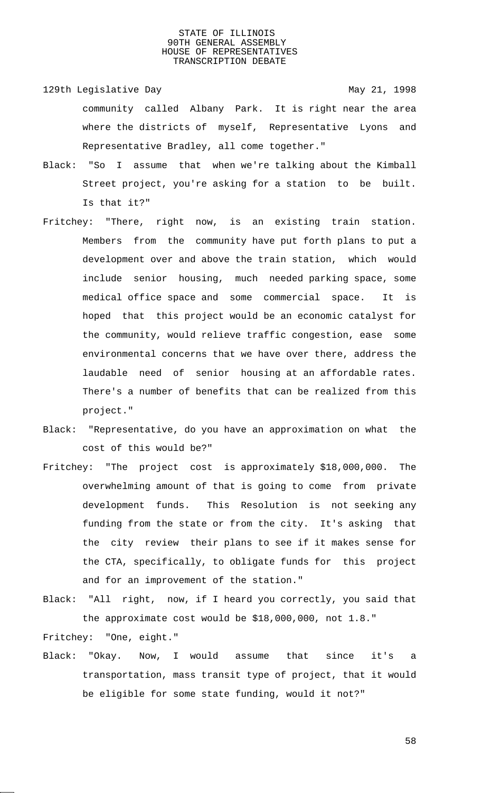- 129th Legislative Day 129th May 21, 1998 community called Albany Park. It is right near the area where the districts of myself, Representative Lyons and Representative Bradley, all come together."
- Black: "So I assume that when we're talking about the Kimball Street project, you're asking for a station to be built. Is that it?"
- Fritchey: "There, right now, is an existing train station. Members from the community have put forth plans to put a development over and above the train station, which would include senior housing, much needed parking space, some medical office space and some commercial space. It is hoped that this project would be an economic catalyst for the community, would relieve traffic congestion, ease some environmental concerns that we have over there, address the laudable need of senior housing at an affordable rates. There's a number of benefits that can be realized from this project."
- Black: "Representative, do you have an approximation on what the cost of this would be?"
- Fritchey: "The project cost is approximately \$18,000,000. The overwhelming amount of that is going to come from private development funds. This Resolution is not seeking any funding from the state or from the city. It's asking that the city review their plans to see if it makes sense for the CTA, specifically, to obligate funds for this project and for an improvement of the station."
- Black: "All right, now, if I heard you correctly, you said that the approximate cost would be \$18,000,000, not 1.8."

Fritchey: "One, eight."

Black: "Okay. Now, I would assume that since it's a transportation, mass transit type of project, that it would be eligible for some state funding, would it not?"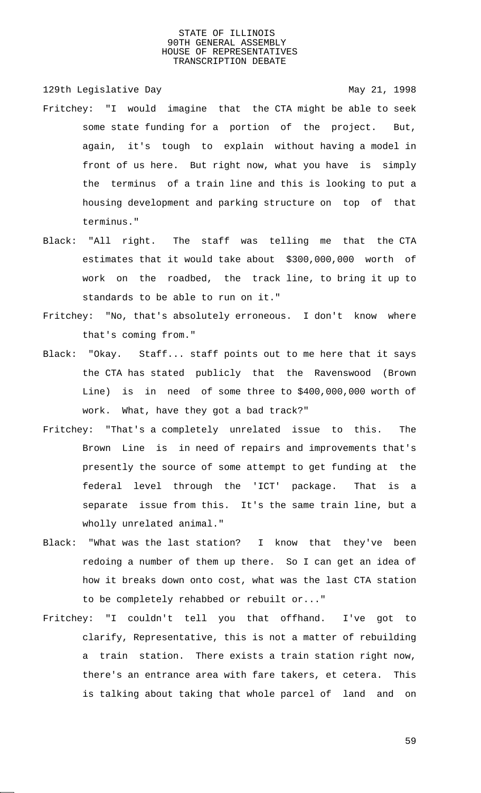129th Legislative Day 129th May 21, 1998

- Fritchey: "I would imagine that the CTA might be able to seek some state funding for a portion of the project. But, again, it's tough to explain without having a model in front of us here. But right now, what you have is simply the terminus of a train line and this is looking to put a housing development and parking structure on top of that terminus."
- Black: "All right. The staff was telling me that the CTA estimates that it would take about \$300,000,000 worth of work on the roadbed, the track line, to bring it up to standards to be able to run on it."
- Fritchey: "No, that's absolutely erroneous. I don't know where that's coming from."
- Black: "Okay. Staff... staff points out to me here that it says the CTA has stated publicly that the Ravenswood (Brown Line) is in need of some three to \$400,000,000 worth of work. What, have they got a bad track?"
- Fritchey: "That's a completely unrelated issue to this. The Brown Line is in need of repairs and improvements that's presently the source of some attempt to get funding at the federal level through the 'ICT' package. That is a separate issue from this. It's the same train line, but a wholly unrelated animal."
- Black: "What was the last station? I know that they've been redoing a number of them up there. So I can get an idea of how it breaks down onto cost, what was the last CTA station to be completely rehabbed or rebuilt or..."
- Fritchey: "I couldn't tell you that offhand. I've got to clarify, Representative, this is not a matter of rebuilding a train station. There exists a train station right now, there's an entrance area with fare takers, et cetera. This is talking about taking that whole parcel of land and on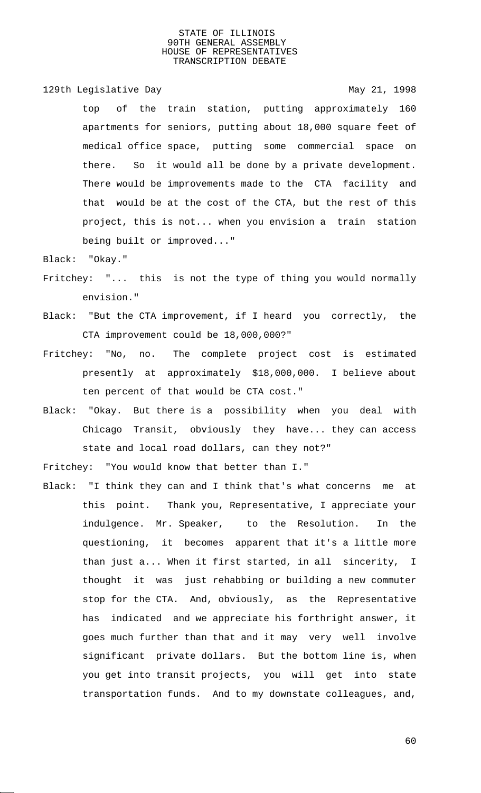129th Legislative Day 129th May 21, 1998

top of the train station, putting approximately 160 apartments for seniors, putting about 18,000 square feet of medical office space, putting some commercial space on there. So it would all be done by a private development. There would be improvements made to the CTA facility and that would be at the cost of the CTA, but the rest of this project, this is not... when you envision a train station being built or improved..."

Black: "Okay."

- Fritchey: "... this is not the type of thing you would normally envision."
- Black: "But the CTA improvement, if I heard you correctly, the CTA improvement could be 18,000,000?"
- Fritchey: "No, no. The complete project cost is estimated presently at approximately \$18,000,000. I believe about ten percent of that would be CTA cost."
- Black: "Okay. But there is a possibility when you deal with Chicago Transit, obviously they have... they can access state and local road dollars, can they not?"

Fritchey: "You would know that better than I."

Black: "I think they can and I think that's what concerns me at this point. Thank you, Representative, I appreciate your indulgence. Mr. Speaker, to the Resolution. In the questioning, it becomes apparent that it's a little more than just a... When it first started, in all sincerity, I thought it was just rehabbing or building a new commuter stop for the CTA. And, obviously, as the Representative has indicated and we appreciate his forthright answer, it goes much further than that and it may very well involve significant private dollars. But the bottom line is, when you get into transit projects, you will get into state transportation funds. And to my downstate colleagues, and,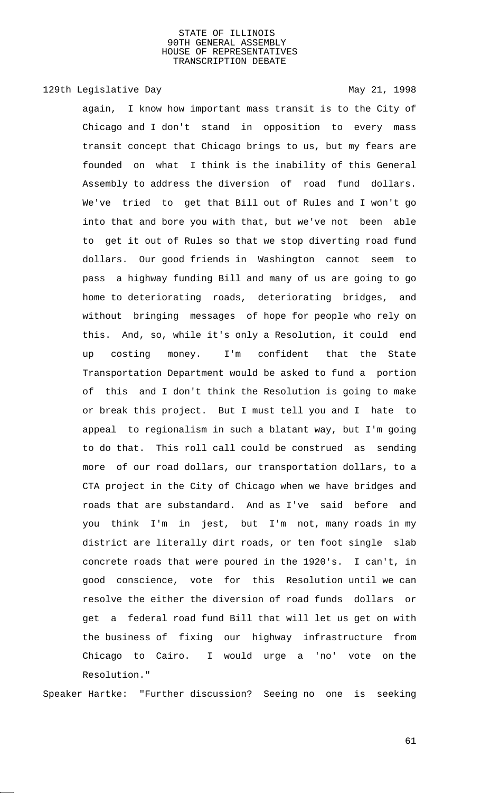# 129th Legislative Day 129th May 21, 1998

again, I know how important mass transit is to the City of Chicago and I don't stand in opposition to every mass transit concept that Chicago brings to us, but my fears are founded on what I think is the inability of this General Assembly to address the diversion of road fund dollars. We've tried to get that Bill out of Rules and I won't go into that and bore you with that, but we've not been able to get it out of Rules so that we stop diverting road fund dollars. Our good friends in Washington cannot seem to pass a highway funding Bill and many of us are going to go home to deteriorating roads, deteriorating bridges, and without bringing messages of hope for people who rely on this. And, so, while it's only a Resolution, it could end up costing money. I'm confident that the State Transportation Department would be asked to fund a portion of this and I don't think the Resolution is going to make or break this project. But I must tell you and I hate to appeal to regionalism in such a blatant way, but I'm going to do that. This roll call could be construed as sending more of our road dollars, our transportation dollars, to a CTA project in the City of Chicago when we have bridges and roads that are substandard. And as I've said before and you think I'm in jest, but I'm not, many roads in my district are literally dirt roads, or ten foot single slab concrete roads that were poured in the 1920's. I can't, in good conscience, vote for this Resolution until we can resolve the either the diversion of road funds dollars or get a federal road fund Bill that will let us get on with the business of fixing our highway infrastructure from Chicago to Cairo. I would urge a 'no' vote on the Resolution."

Speaker Hartke: "Further discussion? Seeing no one is seeking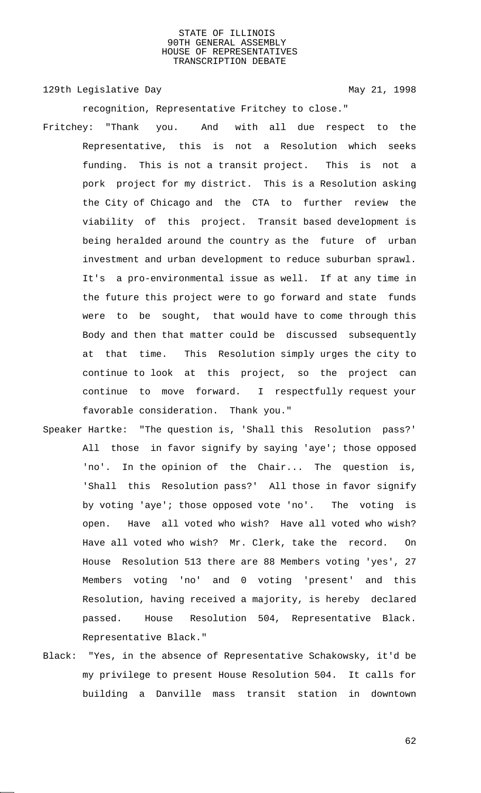129th Legislative Day 129th May 21, 1998

recognition, Representative Fritchey to close."

- Fritchey: "Thank you. And with all due respect to the Representative, this is not a Resolution which seeks funding. This is not a transit project. This is not a pork project for my district. This is a Resolution asking the City of Chicago and the CTA to further review the viability of this project. Transit based development is being heralded around the country as the future of urban investment and urban development to reduce suburban sprawl. It's a pro-environmental issue as well. If at any time in the future this project were to go forward and state funds were to be sought, that would have to come through this Body and then that matter could be discussed subsequently at that time. This Resolution simply urges the city to continue to look at this project, so the project can continue to move forward. I respectfully request your favorable consideration. Thank you."
- Speaker Hartke: "The question is, 'Shall this Resolution pass?' All those in favor signify by saying 'aye'; those opposed 'no'. In the opinion of the Chair... The question is, 'Shall this Resolution pass?' All those in favor signify by voting 'aye'; those opposed vote 'no'. The voting is open. Have all voted who wish? Have all voted who wish? Have all voted who wish? Mr. Clerk, take the record. On House Resolution 513 there are 88 Members voting 'yes', 27 Members voting 'no' and 0 voting 'present' and this Resolution, having received a majority, is hereby declared passed. House Resolution 504, Representative Black. Representative Black."
- Black: "Yes, in the absence of Representative Schakowsky, it'd be my privilege to present House Resolution 504. It calls for building a Danville mass transit station in downtown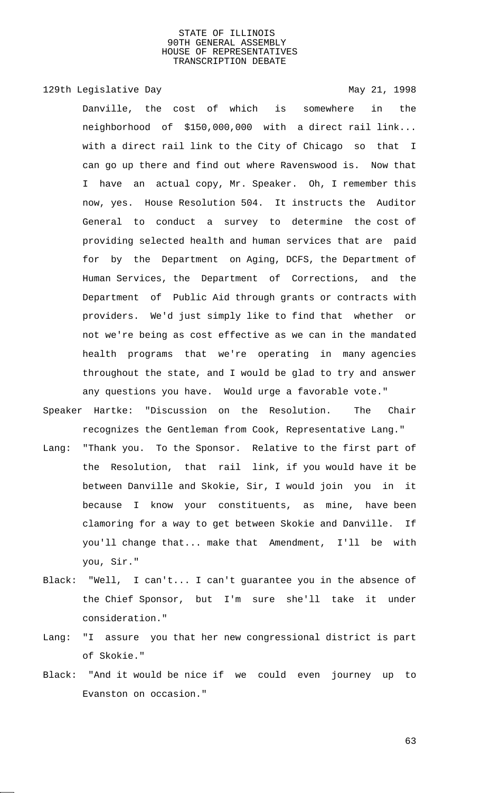129th Legislative Day 129th May 21, 1998

Danville, the cost of which is somewhere in the neighborhood of \$150,000,000 with a direct rail link... with a direct rail link to the City of Chicago so that I can go up there and find out where Ravenswood is. Now that I have an actual copy, Mr. Speaker. Oh, I remember this now, yes. House Resolution 504. It instructs the Auditor General to conduct a survey to determine the cost of providing selected health and human services that are paid for by the Department on Aging, DCFS, the Department of Human Services, the Department of Corrections, and the Department of Public Aid through grants or contracts with providers. We'd just simply like to find that whether or not we're being as cost effective as we can in the mandated health programs that we're operating in many agencies throughout the state, and I would be glad to try and answer any questions you have. Would urge a favorable vote."

- Speaker Hartke: "Discussion on the Resolution. The Chair recognizes the Gentleman from Cook, Representative Lang."
- Lang: "Thank you. To the Sponsor. Relative to the first part of the Resolution, that rail link, if you would have it be between Danville and Skokie, Sir, I would join you in it because I know your constituents, as mine, have been clamoring for a way to get between Skokie and Danville. If you'll change that... make that Amendment, I'll be with you, Sir."
- Black: "Well, I can't... I can't guarantee you in the absence of the Chief Sponsor, but I'm sure she'll take it under consideration."
- Lang: "I assure you that her new congressional district is part of Skokie."
- Black: "And it would be nice if we could even journey up to Evanston on occasion."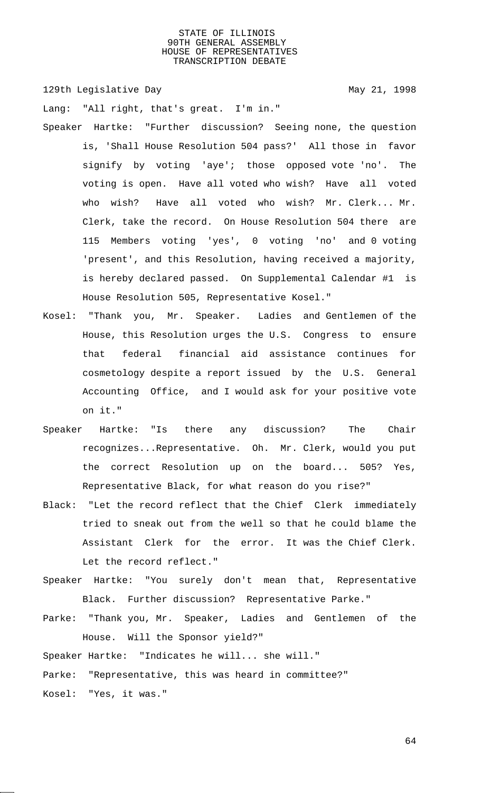129th Legislative Day 129th May 21, 1998

Lang: "All right, that's great. I'm in."

- Speaker Hartke: "Further discussion? Seeing none, the question is, 'Shall House Resolution 504 pass?' All those in favor signify by voting 'aye'; those opposed vote 'no'. The voting is open. Have all voted who wish? Have all voted who wish? Have all voted who wish? Mr. Clerk... Mr. Clerk, take the record. On House Resolution 504 there are 115 Members voting 'yes', 0 voting 'no' and 0 voting 'present', and this Resolution, having received a majority, is hereby declared passed. On Supplemental Calendar #1 is House Resolution 505, Representative Kosel."
- Kosel: "Thank you, Mr. Speaker. Ladies and Gentlemen of the House, this Resolution urges the U.S. Congress to ensure that federal financial aid assistance continues for cosmetology despite a report issued by the U.S. General Accounting Office, and I would ask for your positive vote on it."
- Speaker Hartke: "Is there any discussion? The Chair recognizes...Representative. Oh. Mr. Clerk, would you put the correct Resolution up on the board... 505? Yes, Representative Black, for what reason do you rise?"
- Black: "Let the record reflect that the Chief Clerk immediately tried to sneak out from the well so that he could blame the Assistant Clerk for the error. It was the Chief Clerk. Let the record reflect."
- Speaker Hartke: "You surely don't mean that, Representative Black. Further discussion? Representative Parke."
- Parke: "Thank you, Mr. Speaker, Ladies and Gentlemen of the House. Will the Sponsor yield?"
- Speaker Hartke: "Indicates he will... she will."

Parke: "Representative, this was heard in committee?"

Kosel: "Yes, it was."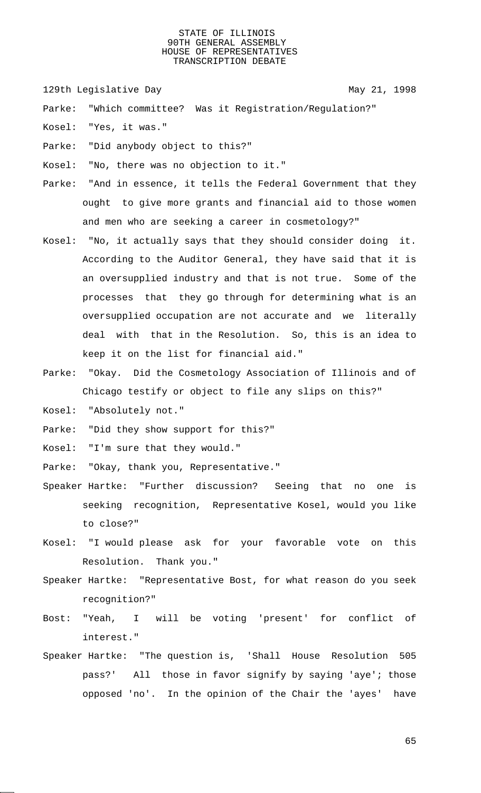129th Legislative Day 129th May 21, 1998

Parke: "Which committee? Was it Registration/Regulation?"

Kosel: "Yes, it was."

Parke: "Did anybody object to this?"

Kosel: "No, there was no objection to it."

Parke: "And in essence, it tells the Federal Government that they ought to give more grants and financial aid to those women and men who are seeking a career in cosmetology?"

- Kosel: "No, it actually says that they should consider doing it. According to the Auditor General, they have said that it is an oversupplied industry and that is not true. Some of the processes that they go through for determining what is an oversupplied occupation are not accurate and we literally deal with that in the Resolution. So, this is an idea to keep it on the list for financial aid."
- Parke: "Okay. Did the Cosmetology Association of Illinois and of Chicago testify or object to file any slips on this?"
- Kosel: "Absolutely not."

Parke: "Did they show support for this?"

Kosel: "I'm sure that they would."

Parke: "Okay, thank you, Representative."

- Speaker Hartke: "Further discussion? Seeing that no one is seeking recognition, Representative Kosel, would you like to close?"
- Kosel: "I would please ask for your favorable vote on this Resolution. Thank you."
- Speaker Hartke: "Representative Bost, for what reason do you seek recognition?"
- Bost: "Yeah, I will be voting 'present' for conflict of interest."
- Speaker Hartke: "The question is, 'Shall House Resolution 505 pass?' All those in favor signify by saying 'aye'; those opposed 'no'. In the opinion of the Chair the 'ayes' have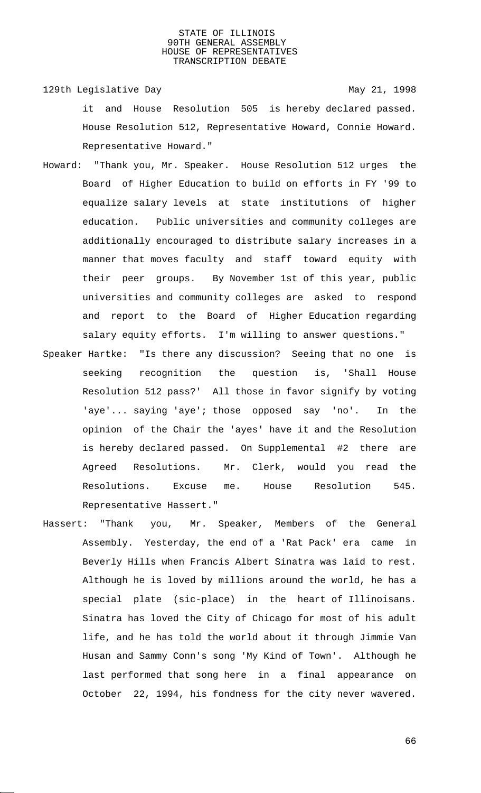129th Legislative Day 129th May 21, 1998 it and House Resolution 505 is hereby declared passed. House Resolution 512, Representative Howard, Connie Howard. Representative Howard."

- Howard: "Thank you, Mr. Speaker. House Resolution 512 urges the Board of Higher Education to build on efforts in FY '99 to equalize salary levels at state institutions of higher education. Public universities and community colleges are additionally encouraged to distribute salary increases in a manner that moves faculty and staff toward equity with their peer groups. By November 1st of this year, public universities and community colleges are asked to respond and report to the Board of Higher Education regarding salary equity efforts. I'm willing to answer questions."
- Speaker Hartke: "Is there any discussion? Seeing that no one is seeking recognition the question is, 'Shall House Resolution 512 pass?' All those in favor signify by voting 'aye'... saying 'aye'; those opposed say 'no'. In the opinion of the Chair the 'ayes' have it and the Resolution is hereby declared passed. On Supplemental #2 there are Agreed Resolutions. Mr. Clerk, would you read the Resolutions. Excuse me. House Resolution 545. Representative Hassert."
- Hassert: "Thank you, Mr. Speaker, Members of the General Assembly. Yesterday, the end of a 'Rat Pack' era came in Beverly Hills when Francis Albert Sinatra was laid to rest. Although he is loved by millions around the world, he has a special plate (sic-place) in the heart of Illinoisans. Sinatra has loved the City of Chicago for most of his adult life, and he has told the world about it through Jimmie Van Husan and Sammy Conn's song 'My Kind of Town'. Although he last performed that song here in a final appearance on October 22, 1994, his fondness for the city never wavered.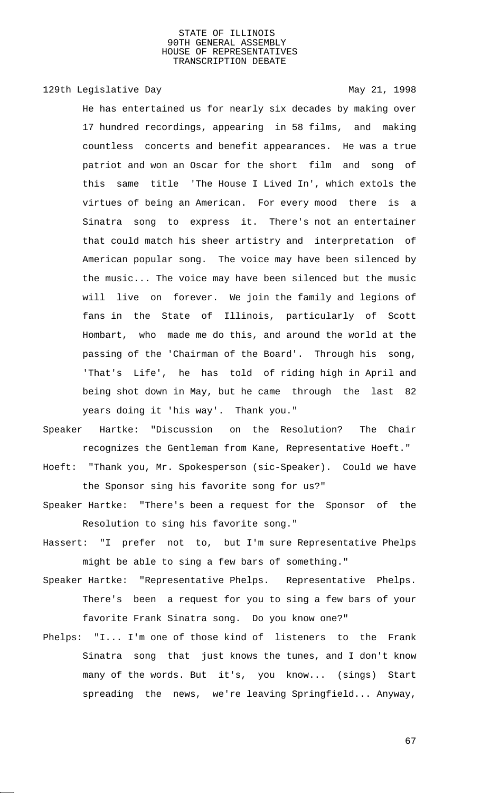# 129th Legislative Day 129th May 21, 1998

He has entertained us for nearly six decades by making over 17 hundred recordings, appearing in 58 films, and making countless concerts and benefit appearances. He was a true patriot and won an Oscar for the short film and song of this same title 'The House I Lived In', which extols the virtues of being an American. For every mood there is a Sinatra song to express it. There's not an entertainer that could match his sheer artistry and interpretation of American popular song. The voice may have been silenced by the music... The voice may have been silenced but the music will live on forever. We join the family and legions of fans in the State of Illinois, particularly of Scott Hombart, who made me do this, and around the world at the passing of the 'Chairman of the Board'. Through his song, 'That's Life', he has told of riding high in April and being shot down in May, but he came through the last 82 years doing it 'his way'. Thank you."

- Speaker Hartke: "Discussion on the Resolution? The Chair recognizes the Gentleman from Kane, Representative Hoeft."
- Hoeft: "Thank you, Mr. Spokesperson (sic-Speaker). Could we have the Sponsor sing his favorite song for us?"
- Speaker Hartke: "There's been a request for the Sponsor of the Resolution to sing his favorite song."
- Hassert: "I prefer not to, but I'm sure Representative Phelps might be able to sing a few bars of something."
- Speaker Hartke: "Representative Phelps. Representative Phelps. There's been a request for you to sing a few bars of your favorite Frank Sinatra song. Do you know one?"
- Phelps: "I... I'm one of those kind of listeners to the Frank Sinatra song that just knows the tunes, and I don't know many of the words. But it's, you know... (sings) Start spreading the news, we're leaving Springfield... Anyway,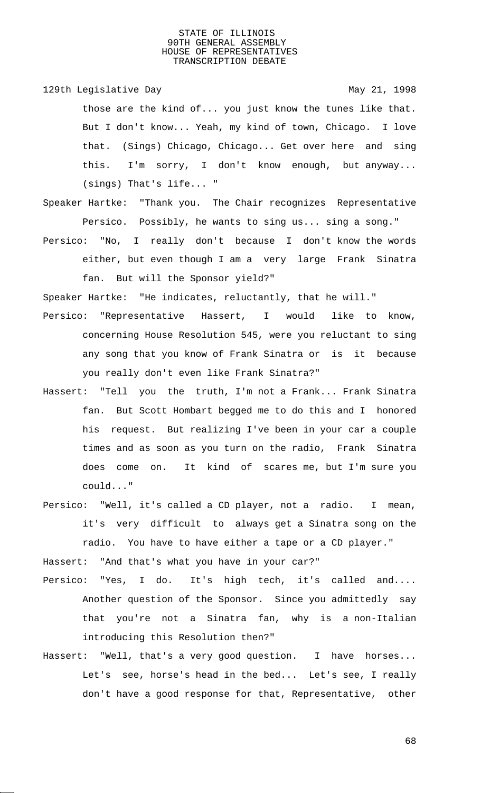129th Legislative Day 129th May 21, 1998

those are the kind of... you just know the tunes like that. But I don't know... Yeah, my kind of town, Chicago. I love that. (Sings) Chicago, Chicago... Get over here and sing this. I'm sorry, I don't know enough, but anyway... (sings) That's life... "

Speaker Hartke: "Thank you. The Chair recognizes Representative Persico. Possibly, he wants to sing us... sing a song."

Persico: "No, I really don't because I don't know the words either, but even though I am a very large Frank Sinatra fan. But will the Sponsor yield?"

Speaker Hartke: "He indicates, reluctantly, that he will."

- Persico: "Representative Hassert, I would like to know, concerning House Resolution 545, were you reluctant to sing any song that you know of Frank Sinatra or is it because you really don't even like Frank Sinatra?"
- Hassert: "Tell you the truth, I'm not a Frank... Frank Sinatra fan. But Scott Hombart begged me to do this and I honored his request. But realizing I've been in your car a couple times and as soon as you turn on the radio, Frank Sinatra does come on. It kind of scares me, but I'm sure you could..."
- Persico: "Well, it's called a CD player, not a radio. I mean, it's very difficult to always get a Sinatra song on the radio. You have to have either a tape or a CD player."

Hassert: "And that's what you have in your car?"

- Persico: "Yes, I do. It's high tech, it's called and.... Another question of the Sponsor. Since you admittedly say that you're not a Sinatra fan, why is a non-Italian introducing this Resolution then?"
- Hassert: "Well, that's a very good question. I have horses... Let's see, horse's head in the bed... Let's see, I really don't have a good response for that, Representative, other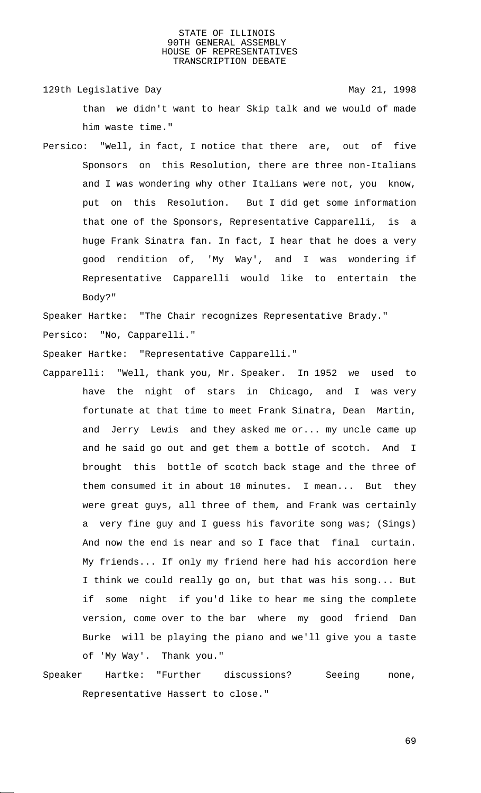129th Legislative Day 129th May 21, 1998 than we didn't want to hear Skip talk and we would of made him waste time."

Persico: "Well, in fact, I notice that there are, out of five Sponsors on this Resolution, there are three non-Italians and I was wondering why other Italians were not, you know, put on this Resolution. But I did get some information that one of the Sponsors, Representative Capparelli, is a huge Frank Sinatra fan. In fact, I hear that he does a very good rendition of, 'My Way', and I was wondering if Representative Capparelli would like to entertain the Body?"

Speaker Hartke: "The Chair recognizes Representative Brady."

Persico: "No, Capparelli."

Speaker Hartke: "Representative Capparelli."

Capparelli: "Well, thank you, Mr. Speaker. In 1952 we used to have the night of stars in Chicago, and I was very fortunate at that time to meet Frank Sinatra, Dean Martin, and Jerry Lewis and they asked me or... my uncle came up and he said go out and get them a bottle of scotch. And I brought this bottle of scotch back stage and the three of them consumed it in about 10 minutes. I mean... But they were great guys, all three of them, and Frank was certainly a very fine guy and I guess his favorite song was; (Sings) And now the end is near and so I face that final curtain. My friends... If only my friend here had his accordion here I think we could really go on, but that was his song... But if some night if you'd like to hear me sing the complete version, come over to the bar where my good friend Dan Burke will be playing the piano and we'll give you a taste of 'My Way'. Thank you."

Speaker Hartke: "Further discussions? Seeing none, Representative Hassert to close."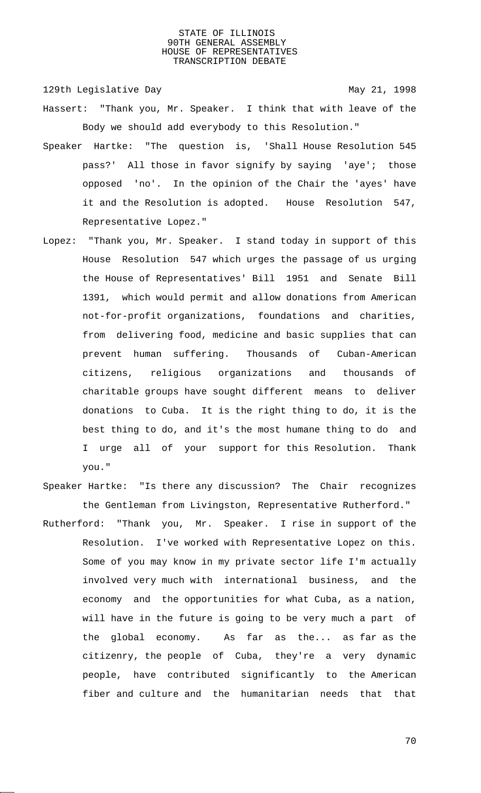129th Legislative Day 129th May 21, 1998

- Hassert: "Thank you, Mr. Speaker. I think that with leave of the Body we should add everybody to this Resolution."
- Speaker Hartke: "The question is, 'Shall House Resolution 545 pass?' All those in favor signify by saying 'aye'; those opposed 'no'. In the opinion of the Chair the 'ayes' have it and the Resolution is adopted. House Resolution 547, Representative Lopez."
- Lopez: "Thank you, Mr. Speaker. I stand today in support of this House Resolution 547 which urges the passage of us urging the House of Representatives' Bill 1951 and Senate Bill 1391, which would permit and allow donations from American not-for-profit organizations, foundations and charities, from delivering food, medicine and basic supplies that can prevent human suffering. Thousands of Cuban-American citizens, religious organizations and thousands of charitable groups have sought different means to deliver donations to Cuba. It is the right thing to do, it is the best thing to do, and it's the most humane thing to do and I urge all of your support for this Resolution. Thank you."
- Speaker Hartke: "Is there any discussion? The Chair recognizes the Gentleman from Livingston, Representative Rutherford."
- Rutherford: "Thank you, Mr. Speaker. I rise in support of the Resolution. I've worked with Representative Lopez on this. Some of you may know in my private sector life I'm actually involved very much with international business, and the economy and the opportunities for what Cuba, as a nation, will have in the future is going to be very much a part of the global economy. As far as the... as far as the citizenry, the people of Cuba, they're a very dynamic people, have contributed significantly to the American fiber and culture and the humanitarian needs that that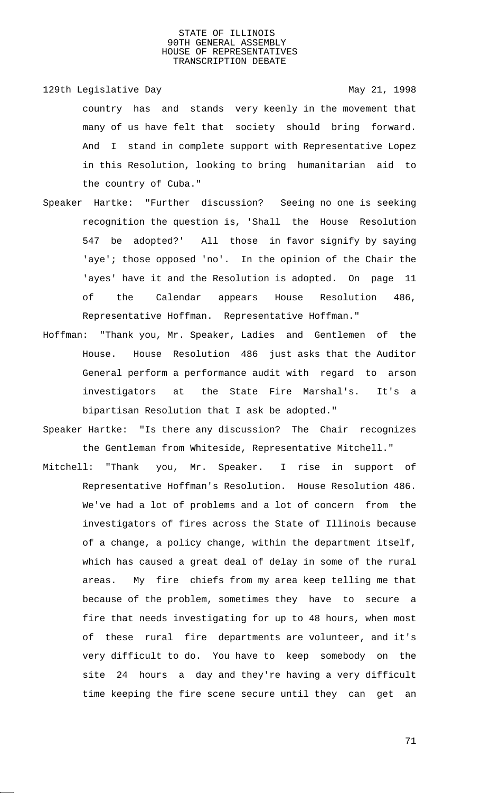129th Legislative Day 129th May 21, 1998

country has and stands very keenly in the movement that many of us have felt that society should bring forward. And I stand in complete support with Representative Lopez in this Resolution, looking to bring humanitarian aid to the country of Cuba."

- Speaker Hartke: "Further discussion? Seeing no one is seeking recognition the question is, 'Shall the House Resolution 547 be adopted?' All those in favor signify by saying 'aye'; those opposed 'no'. In the opinion of the Chair the 'ayes' have it and the Resolution is adopted. On page 11 of the Calendar appears House Resolution 486, Representative Hoffman. Representative Hoffman."
- Hoffman: "Thank you, Mr. Speaker, Ladies and Gentlemen of the House. House Resolution 486 just asks that the Auditor General perform a performance audit with regard to arson investigators at the State Fire Marshal's. It's a bipartisan Resolution that I ask be adopted."
- Speaker Hartke: "Is there any discussion? The Chair recognizes the Gentleman from Whiteside, Representative Mitchell."
- Mitchell: "Thank you, Mr. Speaker. I rise in support of Representative Hoffman's Resolution. House Resolution 486. We've had a lot of problems and a lot of concern from the investigators of fires across the State of Illinois because of a change, a policy change, within the department itself, which has caused a great deal of delay in some of the rural areas. My fire chiefs from my area keep telling me that because of the problem, sometimes they have to secure a fire that needs investigating for up to 48 hours, when most of these rural fire departments are volunteer, and it's very difficult to do. You have to keep somebody on the site 24 hours a day and they're having a very difficult time keeping the fire scene secure until they can get an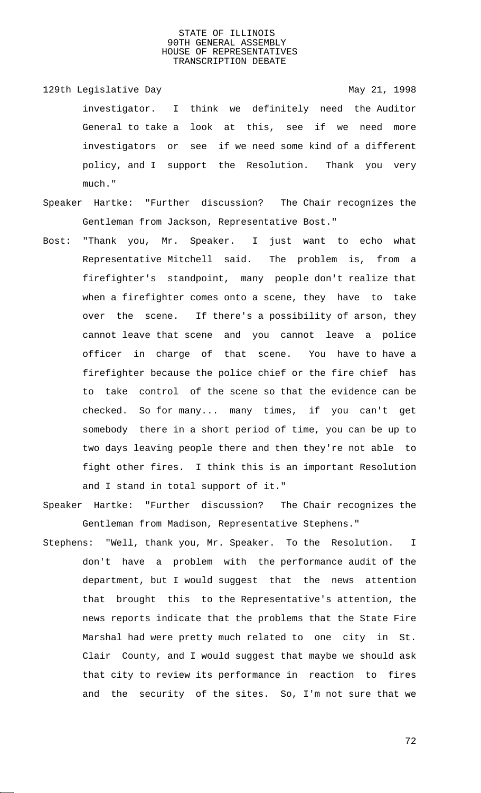- 129th Legislative Day 129th May 21, 1998 investigator. I think we definitely need the Auditor General to take a look at this, see if we need more investigators or see if we need some kind of a different policy, and I support the Resolution. Thank you very much."
- Speaker Hartke: "Further discussion? The Chair recognizes the Gentleman from Jackson, Representative Bost."
- Bost: "Thank you, Mr. Speaker. I just want to echo what Representative Mitchell said. The problem is, from a firefighter's standpoint, many people don't realize that when a firefighter comes onto a scene, they have to take over the scene. If there's a possibility of arson, they cannot leave that scene and you cannot leave a police officer in charge of that scene. You have to have a firefighter because the police chief or the fire chief has to take control of the scene so that the evidence can be checked. So for many... many times, if you can't get somebody there in a short period of time, you can be up to two days leaving people there and then they're not able to fight other fires. I think this is an important Resolution and I stand in total support of it."
- Speaker Hartke: "Further discussion? The Chair recognizes the Gentleman from Madison, Representative Stephens."
- Stephens: "Well, thank you, Mr. Speaker. To the Resolution. I don't have a problem with the performance audit of the department, but I would suggest that the news attention that brought this to the Representative's attention, the news reports indicate that the problems that the State Fire Marshal had were pretty much related to one city in St. Clair County, and I would suggest that maybe we should ask that city to review its performance in reaction to fires and the security of the sites. So, I'm not sure that we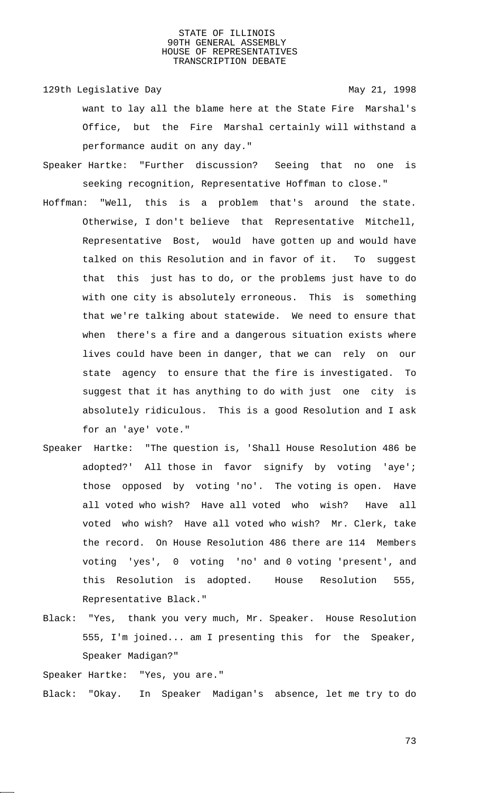129th Legislative Day 129th May 21, 1998 want to lay all the blame here at the State Fire Marshal's Office, but the Fire Marshal certainly will withstand a performance audit on any day."

- Speaker Hartke: "Further discussion? Seeing that no one is seeking recognition, Representative Hoffman to close."
- Hoffman: "Well, this is a problem that's around the state. Otherwise, I don't believe that Representative Mitchell, Representative Bost, would have gotten up and would have talked on this Resolution and in favor of it. To suggest that this just has to do, or the problems just have to do with one city is absolutely erroneous. This is something that we're talking about statewide. We need to ensure that when there's a fire and a dangerous situation exists where lives could have been in danger, that we can rely on our state agency to ensure that the fire is investigated. To suggest that it has anything to do with just one city is absolutely ridiculous. This is a good Resolution and I ask for an 'aye' vote."
- Speaker Hartke: "The question is, 'Shall House Resolution 486 be adopted?' All those in favor signify by voting 'aye'; those opposed by voting 'no'. The voting is open. Have all voted who wish? Have all voted who wish? Have all voted who wish? Have all voted who wish? Mr. Clerk, take the record. On House Resolution 486 there are 114 Members voting 'yes', 0 voting 'no' and 0 voting 'present', and this Resolution is adopted. House Resolution 555, Representative Black."
- Black: "Yes, thank you very much, Mr. Speaker. House Resolution 555, I'm joined... am I presenting this for the Speaker, Speaker Madigan?"

Speaker Hartke: "Yes, you are."

Black: "Okay. In Speaker Madigan's absence, let me try to do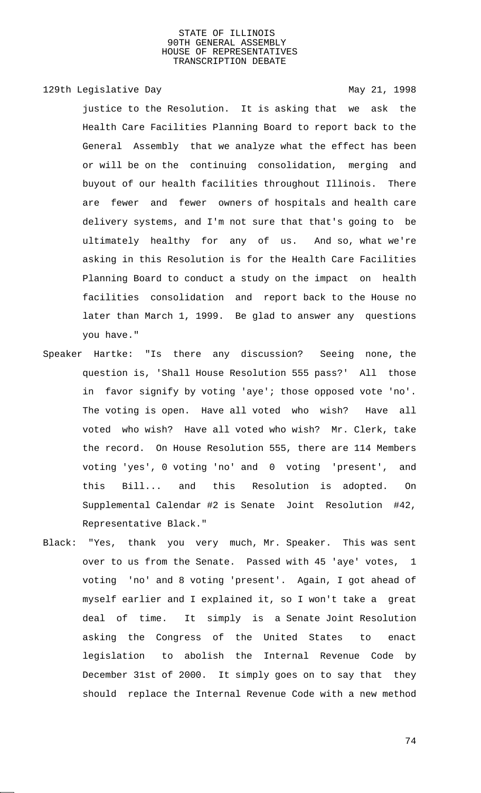# 129th Legislative Day 129th May 21, 1998

justice to the Resolution. It is asking that we ask the Health Care Facilities Planning Board to report back to the General Assembly that we analyze what the effect has been or will be on the continuing consolidation, merging and buyout of our health facilities throughout Illinois. There are fewer and fewer owners of hospitals and health care delivery systems, and I'm not sure that that's going to be ultimately healthy for any of us. And so, what we're asking in this Resolution is for the Health Care Facilities Planning Board to conduct a study on the impact on health facilities consolidation and report back to the House no later than March 1, 1999. Be glad to answer any questions you have."

- Speaker Hartke: "Is there any discussion? Seeing none, the question is, 'Shall House Resolution 555 pass?' All those in favor signify by voting 'aye'; those opposed vote 'no'. The voting is open. Have all voted who wish? Have all voted who wish? Have all voted who wish? Mr. Clerk, take the record. On House Resolution 555, there are 114 Members voting 'yes', 0 voting 'no' and 0 voting 'present', and this Bill... and this Resolution is adopted. On Supplemental Calendar #2 is Senate Joint Resolution #42, Representative Black."
- Black: "Yes, thank you very much, Mr. Speaker. This was sent over to us from the Senate. Passed with 45 'aye' votes, 1 voting 'no' and 8 voting 'present'. Again, I got ahead of myself earlier and I explained it, so I won't take a great deal of time. It simply is a Senate Joint Resolution asking the Congress of the United States to enact legislation to abolish the Internal Revenue Code by December 31st of 2000. It simply goes on to say that they should replace the Internal Revenue Code with a new method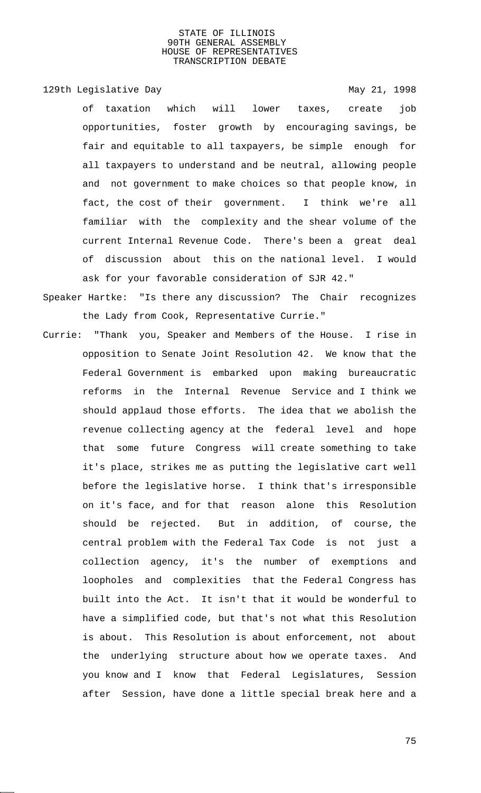129th Legislative Day 129th May 21, 1998

of taxation which will lower taxes, create job opportunities, foster growth by encouraging savings, be fair and equitable to all taxpayers, be simple enough for all taxpayers to understand and be neutral, allowing people and not government to make choices so that people know, in fact, the cost of their government. I think we're all familiar with the complexity and the shear volume of the current Internal Revenue Code. There's been a great deal of discussion about this on the national level. I would ask for your favorable consideration of SJR 42."

- Speaker Hartke: "Is there any discussion? The Chair recognizes the Lady from Cook, Representative Currie."
- Currie: "Thank you, Speaker and Members of the House. I rise in opposition to Senate Joint Resolution 42. We know that the Federal Government is embarked upon making bureaucratic reforms in the Internal Revenue Service and I think we should applaud those efforts. The idea that we abolish the revenue collecting agency at the federal level and hope that some future Congress will create something to take it's place, strikes me as putting the legislative cart well before the legislative horse. I think that's irresponsible on it's face, and for that reason alone this Resolution should be rejected. But in addition, of course, the central problem with the Federal Tax Code is not just a collection agency, it's the number of exemptions and loopholes and complexities that the Federal Congress has built into the Act. It isn't that it would be wonderful to have a simplified code, but that's not what this Resolution is about. This Resolution is about enforcement, not about the underlying structure about how we operate taxes. And you know and I know that Federal Legislatures, Session after Session, have done a little special break here and a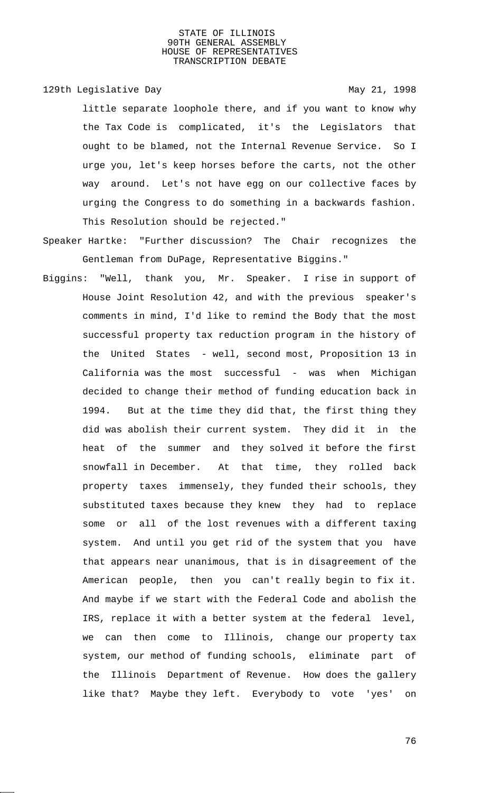129th Legislative Day 129th May 21, 1998

little separate loophole there, and if you want to know why the Tax Code is complicated, it's the Legislators that ought to be blamed, not the Internal Revenue Service. So I urge you, let's keep horses before the carts, not the other way around. Let's not have egg on our collective faces by urging the Congress to do something in a backwards fashion. This Resolution should be rejected."

- Speaker Hartke: "Further discussion? The Chair recognizes the Gentleman from DuPage, Representative Biggins."
- Biggins: "Well, thank you, Mr. Speaker. I rise in support of House Joint Resolution 42, and with the previous speaker's comments in mind, I'd like to remind the Body that the most successful property tax reduction program in the history of the United States - well, second most, Proposition 13 in California was the most successful - was when Michigan decided to change their method of funding education back in 1994. But at the time they did that, the first thing they did was abolish their current system. They did it in the heat of the summer and they solved it before the first snowfall in December. At that time, they rolled back property taxes immensely, they funded their schools, they substituted taxes because they knew they had to replace some or all of the lost revenues with a different taxing system. And until you get rid of the system that you have that appears near unanimous, that is in disagreement of the American people, then you can't really begin to fix it. And maybe if we start with the Federal Code and abolish the IRS, replace it with a better system at the federal level, we can then come to Illinois, change our property tax system, our method of funding schools, eliminate part of the Illinois Department of Revenue. How does the gallery like that? Maybe they left. Everybody to vote 'yes' on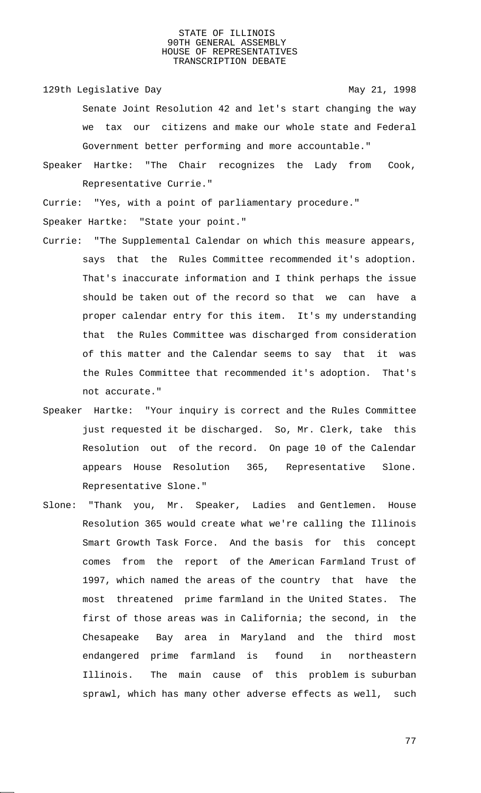129th Legislative Day 129th May 21, 1998

Senate Joint Resolution 42 and let's start changing the way we tax our citizens and make our whole state and Federal Government better performing and more accountable."

Speaker Hartke: "The Chair recognizes the Lady from Cook, Representative Currie."

Currie: "Yes, with a point of parliamentary procedure."

Speaker Hartke: "State your point."

- Currie: "The Supplemental Calendar on which this measure appears, says that the Rules Committee recommended it's adoption. That's inaccurate information and I think perhaps the issue should be taken out of the record so that we can have a proper calendar entry for this item. It's my understanding that the Rules Committee was discharged from consideration of this matter and the Calendar seems to say that it was the Rules Committee that recommended it's adoption. That's not accurate."
- Speaker Hartke: "Your inquiry is correct and the Rules Committee just requested it be discharged. So, Mr. Clerk, take this Resolution out of the record. On page 10 of the Calendar appears House Resolution 365, Representative Slone. Representative Slone."
- Slone: "Thank you, Mr. Speaker, Ladies and Gentlemen. House Resolution 365 would create what we're calling the Illinois Smart Growth Task Force. And the basis for this concept comes from the report of the American Farmland Trust of 1997, which named the areas of the country that have the most threatened prime farmland in the United States. The first of those areas was in California; the second, in the Chesapeake Bay area in Maryland and the third most endangered prime farmland is found in northeastern Illinois. The main cause of this problem is suburban sprawl, which has many other adverse effects as well, such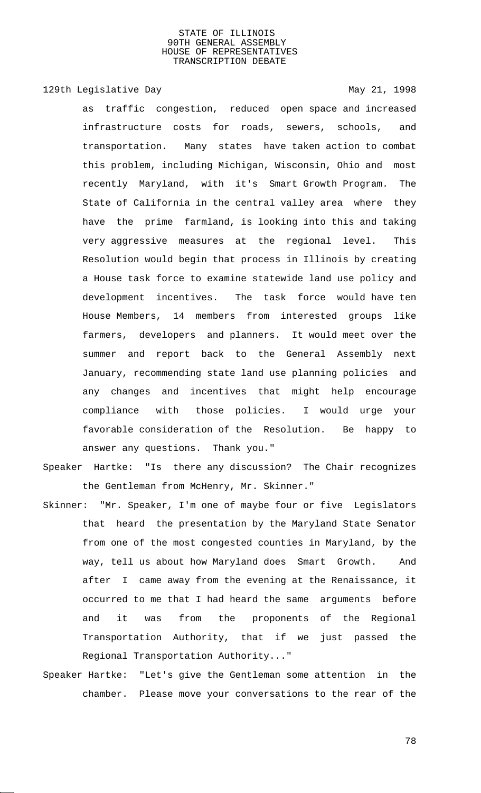129th Legislative Day 129th May 21, 1998

as traffic congestion, reduced open space and increased infrastructure costs for roads, sewers, schools, and transportation. Many states have taken action to combat this problem, including Michigan, Wisconsin, Ohio and most recently Maryland, with it's Smart Growth Program. The State of California in the central valley area where they have the prime farmland, is looking into this and taking very aggressive measures at the regional level. This Resolution would begin that process in Illinois by creating a House task force to examine statewide land use policy and development incentives. The task force would have ten House Members, 14 members from interested groups like farmers, developers and planners. It would meet over the summer and report back to the General Assembly next January, recommending state land use planning policies and any changes and incentives that might help encourage compliance with those policies. I would urge your favorable consideration of the Resolution. Be happy to answer any questions. Thank you."

- Speaker Hartke: "Is there any discussion? The Chair recognizes the Gentleman from McHenry, Mr. Skinner."
- Skinner: "Mr. Speaker, I'm one of maybe four or five Legislators that heard the presentation by the Maryland State Senator from one of the most congested counties in Maryland, by the way, tell us about how Maryland does Smart Growth. And after I came away from the evening at the Renaissance, it occurred to me that I had heard the same arguments before and it was from the proponents of the Regional Transportation Authority, that if we just passed the Regional Transportation Authority..."
- Speaker Hartke: "Let's give the Gentleman some attention in the chamber. Please move your conversations to the rear of the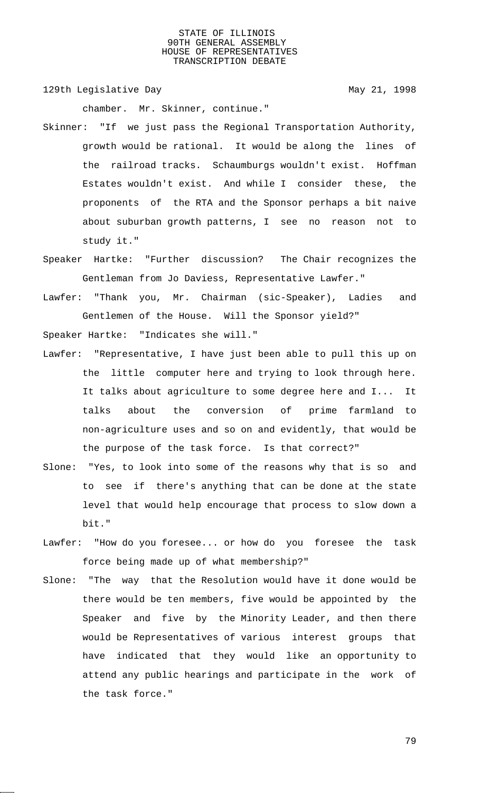129th Legislative Day 129th May 21, 1998

chamber. Mr. Skinner, continue."

- Skinner: "If we just pass the Regional Transportation Authority, growth would be rational. It would be along the lines of the railroad tracks. Schaumburgs wouldn't exist. Hoffman Estates wouldn't exist. And while I consider these, the proponents of the RTA and the Sponsor perhaps a bit naive about suburban growth patterns, I see no reason not to study it."
- Speaker Hartke: "Further discussion? The Chair recognizes the Gentleman from Jo Daviess, Representative Lawfer."
- Lawfer: "Thank you, Mr. Chairman (sic-Speaker), Ladies and Gentlemen of the House. Will the Sponsor yield?"

Speaker Hartke: "Indicates she will."

- Lawfer: "Representative, I have just been able to pull this up on the little computer here and trying to look through here. It talks about agriculture to some degree here and I... It talks about the conversion of prime farmland to non-agriculture uses and so on and evidently, that would be the purpose of the task force. Is that correct?"
- Slone: "Yes, to look into some of the reasons why that is so and to see if there's anything that can be done at the state level that would help encourage that process to slow down a bit."
- Lawfer: "How do you foresee... or how do you foresee the task force being made up of what membership?"
- Slone: "The way that the Resolution would have it done would be there would be ten members, five would be appointed by the Speaker and five by the Minority Leader, and then there would be Representatives of various interest groups that have indicated that they would like an opportunity to attend any public hearings and participate in the work of the task force."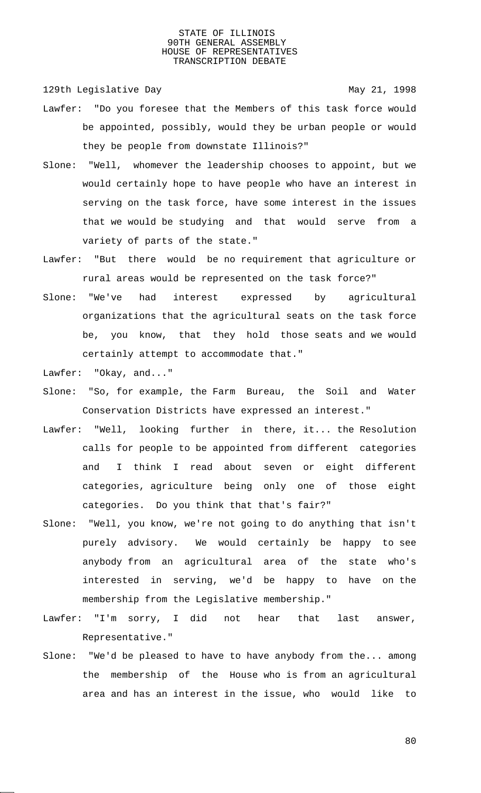129th Legislative Day 129th May 21, 1998

- Lawfer: "Do you foresee that the Members of this task force would be appointed, possibly, would they be urban people or would they be people from downstate Illinois?"
- Slone: "Well, whomever the leadership chooses to appoint, but we would certainly hope to have people who have an interest in serving on the task force, have some interest in the issues that we would be studying and that would serve from a variety of parts of the state."
- Lawfer: "But there would be no requirement that agriculture or rural areas would be represented on the task force?"
- Slone: "We've had interest expressed by agricultural organizations that the agricultural seats on the task force be, you know, that they hold those seats and we would certainly attempt to accommodate that."
- Lawfer: "Okay, and..."
- Slone: "So, for example, the Farm Bureau, the Soil and Water Conservation Districts have expressed an interest."
- Lawfer: "Well, looking further in there, it... the Resolution calls for people to be appointed from different categories and I think I read about seven or eight different categories, agriculture being only one of those eight categories. Do you think that that's fair?"
- Slone: "Well, you know, we're not going to do anything that isn't purely advisory. We would certainly be happy to see anybody from an agricultural area of the state who's interested in serving, we'd be happy to have on the membership from the Legislative membership."
- Lawfer: "I'm sorry, I did not hear that last answer, Representative."
- Slone: "We'd be pleased to have to have anybody from the... among the membership of the House who is from an agricultural area and has an interest in the issue, who would like to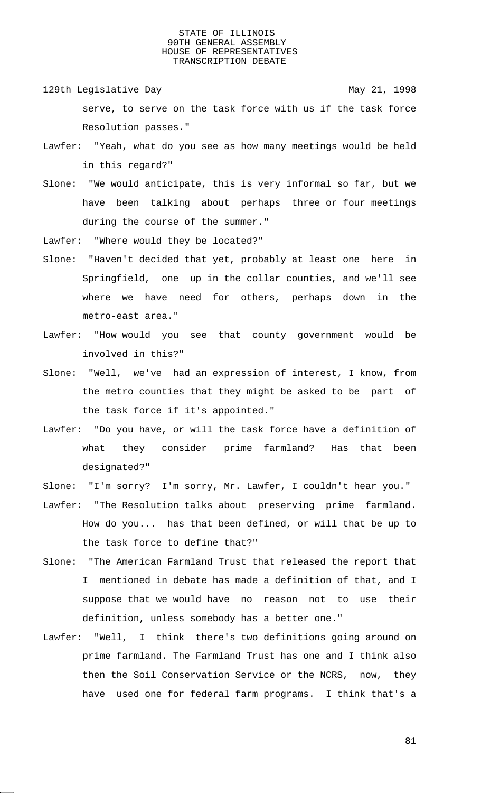- 129th Legislative Day 129th May 21, 1998 serve, to serve on the task force with us if the task force Resolution passes."
- Lawfer: "Yeah, what do you see as how many meetings would be held in this regard?"
- Slone: "We would anticipate, this is very informal so far, but we have been talking about perhaps three or four meetings during the course of the summer."
- Lawfer: "Where would they be located?"
- Slone: "Haven't decided that yet, probably at least one here in Springfield, one up in the collar counties, and we'll see where we have need for others, perhaps down in the metro-east area."
- Lawfer: "How would you see that county government would be involved in this?"
- Slone: "Well, we've had an expression of interest, I know, from the metro counties that they might be asked to be part of the task force if it's appointed."
- Lawfer: "Do you have, or will the task force have a definition of what they consider prime farmland? Has that been designated?"
- Slone: "I'm sorry? I'm sorry, Mr. Lawfer, I couldn't hear you."
- Lawfer: "The Resolution talks about preserving prime farmland. How do you... has that been defined, or will that be up to the task force to define that?"
- Slone: "The American Farmland Trust that released the report that I mentioned in debate has made a definition of that, and I suppose that we would have no reason not to use their definition, unless somebody has a better one."
- Lawfer: "Well, I think there's two definitions going around on prime farmland. The Farmland Trust has one and I think also then the Soil Conservation Service or the NCRS, now, they have used one for federal farm programs. I think that's a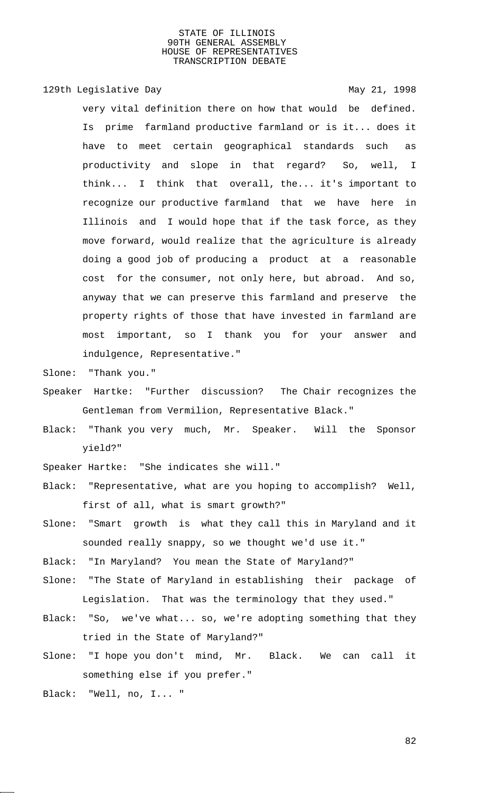129th Legislative Day 129th May 21, 1998

very vital definition there on how that would be defined. Is prime farmland productive farmland or is it... does it have to meet certain geographical standards such as productivity and slope in that regard? So, well, I think... I think that overall, the... it's important to recognize our productive farmland that we have here in Illinois and I would hope that if the task force, as they move forward, would realize that the agriculture is already doing a good job of producing a product at a reasonable cost for the consumer, not only here, but abroad. And so, anyway that we can preserve this farmland and preserve the property rights of those that have invested in farmland are most important, so I thank you for your answer and indulgence, Representative."

Slone: "Thank you."

- Speaker Hartke: "Further discussion? The Chair recognizes the Gentleman from Vermilion, Representative Black."
- Black: "Thank you very much, Mr. Speaker. Will the Sponsor yield?"

Speaker Hartke: "She indicates she will."

- Black: "Representative, what are you hoping to accomplish? Well, first of all, what is smart growth?"
- Slone: "Smart growth is what they call this in Maryland and it sounded really snappy, so we thought we'd use it."
- Black: "In Maryland? You mean the State of Maryland?"
- Slone: "The State of Maryland in establishing their package of Legislation. That was the terminology that they used."
- Black: "So, we've what... so, we're adopting something that they tried in the State of Maryland?"
- Slone: "I hope you don't mind, Mr. Black. We can call it something else if you prefer."

Black: "Well, no, I... "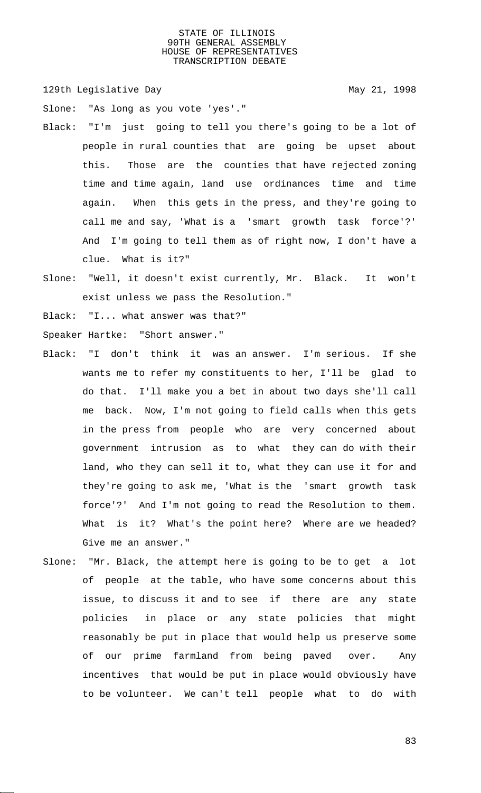129th Legislative Day 129th May 21, 1998

Slone: "As long as you vote 'yes'."

- Black: "I'm just going to tell you there's going to be a lot of people in rural counties that are going be upset about this. Those are the counties that have rejected zoning time and time again, land use ordinances time and time again. When this gets in the press, and they're going to call me and say, 'What is a 'smart growth task force'?' And I'm going to tell them as of right now, I don't have a clue. What is it?"
- Slone: "Well, it doesn't exist currently, Mr. Black. It won't exist unless we pass the Resolution."

Black: "I... what answer was that?"

Speaker Hartke: "Short answer."

- Black: "I don't think it was an answer. I'm serious. If she wants me to refer my constituents to her, I'll be glad to do that. I'll make you a bet in about two days she'll call me back. Now, I'm not going to field calls when this gets in the press from people who are very concerned about government intrusion as to what they can do with their land, who they can sell it to, what they can use it for and they're going to ask me, 'What is the 'smart growth task force'?' And I'm not going to read the Resolution to them. What is it? What's the point here? Where are we headed? Give me an answer."
- Slone: "Mr. Black, the attempt here is going to be to get a lot of people at the table, who have some concerns about this issue, to discuss it and to see if there are any state policies in place or any state policies that might reasonably be put in place that would help us preserve some of our prime farmland from being paved over. Any incentives that would be put in place would obviously have to be volunteer. We can't tell people what to do with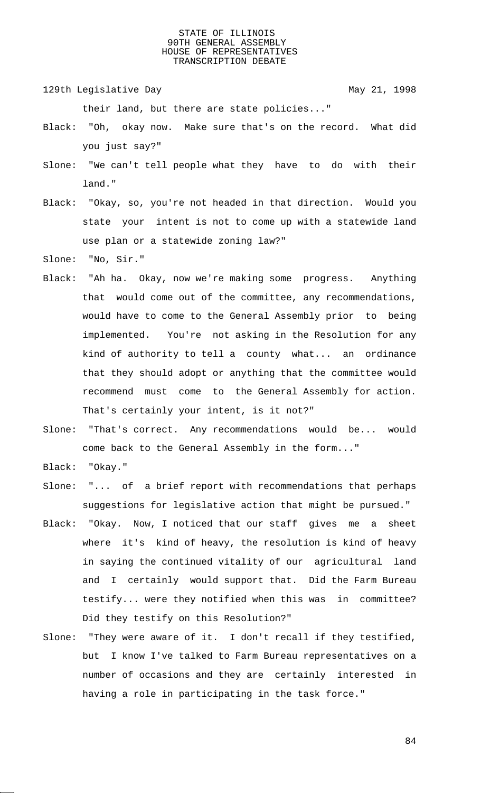129th Legislative Day 129th May 21, 1998

their land, but there are state policies..."

- Black: "Oh, okay now. Make sure that's on the record. What did you just say?"
- Slone: "We can't tell people what they have to do with their land."
- Black: "Okay, so, you're not headed in that direction. Would you state your intent is not to come up with a statewide land use plan or a statewide zoning law?"
- Slone: "No, Sir."
- Black: "Ah ha. Okay, now we're making some progress. Anything that would come out of the committee, any recommendations, would have to come to the General Assembly prior to being implemented. You're not asking in the Resolution for any kind of authority to tell a county what... an ordinance that they should adopt or anything that the committee would recommend must come to the General Assembly for action. That's certainly your intent, is it not?"
- Slone: "That's correct. Any recommendations would be... would come back to the General Assembly in the form..."
- Black: "Okay."
- Slone: "... of a brief report with recommendations that perhaps suggestions for legislative action that might be pursued."
- Black: "Okay. Now, I noticed that our staff gives me a sheet where it's kind of heavy, the resolution is kind of heavy in saying the continued vitality of our agricultural land and I certainly would support that. Did the Farm Bureau testify... were they notified when this was in committee? Did they testify on this Resolution?"
- Slone: "They were aware of it. I don't recall if they testified, but I know I've talked to Farm Bureau representatives on a number of occasions and they are certainly interested in having a role in participating in the task force."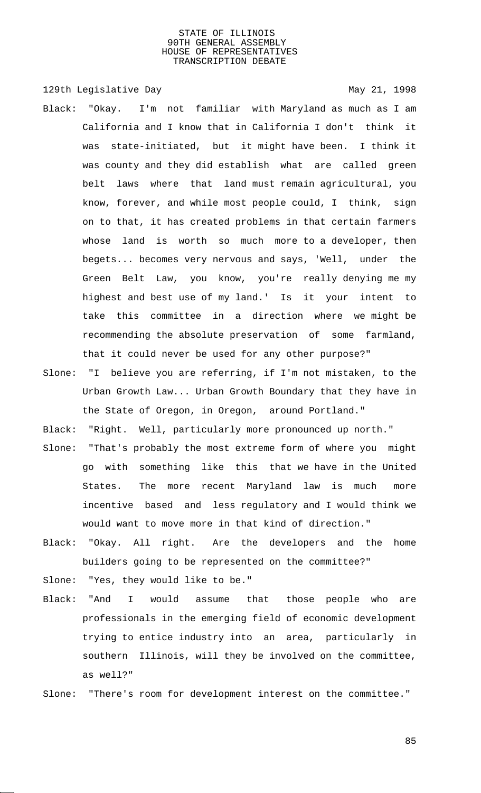129th Legislative Day 129th May 21, 1998

- Black: "Okay. I'm not familiar with Maryland as much as I am California and I know that in California I don't think it was state-initiated, but it might have been. I think it was county and they did establish what are called green belt laws where that land must remain agricultural, you know, forever, and while most people could, I think, sign on to that, it has created problems in that certain farmers whose land is worth so much more to a developer, then begets... becomes very nervous and says, 'Well, under the Green Belt Law, you know, you're really denying me my highest and best use of my land.' Is it your intent to take this committee in a direction where we might be recommending the absolute preservation of some farmland, that it could never be used for any other purpose?"
- Slone: "I believe you are referring, if I'm not mistaken, to the Urban Growth Law... Urban Growth Boundary that they have in the State of Oregon, in Oregon, around Portland."

Black: "Right. Well, particularly more pronounced up north."

- Slone: "That's probably the most extreme form of where you might go with something like this that we have in the United States. The more recent Maryland law is much more incentive based and less regulatory and I would think we would want to move more in that kind of direction."
- Black: "Okay. All right. Are the developers and the home builders going to be represented on the committee?"
- Slone: "Yes, they would like to be."
- Black: "And I would assume that those people who are professionals in the emerging field of economic development trying to entice industry into an area, particularly in southern Illinois, will they be involved on the committee, as well?"
- Slone: "There's room for development interest on the committee."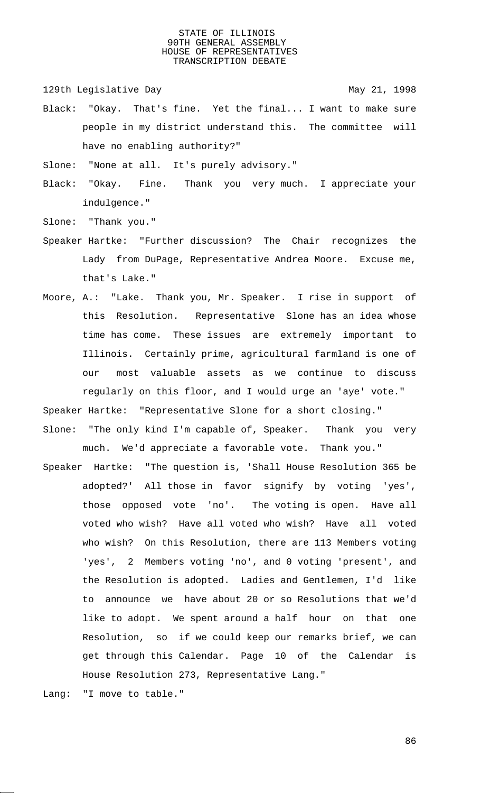129th Legislative Day 129th May 21, 1998

Black: "Okay. That's fine. Yet the final... I want to make sure people in my district understand this. The committee will have no enabling authority?"

Slone: "None at all. It's purely advisory."

Black: "Okay. Fine. Thank you very much. I appreciate your indulgence."

Slone: "Thank you."

- Speaker Hartke: "Further discussion? The Chair recognizes the Lady from DuPage, Representative Andrea Moore. Excuse me, that's Lake."
- Moore, A.: "Lake. Thank you, Mr. Speaker. I rise in support of this Resolution. Representative Slone has an idea whose time has come. These issues are extremely important to Illinois. Certainly prime, agricultural farmland is one of our most valuable assets as we continue to discuss regularly on this floor, and I would urge an 'aye' vote."

Speaker Hartke: "Representative Slone for a short closing."

- Slone: "The only kind I'm capable of, Speaker. Thank you very much. We'd appreciate a favorable vote. Thank you."
- Speaker Hartke: "The question is, 'Shall House Resolution 365 be adopted?' All those in favor signify by voting 'yes', those opposed vote 'no'. The voting is open. Have all voted who wish? Have all voted who wish? Have all voted who wish? On this Resolution, there are 113 Members voting 'yes', 2 Members voting 'no', and 0 voting 'present', and the Resolution is adopted. Ladies and Gentlemen, I'd like to announce we have about 20 or so Resolutions that we'd like to adopt. We spent around a half hour on that one Resolution, so if we could keep our remarks brief, we can get through this Calendar. Page 10 of the Calendar is House Resolution 273, Representative Lang."

Lang: "I move to table."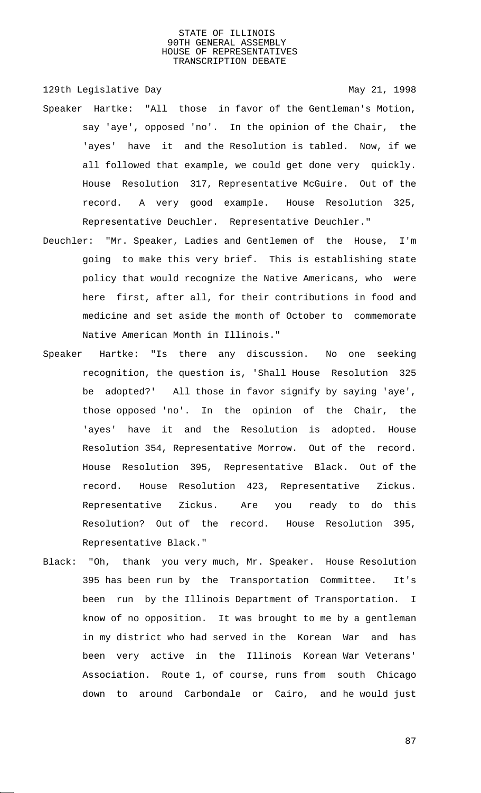129th Legislative Day 129th May 21, 1998

- Speaker Hartke: "All those in favor of the Gentleman's Motion, say 'aye', opposed 'no'. In the opinion of the Chair, the 'ayes' have it and the Resolution is tabled. Now, if we all followed that example, we could get done very quickly. House Resolution 317, Representative McGuire. Out of the record. A very good example. House Resolution 325, Representative Deuchler. Representative Deuchler."
- Deuchler: "Mr. Speaker, Ladies and Gentlemen of the House, I'm going to make this very brief. This is establishing state policy that would recognize the Native Americans, who were here first, after all, for their contributions in food and medicine and set aside the month of October to commemorate Native American Month in Illinois."
- Speaker Hartke: "Is there any discussion. No one seeking recognition, the question is, 'Shall House Resolution 325 be adopted?' All those in favor signify by saying 'aye', those opposed 'no'. In the opinion of the Chair, the 'ayes' have it and the Resolution is adopted. House Resolution 354, Representative Morrow. Out of the record. House Resolution 395, Representative Black. Out of the record. House Resolution 423, Representative Zickus. Representative Zickus. Are you ready to do this Resolution? Out of the record. House Resolution 395, Representative Black."
- Black: "Oh, thank you very much, Mr. Speaker. House Resolution 395 has been run by the Transportation Committee. It's been run by the Illinois Department of Transportation. I know of no opposition. It was brought to me by a gentleman in my district who had served in the Korean War and has been very active in the Illinois Korean War Veterans' Association. Route 1, of course, runs from south Chicago down to around Carbondale or Cairo, and he would just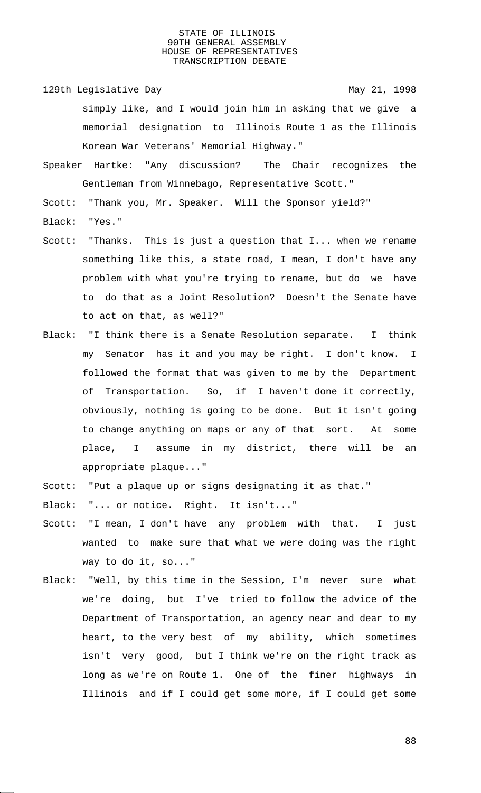129th Legislative Day 129th May 21, 1998 simply like, and I would join him in asking that we give a memorial designation to Illinois Route 1 as the Illinois Korean War Veterans' Memorial Highway."

Speaker Hartke: "Any discussion? The Chair recognizes the Gentleman from Winnebago, Representative Scott."

Scott: "Thank you, Mr. Speaker. Will the Sponsor yield?"

- Black: "Yes."
- Scott: "Thanks. This is just a question that I... when we rename something like this, a state road, I mean, I don't have any problem with what you're trying to rename, but do we have to do that as a Joint Resolution? Doesn't the Senate have to act on that, as well?"
- Black: "I think there is a Senate Resolution separate. I think my Senator has it and you may be right. I don't know. I followed the format that was given to me by the Department of Transportation. So, if I haven't done it correctly, obviously, nothing is going to be done. But it isn't going to change anything on maps or any of that sort. At some place, I assume in my district, there will be an appropriate plaque..."
- Scott: "Put a plaque up or signs designating it as that."
- Black: "... or notice. Right. It isn't..."
- Scott: "I mean, I don't have any problem with that. I just wanted to make sure that what we were doing was the right way to do it, so..."
- Black: "Well, by this time in the Session, I'm never sure what we're doing, but I've tried to follow the advice of the Department of Transportation, an agency near and dear to my heart, to the very best of my ability, which sometimes isn't very good, but I think we're on the right track as long as we're on Route 1. One of the finer highways in Illinois and if I could get some more, if I could get some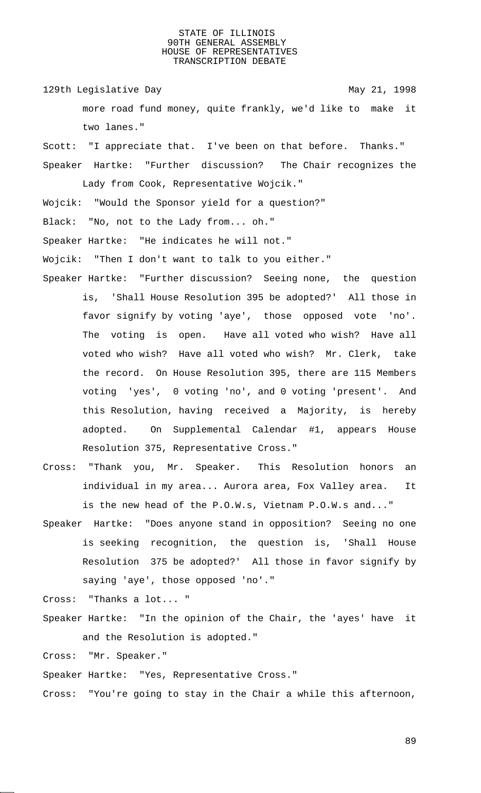129th Legislative Day 129th May 21, 1998

more road fund money, quite frankly, we'd like to make it two lanes."

Scott: "I appreciate that. I've been on that before. Thanks." Speaker Hartke: "Further discussion? The Chair recognizes the

Wojcik: "Would the Sponsor yield for a question?"

Lady from Cook, Representative Wojcik."

Black: "No, not to the Lady from... oh."

Speaker Hartke: "He indicates he will not."

Wojcik: "Then I don't want to talk to you either."

- Speaker Hartke: "Further discussion? Seeing none, the question is, 'Shall House Resolution 395 be adopted?' All those in favor signify by voting 'aye', those opposed vote 'no'. The voting is open. Have all voted who wish? Have all voted who wish? Have all voted who wish? Mr. Clerk, take the record. On House Resolution 395, there are 115 Members voting 'yes', 0 voting 'no', and 0 voting 'present'. And this Resolution, having received a Majority, is hereby adopted. On Supplemental Calendar #1, appears House Resolution 375, Representative Cross."
- Cross: "Thank you, Mr. Speaker. This Resolution honors an individual in my area... Aurora area, Fox Valley area. It is the new head of the P.O.W.s, Vietnam P.O.W.s and..."
- Speaker Hartke: "Does anyone stand in opposition? Seeing no one is seeking recognition, the question is, 'Shall House Resolution 375 be adopted?' All those in favor signify by saying 'aye', those opposed 'no'."

Cross: "Thanks a lot... "

Speaker Hartke: "In the opinion of the Chair, the 'ayes' have it and the Resolution is adopted."

Cross: "Mr. Speaker."

Speaker Hartke: "Yes, Representative Cross."

Cross: "You're going to stay in the Chair a while this afternoon,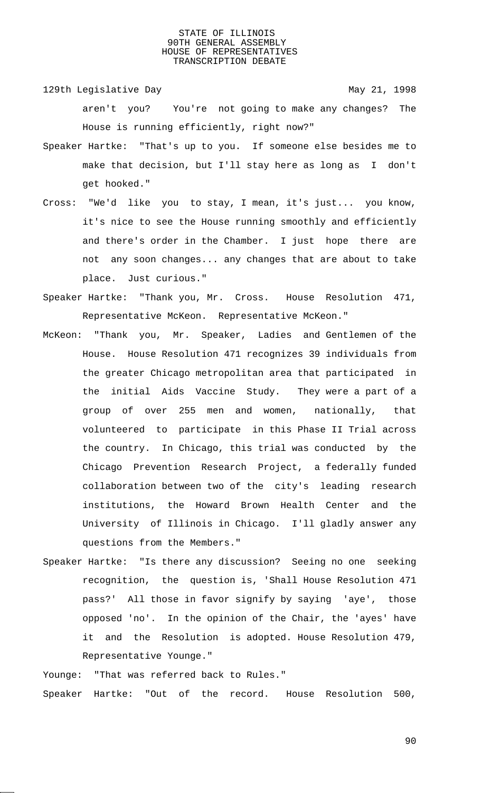129th Legislative Day 129th May 21, 1998 aren't you? You're not going to make any changes? The House is running efficiently, right now?"

- Speaker Hartke: "That's up to you. If someone else besides me to make that decision, but I'll stay here as long as I don't get hooked."
- Cross: "We'd like you to stay, I mean, it's just... you know, it's nice to see the House running smoothly and efficiently and there's order in the Chamber. I just hope there are not any soon changes... any changes that are about to take place. Just curious."
- Speaker Hartke: "Thank you, Mr. Cross. House Resolution 471, Representative McKeon. Representative McKeon."
- McKeon: "Thank you, Mr. Speaker, Ladies and Gentlemen of the House. House Resolution 471 recognizes 39 individuals from the greater Chicago metropolitan area that participated in the initial Aids Vaccine Study. They were a part of a group of over 255 men and women, nationally, that volunteered to participate in this Phase II Trial across the country. In Chicago, this trial was conducted by the Chicago Prevention Research Project, a federally funded collaboration between two of the city's leading research institutions, the Howard Brown Health Center and the University of Illinois in Chicago. I'll gladly answer any questions from the Members."
- Speaker Hartke: "Is there any discussion? Seeing no one seeking recognition, the question is, 'Shall House Resolution 471 pass?' All those in favor signify by saying 'aye', those opposed 'no'. In the opinion of the Chair, the 'ayes' have it and the Resolution is adopted. House Resolution 479, Representative Younge."
- Younge: "That was referred back to Rules." Speaker Hartke: "Out of the record. House Resolution 500,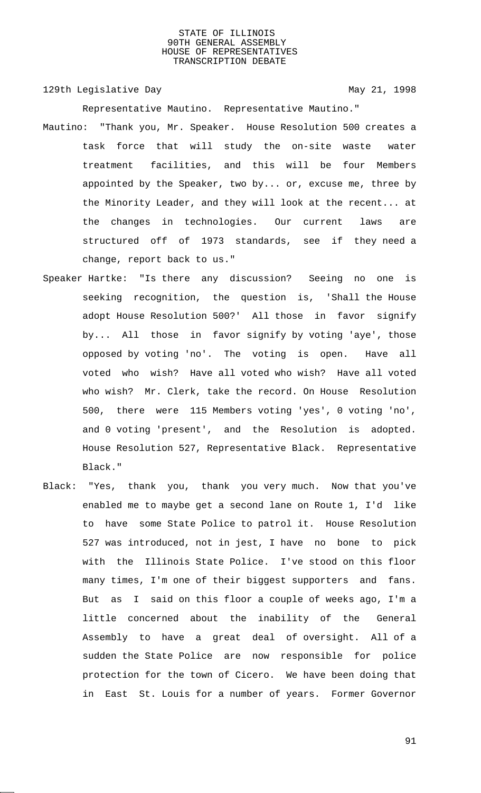129th Legislative Day 129th May 21, 1998

Representative Mautino. Representative Mautino."

- Mautino: "Thank you, Mr. Speaker. House Resolution 500 creates a task force that will study the on-site waste water treatment facilities, and this will be four Members appointed by the Speaker, two by... or, excuse me, three by the Minority Leader, and they will look at the recent... at the changes in technologies. Our current laws are structured off of 1973 standards, see if they need a change, report back to us."
- Speaker Hartke: "Is there any discussion? Seeing no one is seeking recognition, the question is, 'Shall the House adopt House Resolution 500?' All those in favor signify by... All those in favor signify by voting 'aye', those opposed by voting 'no'. The voting is open. Have all voted who wish? Have all voted who wish? Have all voted who wish? Mr. Clerk, take the record. On House Resolution 500, there were 115 Members voting 'yes', 0 voting 'no', and 0 voting 'present', and the Resolution is adopted. House Resolution 527, Representative Black. Representative Black."
- Black: "Yes, thank you, thank you very much. Now that you've enabled me to maybe get a second lane on Route 1, I'd like to have some State Police to patrol it. House Resolution 527 was introduced, not in jest, I have no bone to pick with the Illinois State Police. I've stood on this floor many times, I'm one of their biggest supporters and fans. But as I said on this floor a couple of weeks ago, I'm a little concerned about the inability of the General Assembly to have a great deal of oversight. All of a sudden the State Police are now responsible for police protection for the town of Cicero. We have been doing that in East St. Louis for a number of years. Former Governor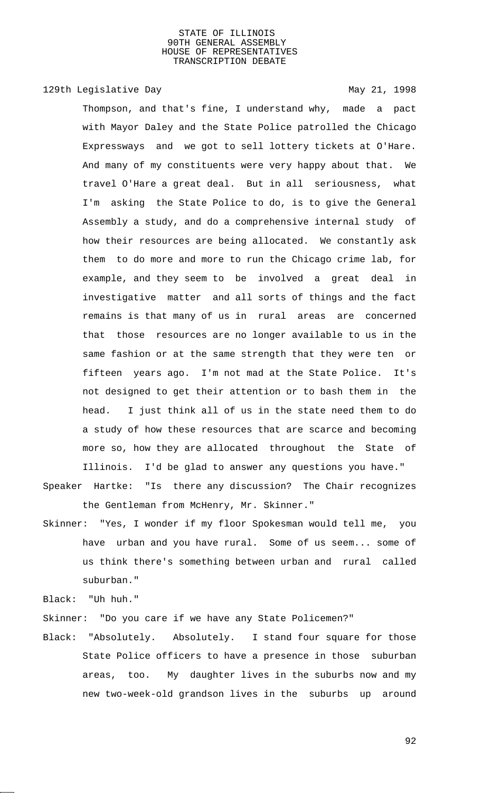129th Legislative Day 129th May 21, 1998

Thompson, and that's fine, I understand why, made a pact with Mayor Daley and the State Police patrolled the Chicago Expressways and we got to sell lottery tickets at O'Hare. And many of my constituents were very happy about that. We travel O'Hare a great deal. But in all seriousness, what I'm asking the State Police to do, is to give the General Assembly a study, and do a comprehensive internal study of how their resources are being allocated. We constantly ask them to do more and more to run the Chicago crime lab, for example, and they seem to be involved a great deal in investigative matter and all sorts of things and the fact remains is that many of us in rural areas are concerned that those resources are no longer available to us in the same fashion or at the same strength that they were ten or fifteen years ago. I'm not mad at the State Police. It's not designed to get their attention or to bash them in the head. I just think all of us in the state need them to do a study of how these resources that are scarce and becoming more so, how they are allocated throughout the State of

Illinois. I'd be glad to answer any questions you have."

Speaker Hartke: "Is there any discussion? The Chair recognizes the Gentleman from McHenry, Mr. Skinner."

Skinner: "Yes, I wonder if my floor Spokesman would tell me, you have urban and you have rural. Some of us seem... some of us think there's something between urban and rural called suburban."

Black: "Uh huh."

Skinner: "Do you care if we have any State Policemen?"

Black: "Absolutely. Absolutely. I stand four square for those State Police officers to have a presence in those suburban areas, too. My daughter lives in the suburbs now and my new two-week-old grandson lives in the suburbs up around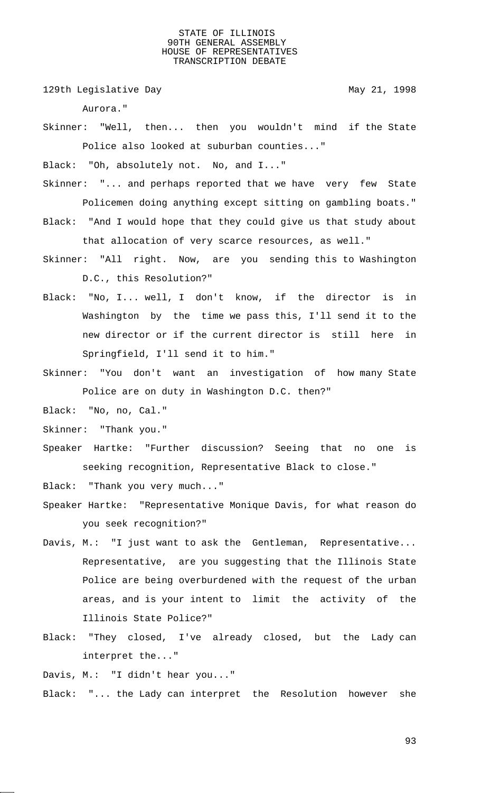129th Legislative Day 129th May 21, 1998

Aurora."

Skinner: "Well, then... then you wouldn't mind if the State Police also looked at suburban counties..."

Black: "Oh, absolutely not. No, and I..."

- Skinner: "... and perhaps reported that we have very few State Policemen doing anything except sitting on gambling boats."
- Black: "And I would hope that they could give us that study about that allocation of very scarce resources, as well."
- Skinner: "All right. Now, are you sending this to Washington D.C., this Resolution?"
- Black: "No, I... well, I don't know, if the director is in Washington by the time we pass this, I'll send it to the new director or if the current director is still here in Springfield, I'll send it to him."
- Skinner: "You don't want an investigation of how many State Police are on duty in Washington D.C. then?"
- Black: "No, no, Cal."
- Skinner: "Thank you."
- Speaker Hartke: "Further discussion? Seeing that no one is seeking recognition, Representative Black to close."

Black: "Thank you very much..."

- Speaker Hartke: "Representative Monique Davis, for what reason do you seek recognition?"
- Davis, M.: "I just want to ask the Gentleman, Representative... Representative, are you suggesting that the Illinois State Police are being overburdened with the request of the urban areas, and is your intent to limit the activity of the Illinois State Police?"
- Black: "They closed, I've already closed, but the Lady can interpret the..."

Davis, M.: "I didn't hear you..."

Black: "... the Lady can interpret the Resolution however she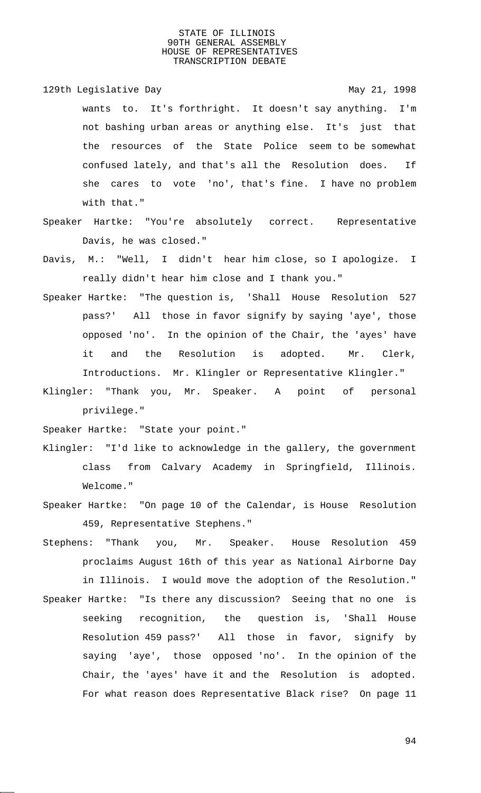129th Legislative Day 129th May 21, 1998 wants to. It's forthright. It doesn't say anything. I'm not bashing urban areas or anything else. It's just that the resources of the State Police seem to be somewhat confused lately, and that's all the Resolution does. If she cares to vote 'no', that's fine. I have no problem with that."

- Speaker Hartke: "You're absolutely correct. Representative Davis, he was closed."
- Davis, M.: "Well, I didn't hear him close, so I apologize. I really didn't hear him close and I thank you."
- Speaker Hartke: "The question is, 'Shall House Resolution 527 pass?' All those in favor signify by saying 'aye', those opposed 'no'. In the opinion of the Chair, the 'ayes' have it and the Resolution is adopted. Mr. Clerk, Introductions. Mr. Klingler or Representative Klingler."
- Klingler: "Thank you, Mr. Speaker. A point of personal privilege."

Speaker Hartke: "State your point."

- Klingler: "I'd like to acknowledge in the gallery, the government class from Calvary Academy in Springfield, Illinois. Welcome."
- Speaker Hartke: "On page 10 of the Calendar, is House Resolution 459, Representative Stephens."
- Stephens: "Thank you, Mr. Speaker. House Resolution 459 proclaims August 16th of this year as National Airborne Day in Illinois. I would move the adoption of the Resolution." Speaker Hartke: "Is there any discussion? Seeing that no one is
- seeking recognition, the question is, 'Shall House Resolution 459 pass?' All those in favor, signify by saying 'aye', those opposed 'no'. In the opinion of the Chair, the 'ayes' have it and the Resolution is adopted. For what reason does Representative Black rise? On page 11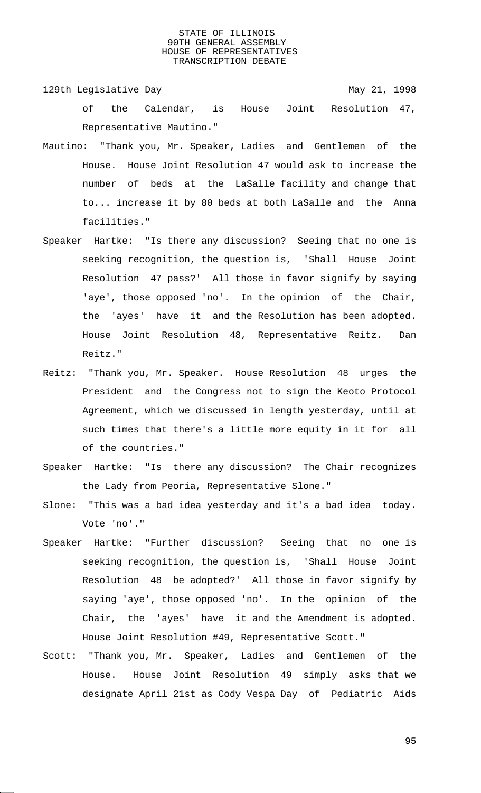129th Legislative Day 129th May 21, 1998

- of the Calendar, is House Joint Resolution 47, Representative Mautino."
- Mautino: "Thank you, Mr. Speaker, Ladies and Gentlemen of the House. House Joint Resolution 47 would ask to increase the number of beds at the LaSalle facility and change that to... increase it by 80 beds at both LaSalle and the Anna facilities."
- Speaker Hartke: "Is there any discussion? Seeing that no one is seeking recognition, the question is, 'Shall House Joint Resolution 47 pass?' All those in favor signify by saying 'aye', those opposed 'no'. In the opinion of the Chair, the 'ayes' have it and the Resolution has been adopted. House Joint Resolution 48, Representative Reitz. Dan Reitz."
- Reitz: "Thank you, Mr. Speaker. House Resolution 48 urges the President and the Congress not to sign the Keoto Protocol Agreement, which we discussed in length yesterday, until at such times that there's a little more equity in it for all of the countries."
- Speaker Hartke: "Is there any discussion? The Chair recognizes the Lady from Peoria, Representative Slone."
- Slone: "This was a bad idea yesterday and it's a bad idea today. Vote 'no'."
- Speaker Hartke: "Further discussion? Seeing that no one is seeking recognition, the question is, 'Shall House Joint Resolution 48 be adopted?' All those in favor signify by saying 'aye', those opposed 'no'. In the opinion of the Chair, the 'ayes' have it and the Amendment is adopted. House Joint Resolution #49, Representative Scott."
- Scott: "Thank you, Mr. Speaker, Ladies and Gentlemen of the House. House Joint Resolution 49 simply asks that we designate April 21st as Cody Vespa Day of Pediatric Aids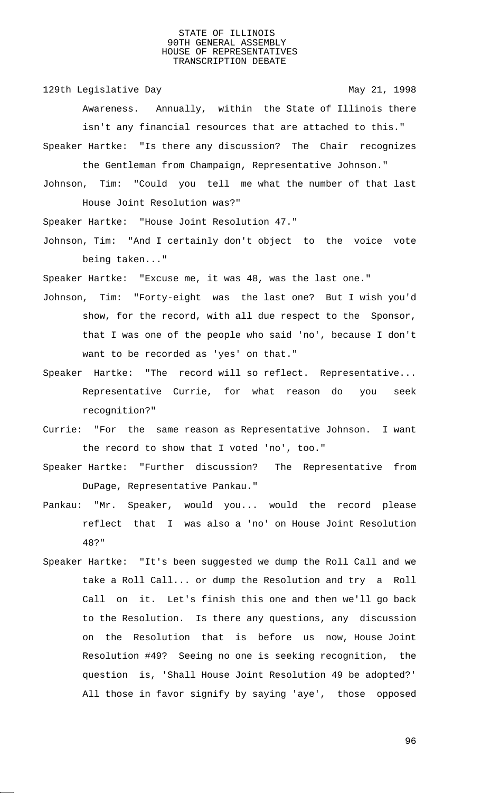129th Legislative Day 129th May 21, 1998

Awareness. Annually, within the State of Illinois there isn't any financial resources that are attached to this."

Speaker Hartke: "Is there any discussion? The Chair recognizes the Gentleman from Champaign, Representative Johnson."

Johnson, Tim: "Could you tell me what the number of that last House Joint Resolution was?"

Speaker Hartke: "House Joint Resolution 47."

Johnson, Tim: "And I certainly don't object to the voice vote being taken..."

Speaker Hartke: "Excuse me, it was 48, was the last one."

- Johnson, Tim: "Forty-eight was the last one? But I wish you'd show, for the record, with all due respect to the Sponsor, that I was one of the people who said 'no', because I don't want to be recorded as 'yes' on that."
- Speaker Hartke: "The record will so reflect. Representative... Representative Currie, for what reason do you seek recognition?"
- Currie: "For the same reason as Representative Johnson. I want the record to show that I voted 'no', too."
- Speaker Hartke: "Further discussion? The Representative from DuPage, Representative Pankau."
- Pankau: "Mr. Speaker, would you... would the record please reflect that I was also a 'no' on House Joint Resolution 48?"
- Speaker Hartke: "It's been suggested we dump the Roll Call and we take a Roll Call... or dump the Resolution and try a Roll Call on it. Let's finish this one and then we'll go back to the Resolution. Is there any questions, any discussion on the Resolution that is before us now, House Joint Resolution #49? Seeing no one is seeking recognition, the question is, 'Shall House Joint Resolution 49 be adopted?' All those in favor signify by saying 'aye', those opposed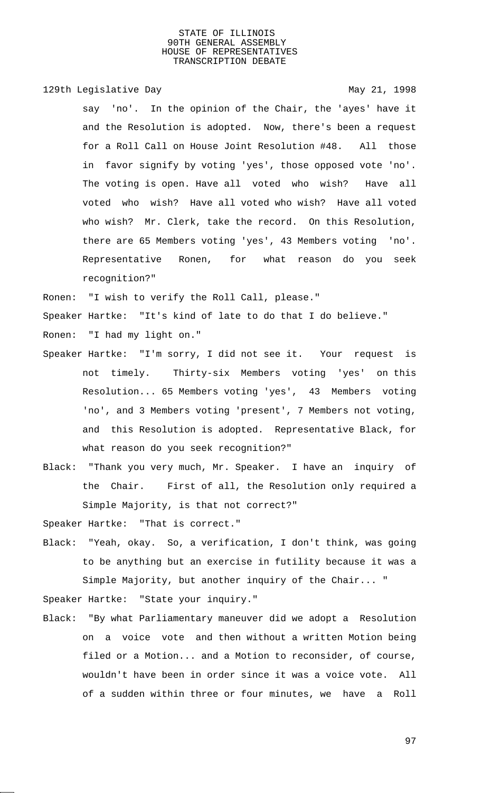129th Legislative Day 129th May 21, 1998

say 'no'. In the opinion of the Chair, the 'ayes' have it and the Resolution is adopted. Now, there's been a request for a Roll Call on House Joint Resolution #48. All those in favor signify by voting 'yes', those opposed vote 'no'. The voting is open. Have all voted who wish? Have all voted who wish? Have all voted who wish? Have all voted who wish? Mr. Clerk, take the record. On this Resolution, there are 65 Members voting 'yes', 43 Members voting 'no'. Representative Ronen, for what reason do you seek recognition?"

Ronen: "I wish to verify the Roll Call, please."

Speaker Hartke: "It's kind of late to do that I do believe."

Ronen: "I had my light on."

- Speaker Hartke: "I'm sorry, I did not see it. Your request is not timely. Thirty-six Members voting 'yes' on this Resolution... 65 Members voting 'yes', 43 Members voting 'no', and 3 Members voting 'present', 7 Members not voting, and this Resolution is adopted. Representative Black, for what reason do you seek recognition?"
- Black: "Thank you very much, Mr. Speaker. I have an inquiry of the Chair. First of all, the Resolution only required a Simple Majority, is that not correct?"

Speaker Hartke: "That is correct."

Black: "Yeah, okay. So, a verification, I don't think, was going to be anything but an exercise in futility because it was a Simple Majority, but another inquiry of the Chair... "

Speaker Hartke: "State your inquiry."

Black: "By what Parliamentary maneuver did we adopt a Resolution on a voice vote and then without a written Motion being filed or a Motion... and a Motion to reconsider, of course, wouldn't have been in order since it was a voice vote. All of a sudden within three or four minutes, we have a Roll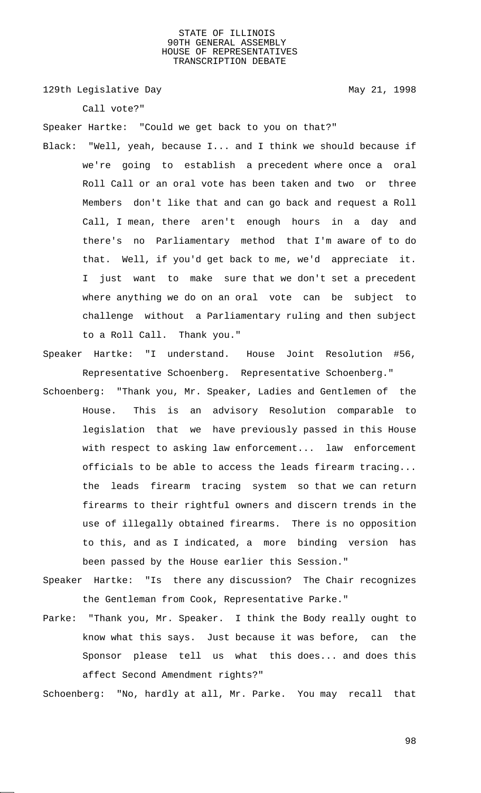129th Legislative Day 129th May 21, 1998

Call vote?"

Speaker Hartke: "Could we get back to you on that?"

- Black: "Well, yeah, because I... and I think we should because if we're going to establish a precedent where once a oral Roll Call or an oral vote has been taken and two or three Members don't like that and can go back and request a Roll Call, I mean, there aren't enough hours in a day and there's no Parliamentary method that I'm aware of to do that. Well, if you'd get back to me, we'd appreciate it. I just want to make sure that we don't set a precedent where anything we do on an oral vote can be subject to challenge without a Parliamentary ruling and then subject to a Roll Call. Thank you."
- Speaker Hartke: "I understand. House Joint Resolution #56, Representative Schoenberg. Representative Schoenberg."
- Schoenberg: "Thank you, Mr. Speaker, Ladies and Gentlemen of the House. This is an advisory Resolution comparable to legislation that we have previously passed in this House with respect to asking law enforcement... law enforcement officials to be able to access the leads firearm tracing... the leads firearm tracing system so that we can return firearms to their rightful owners and discern trends in the use of illegally obtained firearms. There is no opposition to this, and as I indicated, a more binding version has been passed by the House earlier this Session."
- Speaker Hartke: "Is there any discussion? The Chair recognizes the Gentleman from Cook, Representative Parke."
- Parke: "Thank you, Mr. Speaker. I think the Body really ought to know what this says. Just because it was before, can the Sponsor please tell us what this does... and does this affect Second Amendment rights?"

Schoenberg: "No, hardly at all, Mr. Parke. You may recall that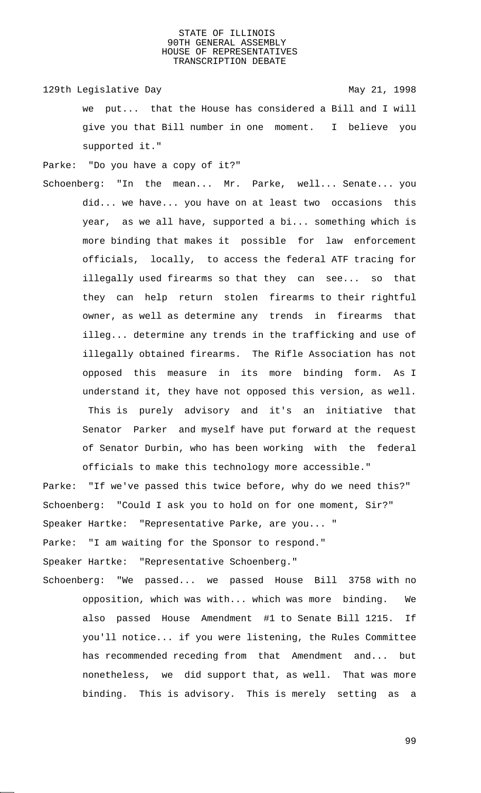129th Legislative Day 129th May 21, 1998 we put... that the House has considered a Bill and I will give you that Bill number in one moment. I believe you supported it."

Parke: "Do you have a copy of it?"

Schoenberg: "In the mean... Mr. Parke, well... Senate... you did... we have... you have on at least two occasions this year, as we all have, supported a bi... something which is more binding that makes it possible for law enforcement officials, locally, to access the federal ATF tracing for illegally used firearms so that they can see... so that they can help return stolen firearms to their rightful owner, as well as determine any trends in firearms that illeg... determine any trends in the trafficking and use of illegally obtained firearms. The Rifle Association has not opposed this measure in its more binding form. As I understand it, they have not opposed this version, as well. This is purely advisory and it's an initiative that Senator Parker and myself have put forward at the request of Senator Durbin, who has been working with the federal officials to make this technology more accessible."

Parke: "If we've passed this twice before, why do we need this?" Schoenberg: "Could I ask you to hold on for one moment, Sir?" Speaker Hartke: "Representative Parke, are you... " Parke: "I am waiting for the Sponsor to respond." Speaker Hartke: "Representative Schoenberg." Schoenberg: "We passed... we passed House Bill 3758 with no

opposition, which was with... which was more binding. We also passed House Amendment #1 to Senate Bill 1215. If you'll notice... if you were listening, the Rules Committee has recommended receding from that Amendment and... but nonetheless, we did support that, as well. That was more binding. This is advisory. This is merely setting as a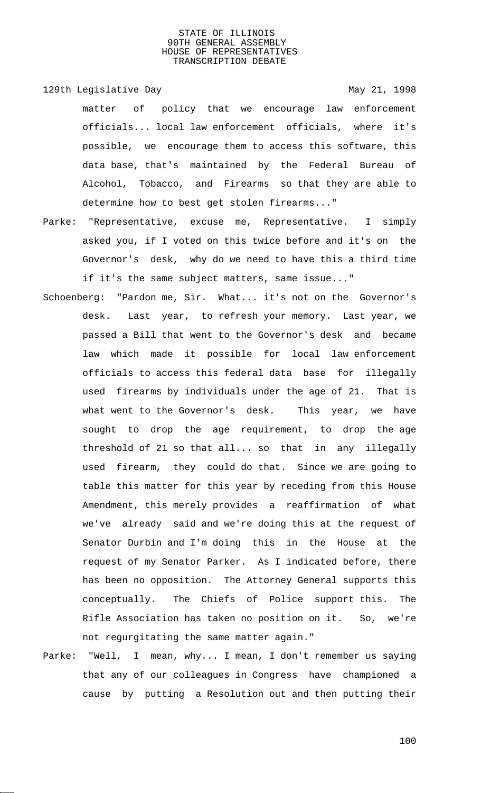129th Legislative Day 129th May 21, 1998 matter of policy that we encourage law enforcement officials... local law enforcement officials, where it's possible, we encourage them to access this software, this data base, that's maintained by the Federal Bureau of Alcohol, Tobacco, and Firearms so that they are able to determine how to best get stolen firearms..."

- Parke: "Representative, excuse me, Representative. I simply asked you, if I voted on this twice before and it's on the Governor's desk, why do we need to have this a third time if it's the same subject matters, same issue..."
- Schoenberg: "Pardon me, Sir. What... it's not on the Governor's desk. Last year, to refresh your memory. Last year, we passed a Bill that went to the Governor's desk and became law which made it possible for local law enforcement officials to access this federal data base for illegally used firearms by individuals under the age of 21. That is what went to the Governor's desk. This year, we have sought to drop the age requirement, to drop the age threshold of 21 so that all... so that in any illegally used firearm, they could do that. Since we are going to table this matter for this year by receding from this House Amendment, this merely provides a reaffirmation of what we've already said and we're doing this at the request of Senator Durbin and I'm doing this in the House at the request of my Senator Parker. As I indicated before, there has been no opposition. The Attorney General supports this conceptually. The Chiefs of Police support this. The Rifle Association has taken no position on it. So, we're not regurgitating the same matter again."
- Parke: "Well, I mean, why... I mean, I don't remember us saying that any of our colleagues in Congress have championed a cause by putting a Resolution out and then putting their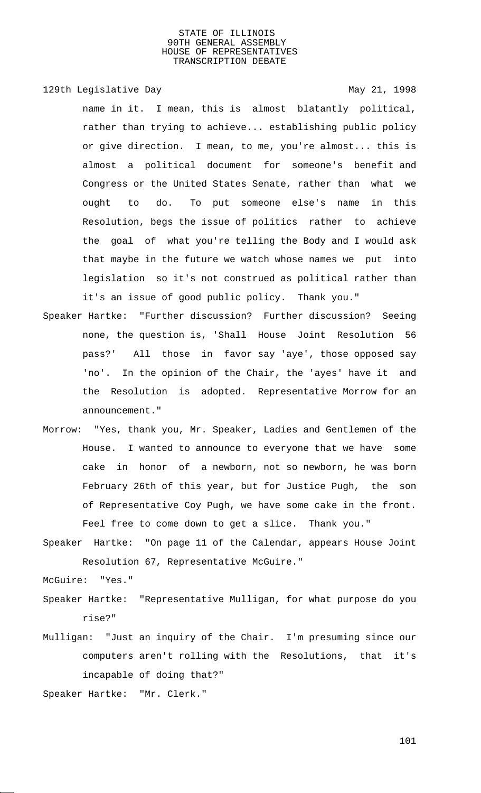129th Legislative Day 129th May 21, 1998

name in it. I mean, this is almost blatantly political, rather than trying to achieve... establishing public policy or give direction. I mean, to me, you're almost... this is almost a political document for someone's benefit and Congress or the United States Senate, rather than what we ought to do. To put someone else's name in this Resolution, begs the issue of politics rather to achieve the goal of what you're telling the Body and I would ask that maybe in the future we watch whose names we put into legislation so it's not construed as political rather than it's an issue of good public policy. Thank you."

- Speaker Hartke: "Further discussion? Further discussion? Seeing none, the question is, 'Shall House Joint Resolution 56 pass?' All those in favor say 'aye', those opposed say 'no'. In the opinion of the Chair, the 'ayes' have it and the Resolution is adopted. Representative Morrow for an announcement."
- Morrow: "Yes, thank you, Mr. Speaker, Ladies and Gentlemen of the House. I wanted to announce to everyone that we have some cake in honor of a newborn, not so newborn, he was born February 26th of this year, but for Justice Pugh, the son of Representative Coy Pugh, we have some cake in the front. Feel free to come down to get a slice. Thank you."
- Speaker Hartke: "On page 11 of the Calendar, appears House Joint Resolution 67, Representative McGuire."

McGuire: "Yes."

- Speaker Hartke: "Representative Mulligan, for what purpose do you rise?"
- Mulligan: "Just an inquiry of the Chair. I'm presuming since our computers aren't rolling with the Resolutions, that it's incapable of doing that?"
- Speaker Hartke: "Mr. Clerk."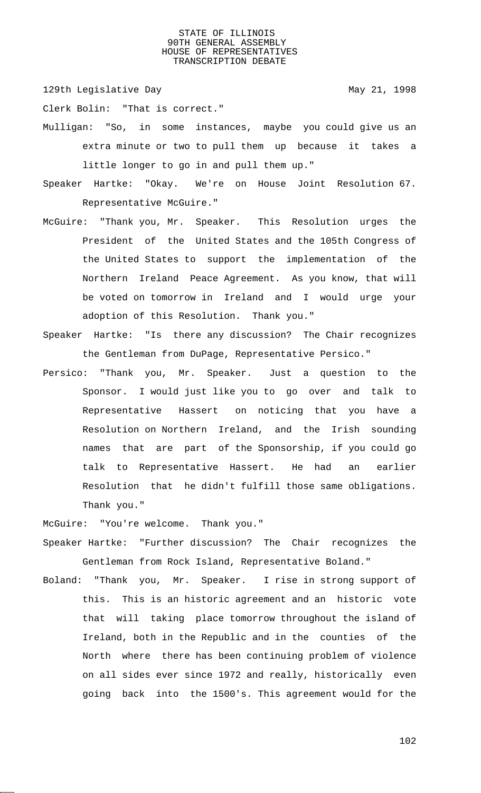129th Legislative Day 129th May 21, 1998

Clerk Bolin: "That is correct."

- Mulligan: "So, in some instances, maybe you could give us an extra minute or two to pull them up because it takes a little longer to go in and pull them up."
- Speaker Hartke: "Okay. We're on House Joint Resolution 67. Representative McGuire."
- McGuire: "Thank you, Mr. Speaker. This Resolution urges the President of the United States and the 105th Congress of the United States to support the implementation of the Northern Ireland Peace Agreement. As you know, that will be voted on tomorrow in Ireland and I would urge your adoption of this Resolution. Thank you."
- Speaker Hartke: "Is there any discussion? The Chair recognizes the Gentleman from DuPage, Representative Persico."
- Persico: "Thank you, Mr. Speaker. Just a question to the Sponsor. I would just like you to go over and talk to Representative Hassert on noticing that you have a Resolution on Northern Ireland, and the Irish sounding names that are part of the Sponsorship, if you could go talk to Representative Hassert. He had an earlier Resolution that he didn't fulfill those same obligations. Thank you."

McGuire: "You're welcome. Thank you."

- Speaker Hartke: "Further discussion? The Chair recognizes the Gentleman from Rock Island, Representative Boland."
- Boland: "Thank you, Mr. Speaker. I rise in strong support of this. This is an historic agreement and an historic vote that will taking place tomorrow throughout the island of Ireland, both in the Republic and in the counties of the North where there has been continuing problem of violence on all sides ever since 1972 and really, historically even going back into the 1500's. This agreement would for the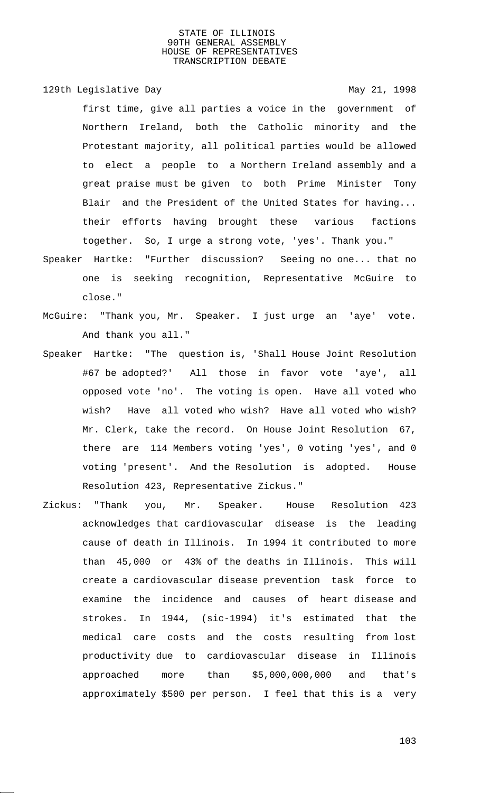129th Legislative Day 129th May 21, 1998

first time, give all parties a voice in the government of Northern Ireland, both the Catholic minority and the Protestant majority, all political parties would be allowed to elect a people to a Northern Ireland assembly and a great praise must be given to both Prime Minister Tony Blair and the President of the United States for having... their efforts having brought these various factions together. So, I urge a strong vote, 'yes'. Thank you."

- Speaker Hartke: "Further discussion? Seeing no one... that no one is seeking recognition, Representative McGuire to close."
- McGuire: "Thank you, Mr. Speaker. I just urge an 'aye' vote. And thank you all."
- Speaker Hartke: "The question is, 'Shall House Joint Resolution #67 be adopted?' All those in favor vote 'aye', all opposed vote 'no'. The voting is open. Have all voted who wish? Have all voted who wish? Have all voted who wish? Mr. Clerk, take the record. On House Joint Resolution 67, there are 114 Members voting 'yes', 0 voting 'yes', and 0 voting 'present'. And the Resolution is adopted. House Resolution 423, Representative Zickus."
- Zickus: "Thank you, Mr. Speaker. House Resolution 423 acknowledges that cardiovascular disease is the leading cause of death in Illinois. In 1994 it contributed to more than 45,000 or 43% of the deaths in Illinois. This will create a cardiovascular disease prevention task force to examine the incidence and causes of heart disease and strokes. In 1944, (sic-1994) it's estimated that the medical care costs and the costs resulting from lost productivity due to cardiovascular disease in Illinois approached more than \$5,000,000,000 and that's approximately \$500 per person. I feel that this is a very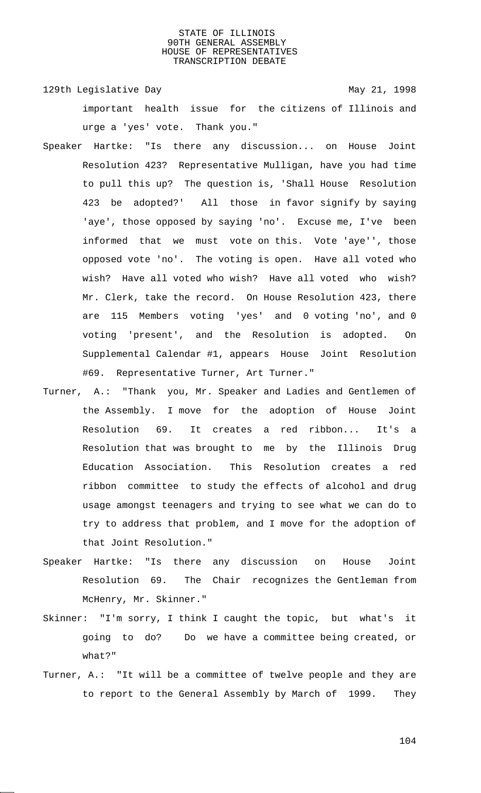129th Legislative Day 129th May 21, 1998 important health issue for the citizens of Illinois and urge a 'yes' vote. Thank you."

- Speaker Hartke: "Is there any discussion... on House Joint Resolution 423? Representative Mulligan, have you had time to pull this up? The question is, 'Shall House Resolution 423 be adopted?' All those in favor signify by saying 'aye', those opposed by saying 'no'. Excuse me, I've been informed that we must vote on this. Vote 'aye'', those opposed vote 'no'. The voting is open. Have all voted who wish? Have all voted who wish? Have all voted who wish? Mr. Clerk, take the record. On House Resolution 423, there are 115 Members voting 'yes' and 0 voting 'no', and 0 voting 'present', and the Resolution is adopted. On Supplemental Calendar #1, appears House Joint Resolution #69. Representative Turner, Art Turner."
- Turner, A.: "Thank you, Mr. Speaker and Ladies and Gentlemen of the Assembly. I move for the adoption of House Joint Resolution 69. It creates a red ribbon... It's a Resolution that was brought to me by the Illinois Drug Education Association. This Resolution creates a red ribbon committee to study the effects of alcohol and drug usage amongst teenagers and trying to see what we can do to try to address that problem, and I move for the adoption of that Joint Resolution."
- Speaker Hartke: "Is there any discussion on House Joint Resolution 69. The Chair recognizes the Gentleman from McHenry, Mr. Skinner."
- Skinner: "I'm sorry, I think I caught the topic, but what's it going to do? Do we have a committee being created, or what?"
- Turner, A.: "It will be a committee of twelve people and they are to report to the General Assembly by March of 1999. They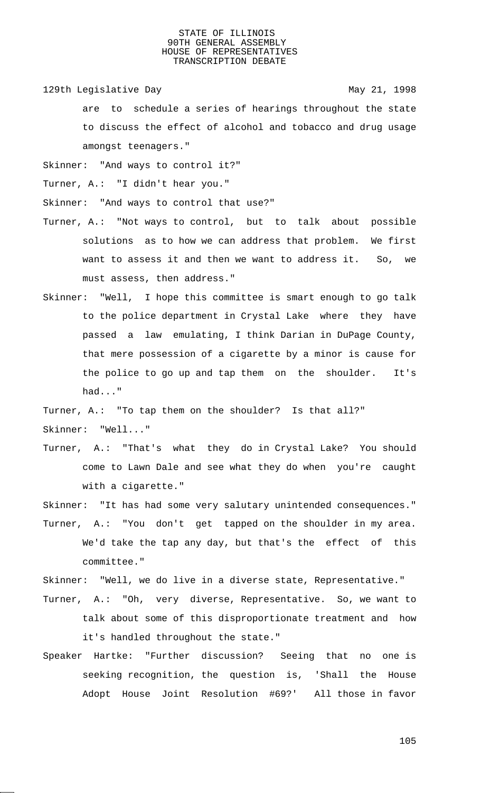129th Legislative Day 129th May 21, 1998

are to schedule a series of hearings throughout the state to discuss the effect of alcohol and tobacco and drug usage amongst teenagers."

Skinner: "And ways to control it?"

Turner, A.: "I didn't hear you."

Skinner: "And ways to control that use?"

- Turner, A.: "Not ways to control, but to talk about possible solutions as to how we can address that problem. We first want to assess it and then we want to address it. So, we must assess, then address."
- Skinner: "Well, I hope this committee is smart enough to go talk to the police department in Crystal Lake where they have passed a law emulating, I think Darian in DuPage County, that mere possession of a cigarette by a minor is cause for the police to go up and tap them on the shoulder. It's had..."

Turner, A.: "To tap them on the shoulder? Is that all?"

Skinner: "Well..."

Turner, A.: "That's what they do in Crystal Lake? You should come to Lawn Dale and see what they do when you're caught with a cigarette."

Skinner: "It has had some very salutary unintended consequences."

Turner, A.: "You don't get tapped on the shoulder in my area. We'd take the tap any day, but that's the effect of this committee."

Skinner: "Well, we do live in a diverse state, Representative."

- Turner, A.: "Oh, very diverse, Representative. So, we want to talk about some of this disproportionate treatment and how it's handled throughout the state."
- Speaker Hartke: "Further discussion? Seeing that no one is seeking recognition, the question is, 'Shall the House Adopt House Joint Resolution #69?' All those in favor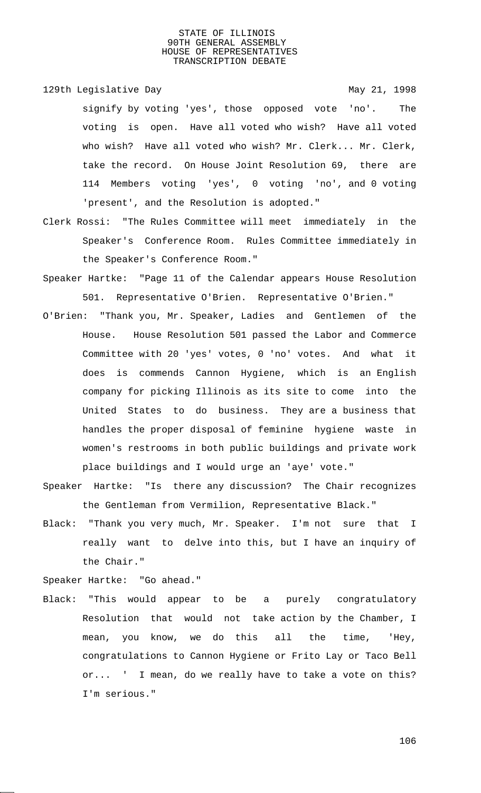129th Legislative Day 129th May 21, 1998

signify by voting 'yes', those opposed vote 'no'. The voting is open. Have all voted who wish? Have all voted who wish? Have all voted who wish? Mr. Clerk... Mr. Clerk, take the record. On House Joint Resolution 69, there are 114 Members voting 'yes', 0 voting 'no', and 0 voting 'present', and the Resolution is adopted."

- Clerk Rossi: "The Rules Committee will meet immediately in the Speaker's Conference Room. Rules Committee immediately in the Speaker's Conference Room."
- Speaker Hartke: "Page 11 of the Calendar appears House Resolution 501. Representative O'Brien. Representative O'Brien."
- O'Brien: "Thank you, Mr. Speaker, Ladies and Gentlemen of the House. House Resolution 501 passed the Labor and Commerce Committee with 20 'yes' votes, 0 'no' votes. And what it does is commends Cannon Hygiene, which is an English company for picking Illinois as its site to come into the United States to do business. They are a business that handles the proper disposal of feminine hygiene waste in women's restrooms in both public buildings and private work place buildings and I would urge an 'aye' vote."
- Speaker Hartke: "Is there any discussion? The Chair recognizes the Gentleman from Vermilion, Representative Black."
- Black: "Thank you very much, Mr. Speaker. I'm not sure that I really want to delve into this, but I have an inquiry of the Chair."

Speaker Hartke: "Go ahead."

Black: "This would appear to be a purely congratulatory Resolution that would not take action by the Chamber, I mean, you know, we do this all the time, 'Hey, congratulations to Cannon Hygiene or Frito Lay or Taco Bell or... ' I mean, do we really have to take a vote on this? I'm serious."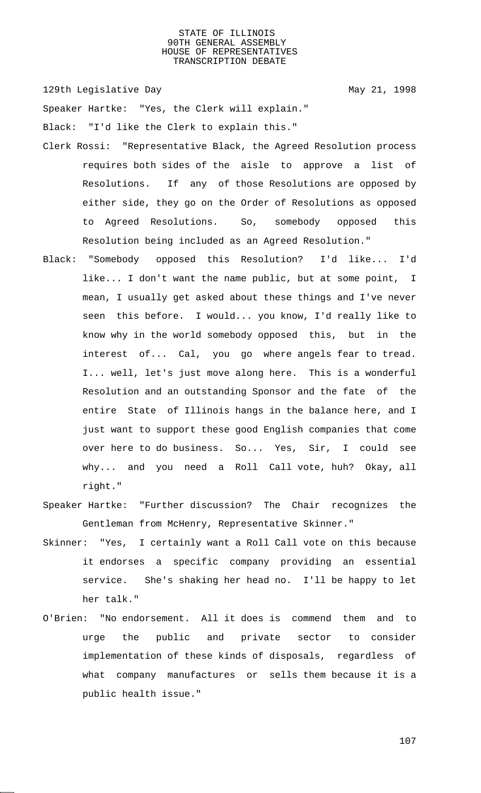129th Legislative Day 129th May 21, 1998

Speaker Hartke: "Yes, the Clerk will explain."

Black: "I'd like the Clerk to explain this."

- Clerk Rossi: "Representative Black, the Agreed Resolution process requires both sides of the aisle to approve a list of Resolutions. If any of those Resolutions are opposed by either side, they go on the Order of Resolutions as opposed to Agreed Resolutions. So, somebody opposed this Resolution being included as an Agreed Resolution."
- Black: "Somebody opposed this Resolution? I'd like... I'd like... I don't want the name public, but at some point, I mean, I usually get asked about these things and I've never seen this before. I would... you know, I'd really like to know why in the world somebody opposed this, but in the interest of... Cal, you go where angels fear to tread. I... well, let's just move along here. This is a wonderful Resolution and an outstanding Sponsor and the fate of the entire State of Illinois hangs in the balance here, and I just want to support these good English companies that come over here to do business. So... Yes, Sir, I could see why... and you need a Roll Call vote, huh? Okay, all right."
- Speaker Hartke: "Further discussion? The Chair recognizes the Gentleman from McHenry, Representative Skinner."
- Skinner: "Yes, I certainly want a Roll Call vote on this because it endorses a specific company providing an essential service. She's shaking her head no. I'll be happy to let her talk."
- O'Brien: "No endorsement. All it does is commend them and to urge the public and private sector to consider implementation of these kinds of disposals, regardless of what company manufactures or sells them because it is a public health issue."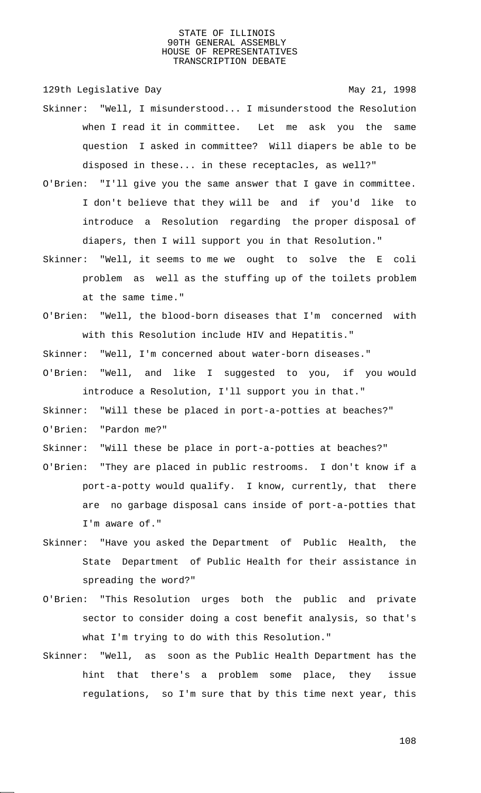129th Legislative Day 129th May 21, 1998

- Skinner: "Well, I misunderstood... I misunderstood the Resolution when I read it in committee. Let me ask you the same question I asked in committee? Will diapers be able to be disposed in these... in these receptacles, as well?"
- O'Brien: "I'll give you the same answer that I gave in committee. I don't believe that they will be and if you'd like to introduce a Resolution regarding the proper disposal of diapers, then I will support you in that Resolution."
- Skinner: "Well, it seems to me we ought to solve the E coli problem as well as the stuffing up of the toilets problem at the same time."
- O'Brien: "Well, the blood-born diseases that I'm concerned with with this Resolution include HIV and Hepatitis."
- Skinner: "Well, I'm concerned about water-born diseases."
- O'Brien: "Well, and like I suggested to you, if you would introduce a Resolution, I'll support you in that."
- Skinner: "Will these be placed in port-a-potties at beaches?"
- O'Brien: "Pardon me?"
- Skinner: "Will these be place in port-a-potties at beaches?"
- O'Brien: "They are placed in public restrooms. I don't know if a port-a-potty would qualify. I know, currently, that there are no garbage disposal cans inside of port-a-potties that I'm aware of."
- Skinner: "Have you asked the Department of Public Health, the State Department of Public Health for their assistance in spreading the word?"
- O'Brien: "This Resolution urges both the public and private sector to consider doing a cost benefit analysis, so that's what I'm trying to do with this Resolution."
- Skinner: "Well, as soon as the Public Health Department has the hint that there's a problem some place, they issue regulations, so I'm sure that by this time next year, this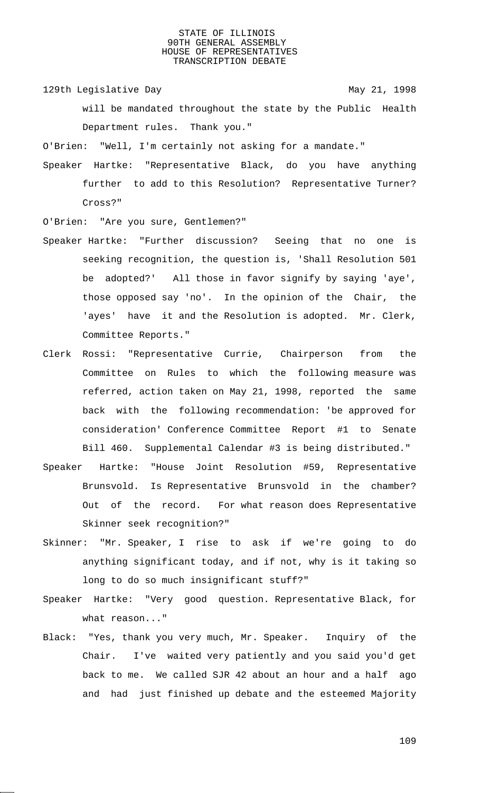129th Legislative Day 129th May 21, 1998

will be mandated throughout the state by the Public Health Department rules. Thank you."

O'Brien: "Well, I'm certainly not asking for a mandate."

Speaker Hartke: "Representative Black, do you have anything further to add to this Resolution? Representative Turner? Cross?"

O'Brien: "Are you sure, Gentlemen?"

- Speaker Hartke: "Further discussion? Seeing that no one is seeking recognition, the question is, 'Shall Resolution 501 be adopted?' All those in favor signify by saying 'aye', those opposed say 'no'. In the opinion of the Chair, the 'ayes' have it and the Resolution is adopted. Mr. Clerk, Committee Reports."
- Clerk Rossi: "Representative Currie, Chairperson from the Committee on Rules to which the following measure was referred, action taken on May 21, 1998, reported the same back with the following recommendation: 'be approved for consideration' Conference Committee Report #1 to Senate Bill 460. Supplemental Calendar #3 is being distributed."
- Speaker Hartke: "House Joint Resolution #59, Representative Brunsvold. Is Representative Brunsvold in the chamber? Out of the record. For what reason does Representative Skinner seek recognition?"
- Skinner: "Mr. Speaker, I rise to ask if we're going to do anything significant today, and if not, why is it taking so long to do so much insignificant stuff?"
- Speaker Hartke: "Very good question. Representative Black, for what reason..."
- Black: "Yes, thank you very much, Mr. Speaker. Inquiry of the Chair. I've waited very patiently and you said you'd get back to me. We called SJR 42 about an hour and a half ago and had just finished up debate and the esteemed Majority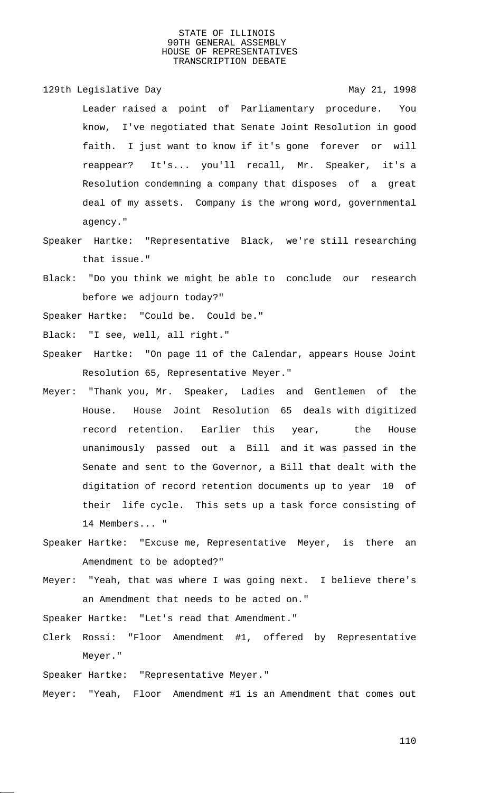129th Legislative Day 129th May 21, 1998

Leader raised a point of Parliamentary procedure. You know, I've negotiated that Senate Joint Resolution in good faith. I just want to know if it's gone forever or will reappear? It's... you'll recall, Mr. Speaker, it's a Resolution condemning a company that disposes of a great deal of my assets. Company is the wrong word, governmental agency."

- Speaker Hartke: "Representative Black, we're still researching that issue."
- Black: "Do you think we might be able to conclude our research before we adjourn today?"

Speaker Hartke: "Could be. Could be."

- Black: "I see, well, all right."
- Speaker Hartke: "On page 11 of the Calendar, appears House Joint Resolution 65, Representative Meyer."
- Meyer: "Thank you, Mr. Speaker, Ladies and Gentlemen of the House. House Joint Resolution 65 deals with digitized record retention. Earlier this year, the House unanimously passed out a Bill and it was passed in the Senate and sent to the Governor, a Bill that dealt with the digitation of record retention documents up to year 10 of their life cycle. This sets up a task force consisting of 14 Members... "
- Speaker Hartke: "Excuse me, Representative Meyer, is there an Amendment to be adopted?"
- Meyer: "Yeah, that was where I was going next. I believe there's an Amendment that needs to be acted on."

Speaker Hartke: "Let's read that Amendment."

Clerk Rossi: "Floor Amendment #1, offered by Representative Meyer."

Speaker Hartke: "Representative Meyer."

Meyer: "Yeah, Floor Amendment #1 is an Amendment that comes out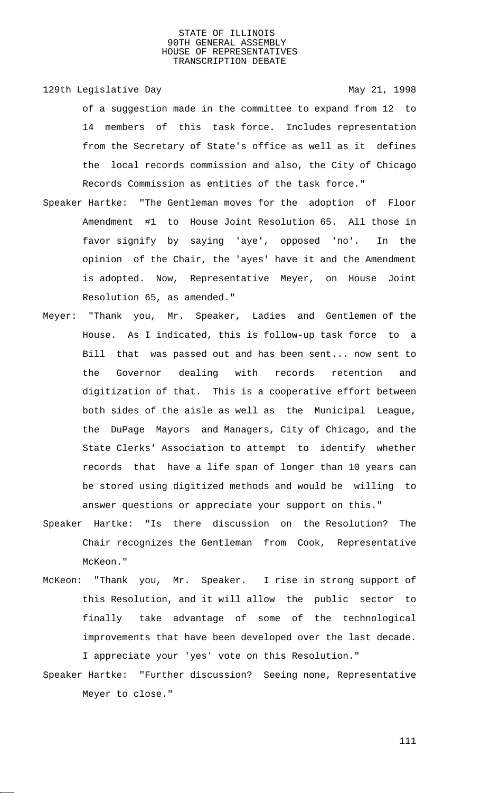129th Legislative Day 129th May 21, 1998

of a suggestion made in the committee to expand from 12 to 14 members of this task force. Includes representation from the Secretary of State's office as well as it defines the local records commission and also, the City of Chicago Records Commission as entities of the task force."

- Speaker Hartke: "The Gentleman moves for the adoption of Floor Amendment #1 to House Joint Resolution 65. All those in favor signify by saying 'aye', opposed 'no'. In the opinion of the Chair, the 'ayes' have it and the Amendment is adopted. Now, Representative Meyer, on House Joint Resolution 65, as amended."
- Meyer: "Thank you, Mr. Speaker, Ladies and Gentlemen of the House. As I indicated, this is follow-up task force to a Bill that was passed out and has been sent... now sent to the Governor dealing with records retention and digitization of that. This is a cooperative effort between both sides of the aisle as well as the Municipal League, the DuPage Mayors and Managers, City of Chicago, and the State Clerks' Association to attempt to identify whether records that have a life span of longer than 10 years can be stored using digitized methods and would be willing to answer questions or appreciate your support on this."
- Speaker Hartke: "Is there discussion on the Resolution? The Chair recognizes the Gentleman from Cook, Representative McKeon."
- McKeon: "Thank you, Mr. Speaker. I rise in strong support of this Resolution, and it will allow the public sector to finally take advantage of some of the technological improvements that have been developed over the last decade. I appreciate your 'yes' vote on this Resolution."
- Speaker Hartke: "Further discussion? Seeing none, Representative Meyer to close."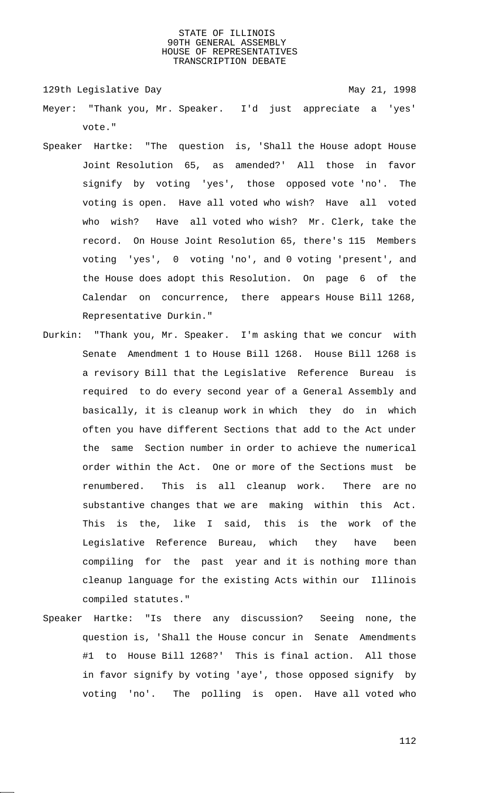129th Legislative Day 129th May 21, 1998

- Meyer: "Thank you, Mr. Speaker. I'd just appreciate a 'yes' vote."
- Speaker Hartke: "The question is, 'Shall the House adopt House Joint Resolution 65, as amended?' All those in favor signify by voting 'yes', those opposed vote 'no'. The voting is open. Have all voted who wish? Have all voted who wish? Have all voted who wish? Mr. Clerk, take the record. On House Joint Resolution 65, there's 115 Members voting 'yes', 0 voting 'no', and 0 voting 'present', and the House does adopt this Resolution. On page 6 of the Calendar on concurrence, there appears House Bill 1268, Representative Durkin."
- Durkin: "Thank you, Mr. Speaker. I'm asking that we concur with Senate Amendment 1 to House Bill 1268. House Bill 1268 is a revisory Bill that the Legislative Reference Bureau is required to do every second year of a General Assembly and basically, it is cleanup work in which they do in which often you have different Sections that add to the Act under the same Section number in order to achieve the numerical order within the Act. One or more of the Sections must be renumbered. This is all cleanup work. There are no substantive changes that we are making within this Act. This is the, like I said, this is the work of the Legislative Reference Bureau, which they have been compiling for the past year and it is nothing more than cleanup language for the existing Acts within our Illinois compiled statutes."
- Speaker Hartke: "Is there any discussion? Seeing none, the question is, 'Shall the House concur in Senate Amendments #1 to House Bill 1268?' This is final action. All those in favor signify by voting 'aye', those opposed signify by voting 'no'. The polling is open. Have all voted who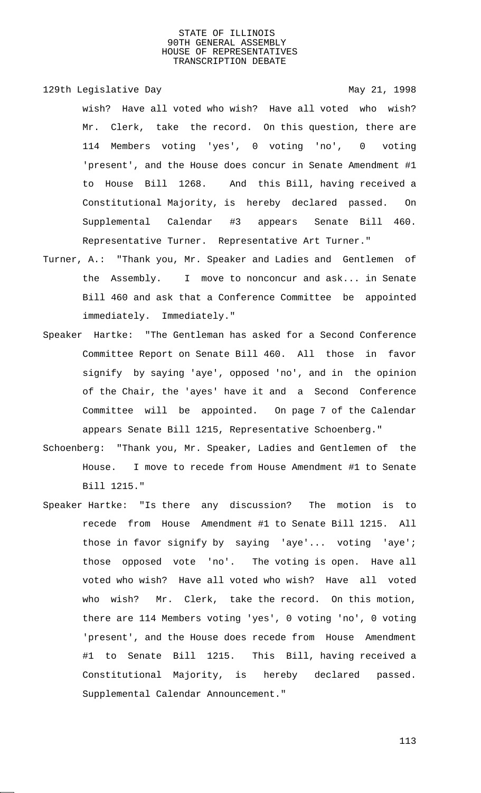129th Legislative Day 129th May 21, 1998

wish? Have all voted who wish? Have all voted who wish? Mr. Clerk, take the record. On this question, there are 114 Members voting 'yes', 0 voting 'no', 0 voting 'present', and the House does concur in Senate Amendment #1 to House Bill 1268. And this Bill, having received a Constitutional Majority, is hereby declared passed. On Supplemental Calendar #3 appears Senate Bill 460. Representative Turner. Representative Art Turner."

- Turner, A.: "Thank you, Mr. Speaker and Ladies and Gentlemen of the Assembly. I move to nonconcur and ask... in Senate Bill 460 and ask that a Conference Committee be appointed immediately. Immediately."
- Speaker Hartke: "The Gentleman has asked for a Second Conference Committee Report on Senate Bill 460. All those in favor signify by saying 'aye', opposed 'no', and in the opinion of the Chair, the 'ayes' have it and a Second Conference Committee will be appointed. On page 7 of the Calendar appears Senate Bill 1215, Representative Schoenberg."
- Schoenberg: "Thank you, Mr. Speaker, Ladies and Gentlemen of the House. I move to recede from House Amendment #1 to Senate Bill 1215."
- Speaker Hartke: "Is there any discussion? The motion is to recede from House Amendment #1 to Senate Bill 1215. All those in favor signify by saying 'aye'... voting 'aye'; those opposed vote 'no'. The voting is open. Have all voted who wish? Have all voted who wish? Have all voted who wish? Mr. Clerk, take the record. On this motion, there are 114 Members voting 'yes', 0 voting 'no', 0 voting 'present', and the House does recede from House Amendment #1 to Senate Bill 1215. This Bill, having received a Constitutional Majority, is hereby declared passed. Supplemental Calendar Announcement."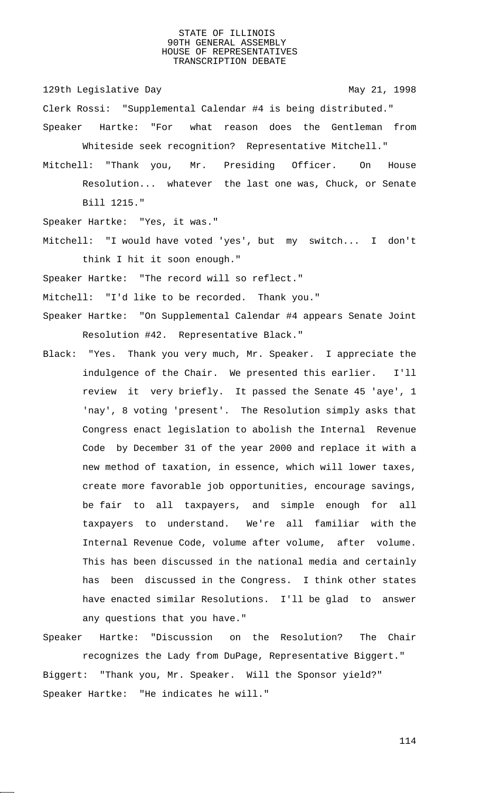129th Legislative Day 129th May 21, 1998

- Clerk Rossi: "Supplemental Calendar #4 is being distributed."
- Speaker Hartke: "For what reason does the Gentleman from Whiteside seek recognition? Representative Mitchell."
- Mitchell: "Thank you, Mr. Presiding Officer. On House Resolution... whatever the last one was, Chuck, or Senate Bill 1215."

Speaker Hartke: "Yes, it was."

Mitchell: "I would have voted 'yes', but my switch... I don't think I hit it soon enough."

Speaker Hartke: "The record will so reflect."

Mitchell: "I'd like to be recorded. Thank you."

- Speaker Hartke: "On Supplemental Calendar #4 appears Senate Joint Resolution #42. Representative Black."
- Black: "Yes. Thank you very much, Mr. Speaker. I appreciate the indulgence of the Chair. We presented this earlier. I'll review it very briefly. It passed the Senate 45 'aye', 1 'nay', 8 voting 'present'. The Resolution simply asks that Congress enact legislation to abolish the Internal Revenue Code by December 31 of the year 2000 and replace it with a new method of taxation, in essence, which will lower taxes, create more favorable job opportunities, encourage savings, be fair to all taxpayers, and simple enough for all taxpayers to understand. We're all familiar with the Internal Revenue Code, volume after volume, after volume. This has been discussed in the national media and certainly has been discussed in the Congress. I think other states have enacted similar Resolutions. I'll be glad to answer any questions that you have."
- Speaker Hartke: "Discussion on the Resolution? The Chair recognizes the Lady from DuPage, Representative Biggert." Biggert: "Thank you, Mr. Speaker. Will the Sponsor yield?" Speaker Hartke: "He indicates he will."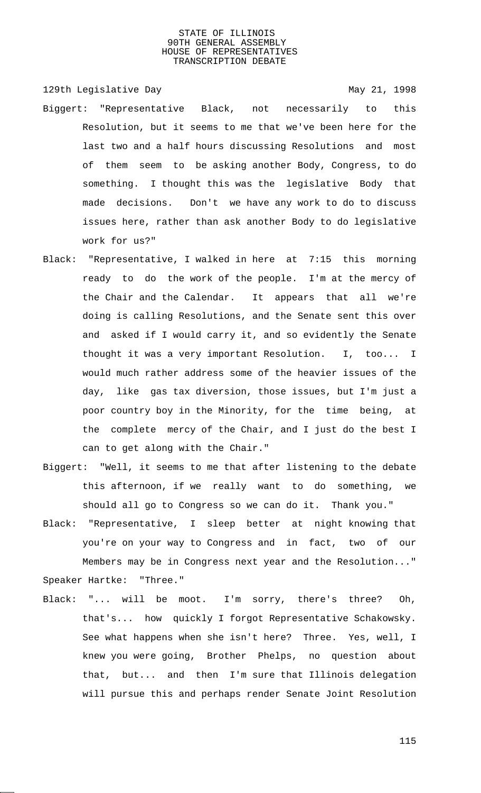129th Legislative Day 129th May 21, 1998

- Biggert: "Representative Black, not necessarily to this Resolution, but it seems to me that we've been here for the last two and a half hours discussing Resolutions and most of them seem to be asking another Body, Congress, to do something. I thought this was the legislative Body that made decisions. Don't we have any work to do to discuss issues here, rather than ask another Body to do legislative work for us?"
- Black: "Representative, I walked in here at 7:15 this morning ready to do the work of the people. I'm at the mercy of the Chair and the Calendar. It appears that all we're doing is calling Resolutions, and the Senate sent this over and asked if I would carry it, and so evidently the Senate thought it was a very important Resolution. I, too... I would much rather address some of the heavier issues of the day, like gas tax diversion, those issues, but I'm just a poor country boy in the Minority, for the time being, at the complete mercy of the Chair, and I just do the best I can to get along with the Chair."
- Biggert: "Well, it seems to me that after listening to the debate this afternoon, if we really want to do something, we should all go to Congress so we can do it. Thank you."
- Black: "Representative, I sleep better at night knowing that you're on your way to Congress and in fact, two of our Members may be in Congress next year and the Resolution..." Speaker Hartke: "Three."
- Black: "... will be moot. I'm sorry, there's three? Oh, that's... how quickly I forgot Representative Schakowsky. See what happens when she isn't here? Three. Yes, well, I knew you were going, Brother Phelps, no question about that, but... and then I'm sure that Illinois delegation will pursue this and perhaps render Senate Joint Resolution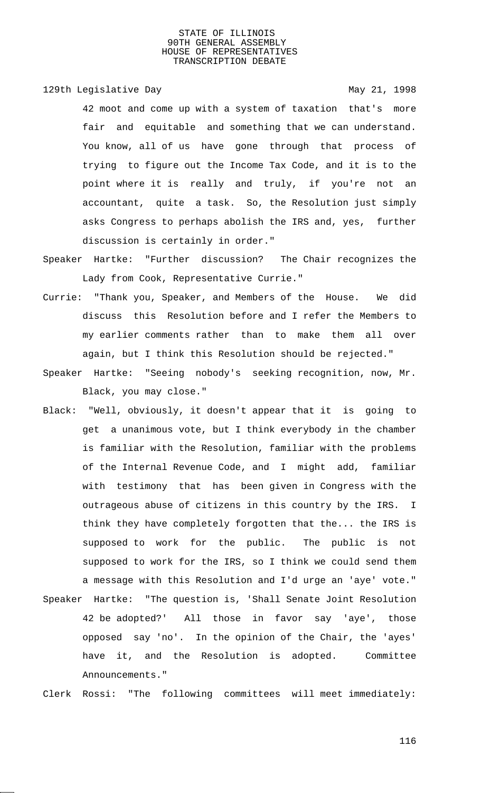129th Legislative Day 129th May 21, 1998

42 moot and come up with a system of taxation that's more fair and equitable and something that we can understand. You know, all of us have gone through that process of trying to figure out the Income Tax Code, and it is to the point where it is really and truly, if you're not an accountant, quite a task. So, the Resolution just simply asks Congress to perhaps abolish the IRS and, yes, further discussion is certainly in order."

- Speaker Hartke: "Further discussion? The Chair recognizes the Lady from Cook, Representative Currie."
- Currie: "Thank you, Speaker, and Members of the House. We did discuss this Resolution before and I refer the Members to my earlier comments rather than to make them all over again, but I think this Resolution should be rejected."
- Speaker Hartke: "Seeing nobody's seeking recognition, now, Mr. Black, you may close."
- Black: "Well, obviously, it doesn't appear that it is going to get a unanimous vote, but I think everybody in the chamber is familiar with the Resolution, familiar with the problems of the Internal Revenue Code, and I might add, familiar with testimony that has been given in Congress with the outrageous abuse of citizens in this country by the IRS. I think they have completely forgotten that the... the IRS is supposed to work for the public. The public is not supposed to work for the IRS, so I think we could send them a message with this Resolution and I'd urge an 'aye' vote."
- Speaker Hartke: "The question is, 'Shall Senate Joint Resolution 42 be adopted?' All those in favor say 'aye', those opposed say 'no'. In the opinion of the Chair, the 'ayes' have it, and the Resolution is adopted. Committee Announcements."

Clerk Rossi: "The following committees will meet immediately: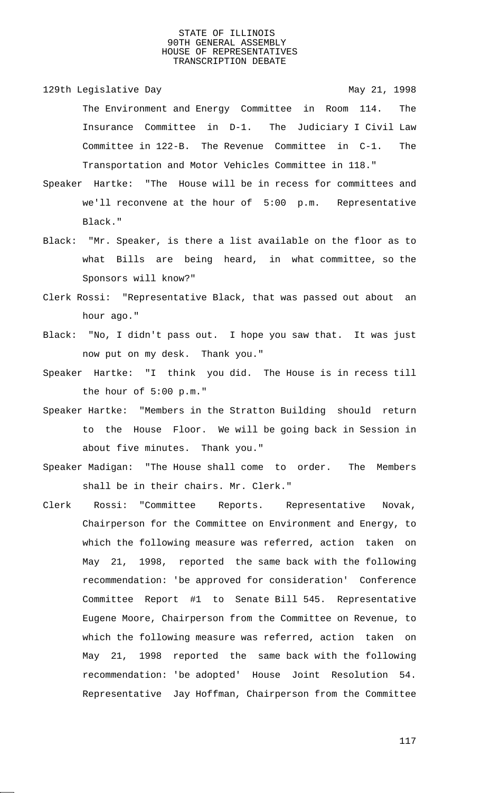129th Legislative Day 129th May 21, 1998 The Environment and Energy Committee in Room 114. The Insurance Committee in D-1. The Judiciary I Civil Law Committee in 122-B. The Revenue Committee in C-1. The Transportation and Motor Vehicles Committee in 118."

- Speaker Hartke: "The House will be in recess for committees and we'll reconvene at the hour of 5:00 p.m. Representative Black."
- Black: "Mr. Speaker, is there a list available on the floor as to what Bills are being heard, in what committee, so the Sponsors will know?"
- Clerk Rossi: "Representative Black, that was passed out about an hour ago."
- Black: "No, I didn't pass out. I hope you saw that. It was just now put on my desk. Thank you."
- Speaker Hartke: "I think you did. The House is in recess till the hour of 5:00 p.m."
- Speaker Hartke: "Members in the Stratton Building should return to the House Floor. We will be going back in Session in about five minutes. Thank you."
- Speaker Madigan: "The House shall come to order. The Members shall be in their chairs. Mr. Clerk."
- Clerk Rossi: "Committee Reports. Representative Novak, Chairperson for the Committee on Environment and Energy, to which the following measure was referred, action taken on May 21, 1998, reported the same back with the following recommendation: 'be approved for consideration' Conference Committee Report #1 to Senate Bill 545. Representative Eugene Moore, Chairperson from the Committee on Revenue, to which the following measure was referred, action taken on May 21, 1998 reported the same back with the following recommendation: 'be adopted' House Joint Resolution 54. Representative Jay Hoffman, Chairperson from the Committee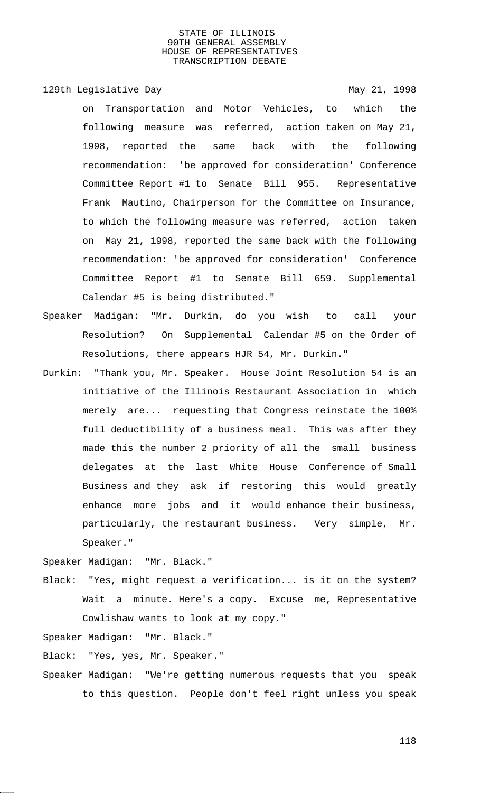129th Legislative Day 129th May 21, 1998

on Transportation and Motor Vehicles, to which the following measure was referred, action taken on May 21, 1998, reported the same back with the following recommendation: 'be approved for consideration' Conference Committee Report #1 to Senate Bill 955. Representative Frank Mautino, Chairperson for the Committee on Insurance, to which the following measure was referred, action taken on May 21, 1998, reported the same back with the following recommendation: 'be approved for consideration' Conference Committee Report #1 to Senate Bill 659. Supplemental Calendar #5 is being distributed."

- Speaker Madigan: "Mr. Durkin, do you wish to call your Resolution? On Supplemental Calendar #5 on the Order of Resolutions, there appears HJR 54, Mr. Durkin."
- Durkin: "Thank you, Mr. Speaker. House Joint Resolution 54 is an initiative of the Illinois Restaurant Association in which merely are... requesting that Congress reinstate the 100% full deductibility of a business meal. This was after they made this the number 2 priority of all the small business delegates at the last White House Conference of Small Business and they ask if restoring this would greatly enhance more jobs and it would enhance their business, particularly, the restaurant business. Very simple, Mr. Speaker."

Speaker Madigan: "Mr. Black."

Black: "Yes, might request a verification... is it on the system? Wait a minute. Here's a copy. Excuse me, Representative Cowlishaw wants to look at my copy."

Speaker Madigan: "Mr. Black."

Black: "Yes, yes, Mr. Speaker."

Speaker Madigan: "We're getting numerous requests that you speak to this question. People don't feel right unless you speak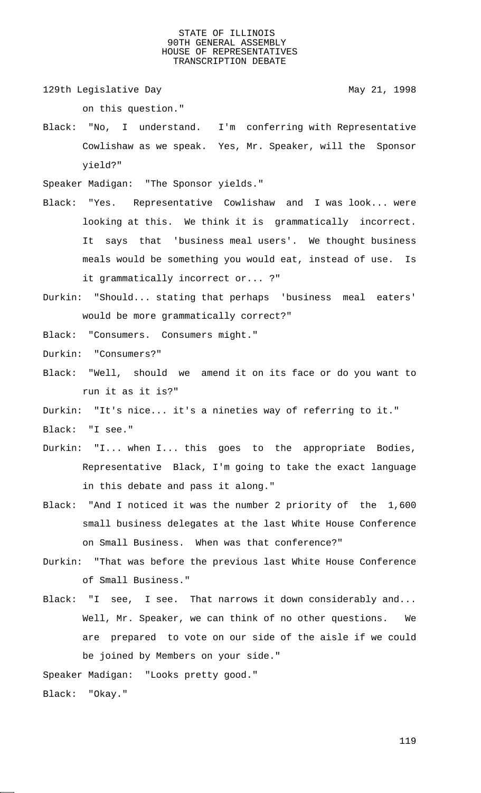129th Legislative Day 129th May 21, 1998

on this question."

Black: "No, I understand. I'm conferring with Representative Cowlishaw as we speak. Yes, Mr. Speaker, will the Sponsor yield?"

Speaker Madigan: "The Sponsor yields."

- Black: "Yes. Representative Cowlishaw and I was look... were looking at this. We think it is grammatically incorrect. It says that 'business meal users'. We thought business meals would be something you would eat, instead of use. Is it grammatically incorrect or... ?"
- Durkin: "Should... stating that perhaps 'business meal eaters' would be more grammatically correct?"

Black: "Consumers. Consumers might."

- Durkin: "Consumers?"
- Black: "Well, should we amend it on its face or do you want to run it as it is?"
- Durkin: "It's nice... it's a nineties way of referring to it."

Black: "I see."

- Durkin: "I... when I... this goes to the appropriate Bodies, Representative Black, I'm going to take the exact language in this debate and pass it along."
- Black: "And I noticed it was the number 2 priority of the 1,600 small business delegates at the last White House Conference on Small Business. When was that conference?"
- Durkin: "That was before the previous last White House Conference of Small Business."
- Black: "I see, I see. That narrows it down considerably and... Well, Mr. Speaker, we can think of no other questions. We are prepared to vote on our side of the aisle if we could be joined by Members on your side."

Speaker Madigan: "Looks pretty good."

Black: "Okay."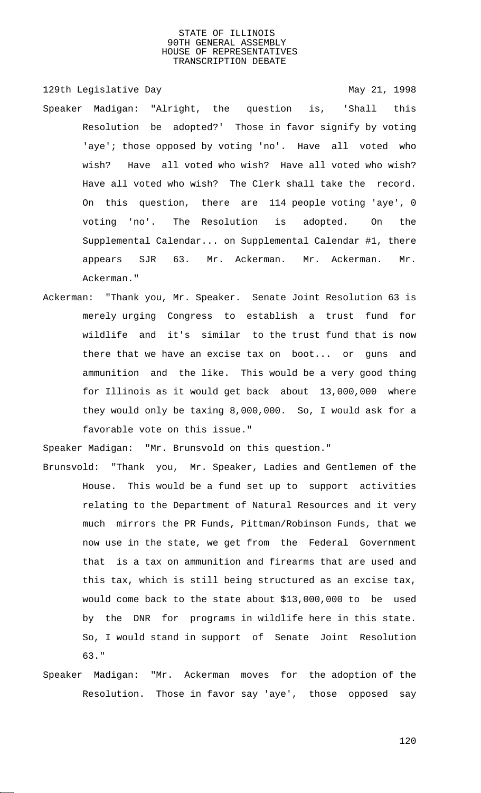- 129th Legislative Day 129th May 21, 1998 Speaker Madigan: "Alright, the question is, 'Shall this Resolution be adopted?' Those in favor signify by voting 'aye'; those opposed by voting 'no'. Have all voted who wish? Have all voted who wish? Have all voted who wish? Have all voted who wish? The Clerk shall take the record. On this question, there are 114 people voting 'aye', 0 voting 'no'. The Resolution is adopted. On the Supplemental Calendar... on Supplemental Calendar #1, there appears SJR 63. Mr. Ackerman. Mr. Ackerman. Mr. Ackerman."
- Ackerman: "Thank you, Mr. Speaker. Senate Joint Resolution 63 is merely urging Congress to establish a trust fund for wildlife and it's similar to the trust fund that is now there that we have an excise tax on boot... or guns and ammunition and the like. This would be a very good thing for Illinois as it would get back about 13,000,000 where they would only be taxing 8,000,000. So, I would ask for a favorable vote on this issue."

Speaker Madigan: "Mr. Brunsvold on this question."

- Brunsvold: "Thank you, Mr. Speaker, Ladies and Gentlemen of the House. This would be a fund set up to support activities relating to the Department of Natural Resources and it very much mirrors the PR Funds, Pittman/Robinson Funds, that we now use in the state, we get from the Federal Government that is a tax on ammunition and firearms that are used and this tax, which is still being structured as an excise tax, would come back to the state about \$13,000,000 to be used by the DNR for programs in wildlife here in this state. So, I would stand in support of Senate Joint Resolution 63."
- Speaker Madigan: "Mr. Ackerman moves for the adoption of the Resolution. Those in favor say 'aye', those opposed say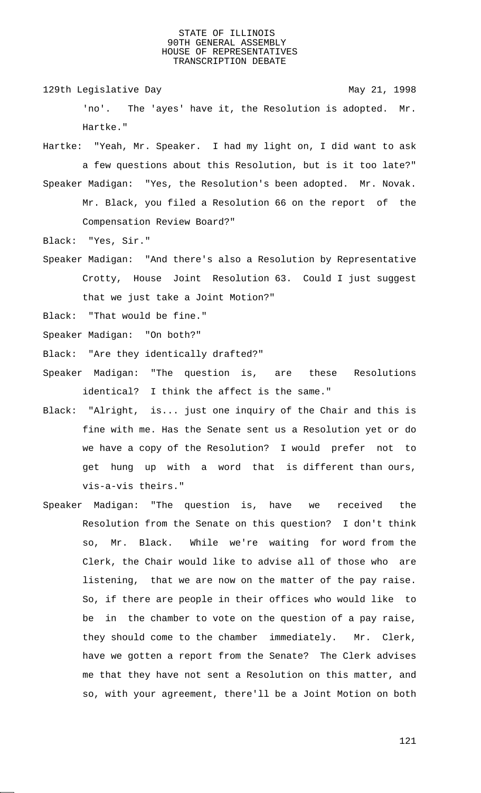129th Legislative Day 129th May 21, 1998

'no'. The 'ayes' have it, the Resolution is adopted. Mr. Hartke."

Hartke: "Yeah, Mr. Speaker. I had my light on, I did want to ask a few questions about this Resolution, but is it too late?" Speaker Madigan: "Yes, the Resolution's been adopted. Mr. Novak.

Mr. Black, you filed a Resolution 66 on the report of the Compensation Review Board?"

Black: "Yes, Sir."

Speaker Madigan: "And there's also a Resolution by Representative Crotty, House Joint Resolution 63. Could I just suggest that we just take a Joint Motion?"

Black: "That would be fine."

Speaker Madigan: "On both?"

Black: "Are they identically drafted?"

- Speaker Madigan: "The question is, are these Resolutions identical? I think the affect is the same."
- Black: "Alright, is... just one inquiry of the Chair and this is fine with me. Has the Senate sent us a Resolution yet or do we have a copy of the Resolution? I would prefer not to get hung up with a word that is different than ours, vis-a-vis theirs."
- Speaker Madigan: "The question is, have we received the Resolution from the Senate on this question? I don't think so, Mr. Black. While we're waiting for word from the Clerk, the Chair would like to advise all of those who are listening, that we are now on the matter of the pay raise. So, if there are people in their offices who would like to be in the chamber to vote on the question of a pay raise, they should come to the chamber immediately. Mr. Clerk, have we gotten a report from the Senate? The Clerk advises me that they have not sent a Resolution on this matter, and so, with your agreement, there'll be a Joint Motion on both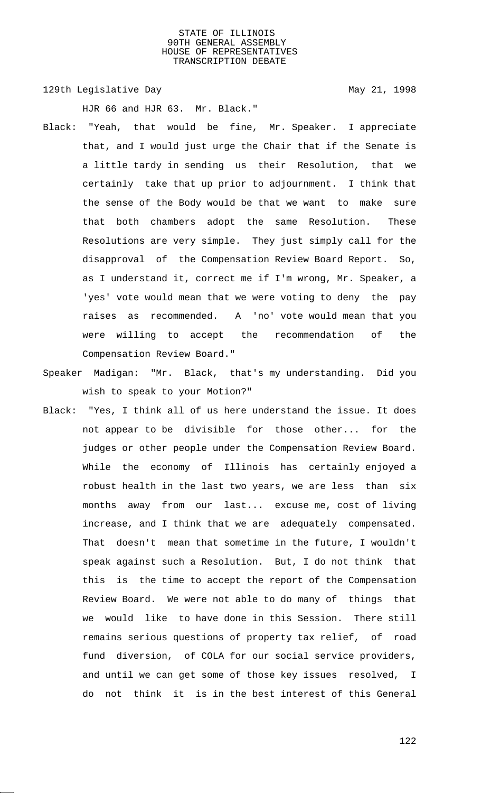129th Legislative Day 129th May 21, 1998

HJR 66 and HJR 63. Mr. Black."

- Black: "Yeah, that would be fine, Mr. Speaker. I appreciate that, and I would just urge the Chair that if the Senate is a little tardy in sending us their Resolution, that we certainly take that up prior to adjournment. I think that the sense of the Body would be that we want to make sure that both chambers adopt the same Resolution. These Resolutions are very simple. They just simply call for the disapproval of the Compensation Review Board Report. So, as I understand it, correct me if I'm wrong, Mr. Speaker, a 'yes' vote would mean that we were voting to deny the pay raises as recommended. A 'no' vote would mean that you were willing to accept the recommendation of the Compensation Review Board."
- Speaker Madigan: "Mr. Black, that's my understanding. Did you wish to speak to your Motion?"
- Black: "Yes, I think all of us here understand the issue. It does not appear to be divisible for those other... for the judges or other people under the Compensation Review Board. While the economy of Illinois has certainly enjoyed a robust health in the last two years, we are less than six months away from our last... excuse me, cost of living increase, and I think that we are adequately compensated. That doesn't mean that sometime in the future, I wouldn't speak against such a Resolution. But, I do not think that this is the time to accept the report of the Compensation Review Board. We were not able to do many of things that we would like to have done in this Session. There still remains serious questions of property tax relief, of road fund diversion, of COLA for our social service providers, and until we can get some of those key issues resolved, I do not think it is in the best interest of this General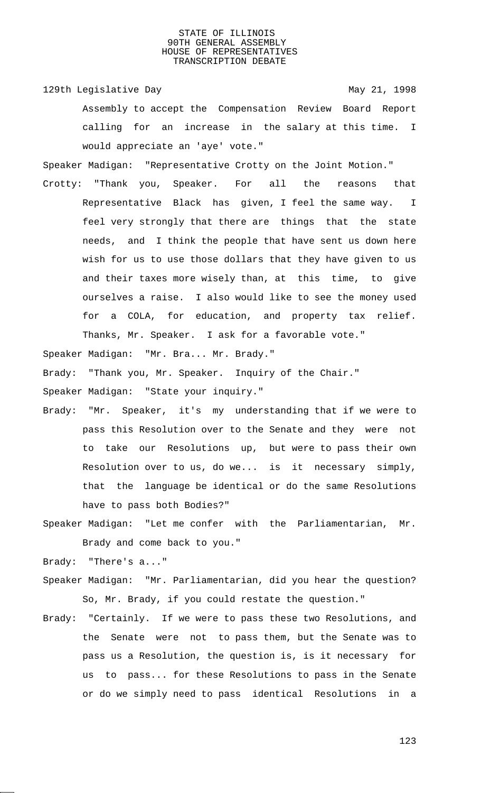129th Legislative Day 129th May 21, 1998 Assembly to accept the Compensation Review Board Report calling for an increase in the salary at this time. I would appreciate an 'aye' vote."

Speaker Madigan: "Representative Crotty on the Joint Motion."

Crotty: "Thank you, Speaker. For all the reasons that Representative Black has given, I feel the same way. I feel very strongly that there are things that the state needs, and I think the people that have sent us down here wish for us to use those dollars that they have given to us and their taxes more wisely than, at this time, to give ourselves a raise. I also would like to see the money used for a COLA, for education, and property tax relief. Thanks, Mr. Speaker. I ask for a favorable vote."

Speaker Madigan: "Mr. Bra... Mr. Brady."

Brady: "Thank you, Mr. Speaker. Inquiry of the Chair."

Speaker Madigan: "State your inquiry."

- Brady: "Mr. Speaker, it's my understanding that if we were to pass this Resolution over to the Senate and they were not to take our Resolutions up, but were to pass their own Resolution over to us, do we... is it necessary simply, that the language be identical or do the same Resolutions have to pass both Bodies?"
- Speaker Madigan: "Let me confer with the Parliamentarian, Mr. Brady and come back to you."

Brady: "There's a..."

- Speaker Madigan: "Mr. Parliamentarian, did you hear the question? So, Mr. Brady, if you could restate the question."
- Brady: "Certainly. If we were to pass these two Resolutions, and the Senate were not to pass them, but the Senate was to pass us a Resolution, the question is, is it necessary for us to pass... for these Resolutions to pass in the Senate or do we simply need to pass identical Resolutions in a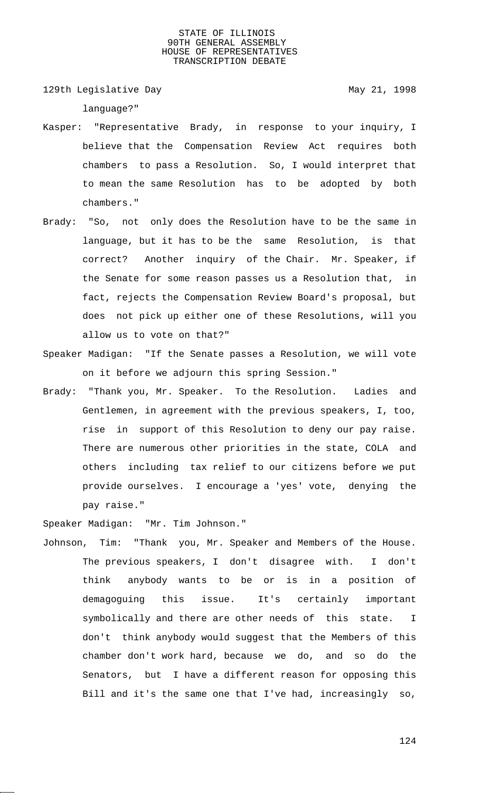129th Legislative Day 129th May 21, 1998

language?"

- Kasper: "Representative Brady, in response to your inquiry, I believe that the Compensation Review Act requires both chambers to pass a Resolution. So, I would interpret that to mean the same Resolution has to be adopted by both chambers."
- Brady: "So, not only does the Resolution have to be the same in language, but it has to be the same Resolution, is that correct? Another inquiry of the Chair. Mr. Speaker, if the Senate for some reason passes us a Resolution that, in fact, rejects the Compensation Review Board's proposal, but does not pick up either one of these Resolutions, will you allow us to vote on that?"
- Speaker Madigan: "If the Senate passes a Resolution, we will vote on it before we adjourn this spring Session."
- Brady: "Thank you, Mr. Speaker. To the Resolution. Ladies and Gentlemen, in agreement with the previous speakers, I, too, rise in support of this Resolution to deny our pay raise. There are numerous other priorities in the state, COLA and others including tax relief to our citizens before we put provide ourselves. I encourage a 'yes' vote, denying the pay raise."

Speaker Madigan: "Mr. Tim Johnson."

Johnson, Tim: "Thank you, Mr. Speaker and Members of the House. The previous speakers, I don't disagree with. I don't think anybody wants to be or is in a position of demagoguing this issue. It's certainly important symbolically and there are other needs of this state. I don't think anybody would suggest that the Members of this chamber don't work hard, because we do, and so do the Senators, but I have a different reason for opposing this Bill and it's the same one that I've had, increasingly so,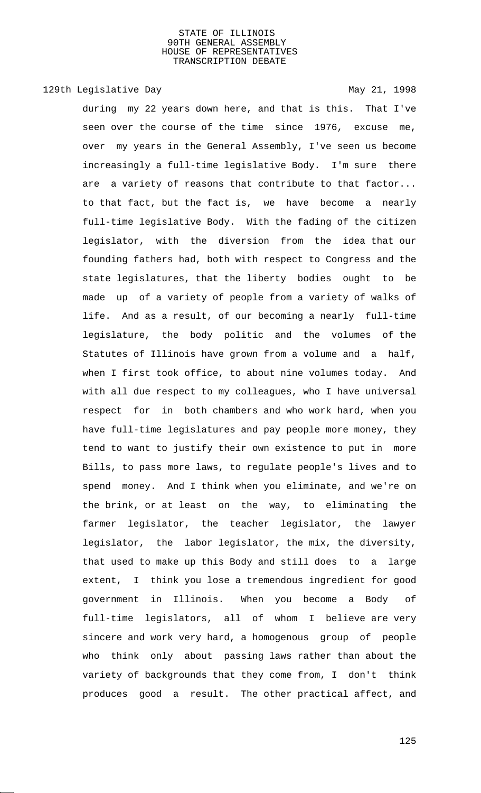# 129th Legislative Day 129th May 21, 1998

during my 22 years down here, and that is this. That I've seen over the course of the time since 1976, excuse me, over my years in the General Assembly, I've seen us become increasingly a full-time legislative Body. I'm sure there are a variety of reasons that contribute to that factor... to that fact, but the fact is, we have become a nearly full-time legislative Body. With the fading of the citizen legislator, with the diversion from the idea that our founding fathers had, both with respect to Congress and the state legislatures, that the liberty bodies ought to be made up of a variety of people from a variety of walks of life. And as a result, of our becoming a nearly full-time legislature, the body politic and the volumes of the Statutes of Illinois have grown from a volume and a half, when I first took office, to about nine volumes today. And with all due respect to my colleagues, who I have universal respect for in both chambers and who work hard, when you have full-time legislatures and pay people more money, they tend to want to justify their own existence to put in more Bills, to pass more laws, to regulate people's lives and to spend money. And I think when you eliminate, and we're on the brink, or at least on the way, to eliminating the farmer legislator, the teacher legislator, the lawyer legislator, the labor legislator, the mix, the diversity, that used to make up this Body and still does to a large extent, I think you lose a tremendous ingredient for good government in Illinois. When you become a Body of full-time legislators, all of whom I believe are very sincere and work very hard, a homogenous group of people who think only about passing laws rather than about the variety of backgrounds that they come from, I don't think produces good a result. The other practical affect, and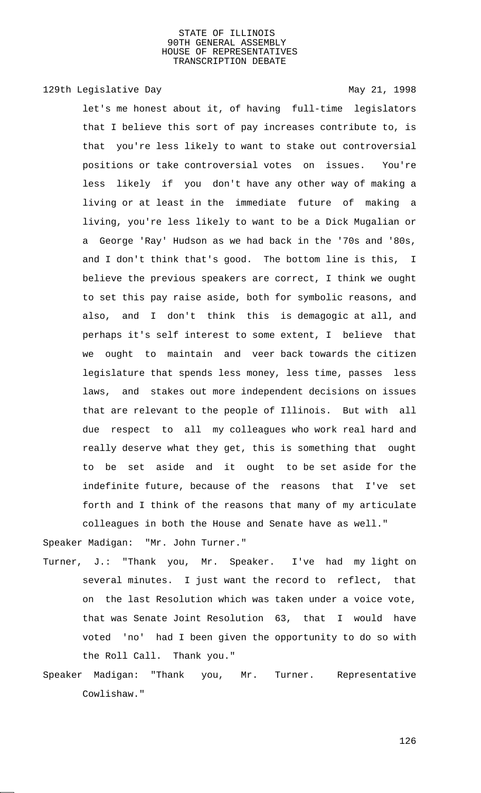# 129th Legislative Day 129th May 21, 1998

let's me honest about it, of having full-time legislators that I believe this sort of pay increases contribute to, is that you're less likely to want to stake out controversial positions or take controversial votes on issues. You're less likely if you don't have any other way of making a living or at least in the immediate future of making a living, you're less likely to want to be a Dick Mugalian or a George 'Ray' Hudson as we had back in the '70s and '80s, and I don't think that's good. The bottom line is this, I believe the previous speakers are correct, I think we ought to set this pay raise aside, both for symbolic reasons, and also, and I don't think this is demagogic at all, and perhaps it's self interest to some extent, I believe that we ought to maintain and veer back towards the citizen legislature that spends less money, less time, passes less laws, and stakes out more independent decisions on issues that are relevant to the people of Illinois. But with all due respect to all my colleagues who work real hard and really deserve what they get, this is something that ought to be set aside and it ought to be set aside for the indefinite future, because of the reasons that I've set forth and I think of the reasons that many of my articulate colleagues in both the House and Senate have as well."

Speaker Madigan: "Mr. John Turner."

- Turner, J.: "Thank you, Mr. Speaker. I've had my light on several minutes. I just want the record to reflect, that on the last Resolution which was taken under a voice vote, that was Senate Joint Resolution 63, that I would have voted 'no' had I been given the opportunity to do so with the Roll Call. Thank you."
- Speaker Madigan: "Thank you, Mr. Turner. Representative Cowlishaw."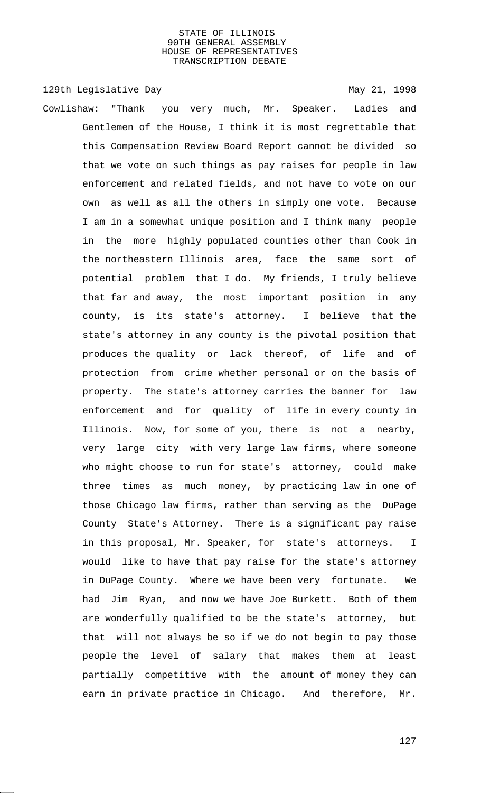129th Legislative Day 129th May 21, 1998

Cowlishaw: "Thank you very much, Mr. Speaker. Ladies and Gentlemen of the House, I think it is most regrettable that this Compensation Review Board Report cannot be divided so that we vote on such things as pay raises for people in law enforcement and related fields, and not have to vote on our own as well as all the others in simply one vote. Because I am in a somewhat unique position and I think many people in the more highly populated counties other than Cook in the northeastern Illinois area, face the same sort of potential problem that I do. My friends, I truly believe that far and away, the most important position in any county, is its state's attorney. I believe that the state's attorney in any county is the pivotal position that produces the quality or lack thereof, of life and of protection from crime whether personal or on the basis of property. The state's attorney carries the banner for law enforcement and for quality of life in every county in Illinois. Now, for some of you, there is not a nearby, very large city with very large law firms, where someone who might choose to run for state's attorney, could make three times as much money, by practicing law in one of those Chicago law firms, rather than serving as the DuPage County State's Attorney. There is a significant pay raise in this proposal, Mr. Speaker, for state's attorneys. I would like to have that pay raise for the state's attorney in DuPage County. Where we have been very fortunate. We had Jim Ryan, and now we have Joe Burkett. Both of them are wonderfully qualified to be the state's attorney, but that will not always be so if we do not begin to pay those people the level of salary that makes them at least partially competitive with the amount of money they can earn in private practice in Chicago. And therefore, Mr.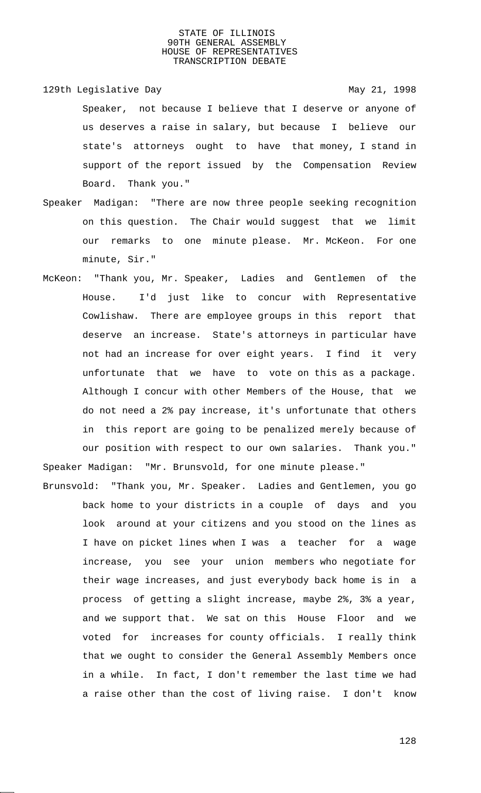129th Legislative Day 129th May 21, 1998 Speaker, not because I believe that I deserve or anyone of us deserves a raise in salary, but because I believe our state's attorneys ought to have that money, I stand in support of the report issued by the Compensation Review Board. Thank you."

- Speaker Madigan: "There are now three people seeking recognition on this question. The Chair would suggest that we limit our remarks to one minute please. Mr. McKeon. For one minute, Sir."
- McKeon: "Thank you, Mr. Speaker, Ladies and Gentlemen of the House. I'd just like to concur with Representative Cowlishaw. There are employee groups in this report that deserve an increase. State's attorneys in particular have not had an increase for over eight years. I find it very unfortunate that we have to vote on this as a package. Although I concur with other Members of the House, that we do not need a 2% pay increase, it's unfortunate that others in this report are going to be penalized merely because of our position with respect to our own salaries. Thank you." Speaker Madigan: "Mr. Brunsvold, for one minute please."

Brunsvold: "Thank you, Mr. Speaker. Ladies and Gentlemen, you go back home to your districts in a couple of days and you look around at your citizens and you stood on the lines as I have on picket lines when I was a teacher for a wage increase, you see your union members who negotiate for their wage increases, and just everybody back home is in a process of getting a slight increase, maybe 2%, 3% a year, and we support that. We sat on this House Floor and we voted for increases for county officials. I really think that we ought to consider the General Assembly Members once in a while. In fact, I don't remember the last time we had a raise other than the cost of living raise. I don't know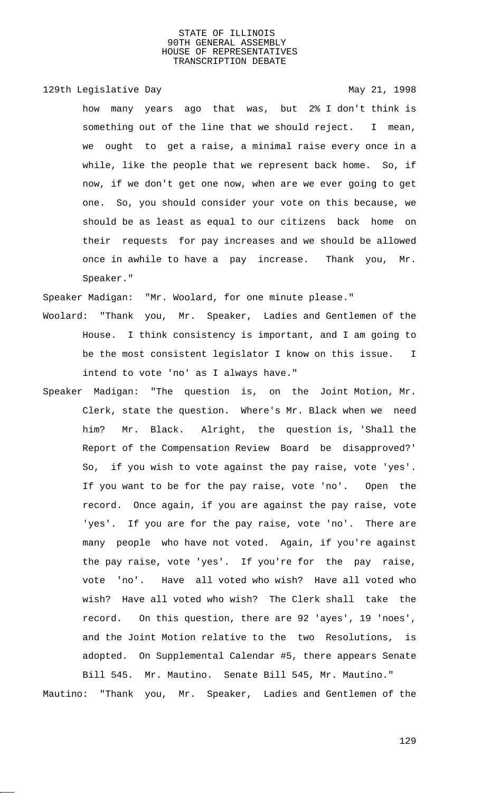# 129th Legislative Day 129th May 21, 1998

how many years ago that was, but 2% I don't think is something out of the line that we should reject. I mean, we ought to get a raise, a minimal raise every once in a while, like the people that we represent back home. So, if now, if we don't get one now, when are we ever going to get one. So, you should consider your vote on this because, we should be as least as equal to our citizens back home on their requests for pay increases and we should be allowed once in awhile to have a pay increase. Thank you, Mr. Speaker."

Speaker Madigan: "Mr. Woolard, for one minute please."

- Woolard: "Thank you, Mr. Speaker, Ladies and Gentlemen of the House. I think consistency is important, and I am going to be the most consistent legislator I know on this issue. I intend to vote 'no' as I always have."
- Speaker Madigan: "The question is, on the Joint Motion, Mr. Clerk, state the question. Where's Mr. Black when we need him? Mr. Black. Alright, the question is, 'Shall the Report of the Compensation Review Board be disapproved?' So, if you wish to vote against the pay raise, vote 'yes'. If you want to be for the pay raise, vote 'no'. Open the record. Once again, if you are against the pay raise, vote 'yes'. If you are for the pay raise, vote 'no'. There are many people who have not voted. Again, if you're against the pay raise, vote 'yes'. If you're for the pay raise, vote 'no'. Have all voted who wish? Have all voted who wish? Have all voted who wish? The Clerk shall take the record. On this question, there are 92 'ayes', 19 'noes', and the Joint Motion relative to the two Resolutions, is adopted. On Supplemental Calendar #5, there appears Senate Bill 545. Mr. Mautino. Senate Bill 545, Mr. Mautino."

Mautino: "Thank you, Mr. Speaker, Ladies and Gentlemen of the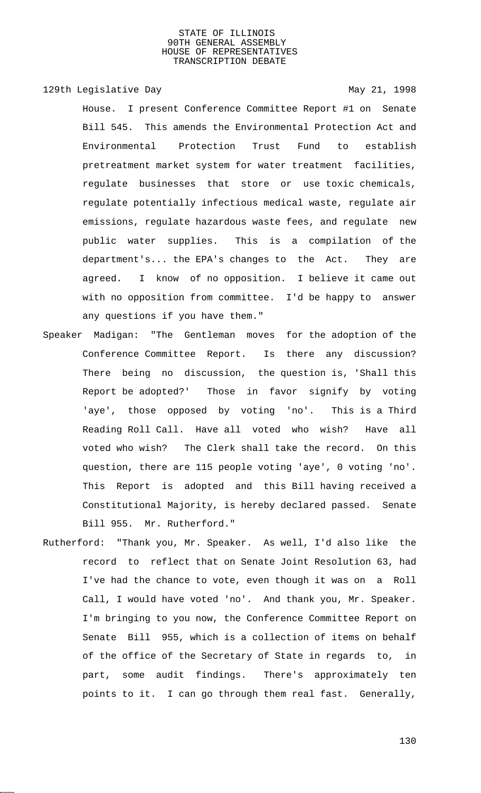# 129th Legislative Day 129th May 21, 1998

House. I present Conference Committee Report #1 on Senate Bill 545. This amends the Environmental Protection Act and Environmental Protection Trust Fund to establish pretreatment market system for water treatment facilities, regulate businesses that store or use toxic chemicals, regulate potentially infectious medical waste, regulate air emissions, regulate hazardous waste fees, and regulate new public water supplies. This is a compilation of the department's... the EPA's changes to the Act. They are agreed. I know of no opposition. I believe it came out with no opposition from committee. I'd be happy to answer any questions if you have them."

- Speaker Madigan: "The Gentleman moves for the adoption of the Conference Committee Report. Is there any discussion? There being no discussion, the question is, 'Shall this Report be adopted?' Those in favor signify by voting 'aye', those opposed by voting 'no'. This is a Third Reading Roll Call. Have all voted who wish? Have all voted who wish? The Clerk shall take the record. On this question, there are 115 people voting 'aye', 0 voting 'no'. This Report is adopted and this Bill having received a Constitutional Majority, is hereby declared passed. Senate Bill 955. Mr. Rutherford."
- Rutherford: "Thank you, Mr. Speaker. As well, I'd also like the record to reflect that on Senate Joint Resolution 63, had I've had the chance to vote, even though it was on a Roll Call, I would have voted 'no'. And thank you, Mr. Speaker. I'm bringing to you now, the Conference Committee Report on Senate Bill 955, which is a collection of items on behalf of the office of the Secretary of State in regards to, in part, some audit findings. There's approximately ten points to it. I can go through them real fast. Generally,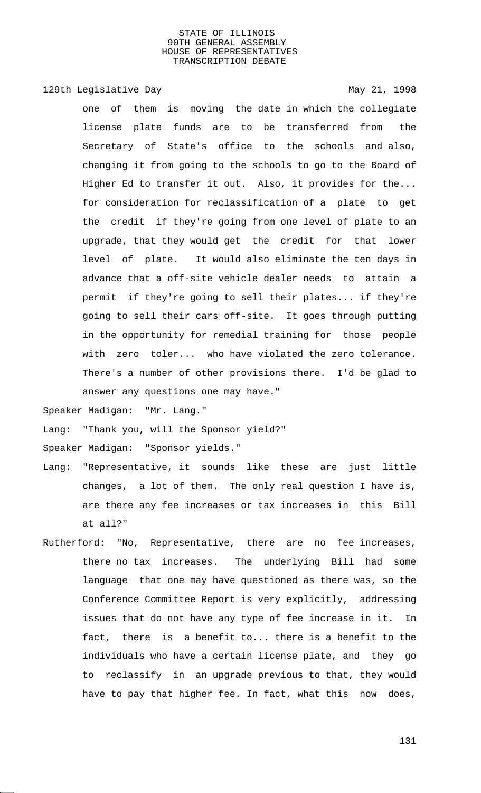129th Legislative Day 129th May 21, 1998

one of them is moving the date in which the collegiate license plate funds are to be transferred from the Secretary of State's office to the schools and also, changing it from going to the schools to go to the Board of Higher Ed to transfer it out. Also, it provides for the... for consideration for reclassification of a plate to get the credit if they're going from one level of plate to an upgrade, that they would get the credit for that lower level of plate. It would also eliminate the ten days in advance that a off-site vehicle dealer needs to attain a permit if they're going to sell their plates... if they're going to sell their cars off-site. It goes through putting in the opportunity for remedial training for those people with zero toler... who have violated the zero tolerance. There's a number of other provisions there. I'd be glad to answer any questions one may have."

Speaker Madigan: "Mr. Lang."

Lang: "Thank you, will the Sponsor yield?"

Speaker Madigan: "Sponsor yields."

- Lang: "Representative, it sounds like these are just little changes, a lot of them. The only real question I have is, are there any fee increases or tax increases in this Bill at all?"
- Rutherford: "No, Representative, there are no fee increases, there no tax increases. The underlying Bill had some language that one may have questioned as there was, so the Conference Committee Report is very explicitly, addressing issues that do not have any type of fee increase in it. In fact, there is a benefit to... there is a benefit to the individuals who have a certain license plate, and they go to reclassify in an upgrade previous to that, they would have to pay that higher fee. In fact, what this now does,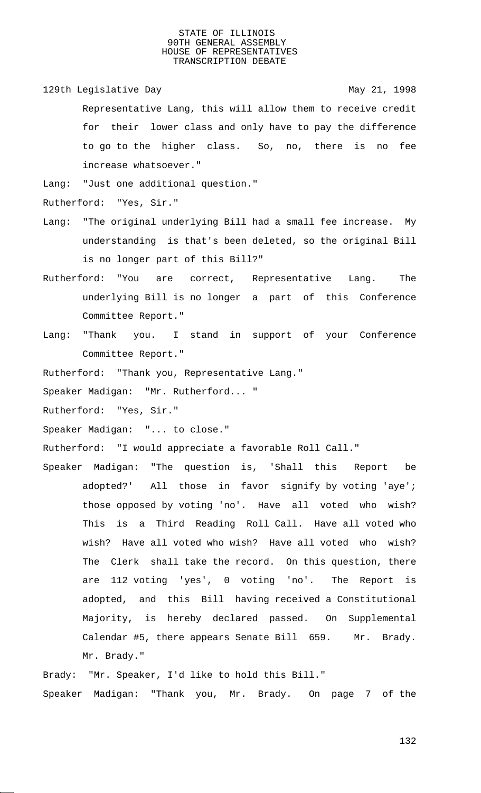129th Legislative Day 129th May 21, 1998 Representative Lang, this will allow them to receive credit for their lower class and only have to pay the difference to go to the higher class. So, no, there is no fee increase whatsoever."

Lang: "Just one additional question."

Rutherford: "Yes, Sir."

- Lang: "The original underlying Bill had a small fee increase. My understanding is that's been deleted, so the original Bill is no longer part of this Bill?"
- Rutherford: "You are correct, Representative Lang. The underlying Bill is no longer a part of this Conference Committee Report."
- Lang: "Thank you. I stand in support of your Conference Committee Report."

Rutherford: "Thank you, Representative Lang."

Speaker Madigan: "Mr. Rutherford... "

Rutherford: "Yes, Sir."

Speaker Madigan: "... to close."

Rutherford: "I would appreciate a favorable Roll Call."

Speaker Madigan: "The question is, 'Shall this Report be adopted?' All those in favor signify by voting 'aye'; those opposed by voting 'no'. Have all voted who wish? This is a Third Reading Roll Call. Have all voted who wish? Have all voted who wish? Have all voted who wish? The Clerk shall take the record. On this question, there are 112 voting 'yes', 0 voting 'no'. The Report is adopted, and this Bill having received a Constitutional Majority, is hereby declared passed. On Supplemental Calendar #5, there appears Senate Bill 659. Mr. Brady. Mr. Brady."

Brady: "Mr. Speaker, I'd like to hold this Bill." Speaker Madigan: "Thank you, Mr. Brady. On page 7 of the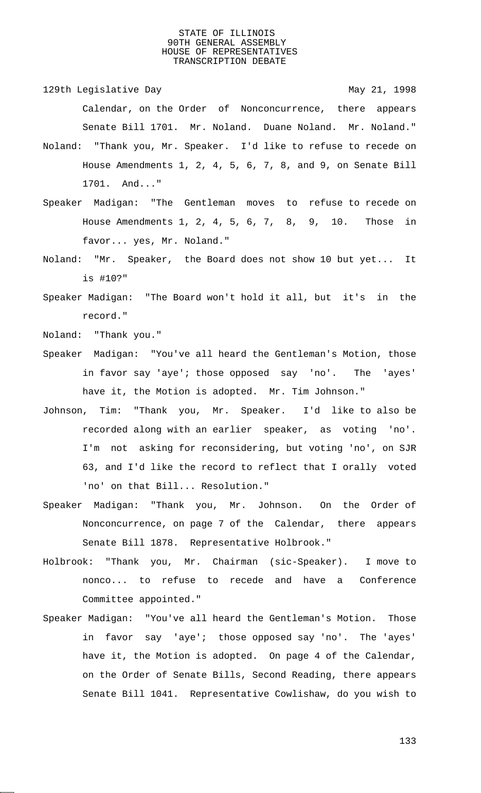129th Legislative Day 129th May 21, 1998 Calendar, on the Order of Nonconcurrence, there appears Senate Bill 1701. Mr. Noland. Duane Noland. Mr. Noland."

- Noland: "Thank you, Mr. Speaker. I'd like to refuse to recede on House Amendments 1, 2, 4, 5, 6, 7, 8, and 9, on Senate Bill 1701. And..."
- Speaker Madigan: "The Gentleman moves to refuse to recede on House Amendments 1, 2, 4, 5, 6, 7, 8, 9, 10. Those in favor... yes, Mr. Noland."
- Noland: "Mr. Speaker, the Board does not show 10 but yet... It is #10?"
- Speaker Madigan: "The Board won't hold it all, but it's in the record."

Noland: "Thank you."

- Speaker Madigan: "You've all heard the Gentleman's Motion, those in favor say 'aye'; those opposed say 'no'. The 'ayes' have it, the Motion is adopted. Mr. Tim Johnson."
- Johnson, Tim: "Thank you, Mr. Speaker. I'd like to also be recorded along with an earlier speaker, as voting 'no'. I'm not asking for reconsidering, but voting 'no', on SJR 63, and I'd like the record to reflect that I orally voted 'no' on that Bill... Resolution."
- Speaker Madigan: "Thank you, Mr. Johnson. On the Order of Nonconcurrence, on page 7 of the Calendar, there appears Senate Bill 1878. Representative Holbrook."
- Holbrook: "Thank you, Mr. Chairman (sic-Speaker). I move to nonco... to refuse to recede and have a Conference Committee appointed."
- Speaker Madigan: "You've all heard the Gentleman's Motion. Those in favor say 'aye'; those opposed say 'no'. The 'ayes' have it, the Motion is adopted. On page 4 of the Calendar, on the Order of Senate Bills, Second Reading, there appears Senate Bill 1041. Representative Cowlishaw, do you wish to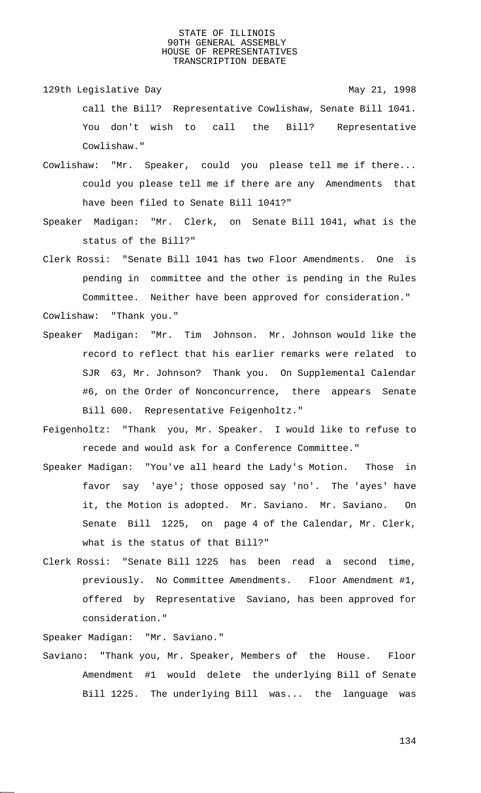- 129th Legislative Day 129th May 21, 1998 call the Bill? Representative Cowlishaw, Senate Bill 1041. You don't wish to call the Bill? Representative Cowlishaw."
- Cowlishaw: "Mr. Speaker, could you please tell me if there... could you please tell me if there are any Amendments that have been filed to Senate Bill 1041?"
- Speaker Madigan: "Mr. Clerk, on Senate Bill 1041, what is the status of the Bill?"

Clerk Rossi: "Senate Bill 1041 has two Floor Amendments. One is pending in committee and the other is pending in the Rules Committee. Neither have been approved for consideration."

- Speaker Madigan: "Mr. Tim Johnson. Mr. Johnson would like the record to reflect that his earlier remarks were related to SJR 63, Mr. Johnson? Thank you. On Supplemental Calendar #6, on the Order of Nonconcurrence, there appears Senate Bill 600. Representative Feigenholtz."
- Feigenholtz: "Thank you, Mr. Speaker. I would like to refuse to recede and would ask for a Conference Committee."
- Speaker Madigan: "You've all heard the Lady's Motion. Those in favor say 'aye'; those opposed say 'no'. The 'ayes' have it, the Motion is adopted. Mr. Saviano. Mr. Saviano. On Senate Bill 1225, on page 4 of the Calendar, Mr. Clerk, what is the status of that Bill?"
- Clerk Rossi: "Senate Bill 1225 has been read a second time, previously. No Committee Amendments. Floor Amendment #1, offered by Representative Saviano, has been approved for consideration."

Speaker Madigan: "Mr. Saviano."

Cowlishaw: "Thank you."

Saviano: "Thank you, Mr. Speaker, Members of the House. Floor Amendment #1 would delete the underlying Bill of Senate Bill 1225. The underlying Bill was... the language was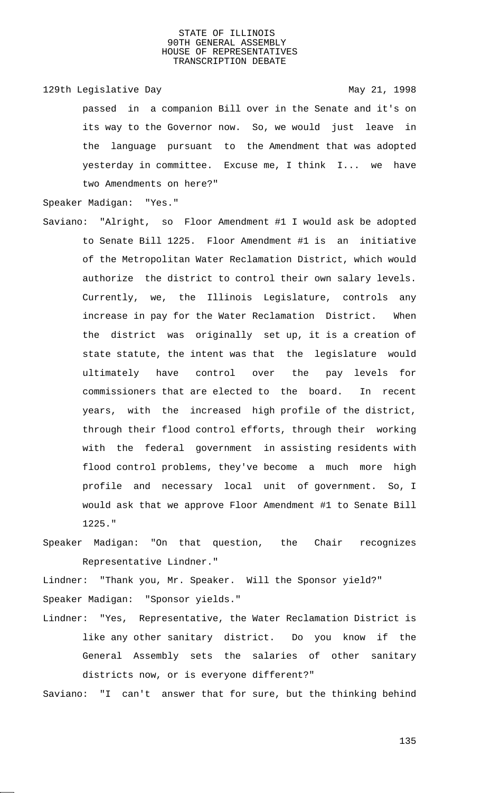129th Legislative Day 129th May 21, 1998

passed in a companion Bill over in the Senate and it's on its way to the Governor now. So, we would just leave in the language pursuant to the Amendment that was adopted yesterday in committee. Excuse me, I think I... we have two Amendments on here?"

Speaker Madigan: "Yes."

Saviano: "Alright, so Floor Amendment #1 I would ask be adopted to Senate Bill 1225. Floor Amendment #1 is an initiative of the Metropolitan Water Reclamation District, which would authorize the district to control their own salary levels. Currently, we, the Illinois Legislature, controls any increase in pay for the Water Reclamation District. When the district was originally set up, it is a creation of state statute, the intent was that the legislature would ultimately have control over the pay levels for commissioners that are elected to the board. In recent years, with the increased high profile of the district, through their flood control efforts, through their working with the federal government in assisting residents with flood control problems, they've become a much more high profile and necessary local unit of government. So, I would ask that we approve Floor Amendment #1 to Senate Bill 1225."

Speaker Madigan: "On that question, the Chair recognizes Representative Lindner."

Lindner: "Thank you, Mr. Speaker. Will the Sponsor yield?" Speaker Madigan: "Sponsor yields."

Lindner: "Yes, Representative, the Water Reclamation District is like any other sanitary district. Do you know if the General Assembly sets the salaries of other sanitary districts now, or is everyone different?"

Saviano: "I can't answer that for sure, but the thinking behind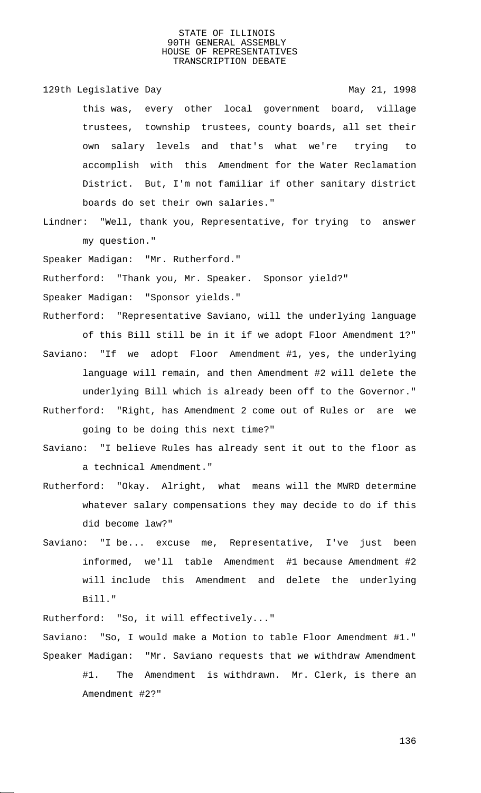129th Legislative Day 129th May 21, 1998

this was, every other local government board, village trustees, township trustees, county boards, all set their own salary levels and that's what we're trying to accomplish with this Amendment for the Water Reclamation District. But, I'm not familiar if other sanitary district boards do set their own salaries."

Lindner: "Well, thank you, Representative, for trying to answer my question."

Speaker Madigan: "Mr. Rutherford."

Rutherford: "Thank you, Mr. Speaker. Sponsor yield?"

Speaker Madigan: "Sponsor yields."

- Rutherford: "Representative Saviano, will the underlying language of this Bill still be in it if we adopt Floor Amendment 1?"
- Saviano: "If we adopt Floor Amendment #1, yes, the underlying language will remain, and then Amendment #2 will delete the underlying Bill which is already been off to the Governor." Rutherford: "Right, has Amendment 2 come out of Rules or are we going to be doing this next time?"
- Saviano: "I believe Rules has already sent it out to the floor as a technical Amendment."
- Rutherford: "Okay. Alright, what means will the MWRD determine whatever salary compensations they may decide to do if this did become law?"
- Saviano: "I be... excuse me, Representative, I've just been informed, we'll table Amendment #1 because Amendment #2 will include this Amendment and delete the underlying Bill."

Rutherford: "So, it will effectively..."

Saviano: "So, I would make a Motion to table Floor Amendment #1." Speaker Madigan: "Mr. Saviano requests that we withdraw Amendment #1. The Amendment is withdrawn. Mr. Clerk, is there an Amendment #2?"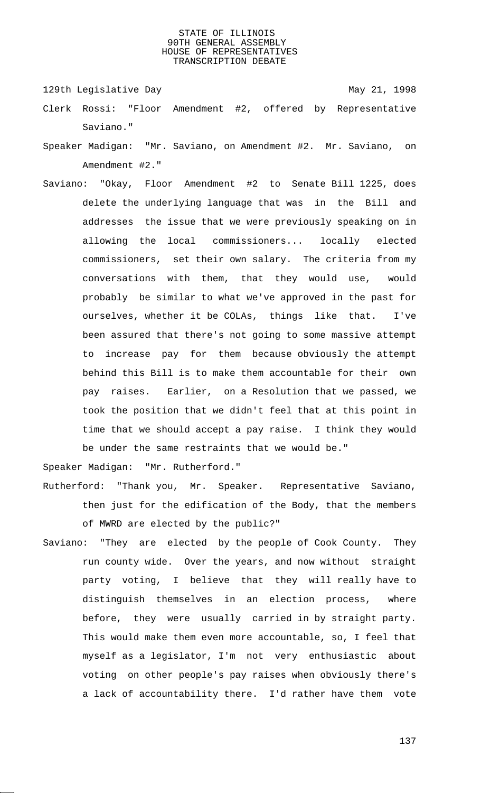129th Legislative Day 129th May 21, 1998

- Clerk Rossi: "Floor Amendment #2, offered by Representative Saviano."
- Speaker Madigan: "Mr. Saviano, on Amendment #2. Mr. Saviano, on Amendment #2."
- Saviano: "Okay, Floor Amendment #2 to Senate Bill 1225, does delete the underlying language that was in the Bill and addresses the issue that we were previously speaking on in allowing the local commissioners... locally elected commissioners, set their own salary. The criteria from my conversations with them, that they would use, would probably be similar to what we've approved in the past for ourselves, whether it be COLAs, things like that. I've been assured that there's not going to some massive attempt to increase pay for them because obviously the attempt behind this Bill is to make them accountable for their own pay raises. Earlier, on a Resolution that we passed, we took the position that we didn't feel that at this point in time that we should accept a pay raise. I think they would be under the same restraints that we would be."

Speaker Madigan: "Mr. Rutherford."

- Rutherford: "Thank you, Mr. Speaker. Representative Saviano, then just for the edification of the Body, that the members of MWRD are elected by the public?"
- Saviano: "They are elected by the people of Cook County. They run county wide. Over the years, and now without straight party voting, I believe that they will really have to distinguish themselves in an election process, where before, they were usually carried in by straight party. This would make them even more accountable, so, I feel that myself as a legislator, I'm not very enthusiastic about voting on other people's pay raises when obviously there's a lack of accountability there. I'd rather have them vote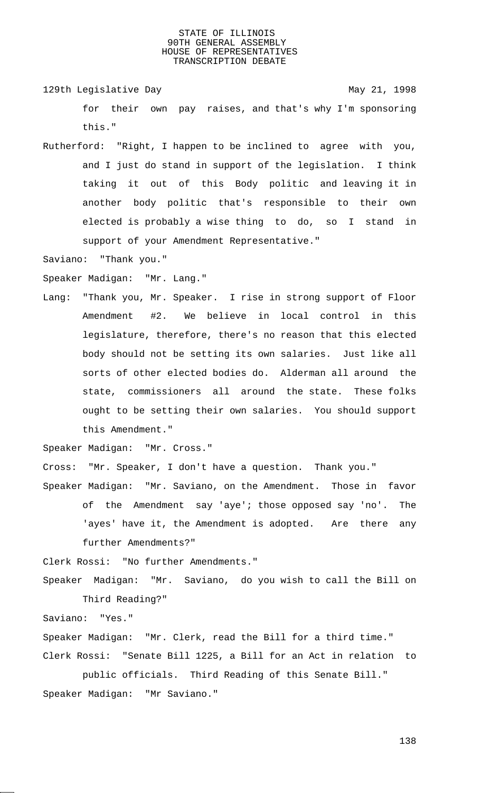129th Legislative Day 129th May 21, 1998 for their own pay raises, and that's why I'm sponsoring this."

Rutherford: "Right, I happen to be inclined to agree with you, and I just do stand in support of the legislation. I think taking it out of this Body politic and leaving it in another body politic that's responsible to their own elected is probably a wise thing to do, so I stand in support of your Amendment Representative."

Saviano: "Thank you."

Speaker Madigan: "Mr. Lang."

Lang: "Thank you, Mr. Speaker. I rise in strong support of Floor Amendment #2. We believe in local control in this legislature, therefore, there's no reason that this elected body should not be setting its own salaries. Just like all sorts of other elected bodies do. Alderman all around the state, commissioners all around the state. These folks ought to be setting their own salaries. You should support this Amendment."

Speaker Madigan: "Mr. Cross."

Cross: "Mr. Speaker, I don't have a question. Thank you."

Speaker Madigan: "Mr. Saviano, on the Amendment. Those in favor of the Amendment say 'aye'; those opposed say 'no'. The 'ayes' have it, the Amendment is adopted. Are there any further Amendments?"

Clerk Rossi: "No further Amendments."

Speaker Madigan: "Mr. Saviano, do you wish to call the Bill on Third Reading?"

Saviano: "Yes."

Speaker Madigan: "Mr. Clerk, read the Bill for a third time." Clerk Rossi: "Senate Bill 1225, a Bill for an Act in relation to

public officials. Third Reading of this Senate Bill." Speaker Madigan: "Mr Saviano."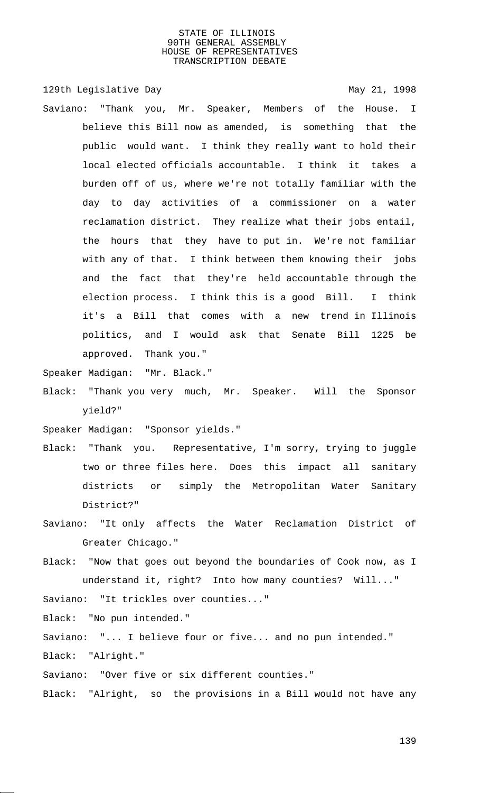129th Legislative Day 129th May 21, 1998 Saviano: "Thank you, Mr. Speaker, Members of the House. I believe this Bill now as amended, is something that the public would want. I think they really want to hold their local elected officials accountable. I think it takes a burden off of us, where we're not totally familiar with the day to day activities of a commissioner on a water reclamation district. They realize what their jobs entail, the hours that they have to put in. We're not familiar with any of that. I think between them knowing their jobs and the fact that they're held accountable through the election process. I think this is a good Bill. I think it's a Bill that comes with a new trend in Illinois politics, and I would ask that Senate Bill 1225 be approved. Thank you."

Speaker Madigan: "Mr. Black."

Black: "Thank you very much, Mr. Speaker. Will the Sponsor yield?"

Speaker Madigan: "Sponsor yields."

- Black: "Thank you. Representative, I'm sorry, trying to juggle two or three files here. Does this impact all sanitary districts or simply the Metropolitan Water Sanitary District?"
- Saviano: "It only affects the Water Reclamation District of Greater Chicago."
- Black: "Now that goes out beyond the boundaries of Cook now, as I understand it, right? Into how many counties? Will..."

Saviano: "It trickles over counties..."

Black: "No pun intended."

Saviano: "... I believe four or five... and no pun intended." Black: "Alright."

Saviano: "Over five or six different counties."

Black: "Alright, so the provisions in a Bill would not have any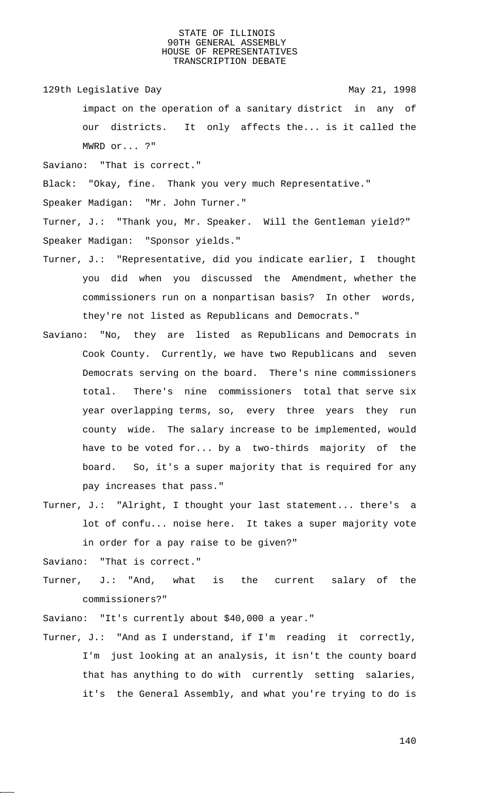129th Legislative Day 129th May 21, 1998

impact on the operation of a sanitary district in any of our districts. It only affects the... is it called the MWRD or... ?"

Saviano: "That is correct."

Black: "Okay, fine. Thank you very much Representative."

Speaker Madigan: "Mr. John Turner."

Turner, J.: "Thank you, Mr. Speaker. Will the Gentleman yield?" Speaker Madigan: "Sponsor yields."

- Turner, J.: "Representative, did you indicate earlier, I thought you did when you discussed the Amendment, whether the commissioners run on a nonpartisan basis? In other words, they're not listed as Republicans and Democrats."
- Saviano: "No, they are listed as Republicans and Democrats in Cook County. Currently, we have two Republicans and seven Democrats serving on the board. There's nine commissioners total. There's nine commissioners total that serve six year overlapping terms, so, every three years they run county wide. The salary increase to be implemented, would have to be voted for... by a two-thirds majority of the board. So, it's a super majority that is required for any pay increases that pass."
- Turner, J.: "Alright, I thought your last statement... there's a lot of confu... noise here. It takes a super majority vote in order for a pay raise to be given?"

Saviano: "That is correct."

Turner, J.: "And, what is the current salary of the commissioners?"

Saviano: "It's currently about \$40,000 a year."

Turner, J.: "And as I understand, if I'm reading it correctly, I'm just looking at an analysis, it isn't the county board that has anything to do with currently setting salaries, it's the General Assembly, and what you're trying to do is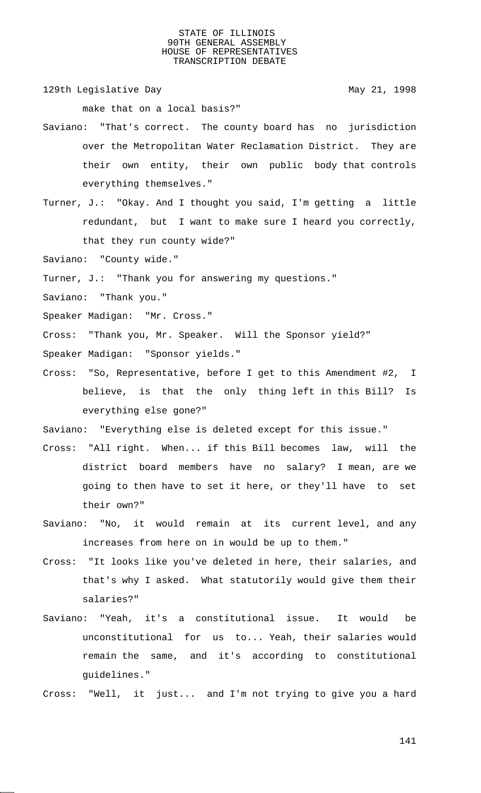129th Legislative Day 129th May 21, 1998

make that on a local basis?"

- Saviano: "That's correct. The county board has no jurisdiction over the Metropolitan Water Reclamation District. They are their own entity, their own public body that controls everything themselves."
- Turner, J.: "Okay. And I thought you said, I'm getting a little redundant, but I want to make sure I heard you correctly, that they run county wide?"

Saviano: "County wide."

- Turner, J.: "Thank you for answering my questions."
- Saviano: "Thank you."
- Speaker Madigan: "Mr. Cross."
- Cross: "Thank you, Mr. Speaker. Will the Sponsor yield?"
- Speaker Madigan: "Sponsor yields."
- Cross: "So, Representative, before I get to this Amendment #2, I believe, is that the only thing left in this Bill? Is everything else gone?"

Saviano: "Everything else is deleted except for this issue."

- Cross: "All right. When... if this Bill becomes law, will the district board members have no salary? I mean, are we going to then have to set it here, or they'll have to set their own?"
- Saviano: "No, it would remain at its current level, and any increases from here on in would be up to them."
- Cross: "It looks like you've deleted in here, their salaries, and that's why I asked. What statutorily would give them their salaries?"
- Saviano: "Yeah, it's a constitutional issue. It would be unconstitutional for us to... Yeah, their salaries would remain the same, and it's according to constitutional guidelines."

Cross: "Well, it just... and I'm not trying to give you a hard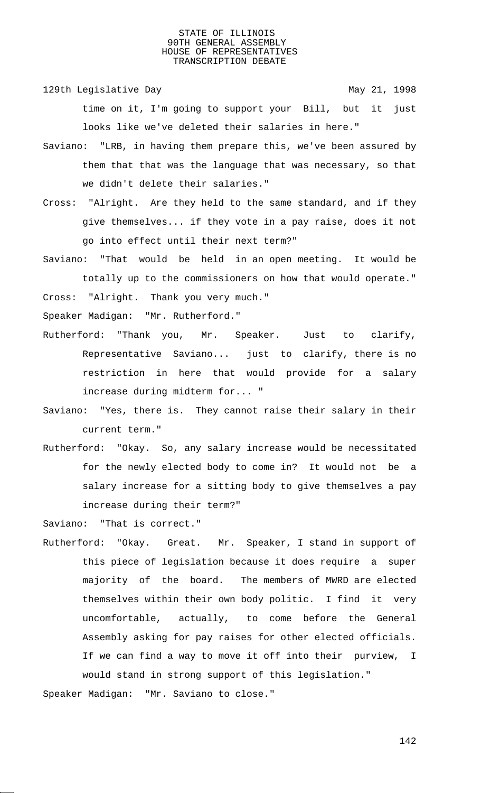129th Legislative Day 129th May 21, 1998

time on it, I'm going to support your Bill, but it just looks like we've deleted their salaries in here."

- Saviano: "LRB, in having them prepare this, we've been assured by them that that was the language that was necessary, so that we didn't delete their salaries."
- Cross: "Alright. Are they held to the same standard, and if they give themselves... if they vote in a pay raise, does it not go into effect until their next term?"

Saviano: "That would be held in an open meeting. It would be totally up to the commissioners on how that would operate."

Cross: "Alright. Thank you very much."

Speaker Madigan: "Mr. Rutherford."

- Rutherford: "Thank you, Mr. Speaker. Just to clarify, Representative Saviano... just to clarify, there is no restriction in here that would provide for a salary increase during midterm for... "
- Saviano: "Yes, there is. They cannot raise their salary in their current term."
- Rutherford: "Okay. So, any salary increase would be necessitated for the newly elected body to come in? It would not be a salary increase for a sitting body to give themselves a pay increase during their term?"

Saviano: "That is correct."

Rutherford: "Okay. Great. Mr. Speaker, I stand in support of this piece of legislation because it does require a super majority of the board. The members of MWRD are elected themselves within their own body politic. I find it very uncomfortable, actually, to come before the General Assembly asking for pay raises for other elected officials. If we can find a way to move it off into their purview, I would stand in strong support of this legislation."

Speaker Madigan: "Mr. Saviano to close."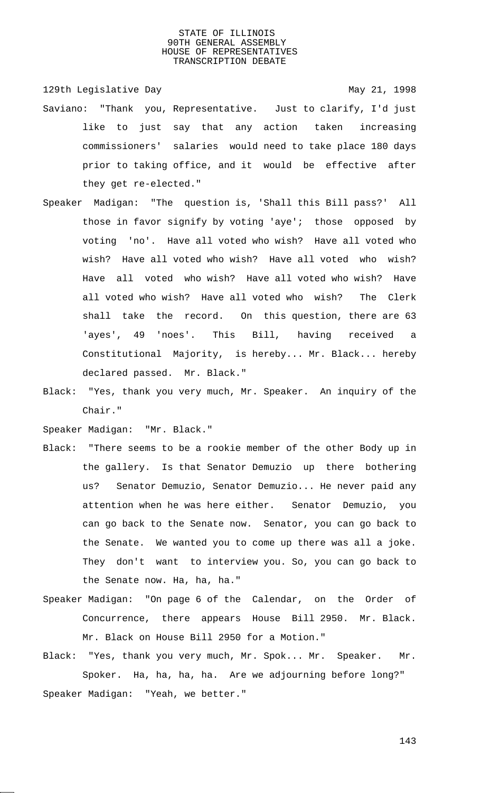129th Legislative Day 129th May 21, 1998 Saviano: "Thank you, Representative. Just to clarify, I'd just like to just say that any action taken increasing commissioners' salaries would need to take place 180 days prior to taking office, and it would be effective after they get re-elected."

- Speaker Madigan: "The question is, 'Shall this Bill pass?' All those in favor signify by voting 'aye'; those opposed by voting 'no'. Have all voted who wish? Have all voted who wish? Have all voted who wish? Have all voted who wish? Have all voted who wish? Have all voted who wish? Have all voted who wish? Have all voted who wish? The Clerk shall take the record. On this question, there are 63 'ayes', 49 'noes'. This Bill, having received a Constitutional Majority, is hereby... Mr. Black... hereby declared passed. Mr. Black."
- Black: "Yes, thank you very much, Mr. Speaker. An inquiry of the Chair."

Speaker Madigan: "Mr. Black."

- Black: "There seems to be a rookie member of the other Body up in the gallery. Is that Senator Demuzio up there bothering us? Senator Demuzio, Senator Demuzio... He never paid any attention when he was here either. Senator Demuzio, you can go back to the Senate now. Senator, you can go back to the Senate. We wanted you to come up there was all a joke. They don't want to interview you. So, you can go back to the Senate now. Ha, ha, ha."
- Speaker Madigan: "On page 6 of the Calendar, on the Order of Concurrence, there appears House Bill 2950. Mr. Black. Mr. Black on House Bill 2950 for a Motion."
- Black: "Yes, thank you very much, Mr. Spok... Mr. Speaker. Mr. Spoker. Ha, ha, ha, ha. Are we adjourning before long?" Speaker Madigan: "Yeah, we better."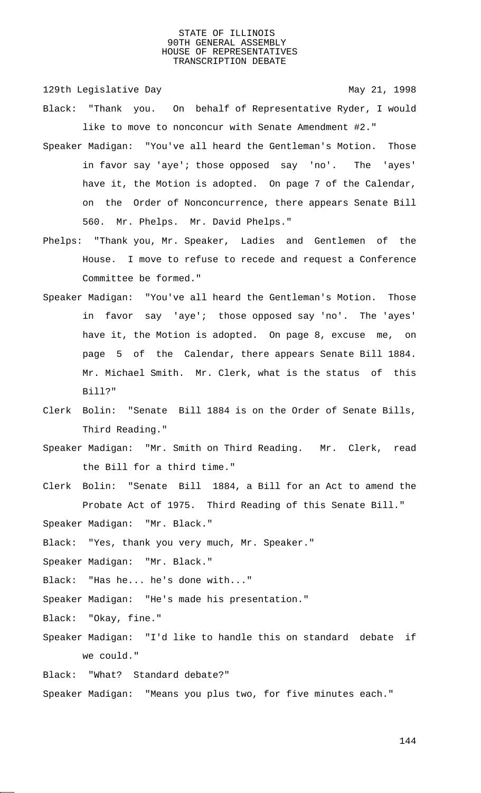129th Legislative Day 129th May 21, 1998

- Black: "Thank you. On behalf of Representative Ryder, I would like to move to nonconcur with Senate Amendment #2."
- Speaker Madigan: "You've all heard the Gentleman's Motion. Those in favor say 'aye'; those opposed say 'no'. The 'ayes' have it, the Motion is adopted. On page 7 of the Calendar, on the Order of Nonconcurrence, there appears Senate Bill 560. Mr. Phelps. Mr. David Phelps."
- Phelps: "Thank you, Mr. Speaker, Ladies and Gentlemen of the House. I move to refuse to recede and request a Conference Committee be formed."
- Speaker Madigan: "You've all heard the Gentleman's Motion. Those in favor say 'aye'; those opposed say 'no'. The 'ayes' have it, the Motion is adopted. On page 8, excuse me, on page 5 of the Calendar, there appears Senate Bill 1884. Mr. Michael Smith. Mr. Clerk, what is the status of this Bill?"
- Clerk Bolin: "Senate Bill 1884 is on the Order of Senate Bills, Third Reading."
- Speaker Madigan: "Mr. Smith on Third Reading. Mr. Clerk, read the Bill for a third time."
- Clerk Bolin: "Senate Bill 1884, a Bill for an Act to amend the Probate Act of 1975. Third Reading of this Senate Bill."

Speaker Madigan: "Mr. Black."

- Black: "Yes, thank you very much, Mr. Speaker."
- Speaker Madigan: "Mr. Black."
- Black: "Has he... he's done with..."
- Speaker Madigan: "He's made his presentation."
- Black: "Okay, fine."
- Speaker Madigan: "I'd like to handle this on standard debate if we could."
- Black: "What? Standard debate?"
- Speaker Madigan: "Means you plus two, for five minutes each."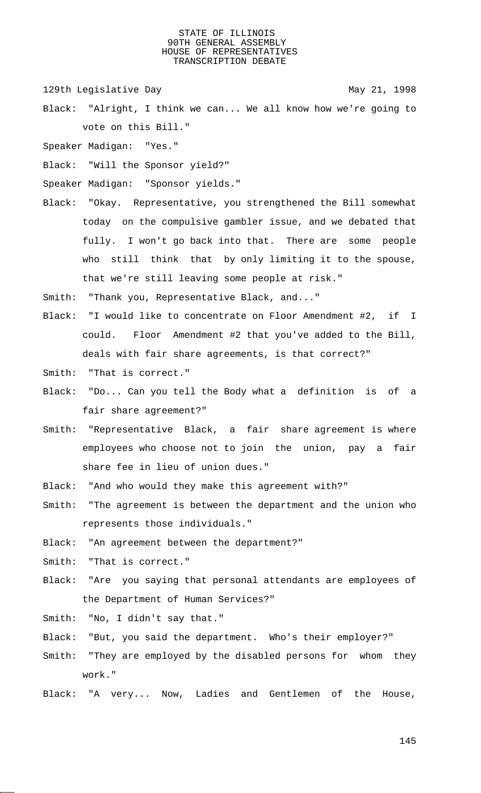129th Legislative Day 129th May 21, 1998

- Black: "Alright, I think we can... We all know how we're going to vote on this Bill."
- Speaker Madigan: "Yes."
- Black: "Will the Sponsor yield?"
- Speaker Madigan: "Sponsor yields."
- Black: "Okay. Representative, you strengthened the Bill somewhat today on the compulsive gambler issue, and we debated that fully. I won't go back into that. There are some people who still think that by only limiting it to the spouse, that we're still leaving some people at risk."
- Smith: "Thank you, Representative Black, and..."
- Black: "I would like to concentrate on Floor Amendment #2, if I could. Floor Amendment #2 that you've added to the Bill, deals with fair share agreements, is that correct?"
- Smith: "That is correct."
- Black: "Do... Can you tell the Body what a definition is of a fair share agreement?"
- Smith: "Representative Black, a fair share agreement is where employees who choose not to join the union, pay a fair share fee in lieu of union dues."
- Black: "And who would they make this agreement with?"
- Smith: "The agreement is between the department and the union who represents those individuals."
- Black: "An agreement between the department?"
- Smith: "That is correct."
- Black: "Are you saying that personal attendants are employees of the Department of Human Services?"
- Smith: "No, I didn't say that."
- Black: "But, you said the department. Who's their employer?"
- Smith: "They are employed by the disabled persons for whom they work."
- Black: "A very... Now, Ladies and Gentlemen of the House,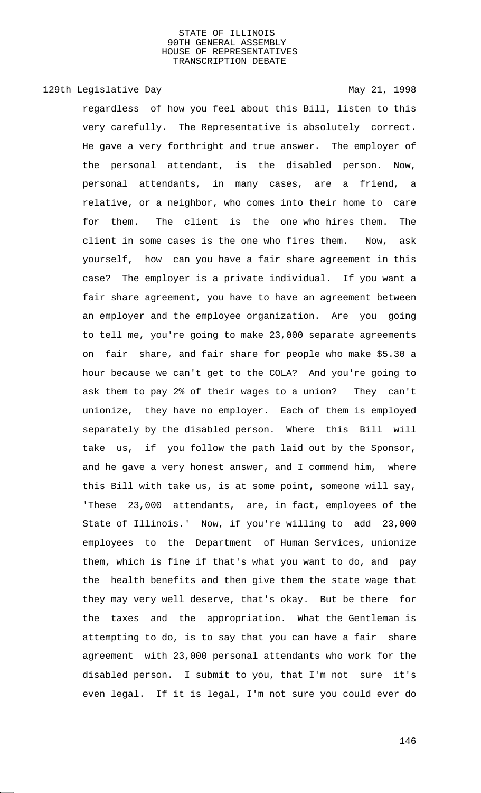129th Legislative Day 129th May 21, 1998

regardless of how you feel about this Bill, listen to this very carefully. The Representative is absolutely correct. He gave a very forthright and true answer. The employer of the personal attendant, is the disabled person. Now, personal attendants, in many cases, are a friend, a relative, or a neighbor, who comes into their home to care for them. The client is the one who hires them. The client in some cases is the one who fires them. Now, ask yourself, how can you have a fair share agreement in this case? The employer is a private individual. If you want a fair share agreement, you have to have an agreement between an employer and the employee organization. Are you going to tell me, you're going to make 23,000 separate agreements on fair share, and fair share for people who make \$5.30 a hour because we can't get to the COLA? And you're going to ask them to pay 2% of their wages to a union? They can't unionize, they have no employer. Each of them is employed separately by the disabled person. Where this Bill will take us, if you follow the path laid out by the Sponsor, and he gave a very honest answer, and I commend him, where this Bill with take us, is at some point, someone will say, 'These 23,000 attendants, are, in fact, employees of the State of Illinois.' Now, if you're willing to add 23,000 employees to the Department of Human Services, unionize them, which is fine if that's what you want to do, and pay the health benefits and then give them the state wage that they may very well deserve, that's okay. But be there for the taxes and the appropriation. What the Gentleman is attempting to do, is to say that you can have a fair share agreement with 23,000 personal attendants who work for the disabled person. I submit to you, that I'm not sure it's even legal. If it is legal, I'm not sure you could ever do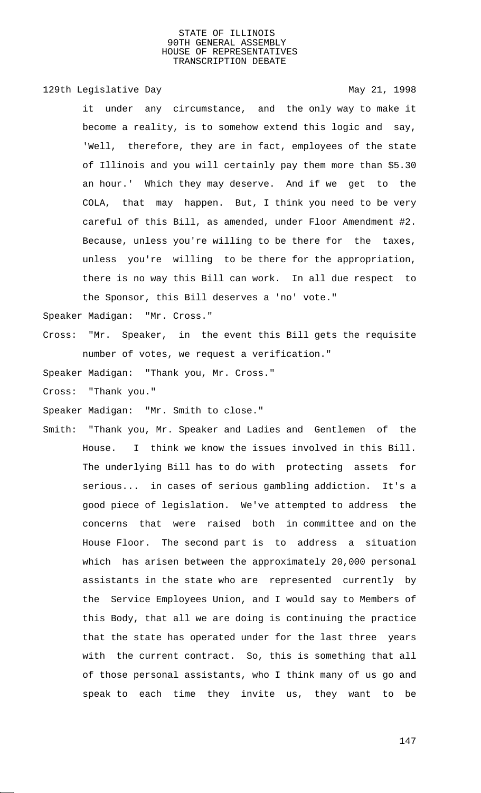129th Legislative Day 129th May 21, 1998

it under any circumstance, and the only way to make it become a reality, is to somehow extend this logic and say, 'Well, therefore, they are in fact, employees of the state of Illinois and you will certainly pay them more than \$5.30 an hour.' Which they may deserve. And if we get to the COLA, that may happen. But, I think you need to be very careful of this Bill, as amended, under Floor Amendment #2. Because, unless you're willing to be there for the taxes, unless you're willing to be there for the appropriation, there is no way this Bill can work. In all due respect to the Sponsor, this Bill deserves a 'no' vote."

Speaker Madigan: "Mr. Cross."

Cross: "Mr. Speaker, in the event this Bill gets the requisite number of votes, we request a verification."

Speaker Madigan: "Thank you, Mr. Cross."

Cross: "Thank you."

Speaker Madigan: "Mr. Smith to close."

Smith: "Thank you, Mr. Speaker and Ladies and Gentlemen of the House. I think we know the issues involved in this Bill. The underlying Bill has to do with protecting assets for serious... in cases of serious gambling addiction. It's a good piece of legislation. We've attempted to address the concerns that were raised both in committee and on the House Floor. The second part is to address a situation which has arisen between the approximately 20,000 personal assistants in the state who are represented currently by the Service Employees Union, and I would say to Members of this Body, that all we are doing is continuing the practice that the state has operated under for the last three years with the current contract. So, this is something that all of those personal assistants, who I think many of us go and speak to each time they invite us, they want to be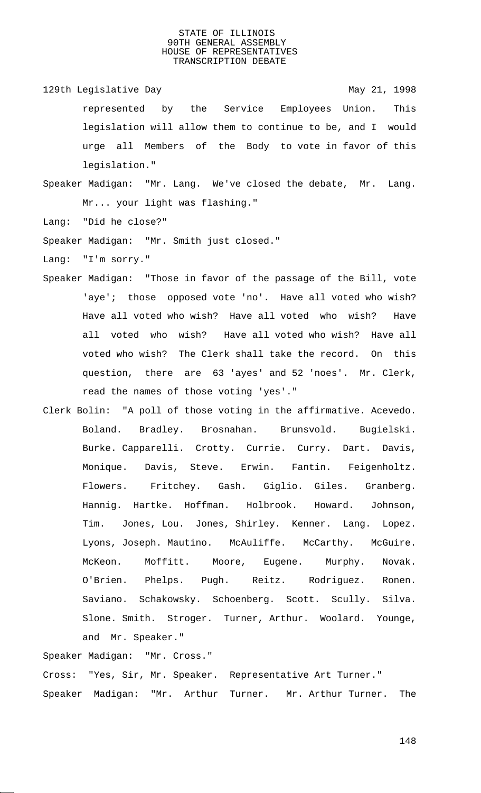- 129th Legislative Day 129th May 21, 1998 represented by the Service Employees Union. This legislation will allow them to continue to be, and I would urge all Members of the Body to vote in favor of this legislation."
- Speaker Madigan: "Mr. Lang. We've closed the debate, Mr. Lang. Mr... your light was flashing."

Lang: "Did he close?"

Speaker Madigan: "Mr. Smith just closed."

Lang: "I'm sorry."

- Speaker Madigan: "Those in favor of the passage of the Bill, vote 'aye'; those opposed vote 'no'. Have all voted who wish? Have all voted who wish? Have all voted who wish? Have all voted who wish? Have all voted who wish? Have all voted who wish? The Clerk shall take the record. On this question, there are 63 'ayes' and 52 'noes'. Mr. Clerk, read the names of those voting 'yes'."
- Clerk Bolin: "A poll of those voting in the affirmative. Acevedo. Boland. Bradley. Brosnahan. Brunsvold. Bugielski. Burke. Capparelli. Crotty. Currie. Curry. Dart. Davis, Monique. Davis, Steve. Erwin. Fantin. Feigenholtz. Flowers. Fritchey. Gash. Giglio. Giles. Granberg. Hannig. Hartke. Hoffman. Holbrook. Howard. Johnson, Tim. Jones, Lou. Jones, Shirley. Kenner. Lang. Lopez. Lyons, Joseph. Mautino. McAuliffe. McCarthy. McGuire. McKeon. Moffitt. Moore, Eugene. Murphy. Novak. O'Brien. Phelps. Pugh. Reitz. Rodriguez. Ronen. Saviano. Schakowsky. Schoenberg. Scott. Scully. Silva. Slone. Smith. Stroger. Turner, Arthur. Woolard. Younge, and Mr. Speaker."

Speaker Madigan: "Mr. Cross."

Cross: "Yes, Sir, Mr. Speaker. Representative Art Turner." Speaker Madigan: "Mr. Arthur Turner. Mr. Arthur Turner. The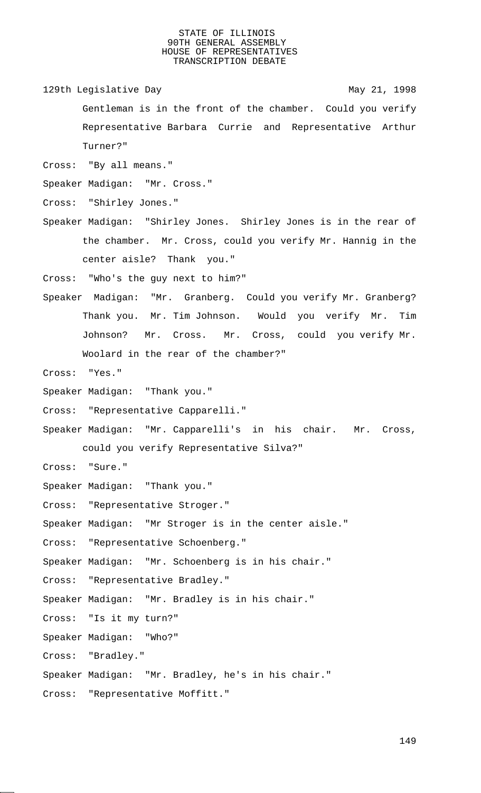129th Legislative Day 129th May 21, 1998

Gentleman is in the front of the chamber. Could you verify Representative Barbara Currie and Representative Arthur Turner?"

Cross: "By all means."

Speaker Madigan: "Mr. Cross."

Cross: "Shirley Jones."

Speaker Madigan: "Shirley Jones. Shirley Jones is in the rear of the chamber. Mr. Cross, could you verify Mr. Hannig in the center aisle? Thank you."

Cross: "Who's the guy next to him?"

Speaker Madigan: "Mr. Granberg. Could you verify Mr. Granberg? Thank you. Mr. Tim Johnson. Would you verify Mr. Tim Johnson? Mr. Cross. Mr. Cross, could you verify Mr. Woolard in the rear of the chamber?"

Cross: "Yes."

Speaker Madigan: "Thank you."

Cross: "Representative Capparelli."

Speaker Madigan: "Mr. Capparelli's in his chair. Mr. Cross, could you verify Representative Silva?"

Cross: "Sure."

Speaker Madigan: "Thank you."

Cross: "Representative Stroger."

Speaker Madigan: "Mr Stroger is in the center aisle."

Cross: "Representative Schoenberg."

Speaker Madigan: "Mr. Schoenberg is in his chair."

Cross: "Representative Bradley."

Speaker Madigan: "Mr. Bradley is in his chair."

Cross: "Is it my turn?"

Speaker Madigan: "Who?"

Cross: "Bradley."

Speaker Madigan: "Mr. Bradley, he's in his chair."

Cross: "Representative Moffitt."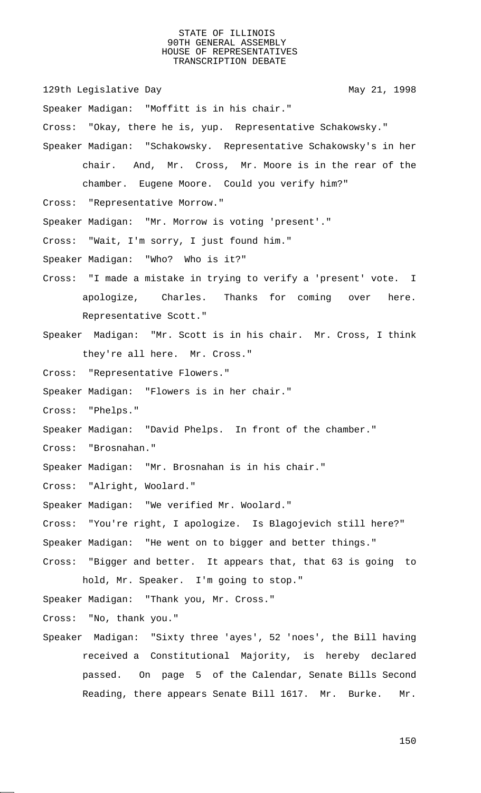129th Legislative Day 129th May 21, 1998 Speaker Madigan: "Moffitt is in his chair." Cross: "Okay, there he is, yup. Representative Schakowsky." Speaker Madigan: "Schakowsky. Representative Schakowsky's in her chair. And, Mr. Cross, Mr. Moore is in the rear of the chamber. Eugene Moore. Could you verify him?" Cross: "Representative Morrow." Speaker Madigan: "Mr. Morrow is voting 'present'." Cross: "Wait, I'm sorry, I just found him." Speaker Madigan: "Who? Who is it?" Cross: "I made a mistake in trying to verify a 'present' vote. I apologize, Charles. Thanks for coming over here. Representative Scott." Speaker Madigan: "Mr. Scott is in his chair. Mr. Cross, I think they're all here. Mr. Cross." Cross: "Representative Flowers." Speaker Madigan: "Flowers is in her chair." Cross: "Phelps." Speaker Madigan: "David Phelps. In front of the chamber." Cross: "Brosnahan." Speaker Madigan: "Mr. Brosnahan is in his chair." Cross: "Alright, Woolard." Speaker Madigan: "We verified Mr. Woolard." Cross: "You're right, I apologize. Is Blagojevich still here?" Speaker Madigan: "He went on to bigger and better things." Cross: "Bigger and better. It appears that, that 63 is going to hold, Mr. Speaker. I'm going to stop." Speaker Madigan: "Thank you, Mr. Cross." Cross: "No, thank you." Speaker Madigan: "Sixty three 'ayes', 52 'noes', the Bill having received a Constitutional Majority, is hereby declared passed. On page 5 of the Calendar, Senate Bills Second Reading, there appears Senate Bill 1617. Mr. Burke. Mr.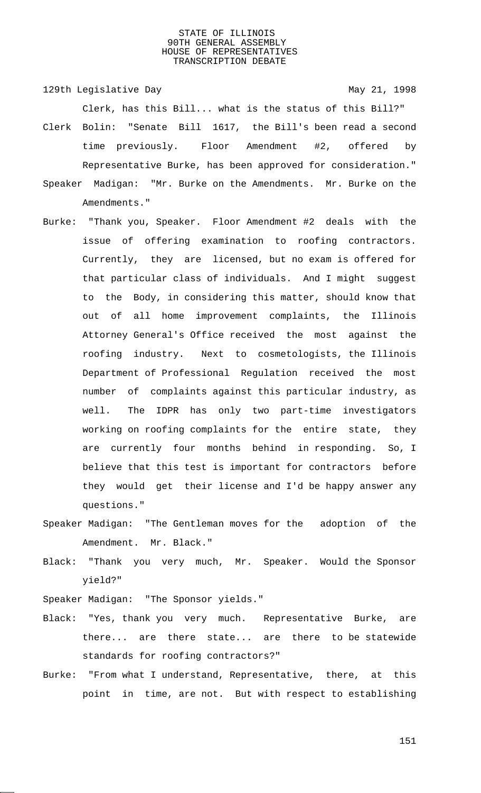129th Legislative Day 129th May 21, 1998 Clerk, has this Bill... what is the status of this Bill?"

- Clerk Bolin: "Senate Bill 1617, the Bill's been read a second time previously. Floor Amendment #2, offered by Representative Burke, has been approved for consideration."
- Speaker Madigan: "Mr. Burke on the Amendments. Mr. Burke on the Amendments."
- Burke: "Thank you, Speaker. Floor Amendment #2 deals with the issue of offering examination to roofing contractors. Currently, they are licensed, but no exam is offered for that particular class of individuals. And I might suggest to the Body, in considering this matter, should know that out of all home improvement complaints, the Illinois Attorney General's Office received the most against the roofing industry. Next to cosmetologists, the Illinois Department of Professional Regulation received the most number of complaints against this particular industry, as well. The IDPR has only two part-time investigators working on roofing complaints for the entire state, they are currently four months behind in responding. So, I believe that this test is important for contractors before they would get their license and I'd be happy answer any questions."
- Speaker Madigan: "The Gentleman moves for the adoption of the Amendment. Mr. Black."
- Black: "Thank you very much, Mr. Speaker. Would the Sponsor yield?"

Speaker Madigan: "The Sponsor yields."

- Black: "Yes, thank you very much. Representative Burke, are there... are there state... are there to be statewide standards for roofing contractors?"
- Burke: "From what I understand, Representative, there, at this point in time, are not. But with respect to establishing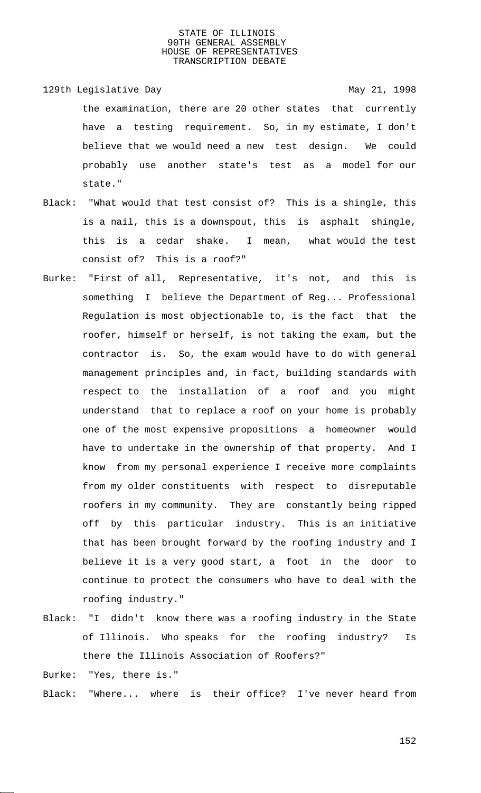- 129th Legislative Day 129th May 21, 1998 the examination, there are 20 other states that currently have a testing requirement. So, in my estimate, I don't believe that we would need a new test design. We could probably use another state's test as a model for our state."
- Black: "What would that test consist of? This is a shingle, this is a nail, this is a downspout, this is asphalt shingle, this is a cedar shake. I mean, what would the test consist of? This is a roof?"
- Burke: "First of all, Representative, it's not, and this is something I believe the Department of Reg... Professional Regulation is most objectionable to, is the fact that the roofer, himself or herself, is not taking the exam, but the contractor is. So, the exam would have to do with general management principles and, in fact, building standards with respect to the installation of a roof and you might understand that to replace a roof on your home is probably one of the most expensive propositions a homeowner would have to undertake in the ownership of that property. And I know from my personal experience I receive more complaints from my older constituents with respect to disreputable roofers in my community. They are constantly being ripped off by this particular industry. This is an initiative that has been brought forward by the roofing industry and I believe it is a very good start, a foot in the door to continue to protect the consumers who have to deal with the roofing industry."
- Black: "I didn't know there was a roofing industry in the State of Illinois. Who speaks for the roofing industry? Is there the Illinois Association of Roofers?"

Burke: "Yes, there is."

Black: "Where... where is their office? I've never heard from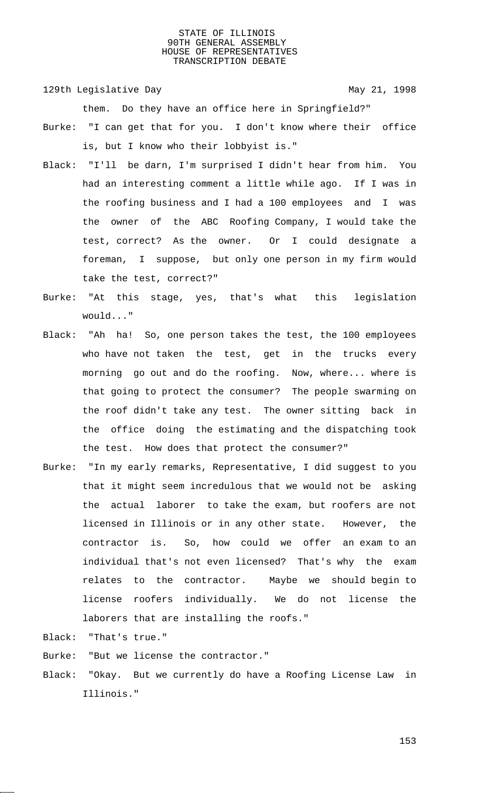129th Legislative Day 129th May 21, 1998

them. Do they have an office here in Springfield?"

- Burke: "I can get that for you. I don't know where their office is, but I know who their lobbyist is."
- Black: "I'll be darn, I'm surprised I didn't hear from him. You had an interesting comment a little while ago. If I was in the roofing business and I had a 100 employees and I was the owner of the ABC Roofing Company, I would take the test, correct? As the owner. Or I could designate a foreman, I suppose, but only one person in my firm would take the test, correct?"
- Burke: "At this stage, yes, that's what this legislation would..."
- Black: "Ah ha! So, one person takes the test, the 100 employees who have not taken the test, get in the trucks every morning go out and do the roofing. Now, where... where is that going to protect the consumer? The people swarming on the roof didn't take any test. The owner sitting back in the office doing the estimating and the dispatching took the test. How does that protect the consumer?"
- Burke: "In my early remarks, Representative, I did suggest to you that it might seem incredulous that we would not be asking the actual laborer to take the exam, but roofers are not licensed in Illinois or in any other state. However, the contractor is. So, how could we offer an exam to an individual that's not even licensed? That's why the exam relates to the contractor. Maybe we should begin to license roofers individually. We do not license the laborers that are installing the roofs."
- Black: "That's true."
- Burke: "But we license the contractor."
- Black: "Okay. But we currently do have a Roofing License Law in Illinois."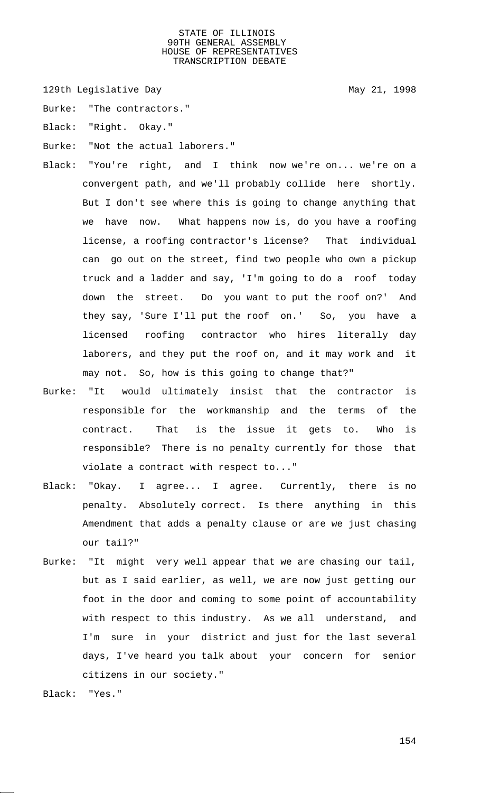129th Legislative Day 129th May 21, 1998

Burke: "The contractors."

Black: "Right. Okay."

- Burke: "Not the actual laborers."
- Black: "You're right, and I think now we're on... we're on a convergent path, and we'll probably collide here shortly. But I don't see where this is going to change anything that we have now. What happens now is, do you have a roofing license, a roofing contractor's license? That individual can go out on the street, find two people who own a pickup truck and a ladder and say, 'I'm going to do a roof today down the street. Do you want to put the roof on?' And they say, 'Sure I'll put the roof on.' So, you have a licensed roofing contractor who hires literally day laborers, and they put the roof on, and it may work and it may not. So, how is this going to change that?"
- Burke: "It would ultimately insist that the contractor is responsible for the workmanship and the terms of the contract. That is the issue it gets to. Who is responsible? There is no penalty currently for those that violate a contract with respect to..."
- Black: "Okay. I agree... I agree. Currently, there is no penalty. Absolutely correct. Is there anything in this Amendment that adds a penalty clause or are we just chasing our tail?"
- Burke: "It might very well appear that we are chasing our tail, but as I said earlier, as well, we are now just getting our foot in the door and coming to some point of accountability with respect to this industry. As we all understand, and I'm sure in your district and just for the last several days, I've heard you talk about your concern for senior citizens in our society."

Black: "Yes."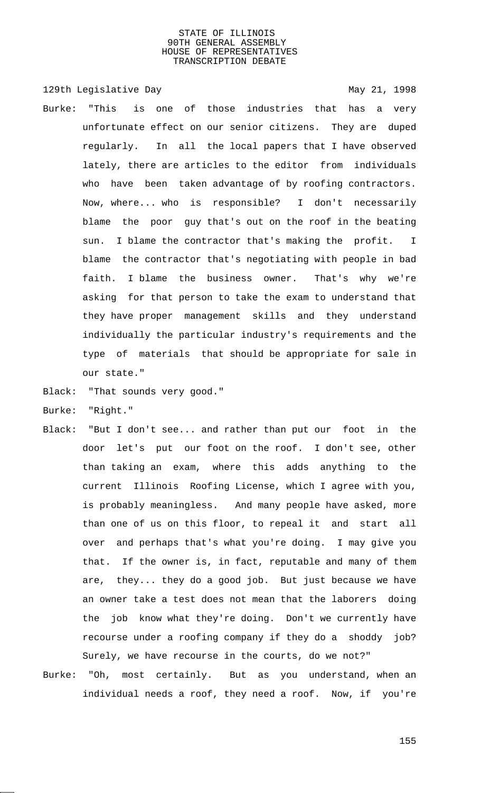129th Legislative Day 129th May 21, 1998 Burke: "This is one of those industries that has a very unfortunate effect on our senior citizens. They are duped regularly. In all the local papers that I have observed lately, there are articles to the editor from individuals who have been taken advantage of by roofing contractors. Now, where... who is responsible? I don't necessarily blame the poor guy that's out on the roof in the beating sun. I blame the contractor that's making the profit. I blame the contractor that's negotiating with people in bad faith. I blame the business owner. That's why we're asking for that person to take the exam to understand that they have proper management skills and they understand individually the particular industry's requirements and the

Black: "That sounds very good."

our state."

- Burke: "Right."
- Black: "But I don't see... and rather than put our foot in the door let's put our foot on the roof. I don't see, other than taking an exam, where this adds anything to the current Illinois Roofing License, which I agree with you, is probably meaningless. And many people have asked, more than one of us on this floor, to repeal it and start all over and perhaps that's what you're doing. I may give you that. If the owner is, in fact, reputable and many of them are, they... they do a good job. But just because we have an owner take a test does not mean that the laborers doing the job know what they're doing. Don't we currently have recourse under a roofing company if they do a shoddy job? Surely, we have recourse in the courts, do we not?"

type of materials that should be appropriate for sale in

Burke: "Oh, most certainly. But as you understand, when an individual needs a roof, they need a roof. Now, if you're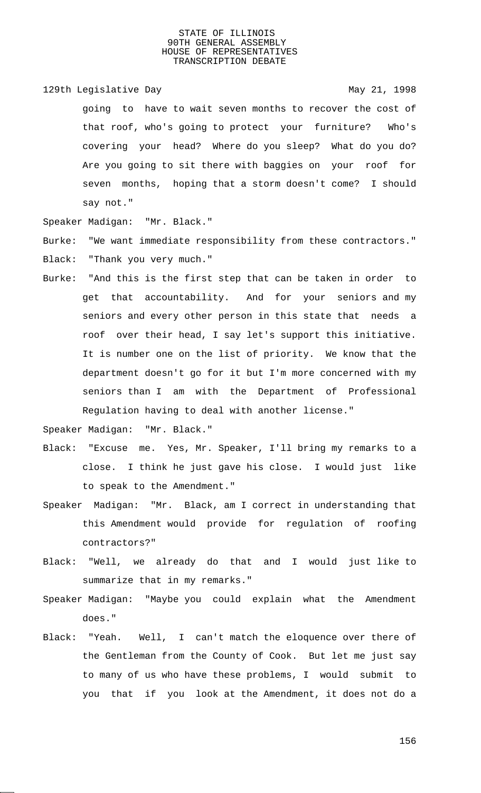129th Legislative Day 129th May 21, 1998

going to have to wait seven months to recover the cost of that roof, who's going to protect your furniture? Who's covering your head? Where do you sleep? What do you do? Are you going to sit there with baggies on your roof for seven months, hoping that a storm doesn't come? I should say not."

Speaker Madigan: "Mr. Black."

Burke: "We want immediate responsibility from these contractors." Black: "Thank you very much."

Burke: "And this is the first step that can be taken in order to get that accountability. And for your seniors and my seniors and every other person in this state that needs a roof over their head, I say let's support this initiative. It is number one on the list of priority. We know that the department doesn't go for it but I'm more concerned with my seniors than I am with the Department of Professional Regulation having to deal with another license."

Speaker Madigan: "Mr. Black."

- Black: "Excuse me. Yes, Mr. Speaker, I'll bring my remarks to a close. I think he just gave his close. I would just like to speak to the Amendment."
- Speaker Madigan: "Mr. Black, am I correct in understanding that this Amendment would provide for regulation of roofing contractors?"
- Black: "Well, we already do that and I would just like to summarize that in my remarks."
- Speaker Madigan: "Maybe you could explain what the Amendment does."
- Black: "Yeah. Well, I can't match the eloquence over there of the Gentleman from the County of Cook. But let me just say to many of us who have these problems, I would submit to you that if you look at the Amendment, it does not do a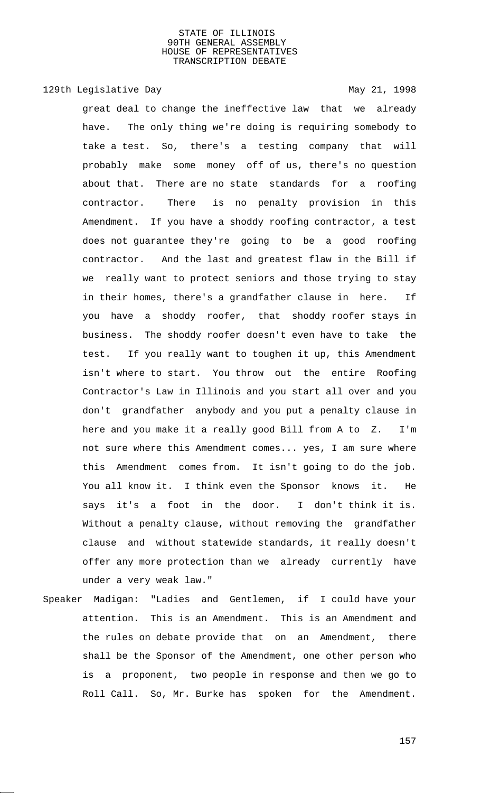# 129th Legislative Day 129th May 21, 1998

great deal to change the ineffective law that we already have. The only thing we're doing is requiring somebody to take a test. So, there's a testing company that will probably make some money off of us, there's no question about that. There are no state standards for a roofing contractor. There is no penalty provision in this Amendment. If you have a shoddy roofing contractor, a test does not guarantee they're going to be a good roofing contractor. And the last and greatest flaw in the Bill if we really want to protect seniors and those trying to stay in their homes, there's a grandfather clause in here. If you have a shoddy roofer, that shoddy roofer stays in business. The shoddy roofer doesn't even have to take the test. If you really want to toughen it up, this Amendment isn't where to start. You throw out the entire Roofing Contractor's Law in Illinois and you start all over and you don't grandfather anybody and you put a penalty clause in here and you make it a really good Bill from A to Z. I'm not sure where this Amendment comes... yes, I am sure where this Amendment comes from. It isn't going to do the job. You all know it. I think even the Sponsor knows it. He says it's a foot in the door. I don't think it is. Without a penalty clause, without removing the grandfather clause and without statewide standards, it really doesn't offer any more protection than we already currently have under a very weak law."

Speaker Madigan: "Ladies and Gentlemen, if I could have your attention. This is an Amendment. This is an Amendment and the rules on debate provide that on an Amendment, there shall be the Sponsor of the Amendment, one other person who is a proponent, two people in response and then we go to Roll Call. So, Mr. Burke has spoken for the Amendment.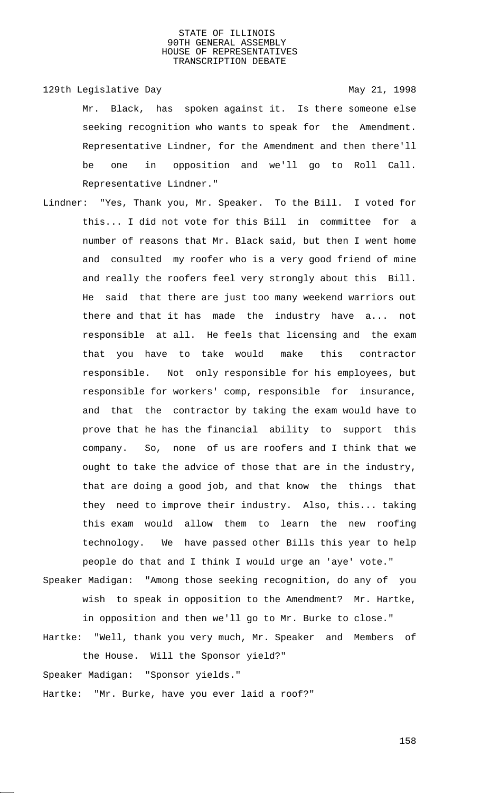129th Legislative Day 129th May 21, 1998

Mr. Black, has spoken against it. Is there someone else seeking recognition who wants to speak for the Amendment. Representative Lindner, for the Amendment and then there'll be one in opposition and we'll go to Roll Call. Representative Lindner."

Lindner: "Yes, Thank you, Mr. Speaker. To the Bill. I voted for this... I did not vote for this Bill in committee for a number of reasons that Mr. Black said, but then I went home and consulted my roofer who is a very good friend of mine and really the roofers feel very strongly about this Bill. He said that there are just too many weekend warriors out there and that it has made the industry have a... not responsible at all. He feels that licensing and the exam that you have to take would make this contractor responsible. Not only responsible for his employees, but responsible for workers' comp, responsible for insurance, and that the contractor by taking the exam would have to prove that he has the financial ability to support this company. So, none of us are roofers and I think that we ought to take the advice of those that are in the industry, that are doing a good job, and that know the things that they need to improve their industry. Also, this... taking this exam would allow them to learn the new roofing technology. We have passed other Bills this year to help people do that and I think I would urge an 'aye' vote."

Speaker Madigan: "Among those seeking recognition, do any of you wish to speak in opposition to the Amendment? Mr. Hartke, in opposition and then we'll go to Mr. Burke to close."

Hartke: "Well, thank you very much, Mr. Speaker and Members of the House. Will the Sponsor yield?"

Speaker Madigan: "Sponsor yields."

Hartke: "Mr. Burke, have you ever laid a roof?"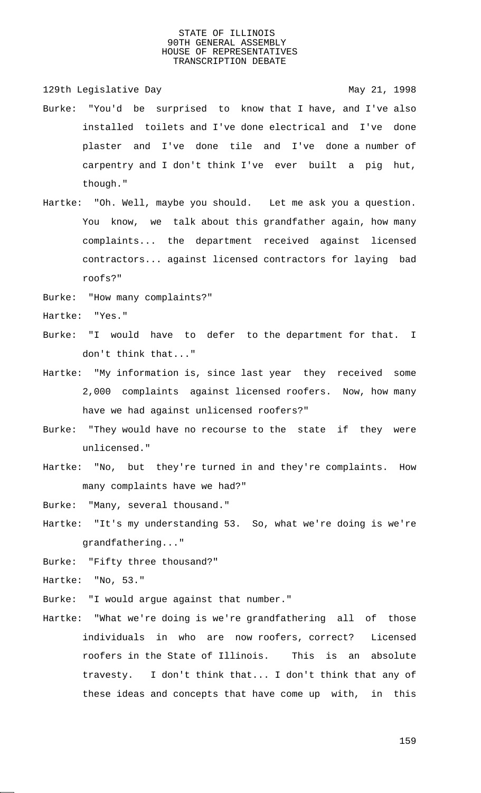129th Legislative Day 129th May 21, 1998

- Burke: "You'd be surprised to know that I have, and I've also installed toilets and I've done electrical and I've done plaster and I've done tile and I've done a number of carpentry and I don't think I've ever built a pig hut, though."
- Hartke: "Oh. Well, maybe you should. Let me ask you a question. You know, we talk about this grandfather again, how many complaints... the department received against licensed contractors... against licensed contractors for laying bad roofs?"
- Burke: "How many complaints?"
- Hartke: "Yes."
- Burke: "I would have to defer to the department for that. I don't think that..."
- Hartke: "My information is, since last year they received some 2,000 complaints against licensed roofers. Now, how many have we had against unlicensed roofers?"
- Burke: "They would have no recourse to the state if they were unlicensed."
- Hartke: "No, but they're turned in and they're complaints. How many complaints have we had?"
- Burke: "Many, several thousand."
- Hartke: "It's my understanding 53. So, what we're doing is we're grandfathering..."
- Burke: "Fifty three thousand?"

Hartke: "No, 53."

- Burke: "I would argue against that number."
- Hartke: "What we're doing is we're grandfathering all of those individuals in who are now roofers, correct? Licensed roofers in the State of Illinois. This is an absolute travesty. I don't think that... I don't think that any of these ideas and concepts that have come up with, in this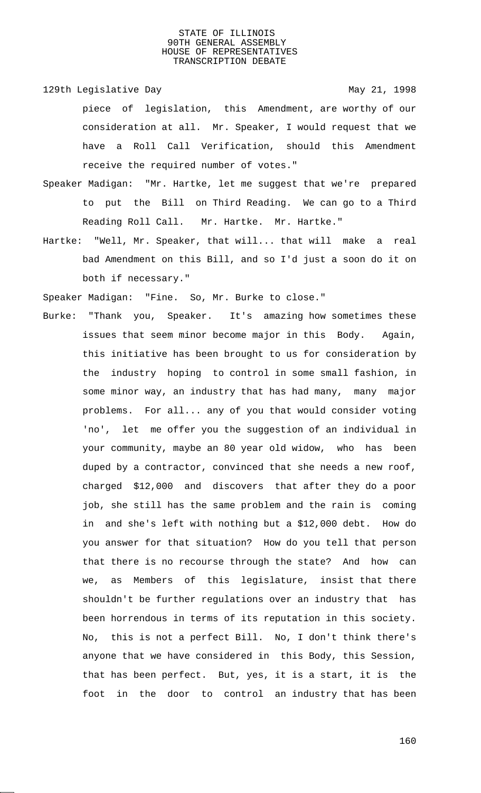129th Legislative Day 129th May 21, 1998

piece of legislation, this Amendment, are worthy of our consideration at all. Mr. Speaker, I would request that we have a Roll Call Verification, should this Amendment receive the required number of votes."

- Speaker Madigan: "Mr. Hartke, let me suggest that we're prepared to put the Bill on Third Reading. We can go to a Third Reading Roll Call. Mr. Hartke. Mr. Hartke."
- Hartke: "Well, Mr. Speaker, that will... that will make a real bad Amendment on this Bill, and so I'd just a soon do it on both if necessary."

Speaker Madigan: "Fine. So, Mr. Burke to close."

Burke: "Thank you, Speaker. It's amazing how sometimes these issues that seem minor become major in this Body. Again, this initiative has been brought to us for consideration by the industry hoping to control in some small fashion, in some minor way, an industry that has had many, many major problems. For all... any of you that would consider voting 'no', let me offer you the suggestion of an individual in your community, maybe an 80 year old widow, who has been duped by a contractor, convinced that she needs a new roof, charged \$12,000 and discovers that after they do a poor job, she still has the same problem and the rain is coming in and she's left with nothing but a \$12,000 debt. How do you answer for that situation? How do you tell that person that there is no recourse through the state? And how can we, as Members of this legislature, insist that there shouldn't be further regulations over an industry that has been horrendous in terms of its reputation in this society. No, this is not a perfect Bill. No, I don't think there's anyone that we have considered in this Body, this Session, that has been perfect. But, yes, it is a start, it is the foot in the door to control an industry that has been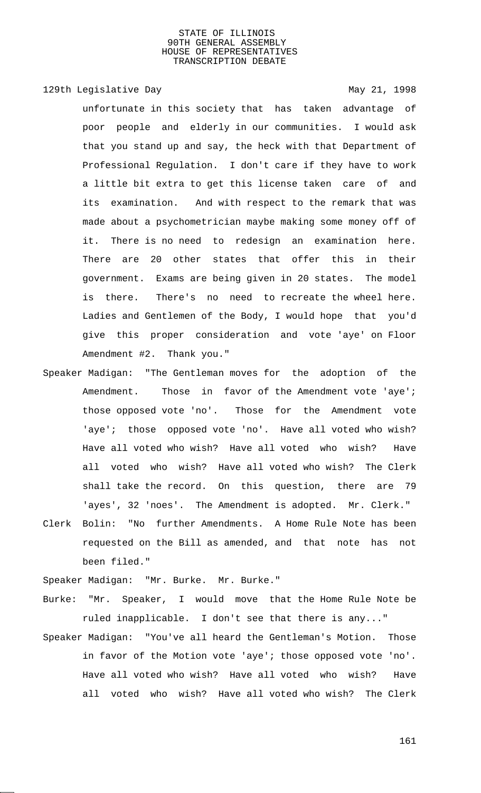129th Legislative Day 129th May 21, 1998

unfortunate in this society that has taken advantage of poor people and elderly in our communities. I would ask that you stand up and say, the heck with that Department of Professional Regulation. I don't care if they have to work a little bit extra to get this license taken care of and its examination. And with respect to the remark that was made about a psychometrician maybe making some money off of it. There is no need to redesign an examination here. There are 20 other states that offer this in their government. Exams are being given in 20 states. The model is there. There's no need to recreate the wheel here. Ladies and Gentlemen of the Body, I would hope that you'd give this proper consideration and vote 'aye' on Floor Amendment #2. Thank you."

- Speaker Madigan: "The Gentleman moves for the adoption of the Amendment. Those in favor of the Amendment vote 'aye'; those opposed vote 'no'. Those for the Amendment vote 'aye'; those opposed vote 'no'. Have all voted who wish? Have all voted who wish? Have all voted who wish? Have all voted who wish? Have all voted who wish? The Clerk shall take the record. On this question, there are 79 'ayes', 32 'noes'. The Amendment is adopted. Mr. Clerk."
- Clerk Bolin: "No further Amendments. A Home Rule Note has been requested on the Bill as amended, and that note has not been filed."

Speaker Madigan: "Mr. Burke. Mr. Burke."

- Burke: "Mr. Speaker, I would move that the Home Rule Note be ruled inapplicable. I don't see that there is any..."
- Speaker Madigan: "You've all heard the Gentleman's Motion. Those in favor of the Motion vote 'aye'; those opposed vote 'no'. Have all voted who wish? Have all voted who wish? Have all voted who wish? Have all voted who wish? The Clerk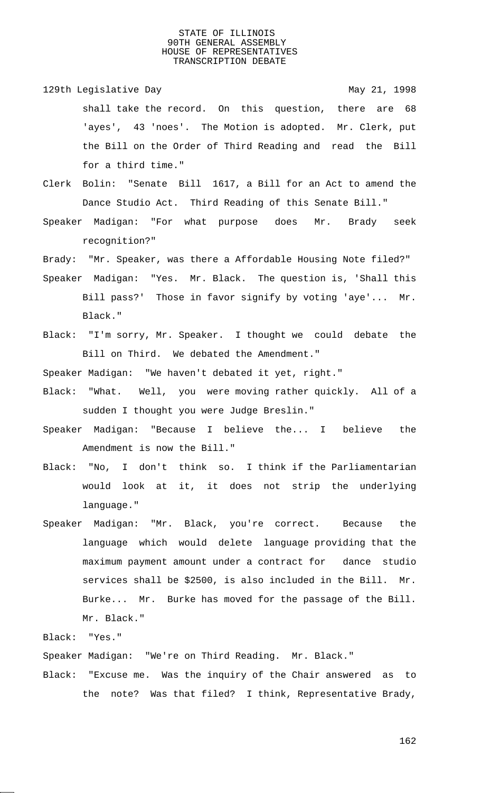- 129th Legislative Day 129th May 21, 1998 shall take the record. On this question, there are 68 'ayes', 43 'noes'. The Motion is adopted. Mr. Clerk, put the Bill on the Order of Third Reading and read the Bill for a third time."
- Clerk Bolin: "Senate Bill 1617, a Bill for an Act to amend the Dance Studio Act. Third Reading of this Senate Bill."
- Speaker Madigan: "For what purpose does Mr. Brady seek recognition?"

Brady: "Mr. Speaker, was there a Affordable Housing Note filed?"

- Speaker Madigan: "Yes. Mr. Black. The question is, 'Shall this Bill pass?' Those in favor signify by voting 'aye'... Mr. Black."
- Black: "I'm sorry, Mr. Speaker. I thought we could debate the Bill on Third. We debated the Amendment."

Speaker Madigan: "We haven't debated it yet, right."

- Black: "What. Well, you were moving rather quickly. All of a sudden I thought you were Judge Breslin."
- Speaker Madigan: "Because I believe the... I believe the Amendment is now the Bill."
- Black: "No, I don't think so. I think if the Parliamentarian would look at it, it does not strip the underlying language."
- Speaker Madigan: "Mr. Black, you're correct. Because the language which would delete language providing that the maximum payment amount under a contract for dance studio services shall be \$2500, is also included in the Bill. Mr. Burke... Mr. Burke has moved for the passage of the Bill. Mr. Black."

Black: "Yes."

Speaker Madigan: "We're on Third Reading. Mr. Black."

Black: "Excuse me. Was the inquiry of the Chair answered as to the note? Was that filed? I think, Representative Brady,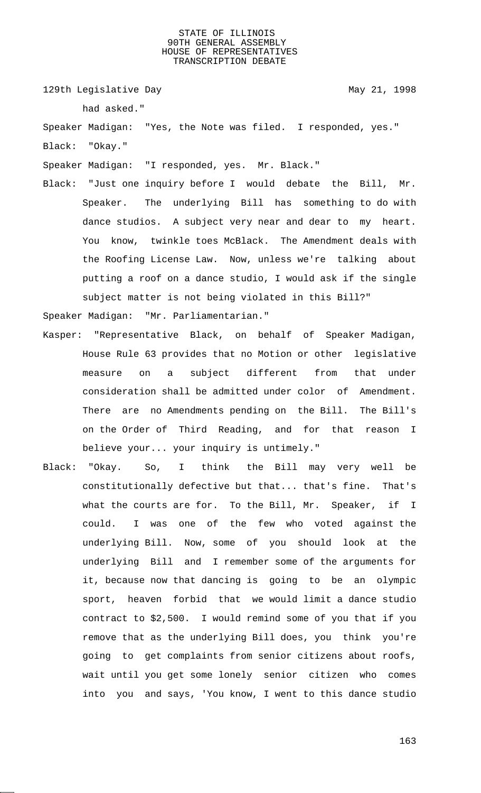129th Legislative Day 129th May 21, 1998

had asked."

Speaker Madigan: "Yes, the Note was filed. I responded, yes." Black: "Okay."

Speaker Madigan: "I responded, yes. Mr. Black."

Black: "Just one inquiry before I would debate the Bill, Mr. Speaker. The underlying Bill has something to do with dance studios. A subject very near and dear to my heart. You know, twinkle toes McBlack. The Amendment deals with the Roofing License Law. Now, unless we're talking about putting a roof on a dance studio, I would ask if the single subject matter is not being violated in this Bill?"

Speaker Madigan: "Mr. Parliamentarian."

- Kasper: "Representative Black, on behalf of Speaker Madigan, House Rule 63 provides that no Motion or other legislative measure on a subject different from that under consideration shall be admitted under color of Amendment. There are no Amendments pending on the Bill. The Bill's on the Order of Third Reading, and for that reason I believe your... your inquiry is untimely."
- Black: "Okay. So, I think the Bill may very well be constitutionally defective but that... that's fine. That's what the courts are for. To the Bill, Mr. Speaker, if I could. I was one of the few who voted against the underlying Bill. Now, some of you should look at the underlying Bill and I remember some of the arguments for it, because now that dancing is going to be an olympic sport, heaven forbid that we would limit a dance studio contract to \$2,500. I would remind some of you that if you remove that as the underlying Bill does, you think you're going to get complaints from senior citizens about roofs, wait until you get some lonely senior citizen who comes into you and says, 'You know, I went to this dance studio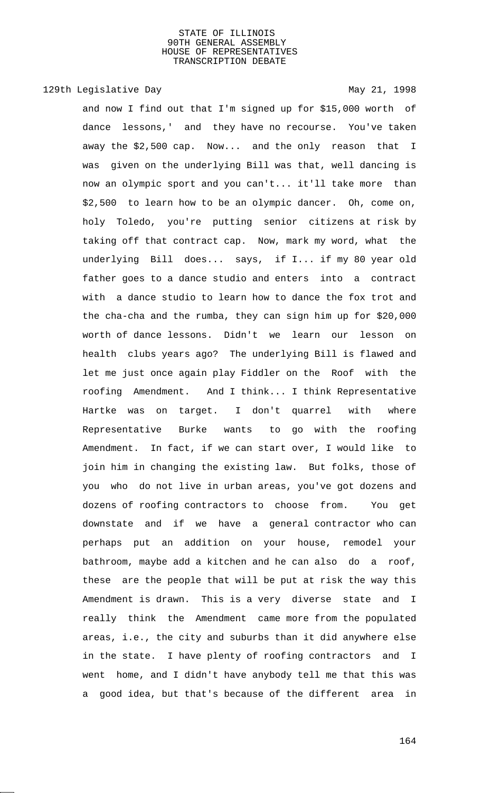# 129th Legislative Day 129th May 21, 1998

and now I find out that I'm signed up for \$15,000 worth of dance lessons,' and they have no recourse. You've taken away the \$2,500 cap. Now... and the only reason that I was given on the underlying Bill was that, well dancing is now an olympic sport and you can't... it'll take more than \$2,500 to learn how to be an olympic dancer. Oh, come on, holy Toledo, you're putting senior citizens at risk by taking off that contract cap. Now, mark my word, what the underlying Bill does... says, if I... if my 80 year old father goes to a dance studio and enters into a contract with a dance studio to learn how to dance the fox trot and the cha-cha and the rumba, they can sign him up for \$20,000 worth of dance lessons. Didn't we learn our lesson on health clubs years ago? The underlying Bill is flawed and let me just once again play Fiddler on the Roof with the roofing Amendment. And I think... I think Representative Hartke was on target. I don't quarrel with where Representative Burke wants to go with the roofing Amendment. In fact, if we can start over, I would like to join him in changing the existing law. But folks, those of you who do not live in urban areas, you've got dozens and dozens of roofing contractors to choose from. You get downstate and if we have a general contractor who can perhaps put an addition on your house, remodel your bathroom, maybe add a kitchen and he can also do a roof, these are the people that will be put at risk the way this Amendment is drawn. This is a very diverse state and I really think the Amendment came more from the populated areas, i.e., the city and suburbs than it did anywhere else in the state. I have plenty of roofing contractors and I went home, and I didn't have anybody tell me that this was a good idea, but that's because of the different area in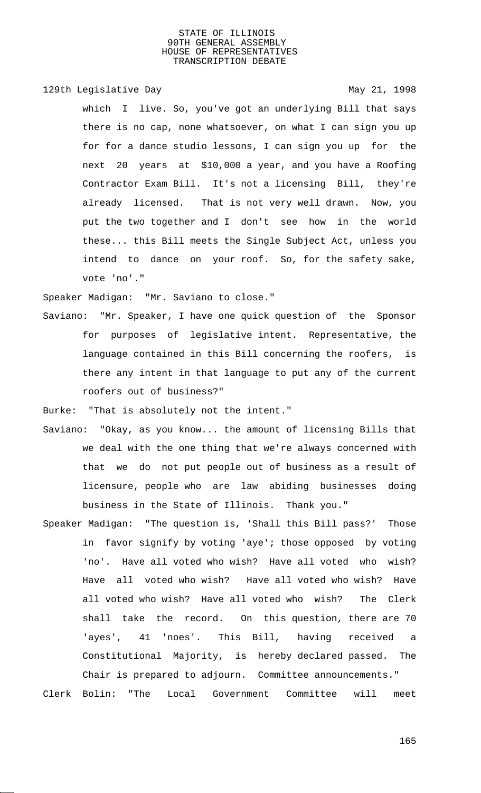# 129th Legislative Day 129th May 21, 1998

which I live. So, you've got an underlying Bill that says there is no cap, none whatsoever, on what I can sign you up for for a dance studio lessons, I can sign you up for the next 20 years at \$10,000 a year, and you have a Roofing Contractor Exam Bill. It's not a licensing Bill, they're already licensed. That is not very well drawn. Now, you put the two together and I don't see how in the world these... this Bill meets the Single Subject Act, unless you intend to dance on your roof. So, for the safety sake, vote 'no'."

Speaker Madigan: "Mr. Saviano to close."

Saviano: "Mr. Speaker, I have one quick question of the Sponsor for purposes of legislative intent. Representative, the language contained in this Bill concerning the roofers, is there any intent in that language to put any of the current roofers out of business?"

Burke: "That is absolutely not the intent."

- Saviano: "Okay, as you know... the amount of licensing Bills that we deal with the one thing that we're always concerned with that we do not put people out of business as a result of licensure, people who are law abiding businesses doing business in the State of Illinois. Thank you."
- Speaker Madigan: "The question is, 'Shall this Bill pass?' Those in favor signify by voting 'aye'; those opposed by voting 'no'. Have all voted who wish? Have all voted who wish? Have all voted who wish? Have all voted who wish? Have all voted who wish? Have all voted who wish? The Clerk shall take the record. On this question, there are 70 'ayes', 41 'noes'. This Bill, having received a Constitutional Majority, is hereby declared passed. The Chair is prepared to adjourn. Committee announcements." Clerk Bolin: "The Local Government Committee will meet